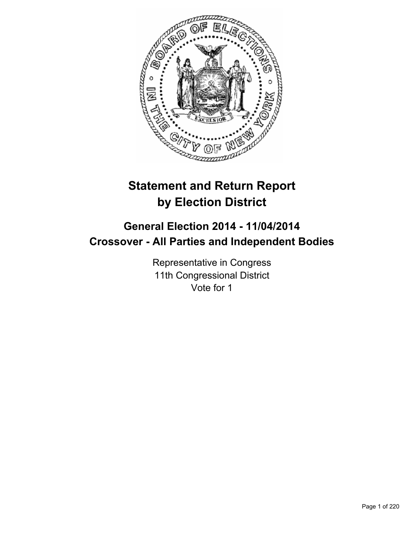

# **Statement and Return Report by Election District**

## **General Election 2014 - 11/04/2014 Crossover - All Parties and Independent Bodies**

Representative in Congress 11th Congressional District Vote for 1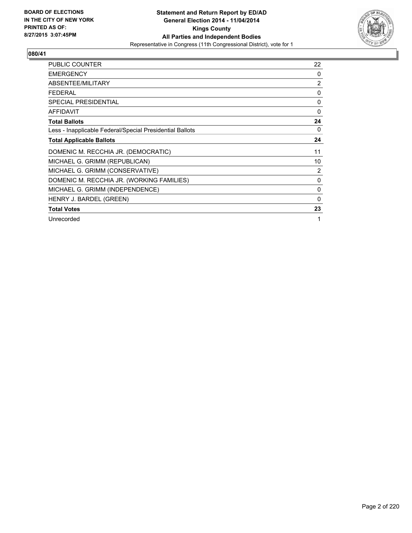

| <b>PUBLIC COUNTER</b>                                    | 22             |
|----------------------------------------------------------|----------------|
| <b>EMERGENCY</b>                                         | $\Omega$       |
| ABSENTEE/MILITARY                                        | $\overline{2}$ |
| <b>FEDERAL</b>                                           | 0              |
| <b>SPECIAL PRESIDENTIAL</b>                              | 0              |
| <b>AFFIDAVIT</b>                                         | 0              |
| <b>Total Ballots</b>                                     | 24             |
| Less - Inapplicable Federal/Special Presidential Ballots | 0              |
| <b>Total Applicable Ballots</b>                          | 24             |
| DOMENIC M. RECCHIA JR. (DEMOCRATIC)                      | 11             |
| MICHAEL G. GRIMM (REPUBLICAN)                            | 10             |
| MICHAEL G. GRIMM (CONSERVATIVE)                          | 2              |
| DOMENIC M. RECCHIA JR. (WORKING FAMILIES)                | 0              |
| MICHAEL G. GRIMM (INDEPENDENCE)                          | $\mathbf{0}$   |
| HENRY J. BARDEL (GREEN)                                  | $\Omega$       |
| <b>Total Votes</b>                                       | 23             |
| Unrecorded                                               | 1              |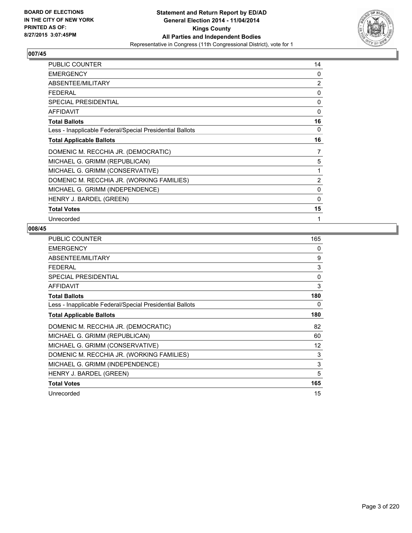

| PUBLIC COUNTER                                           | 14       |
|----------------------------------------------------------|----------|
| <b>EMERGENCY</b>                                         | $\Omega$ |
| ABSENTEE/MILITARY                                        | 2        |
| <b>FEDERAL</b>                                           | 0        |
| <b>SPECIAL PRESIDENTIAL</b>                              | $\Omega$ |
| <b>AFFIDAVIT</b>                                         | 0        |
| <b>Total Ballots</b>                                     | 16       |
| Less - Inapplicable Federal/Special Presidential Ballots | 0        |
| <b>Total Applicable Ballots</b>                          | 16       |
| DOMENIC M. RECCHIA JR. (DEMOCRATIC)                      | 7        |
| MICHAEL G. GRIMM (REPUBLICAN)                            | 5        |
| MICHAEL G. GRIMM (CONSERVATIVE)                          | 1        |
| DOMENIC M. RECCHIA JR. (WORKING FAMILIES)                | 2        |
| MICHAEL G. GRIMM (INDEPENDENCE)                          | 0        |
| HENRY J. BARDEL (GREEN)                                  | 0        |
| <b>Total Votes</b>                                       | 15       |
| Unrecorded                                               | 1        |

| <b>PUBLIC COUNTER</b>                                    | 165 |
|----------------------------------------------------------|-----|
| <b>EMERGENCY</b>                                         | 0   |
| ABSENTEE/MILITARY                                        | 9   |
| <b>FEDERAL</b>                                           | 3   |
| SPECIAL PRESIDENTIAL                                     | 0   |
| AFFIDAVIT                                                | 3   |
| <b>Total Ballots</b>                                     | 180 |
| Less - Inapplicable Federal/Special Presidential Ballots | 0   |
| <b>Total Applicable Ballots</b>                          | 180 |
| DOMENIC M. RECCHIA JR. (DEMOCRATIC)                      | 82  |
| MICHAEL G. GRIMM (REPUBLICAN)                            | 60  |
| MICHAEL G. GRIMM (CONSERVATIVE)                          | 12  |
| DOMENIC M. RECCHIA JR. (WORKING FAMILIES)                | 3   |
| MICHAEL G. GRIMM (INDEPENDENCE)                          | 3   |
| HENRY J. BARDEL (GREEN)                                  | 5   |
| <b>Total Votes</b>                                       | 165 |
| Unrecorded                                               | 15  |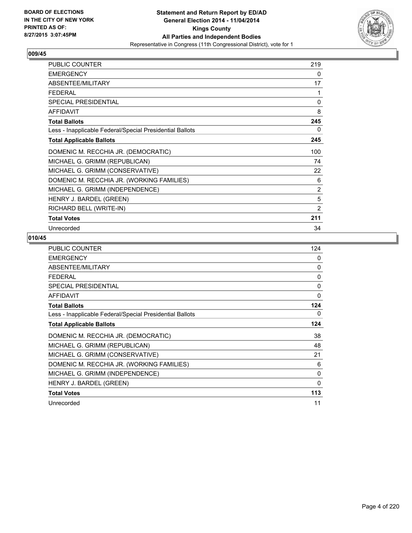

| <b>PUBLIC COUNTER</b>                                    | 219 |
|----------------------------------------------------------|-----|
| <b>EMERGENCY</b>                                         | 0   |
| ABSENTEE/MILITARY                                        | 17  |
| FFDFRAI                                                  | 1   |
| <b>SPECIAL PRESIDENTIAL</b>                              | 0   |
| <b>AFFIDAVIT</b>                                         | 8   |
| <b>Total Ballots</b>                                     | 245 |
| Less - Inapplicable Federal/Special Presidential Ballots | 0   |
| <b>Total Applicable Ballots</b>                          | 245 |
| DOMENIC M. RECCHIA JR. (DEMOCRATIC)                      | 100 |
| MICHAEL G. GRIMM (REPUBLICAN)                            | 74  |
| MICHAEL G. GRIMM (CONSERVATIVE)                          | 22  |
| DOMENIC M. RECCHIA JR. (WORKING FAMILIES)                | 6   |
| MICHAEL G. GRIMM (INDEPENDENCE)                          | 2   |
| HENRY J. BARDEL (GREEN)                                  | 5   |
| RICHARD BELL (WRITE-IN)                                  | 2   |
| <b>Total Votes</b>                                       | 211 |
| Unrecorded                                               | 34  |

| <b>PUBLIC COUNTER</b>                                    | 124          |
|----------------------------------------------------------|--------------|
| <b>EMERGENCY</b>                                         | $\Omega$     |
| ABSENTEE/MILITARY                                        | 0            |
| <b>FEDERAL</b>                                           | $\mathbf{0}$ |
| SPECIAL PRESIDENTIAL                                     | 0            |
| <b>AFFIDAVIT</b>                                         | 0            |
| <b>Total Ballots</b>                                     | 124          |
| Less - Inapplicable Federal/Special Presidential Ballots | 0            |
| <b>Total Applicable Ballots</b>                          | 124          |
| DOMENIC M. RECCHIA JR. (DEMOCRATIC)                      | 38           |
| MICHAEL G. GRIMM (REPUBLICAN)                            | 48           |
| MICHAEL G. GRIMM (CONSERVATIVE)                          | 21           |
| DOMENIC M. RECCHIA JR. (WORKING FAMILIES)                | 6            |
| MICHAEL G. GRIMM (INDEPENDENCE)                          | 0            |
| HENRY J. BARDEL (GREEN)                                  | 0            |
| <b>Total Votes</b>                                       | 113          |
| Unrecorded                                               | 11           |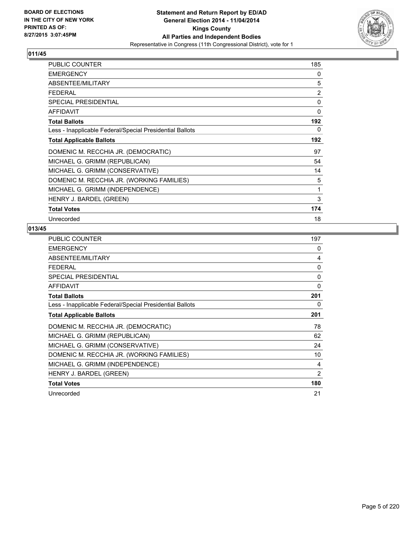

| <b>PUBLIC COUNTER</b>                                    | 185 |
|----------------------------------------------------------|-----|
| <b>EMERGENCY</b>                                         | 0   |
| ABSENTEE/MILITARY                                        | 5   |
| <b>FEDERAL</b>                                           | 2   |
| <b>SPECIAL PRESIDENTIAL</b>                              | 0   |
| <b>AFFIDAVIT</b>                                         | 0   |
| <b>Total Ballots</b>                                     | 192 |
| Less - Inapplicable Federal/Special Presidential Ballots | 0   |
| <b>Total Applicable Ballots</b>                          | 192 |
| DOMENIC M. RECCHIA JR. (DEMOCRATIC)                      | 97  |
| MICHAEL G. GRIMM (REPUBLICAN)                            | 54  |
| MICHAEL G. GRIMM (CONSERVATIVE)                          | 14  |
| DOMENIC M. RECCHIA JR. (WORKING FAMILIES)                | 5   |
| MICHAEL G. GRIMM (INDEPENDENCE)                          | 1   |
| HENRY J. BARDEL (GREEN)                                  | 3   |
| <b>Total Votes</b>                                       | 174 |
| Unrecorded                                               | 18  |

| <b>PUBLIC COUNTER</b>                                    | 197      |
|----------------------------------------------------------|----------|
| <b>EMERGENCY</b>                                         | 0        |
| ABSENTEE/MILITARY                                        | 4        |
| <b>FEDERAL</b>                                           | $\Omega$ |
| SPECIAL PRESIDENTIAL                                     | 0        |
| <b>AFFIDAVIT</b>                                         | 0        |
| <b>Total Ballots</b>                                     | 201      |
| Less - Inapplicable Federal/Special Presidential Ballots | 0        |
| <b>Total Applicable Ballots</b>                          | 201      |
| DOMENIC M. RECCHIA JR. (DEMOCRATIC)                      | 78       |
| MICHAEL G. GRIMM (REPUBLICAN)                            | 62       |
| MICHAEL G. GRIMM (CONSERVATIVE)                          | 24       |
| DOMENIC M. RECCHIA JR. (WORKING FAMILIES)                | 10       |
| MICHAEL G. GRIMM (INDEPENDENCE)                          | 4        |
| HENRY J. BARDEL (GREEN)                                  | 2        |
| <b>Total Votes</b>                                       | 180      |
| Unrecorded                                               | 21       |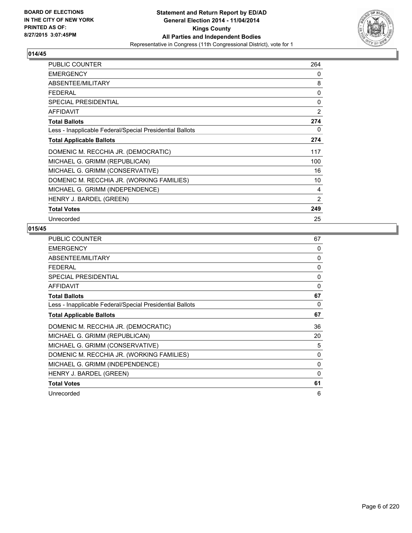

| PUBLIC COUNTER                                           | 264            |
|----------------------------------------------------------|----------------|
| <b>EMERGENCY</b>                                         | 0              |
| ABSENTEE/MILITARY                                        | 8              |
| <b>FEDERAL</b>                                           | 0              |
| SPECIAL PRESIDENTIAL                                     | 0              |
| <b>AFFIDAVIT</b>                                         | $\overline{2}$ |
| <b>Total Ballots</b>                                     | 274            |
| Less - Inapplicable Federal/Special Presidential Ballots | 0              |
| <b>Total Applicable Ballots</b>                          | 274            |
| DOMENIC M. RECCHIA JR. (DEMOCRATIC)                      | 117            |
| MICHAEL G. GRIMM (REPUBLICAN)                            | 100            |
| MICHAEL G. GRIMM (CONSERVATIVE)                          | 16             |
| DOMENIC M. RECCHIA JR. (WORKING FAMILIES)                | 10             |
| MICHAEL G. GRIMM (INDEPENDENCE)                          | 4              |
| HENRY J. BARDEL (GREEN)                                  | $\overline{2}$ |
| <b>Total Votes</b>                                       | 249            |
| Unrecorded                                               | 25             |

| <b>PUBLIC COUNTER</b>                                    | 67       |
|----------------------------------------------------------|----------|
| <b>EMERGENCY</b>                                         | 0        |
| ABSENTEE/MILITARY                                        | 0        |
| <b>FEDERAL</b>                                           | 0        |
| <b>SPECIAL PRESIDENTIAL</b>                              | 0        |
| AFFIDAVIT                                                | $\Omega$ |
| <b>Total Ballots</b>                                     | 67       |
| Less - Inapplicable Federal/Special Presidential Ballots | 0        |
| <b>Total Applicable Ballots</b>                          | 67       |
| DOMENIC M. RECCHIA JR. (DEMOCRATIC)                      | 36       |
| MICHAEL G. GRIMM (REPUBLICAN)                            | 20       |
| MICHAEL G. GRIMM (CONSERVATIVE)                          | 5        |
| DOMENIC M. RECCHIA JR. (WORKING FAMILIES)                | 0        |
| MICHAEL G. GRIMM (INDEPENDENCE)                          | 0        |
| HENRY J. BARDEL (GREEN)                                  | $\Omega$ |
| <b>Total Votes</b>                                       | 61       |
| Unrecorded                                               | 6        |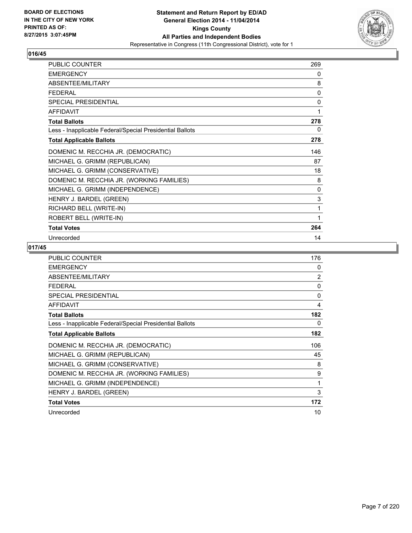

| PUBLIC COUNTER                                           | 269         |
|----------------------------------------------------------|-------------|
| <b>EMERGENCY</b>                                         | 0           |
| ABSENTEE/MILITARY                                        | 8           |
| <b>FEDERAL</b>                                           | 0           |
| SPECIAL PRESIDENTIAL                                     | 0           |
| <b>AFFIDAVIT</b>                                         | 1           |
| <b>Total Ballots</b>                                     | 278         |
| Less - Inapplicable Federal/Special Presidential Ballots | 0           |
| <b>Total Applicable Ballots</b>                          | 278         |
| DOMENIC M. RECCHIA JR. (DEMOCRATIC)                      | 146         |
| MICHAEL G. GRIMM (REPUBLICAN)                            | 87          |
| MICHAEL G. GRIMM (CONSERVATIVE)                          | 18          |
| DOMENIC M. RECCHIA JR. (WORKING FAMILIES)                | 8           |
| MICHAEL G. GRIMM (INDEPENDENCE)                          | 0           |
| HENRY J. BARDEL (GREEN)                                  | $\mathsf 3$ |
| RICHARD BELL (WRITE-IN)                                  | 1           |
| ROBERT BELL (WRITE-IN)                                   | 1           |
| <b>Total Votes</b>                                       | 264         |
| Unrecorded                                               | 14          |

| <b>PUBLIC COUNTER</b>                                    | 176 |
|----------------------------------------------------------|-----|
| <b>EMERGENCY</b>                                         | 0   |
| ABSENTEE/MILITARY                                        | 2   |
| <b>FEDERAL</b>                                           | 0   |
| SPECIAL PRESIDENTIAL                                     | 0   |
| <b>AFFIDAVIT</b>                                         | 4   |
| <b>Total Ballots</b>                                     | 182 |
| Less - Inapplicable Federal/Special Presidential Ballots | 0   |
| <b>Total Applicable Ballots</b>                          | 182 |
| DOMENIC M. RECCHIA JR. (DEMOCRATIC)                      | 106 |
| MICHAEL G. GRIMM (REPUBLICAN)                            | 45  |
| MICHAEL G. GRIMM (CONSERVATIVE)                          | 8   |
| DOMENIC M. RECCHIA JR. (WORKING FAMILIES)                | 9   |
| MICHAEL G. GRIMM (INDEPENDENCE)                          | 1   |
| HENRY J. BARDEL (GREEN)                                  | 3   |
| <b>Total Votes</b>                                       | 172 |
| Unrecorded                                               | 10  |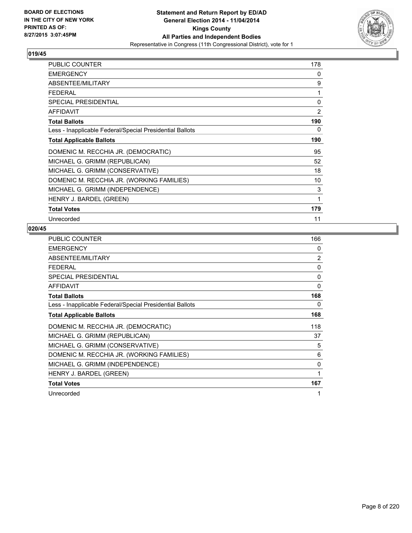

| <b>PUBLIC COUNTER</b>                                    | 178         |
|----------------------------------------------------------|-------------|
| <b>EMERGENCY</b>                                         | 0           |
| ABSENTEE/MILITARY                                        | 9           |
| <b>FEDERAL</b>                                           | 1           |
| <b>SPECIAL PRESIDENTIAL</b>                              | $\mathbf 0$ |
| <b>AFFIDAVIT</b>                                         | 2           |
| <b>Total Ballots</b>                                     | 190         |
| Less - Inapplicable Federal/Special Presidential Ballots | 0           |
| <b>Total Applicable Ballots</b>                          | 190         |
| DOMENIC M. RECCHIA JR. (DEMOCRATIC)                      | 95          |
| MICHAEL G. GRIMM (REPUBLICAN)                            | 52          |
| MICHAEL G. GRIMM (CONSERVATIVE)                          | 18          |
| DOMENIC M. RECCHIA JR. (WORKING FAMILIES)                | 10          |
| MICHAEL G. GRIMM (INDEPENDENCE)                          | 3           |
| HENRY J. BARDEL (GREEN)                                  | 1           |
| <b>Total Votes</b>                                       | 179         |
| Unrecorded                                               | 11          |

| <b>PUBLIC COUNTER</b>                                    | 166          |
|----------------------------------------------------------|--------------|
| <b>EMERGENCY</b>                                         | 0            |
| ABSENTEE/MILITARY                                        | 2            |
| FEDERAL                                                  | 0            |
| SPECIAL PRESIDENTIAL                                     | 0            |
| <b>AFFIDAVIT</b>                                         | $\mathbf{0}$ |
| <b>Total Ballots</b>                                     | 168          |
| Less - Inapplicable Federal/Special Presidential Ballots | 0            |
| <b>Total Applicable Ballots</b>                          | 168          |
| DOMENIC M. RECCHIA JR. (DEMOCRATIC)                      | 118          |
| MICHAEL G. GRIMM (REPUBLICAN)                            | 37           |
| MICHAEL G. GRIMM (CONSERVATIVE)                          | 5            |
| DOMENIC M. RECCHIA JR. (WORKING FAMILIES)                | 6            |
| MICHAEL G. GRIMM (INDEPENDENCE)                          | 0            |
| HENRY J. BARDEL (GREEN)                                  | 1            |
| <b>Total Votes</b>                                       | 167          |
| Unrecorded                                               | 1            |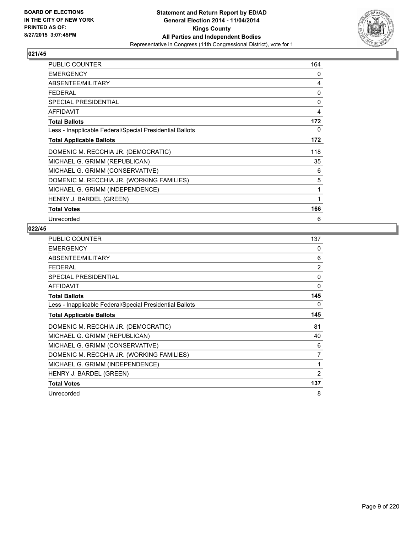

| <b>PUBLIC COUNTER</b>                                    | 164 |
|----------------------------------------------------------|-----|
| <b>EMERGENCY</b>                                         | 0   |
| ABSENTEE/MILITARY                                        | 4   |
| <b>FEDERAL</b>                                           | 0   |
| <b>SPECIAL PRESIDENTIAL</b>                              | 0   |
| <b>AFFIDAVIT</b>                                         | 4   |
| <b>Total Ballots</b>                                     | 172 |
| Less - Inapplicable Federal/Special Presidential Ballots | 0   |
| <b>Total Applicable Ballots</b>                          | 172 |
| DOMENIC M. RECCHIA JR. (DEMOCRATIC)                      | 118 |
| MICHAEL G. GRIMM (REPUBLICAN)                            | 35  |
| MICHAEL G. GRIMM (CONSERVATIVE)                          | 6   |
| DOMENIC M. RECCHIA JR. (WORKING FAMILIES)                | 5   |
| MICHAEL G. GRIMM (INDEPENDENCE)                          | 1   |
| HENRY J. BARDEL (GREEN)                                  | 1   |
| <b>Total Votes</b>                                       | 166 |
| Unrecorded                                               | 6   |

| PUBLIC COUNTER                                           | 137            |
|----------------------------------------------------------|----------------|
| <b>EMERGENCY</b>                                         | 0              |
| ABSENTEE/MILITARY                                        | 6              |
| FEDERAL                                                  | $\overline{2}$ |
| SPECIAL PRESIDENTIAL                                     | 0              |
| <b>AFFIDAVIT</b>                                         | $\Omega$       |
| <b>Total Ballots</b>                                     | 145            |
| Less - Inapplicable Federal/Special Presidential Ballots | 0              |
| <b>Total Applicable Ballots</b>                          | 145            |
| DOMENIC M. RECCHIA JR. (DEMOCRATIC)                      | 81             |
| MICHAEL G. GRIMM (REPUBLICAN)                            | 40             |
| MICHAEL G. GRIMM (CONSERVATIVE)                          | 6              |
| DOMENIC M. RECCHIA JR. (WORKING FAMILIES)                | 7              |
| MICHAEL G. GRIMM (INDEPENDENCE)                          | 1              |
| HENRY J. BARDEL (GREEN)                                  | $\overline{2}$ |
| <b>Total Votes</b>                                       | 137            |
| Unrecorded                                               | 8              |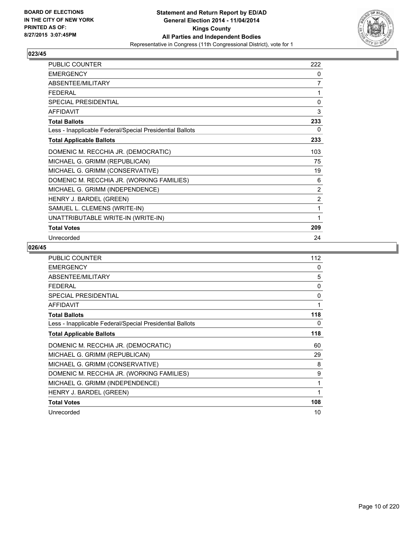

| PUBLIC COUNTER                                           | 222 |
|----------------------------------------------------------|-----|
| <b>EMERGENCY</b>                                         | 0   |
| ABSENTEE/MILITARY                                        | 7   |
| <b>FEDERAL</b>                                           | 1   |
| SPECIAL PRESIDENTIAL                                     | 0   |
| <b>AFFIDAVIT</b>                                         | 3   |
| <b>Total Ballots</b>                                     | 233 |
| Less - Inapplicable Federal/Special Presidential Ballots | 0   |
| <b>Total Applicable Ballots</b>                          | 233 |
| DOMENIC M. RECCHIA JR. (DEMOCRATIC)                      | 103 |
| MICHAEL G. GRIMM (REPUBLICAN)                            | 75  |
| MICHAEL G. GRIMM (CONSERVATIVE)                          | 19  |
| DOMENIC M. RECCHIA JR. (WORKING FAMILIES)                | 6   |
| MICHAEL G. GRIMM (INDEPENDENCE)                          | 2   |
| HENRY J. BARDEL (GREEN)                                  | 2   |
| SAMUEL L. CLEMENS (WRITE-IN)                             | 1   |
| UNATTRIBUTABLE WRITE-IN (WRITE-IN)                       | 1   |
| <b>Total Votes</b>                                       | 209 |
| Unrecorded                                               | 24  |

| <b>PUBLIC COUNTER</b>                                    | 112      |
|----------------------------------------------------------|----------|
| <b>EMERGENCY</b>                                         | 0        |
| ABSENTEE/MILITARY                                        | 5        |
| <b>FEDERAL</b>                                           | $\Omega$ |
| <b>SPECIAL PRESIDENTIAL</b>                              | $\Omega$ |
| <b>AFFIDAVIT</b>                                         | 1        |
| <b>Total Ballots</b>                                     | 118      |
| Less - Inapplicable Federal/Special Presidential Ballots | $\Omega$ |
| <b>Total Applicable Ballots</b>                          | 118      |
| DOMENIC M. RECCHIA JR. (DEMOCRATIC)                      | 60       |
| MICHAEL G. GRIMM (REPUBLICAN)                            | 29       |
| MICHAEL G. GRIMM (CONSERVATIVE)                          | 8        |
| DOMENIC M. RECCHIA JR. (WORKING FAMILIES)                | 9        |
| MICHAEL G. GRIMM (INDEPENDENCE)                          | 1        |
| HENRY J. BARDEL (GREEN)                                  | 1        |
| <b>Total Votes</b>                                       | 108      |
| Unrecorded                                               | 10       |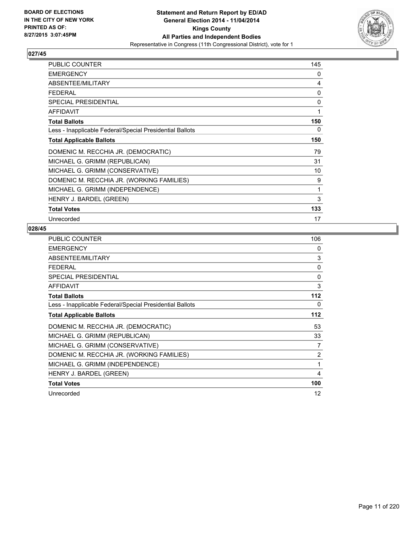

| PUBLIC COUNTER                                           | 145 |
|----------------------------------------------------------|-----|
| <b>EMERGENCY</b>                                         | 0   |
| ABSENTEE/MILITARY                                        | 4   |
| <b>FEDERAL</b>                                           | 0   |
| <b>SPECIAL PRESIDENTIAL</b>                              | 0   |
| <b>AFFIDAVIT</b>                                         | 1   |
| <b>Total Ballots</b>                                     | 150 |
| Less - Inapplicable Federal/Special Presidential Ballots | 0   |
| <b>Total Applicable Ballots</b>                          | 150 |
| DOMENIC M. RECCHIA JR. (DEMOCRATIC)                      | 79  |
| MICHAEL G. GRIMM (REPUBLICAN)                            | 31  |
| MICHAEL G. GRIMM (CONSERVATIVE)                          | 10  |
| DOMENIC M. RECCHIA JR. (WORKING FAMILIES)                | 9   |
| MICHAEL G. GRIMM (INDEPENDENCE)                          | 1   |
| HENRY J. BARDEL (GREEN)                                  | 3   |
| <b>Total Votes</b>                                       | 133 |
| Unrecorded                                               | 17  |

| <b>PUBLIC COUNTER</b>                                    | 106          |
|----------------------------------------------------------|--------------|
| <b>EMERGENCY</b>                                         | 0            |
| ABSENTEE/MILITARY                                        | 3            |
| <b>FEDERAL</b>                                           | $\mathbf{0}$ |
| SPECIAL PRESIDENTIAL                                     | 0            |
| <b>AFFIDAVIT</b>                                         | 3            |
| <b>Total Ballots</b>                                     | 112          |
| Less - Inapplicable Federal/Special Presidential Ballots | 0            |
| <b>Total Applicable Ballots</b>                          | 112          |
| DOMENIC M. RECCHIA JR. (DEMOCRATIC)                      | 53           |
| MICHAEL G. GRIMM (REPUBLICAN)                            | 33           |
| MICHAEL G. GRIMM (CONSERVATIVE)                          | 7            |
| DOMENIC M. RECCHIA JR. (WORKING FAMILIES)                | 2            |
| MICHAEL G. GRIMM (INDEPENDENCE)                          | 1            |
| HENRY J. BARDEL (GREEN)                                  | 4            |
| <b>Total Votes</b>                                       | 100          |
| Unrecorded                                               | 12           |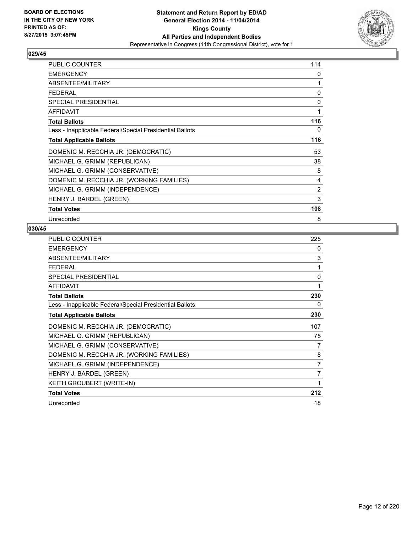

| <b>PUBLIC COUNTER</b>                                    | 114            |
|----------------------------------------------------------|----------------|
| <b>EMERGENCY</b>                                         | 0              |
| ABSENTEE/MILITARY                                        | 1              |
| <b>FEDERAL</b>                                           | 0              |
| <b>SPECIAL PRESIDENTIAL</b>                              | 0              |
| <b>AFFIDAVIT</b>                                         | 1              |
| <b>Total Ballots</b>                                     | 116            |
| Less - Inapplicable Federal/Special Presidential Ballots | 0              |
| <b>Total Applicable Ballots</b>                          | 116            |
| DOMENIC M. RECCHIA JR. (DEMOCRATIC)                      | 53             |
| MICHAEL G. GRIMM (REPUBLICAN)                            | 38             |
| MICHAEL G. GRIMM (CONSERVATIVE)                          | 8              |
| DOMENIC M. RECCHIA JR. (WORKING FAMILIES)                | 4              |
| MICHAEL G. GRIMM (INDEPENDENCE)                          | $\overline{2}$ |
| HENRY J. BARDEL (GREEN)                                  | 3              |
| <b>Total Votes</b>                                       | 108            |
| Unrecorded                                               | 8              |

| <b>PUBLIC COUNTER</b>                                    | 225 |
|----------------------------------------------------------|-----|
| <b>EMERGENCY</b>                                         | 0   |
| ABSENTEE/MILITARY                                        | 3   |
| <b>FEDERAL</b>                                           | 1   |
| SPECIAL PRESIDENTIAL                                     | 0   |
| <b>AFFIDAVIT</b>                                         | 1   |
| <b>Total Ballots</b>                                     | 230 |
| Less - Inapplicable Federal/Special Presidential Ballots | 0   |
| <b>Total Applicable Ballots</b>                          | 230 |
| DOMENIC M. RECCHIA JR. (DEMOCRATIC)                      | 107 |
| MICHAEL G. GRIMM (REPUBLICAN)                            | 75  |
| MICHAEL G. GRIMM (CONSERVATIVE)                          | 7   |
| DOMENIC M. RECCHIA JR. (WORKING FAMILIES)                | 8   |
| MICHAEL G. GRIMM (INDEPENDENCE)                          | 7   |
| HENRY J. BARDEL (GREEN)                                  | 7   |
| KEITH GROUBERT (WRITE-IN)                                | 1   |
| <b>Total Votes</b>                                       | 212 |
| Unrecorded                                               | 18  |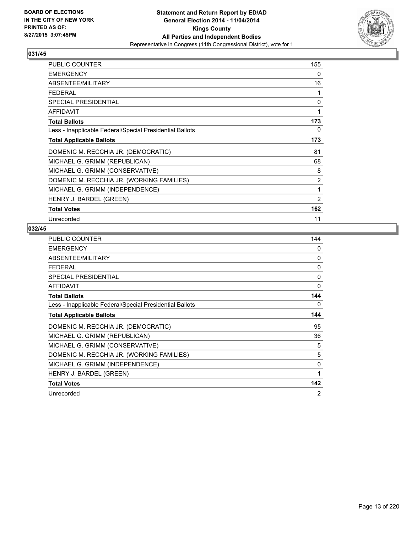

| PUBLIC COUNTER                                           | 155            |
|----------------------------------------------------------|----------------|
| <b>EMERGENCY</b>                                         | 0              |
| ABSENTEE/MILITARY                                        | 16             |
| <b>FEDERAL</b>                                           | 1              |
| SPECIAL PRESIDENTIAL                                     | 0              |
| <b>AFFIDAVIT</b>                                         | 1              |
| <b>Total Ballots</b>                                     | 173            |
| Less - Inapplicable Federal/Special Presidential Ballots | 0              |
| <b>Total Applicable Ballots</b>                          | 173            |
| DOMENIC M. RECCHIA JR. (DEMOCRATIC)                      | 81             |
| MICHAEL G. GRIMM (REPUBLICAN)                            | 68             |
| MICHAEL G. GRIMM (CONSERVATIVE)                          | 8              |
| DOMENIC M. RECCHIA JR. (WORKING FAMILIES)                | $\overline{2}$ |
| MICHAEL G. GRIMM (INDEPENDENCE)                          | 1              |
| HENRY J. BARDEL (GREEN)                                  | $\overline{2}$ |
| <b>Total Votes</b>                                       | 162            |
| Unrecorded                                               | 11             |

| <b>PUBLIC COUNTER</b>                                    | 144            |
|----------------------------------------------------------|----------------|
| <b>EMERGENCY</b>                                         | 0              |
| ABSENTEE/MILITARY                                        | 0              |
| <b>FEDERAL</b>                                           | $\Omega$       |
| SPECIAL PRESIDENTIAL                                     | 0              |
| <b>AFFIDAVIT</b>                                         | 0              |
| <b>Total Ballots</b>                                     | 144            |
| Less - Inapplicable Federal/Special Presidential Ballots | 0              |
| <b>Total Applicable Ballots</b>                          | 144            |
| DOMENIC M. RECCHIA JR. (DEMOCRATIC)                      | 95             |
| MICHAEL G. GRIMM (REPUBLICAN)                            | 36             |
| MICHAEL G. GRIMM (CONSERVATIVE)                          | 5              |
| DOMENIC M. RECCHIA JR. (WORKING FAMILIES)                | 5              |
| MICHAEL G. GRIMM (INDEPENDENCE)                          | 0              |
| HENRY J. BARDEL (GREEN)                                  | 1              |
| <b>Total Votes</b>                                       | 142            |
| Unrecorded                                               | $\overline{2}$ |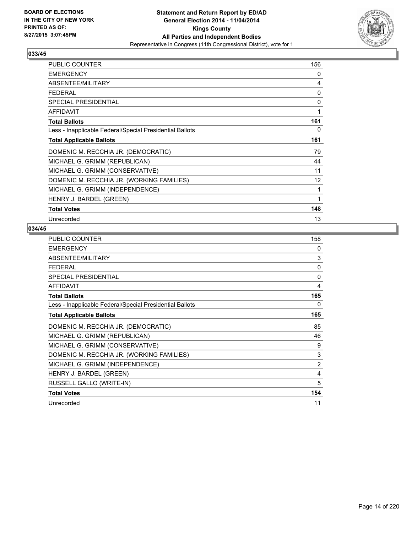

| PUBLIC COUNTER                                           | 156 |
|----------------------------------------------------------|-----|
| <b>EMERGENCY</b>                                         | 0   |
| ABSENTEE/MILITARY                                        | 4   |
| <b>FEDERAL</b>                                           | 0   |
| SPECIAL PRESIDENTIAL                                     | 0   |
| <b>AFFIDAVIT</b>                                         | 1   |
| <b>Total Ballots</b>                                     | 161 |
| Less - Inapplicable Federal/Special Presidential Ballots | 0   |
| <b>Total Applicable Ballots</b>                          | 161 |
| DOMENIC M. RECCHIA JR. (DEMOCRATIC)                      | 79  |
| MICHAEL G. GRIMM (REPUBLICAN)                            | 44  |
| MICHAEL G. GRIMM (CONSERVATIVE)                          | 11  |
| DOMENIC M. RECCHIA JR. (WORKING FAMILIES)                | 12  |
| MICHAEL G. GRIMM (INDEPENDENCE)                          | 1   |
| HENRY J. BARDEL (GREEN)                                  | 1   |
| <b>Total Votes</b>                                       | 148 |
| Unrecorded                                               | 13  |

| <b>PUBLIC COUNTER</b>                                    | 158            |
|----------------------------------------------------------|----------------|
| <b>EMERGENCY</b>                                         | 0              |
| ABSENTEE/MILITARY                                        | 3              |
| <b>FEDERAL</b>                                           | 0              |
| SPECIAL PRESIDENTIAL                                     | $\mathbf{0}$   |
| <b>AFFIDAVIT</b>                                         | 4              |
| <b>Total Ballots</b>                                     | 165            |
| Less - Inapplicable Federal/Special Presidential Ballots | 0              |
| <b>Total Applicable Ballots</b>                          | 165            |
| DOMENIC M. RECCHIA JR. (DEMOCRATIC)                      | 85             |
| MICHAEL G. GRIMM (REPUBLICAN)                            | 46             |
| MICHAEL G. GRIMM (CONSERVATIVE)                          | 9              |
| DOMENIC M. RECCHIA JR. (WORKING FAMILIES)                | 3              |
| MICHAEL G. GRIMM (INDEPENDENCE)                          | $\overline{2}$ |
| HENRY J. BARDEL (GREEN)                                  | 4              |
| RUSSELL GALLO (WRITE-IN)                                 | 5              |
| <b>Total Votes</b>                                       | 154            |
| Unrecorded                                               | 11             |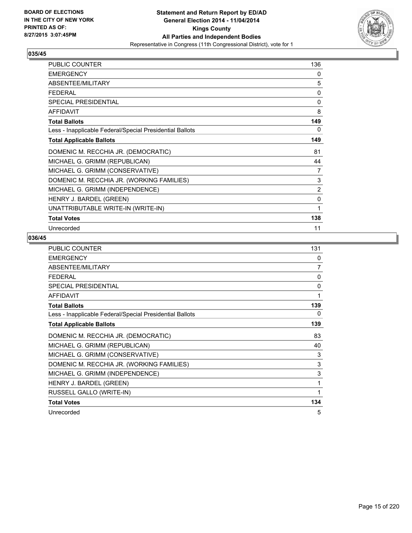

| <b>PUBLIC COUNTER</b>                                    | 136 |
|----------------------------------------------------------|-----|
| <b>EMERGENCY</b>                                         | 0   |
| ABSENTEE/MILITARY                                        | 5   |
| FFDFRAI                                                  | 0   |
| <b>SPECIAL PRESIDENTIAL</b>                              | 0   |
| <b>AFFIDAVIT</b>                                         | 8   |
| <b>Total Ballots</b>                                     | 149 |
| Less - Inapplicable Federal/Special Presidential Ballots | 0   |
| <b>Total Applicable Ballots</b>                          | 149 |
| DOMENIC M. RECCHIA JR. (DEMOCRATIC)                      | 81  |
| MICHAEL G. GRIMM (REPUBLICAN)                            | 44  |
| MICHAEL G. GRIMM (CONSERVATIVE)                          | 7   |
| DOMENIC M. RECCHIA JR. (WORKING FAMILIES)                | 3   |
| MICHAEL G. GRIMM (INDEPENDENCE)                          | 2   |
| HENRY J. BARDEL (GREEN)                                  | 0   |
| UNATTRIBUTABLE WRITE-IN (WRITE-IN)                       | 1   |
| <b>Total Votes</b>                                       | 138 |
| Unrecorded                                               | 11  |

| PUBLIC COUNTER                                           | 131          |
|----------------------------------------------------------|--------------|
| <b>EMERGENCY</b>                                         | 0            |
| ABSENTEE/MILITARY                                        | 7            |
| <b>FEDERAL</b>                                           | $\Omega$     |
| <b>SPECIAL PRESIDENTIAL</b>                              | $\Omega$     |
| <b>AFFIDAVIT</b>                                         | 1            |
| <b>Total Ballots</b>                                     | 139          |
| Less - Inapplicable Federal/Special Presidential Ballots | 0            |
| <b>Total Applicable Ballots</b>                          | 139          |
| DOMENIC M. RECCHIA JR. (DEMOCRATIC)                      | 83           |
| MICHAEL G. GRIMM (REPUBLICAN)                            | 40           |
| MICHAEL G. GRIMM (CONSERVATIVE)                          | 3            |
| DOMENIC M. RECCHIA JR. (WORKING FAMILIES)                | 3            |
| MICHAEL G. GRIMM (INDEPENDENCE)                          | 3            |
| HENRY J. BARDEL (GREEN)                                  | 1            |
| RUSSELL GALLO (WRITE-IN)                                 | $\mathbf{1}$ |
| <b>Total Votes</b>                                       | 134          |
| Unrecorded                                               | 5            |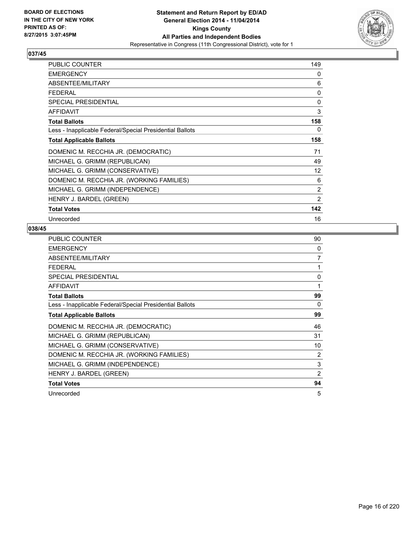

| <b>PUBLIC COUNTER</b>                                    | 149            |
|----------------------------------------------------------|----------------|
| <b>EMERGENCY</b>                                         | 0              |
| ABSENTEE/MILITARY                                        | 6              |
| <b>FEDERAL</b>                                           | 0              |
| <b>SPECIAL PRESIDENTIAL</b>                              | 0              |
| <b>AFFIDAVIT</b>                                         | 3              |
| <b>Total Ballots</b>                                     | 158            |
| Less - Inapplicable Federal/Special Presidential Ballots | 0              |
| <b>Total Applicable Ballots</b>                          | 158            |
| DOMENIC M. RECCHIA JR. (DEMOCRATIC)                      | 71             |
| MICHAEL G. GRIMM (REPUBLICAN)                            | 49             |
| MICHAEL G. GRIMM (CONSERVATIVE)                          | 12             |
| DOMENIC M. RECCHIA JR. (WORKING FAMILIES)                | 6              |
| MICHAEL G. GRIMM (INDEPENDENCE)                          | $\overline{2}$ |
| HENRY J. BARDEL (GREEN)                                  | $\overline{2}$ |
| <b>Total Votes</b>                                       | 142            |
| Unrecorded                                               | 16             |

| <b>PUBLIC COUNTER</b>                                    | 90 |
|----------------------------------------------------------|----|
| <b>EMERGENCY</b>                                         | 0  |
| ABSENTEE/MILITARY                                        | 7  |
| <b>FEDERAL</b>                                           | 1  |
| <b>SPECIAL PRESIDENTIAL</b>                              | 0  |
| AFFIDAVIT                                                | 1  |
| <b>Total Ballots</b>                                     | 99 |
| Less - Inapplicable Federal/Special Presidential Ballots | 0  |
| <b>Total Applicable Ballots</b>                          | 99 |
| DOMENIC M. RECCHIA JR. (DEMOCRATIC)                      | 46 |
| MICHAEL G. GRIMM (REPUBLICAN)                            | 31 |
| MICHAEL G. GRIMM (CONSERVATIVE)                          | 10 |
| DOMENIC M. RECCHIA JR. (WORKING FAMILIES)                | 2  |
| MICHAEL G. GRIMM (INDEPENDENCE)                          | 3  |
| HENRY J. BARDEL (GREEN)                                  | 2  |
| <b>Total Votes</b>                                       | 94 |
| Unrecorded                                               | 5  |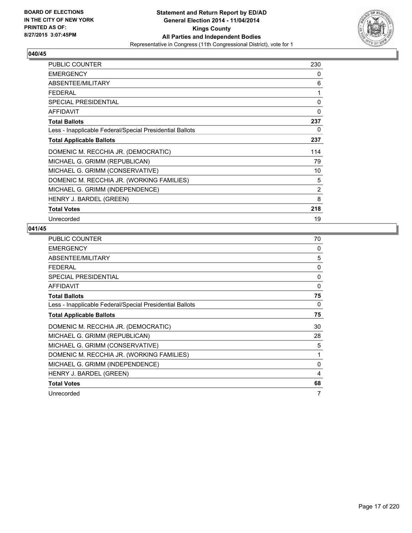

| PUBLIC COUNTER                                           | 230            |
|----------------------------------------------------------|----------------|
| <b>EMERGENCY</b>                                         | 0              |
| ABSENTEE/MILITARY                                        | 6              |
| <b>FEDERAL</b>                                           | 1              |
| <b>SPECIAL PRESIDENTIAL</b>                              | 0              |
| <b>AFFIDAVIT</b>                                         | 0              |
| <b>Total Ballots</b>                                     | 237            |
| Less - Inapplicable Federal/Special Presidential Ballots | 0              |
| <b>Total Applicable Ballots</b>                          | 237            |
| DOMENIC M. RECCHIA JR. (DEMOCRATIC)                      | 114            |
| MICHAEL G. GRIMM (REPUBLICAN)                            | 79             |
| MICHAEL G. GRIMM (CONSERVATIVE)                          | 10             |
| DOMENIC M. RECCHIA JR. (WORKING FAMILIES)                | 5              |
| MICHAEL G. GRIMM (INDEPENDENCE)                          | $\overline{2}$ |
| HENRY J. BARDEL (GREEN)                                  | 8              |
| <b>Total Votes</b>                                       | 218            |
| Unrecorded                                               | 19             |

| <b>PUBLIC COUNTER</b>                                    | 70       |
|----------------------------------------------------------|----------|
| <b>EMERGENCY</b>                                         | 0        |
| ABSENTEE/MILITARY                                        | 5        |
| <b>FEDERAL</b>                                           | 0        |
| <b>SPECIAL PRESIDENTIAL</b>                              | 0        |
| AFFIDAVIT                                                | $\Omega$ |
| <b>Total Ballots</b>                                     | 75       |
| Less - Inapplicable Federal/Special Presidential Ballots | 0        |
| <b>Total Applicable Ballots</b>                          | 75       |
| DOMENIC M. RECCHIA JR. (DEMOCRATIC)                      | 30       |
| MICHAEL G. GRIMM (REPUBLICAN)                            | 28       |
| MICHAEL G. GRIMM (CONSERVATIVE)                          | 5        |
| DOMENIC M. RECCHIA JR. (WORKING FAMILIES)                | 1        |
| MICHAEL G. GRIMM (INDEPENDENCE)                          | 0        |
| HENRY J. BARDEL (GREEN)                                  | 4        |
| <b>Total Votes</b>                                       | 68       |
| Unrecorded                                               | 7        |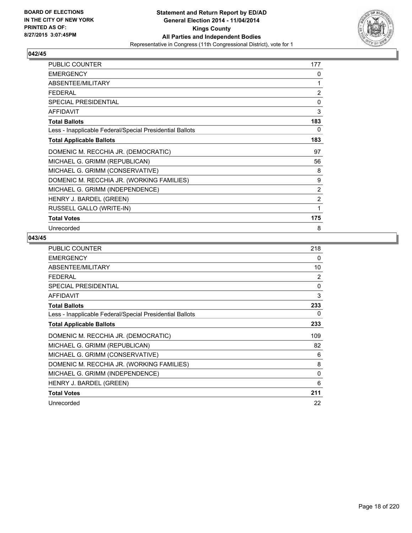

| <b>PUBLIC COUNTER</b>                                    | 177 |
|----------------------------------------------------------|-----|
| <b>EMERGENCY</b>                                         | 0   |
| ABSENTEE/MILITARY                                        | 1   |
| <b>FEDERAL</b>                                           | 2   |
| <b>SPECIAL PRESIDENTIAL</b>                              | 0   |
| <b>AFFIDAVIT</b>                                         | 3   |
| <b>Total Ballots</b>                                     | 183 |
| Less - Inapplicable Federal/Special Presidential Ballots | 0   |
| <b>Total Applicable Ballots</b>                          | 183 |
| DOMENIC M. RECCHIA JR. (DEMOCRATIC)                      | 97  |
| MICHAEL G. GRIMM (REPUBLICAN)                            | 56  |
| MICHAEL G. GRIMM (CONSERVATIVE)                          | 8   |
| DOMENIC M. RECCHIA JR. (WORKING FAMILIES)                | 9   |
| MICHAEL G. GRIMM (INDEPENDENCE)                          | 2   |
| HENRY J. BARDEL (GREEN)                                  | 2   |
| RUSSELL GALLO (WRITE-IN)                                 | 1   |
| <b>Total Votes</b>                                       | 175 |
| Unrecorded                                               | 8   |

| <b>PUBLIC COUNTER</b>                                    | 218      |
|----------------------------------------------------------|----------|
| <b>EMERGENCY</b>                                         | 0        |
| ABSENTEE/MILITARY                                        | 10       |
| <b>FEDERAL</b>                                           | 2        |
| SPECIAL PRESIDENTIAL                                     | 0        |
| <b>AFFIDAVIT</b>                                         | 3        |
| <b>Total Ballots</b>                                     | 233      |
| Less - Inapplicable Federal/Special Presidential Ballots | 0        |
| <b>Total Applicable Ballots</b>                          | 233      |
| DOMENIC M. RECCHIA JR. (DEMOCRATIC)                      | 109      |
| MICHAEL G. GRIMM (REPUBLICAN)                            | 82       |
| MICHAEL G. GRIMM (CONSERVATIVE)                          | 6        |
| DOMENIC M. RECCHIA JR. (WORKING FAMILIES)                | 8        |
| MICHAEL G. GRIMM (INDEPENDENCE)                          | $\Omega$ |
| HENRY J. BARDEL (GREEN)                                  | 6        |
| <b>Total Votes</b>                                       | 211      |
| Unrecorded                                               | 22       |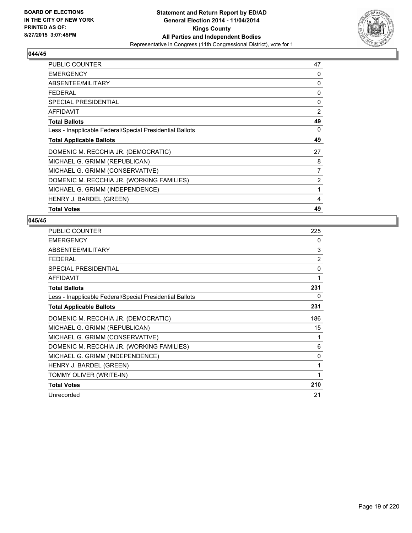

| <b>PUBLIC COUNTER</b>                                    | 47 |
|----------------------------------------------------------|----|
| <b>EMERGENCY</b>                                         | 0  |
| ABSENTEE/MILITARY                                        | 0  |
| <b>FEDERAL</b>                                           | 0  |
| <b>SPECIAL PRESIDENTIAL</b>                              | 0  |
| AFFIDAVIT                                                | 2  |
| <b>Total Ballots</b>                                     | 49 |
| Less - Inapplicable Federal/Special Presidential Ballots | 0  |
| <b>Total Applicable Ballots</b>                          | 49 |
| DOMENIC M. RECCHIA JR. (DEMOCRATIC)                      | 27 |
| MICHAEL G. GRIMM (REPUBLICAN)                            | 8  |
| MICHAEL G. GRIMM (CONSERVATIVE)                          | 7  |
| DOMENIC M. RECCHIA JR. (WORKING FAMILIES)                | 2  |
| MICHAEL G. GRIMM (INDEPENDENCE)                          | 1  |
| HENRY J. BARDEL (GREEN)                                  | 4  |
| <b>Total Votes</b>                                       | 49 |

| <b>PUBLIC COUNTER</b>                                    | 225            |
|----------------------------------------------------------|----------------|
| <b>EMERGENCY</b>                                         | 0              |
| ABSENTEE/MILITARY                                        | 3              |
| <b>FEDERAL</b>                                           | $\overline{2}$ |
| <b>SPECIAL PRESIDENTIAL</b>                              | $\mathbf{0}$   |
| <b>AFFIDAVIT</b>                                         | 1              |
| <b>Total Ballots</b>                                     | 231            |
| Less - Inapplicable Federal/Special Presidential Ballots | 0              |
| <b>Total Applicable Ballots</b>                          | 231            |
| DOMENIC M. RECCHIA JR. (DEMOCRATIC)                      | 186            |
| MICHAEL G. GRIMM (REPUBLICAN)                            | 15             |
| MICHAEL G. GRIMM (CONSERVATIVE)                          |                |
| DOMENIC M. RECCHIA JR. (WORKING FAMILIES)                | 6              |
| MICHAEL G. GRIMM (INDEPENDENCE)                          | 0              |
| HENRY J. BARDEL (GREEN)                                  | 1              |
| TOMMY OLIVER (WRITE-IN)                                  | 1              |
| <b>Total Votes</b>                                       | 210            |
| Unrecorded                                               | 21             |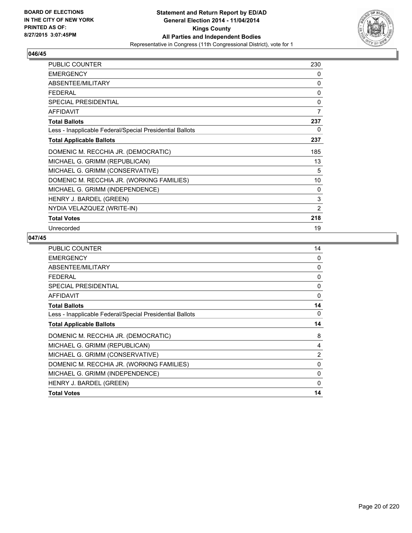

| <b>PUBLIC COUNTER</b>                                    | 230            |
|----------------------------------------------------------|----------------|
| <b>EMERGENCY</b>                                         | 0              |
| ABSENTEE/MILITARY                                        | 0              |
| <b>FEDERAL</b>                                           | $\mathbf{0}$   |
| SPECIAL PRESIDENTIAL                                     | 0              |
| <b>AFFIDAVIT</b>                                         | 7              |
| <b>Total Ballots</b>                                     | 237            |
| Less - Inapplicable Federal/Special Presidential Ballots | 0              |
| <b>Total Applicable Ballots</b>                          | 237            |
| DOMENIC M. RECCHIA JR. (DEMOCRATIC)                      | 185            |
| MICHAEL G. GRIMM (REPUBLICAN)                            | 13             |
| MICHAEL G. GRIMM (CONSERVATIVE)                          | 5              |
| DOMENIC M. RECCHIA JR. (WORKING FAMILIES)                | 10             |
| MICHAEL G. GRIMM (INDEPENDENCE)                          | 0              |
| HENRY J. BARDEL (GREEN)                                  | 3              |
| NYDIA VELAZQUEZ (WRITE-IN)                               | $\overline{2}$ |
| <b>Total Votes</b>                                       | 218            |
| Unrecorded                                               | 19             |

| 14             |
|----------------|
| 0              |
| 0              |
| $\Omega$       |
| 0              |
| $\Omega$       |
| 14             |
| 0              |
| 14             |
| 8              |
| 4              |
| $\overline{2}$ |
| 0              |
| $\Omega$       |
| $\Omega$       |
| 14             |
|                |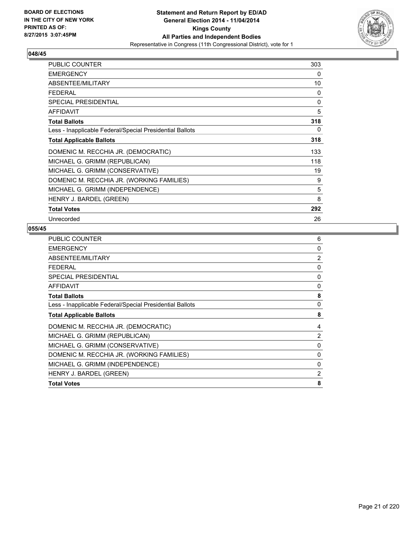

| <b>PUBLIC COUNTER</b>                                    | 303 |
|----------------------------------------------------------|-----|
| <b>EMERGENCY</b>                                         | 0   |
| ABSENTEE/MILITARY                                        | 10  |
| <b>FEDERAL</b>                                           | 0   |
| <b>SPECIAL PRESIDENTIAL</b>                              | 0   |
| <b>AFFIDAVIT</b>                                         | 5   |
| <b>Total Ballots</b>                                     | 318 |
| Less - Inapplicable Federal/Special Presidential Ballots | 0   |
| <b>Total Applicable Ballots</b>                          | 318 |
| DOMENIC M. RECCHIA JR. (DEMOCRATIC)                      | 133 |
| MICHAEL G. GRIMM (REPUBLICAN)                            | 118 |
| MICHAEL G. GRIMM (CONSERVATIVE)                          | 19  |
| DOMENIC M. RECCHIA JR. (WORKING FAMILIES)                | 9   |
| MICHAEL G. GRIMM (INDEPENDENCE)                          | 5   |
| HENRY J. BARDEL (GREEN)                                  | 8   |
| <b>Total Votes</b>                                       | 292 |
| Unrecorded                                               | 26  |

| PUBLIC COUNTER                                           | 6              |
|----------------------------------------------------------|----------------|
| <b>EMERGENCY</b>                                         | 0              |
| ABSENTEE/MILITARY                                        | $\overline{2}$ |
| <b>FEDERAL</b>                                           | 0              |
| <b>SPECIAL PRESIDENTIAL</b>                              | 0              |
| <b>AFFIDAVIT</b>                                         | 0              |
| <b>Total Ballots</b>                                     | 8              |
| Less - Inapplicable Federal/Special Presidential Ballots | 0              |
| <b>Total Applicable Ballots</b>                          | 8              |
| DOMENIC M. RECCHIA JR. (DEMOCRATIC)                      | 4              |
| MICHAEL G. GRIMM (REPUBLICAN)                            | 2              |
| MICHAEL G. GRIMM (CONSERVATIVE)                          | 0              |
| DOMENIC M. RECCHIA JR. (WORKING FAMILIES)                | $\mathbf{0}$   |
| MICHAEL G. GRIMM (INDEPENDENCE)                          | 0              |
| HENRY J. BARDEL (GREEN)                                  | 2              |
| <b>Total Votes</b>                                       | 8              |
|                                                          |                |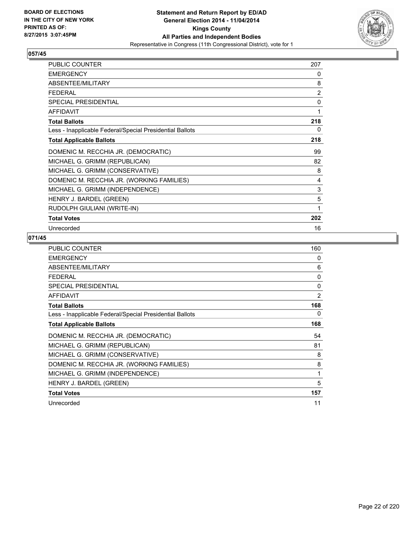

| <b>PUBLIC COUNTER</b>                                    | 207 |
|----------------------------------------------------------|-----|
| <b>EMERGENCY</b>                                         | 0   |
| ABSENTEE/MILITARY                                        | 8   |
| <b>FEDERAL</b>                                           | 2   |
| SPECIAL PRESIDENTIAL                                     | 0   |
| <b>AFFIDAVIT</b>                                         | 1   |
| <b>Total Ballots</b>                                     | 218 |
| Less - Inapplicable Federal/Special Presidential Ballots | 0   |
| <b>Total Applicable Ballots</b>                          | 218 |
| DOMENIC M. RECCHIA JR. (DEMOCRATIC)                      | 99  |
| MICHAEL G. GRIMM (REPUBLICAN)                            | 82  |
| MICHAEL G. GRIMM (CONSERVATIVE)                          | 8   |
| DOMENIC M. RECCHIA JR. (WORKING FAMILIES)                | 4   |
| MICHAEL G. GRIMM (INDEPENDENCE)                          | 3   |
| HENRY J. BARDEL (GREEN)                                  | 5   |
| RUDOLPH GIULIANI (WRITE-IN)                              | 1   |
| <b>Total Votes</b>                                       | 202 |
| Unrecorded                                               | 16  |

| PUBLIC COUNTER                                           | 160      |
|----------------------------------------------------------|----------|
| <b>EMERGENCY</b>                                         | 0        |
| ABSENTEE/MILITARY                                        | 6        |
| <b>FEDERAL</b>                                           | $\Omega$ |
| SPECIAL PRESIDENTIAL                                     | 0        |
| <b>AFFIDAVIT</b>                                         | 2        |
| <b>Total Ballots</b>                                     | 168      |
| Less - Inapplicable Federal/Special Presidential Ballots | 0        |
| <b>Total Applicable Ballots</b>                          | 168      |
| DOMENIC M. RECCHIA JR. (DEMOCRATIC)                      | 54       |
| MICHAEL G. GRIMM (REPUBLICAN)                            | 81       |
| MICHAEL G. GRIMM (CONSERVATIVE)                          | 8        |
| DOMENIC M. RECCHIA JR. (WORKING FAMILIES)                | 8        |
| MICHAEL G. GRIMM (INDEPENDENCE)                          | 1        |
| HENRY J. BARDEL (GREEN)                                  | 5        |
| <b>Total Votes</b>                                       | 157      |
| Unrecorded                                               | 11       |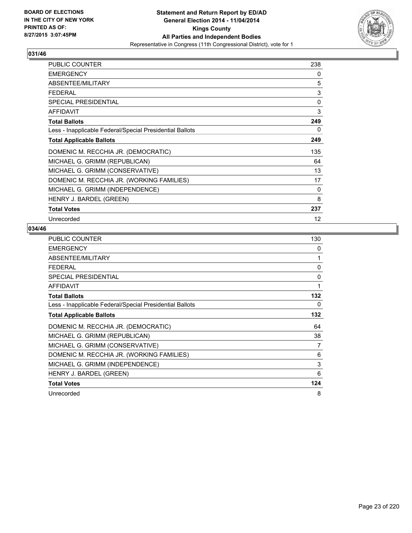

| PUBLIC COUNTER                                           | 238 |
|----------------------------------------------------------|-----|
| <b>EMERGENCY</b>                                         | 0   |
| ABSENTEE/MILITARY                                        | 5   |
| <b>FEDERAL</b>                                           | 3   |
| SPECIAL PRESIDENTIAL                                     | 0   |
| <b>AFFIDAVIT</b>                                         | 3   |
| <b>Total Ballots</b>                                     | 249 |
| Less - Inapplicable Federal/Special Presidential Ballots | 0   |
| <b>Total Applicable Ballots</b>                          | 249 |
| DOMENIC M. RECCHIA JR. (DEMOCRATIC)                      | 135 |
| MICHAEL G. GRIMM (REPUBLICAN)                            | 64  |
| MICHAEL G. GRIMM (CONSERVATIVE)                          | 13  |
| DOMENIC M. RECCHIA JR. (WORKING FAMILIES)                | 17  |
| MICHAEL G. GRIMM (INDEPENDENCE)                          | 0   |
| HENRY J. BARDEL (GREEN)                                  | 8   |
| <b>Total Votes</b>                                       | 237 |
| Unrecorded                                               | 12  |

| <b>PUBLIC COUNTER</b>                                    | 130 |
|----------------------------------------------------------|-----|
| <b>EMERGENCY</b>                                         | 0   |
| ABSENTEE/MILITARY                                        | 1   |
| FEDERAL                                                  | 0   |
| SPECIAL PRESIDENTIAL                                     | 0   |
| AFFIDAVIT                                                | 1   |
| <b>Total Ballots</b>                                     | 132 |
| Less - Inapplicable Federal/Special Presidential Ballots | 0   |
| <b>Total Applicable Ballots</b>                          | 132 |
| DOMENIC M. RECCHIA JR. (DEMOCRATIC)                      | 64  |
| MICHAEL G. GRIMM (REPUBLICAN)                            | 38  |
| MICHAEL G. GRIMM (CONSERVATIVE)                          | 7   |
| DOMENIC M. RECCHIA JR. (WORKING FAMILIES)                | 6   |
| MICHAEL G. GRIMM (INDEPENDENCE)                          | 3   |
| HENRY J. BARDEL (GREEN)                                  | 6   |
| <b>Total Votes</b>                                       | 124 |
| Unrecorded                                               | 8   |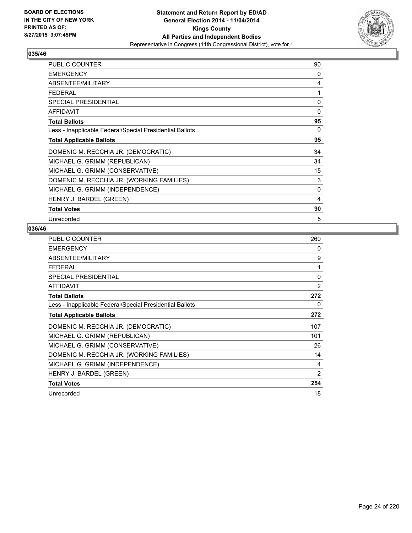

| PUBLIC COUNTER                                           | 90       |
|----------------------------------------------------------|----------|
| <b>EMERGENCY</b>                                         | 0        |
| ABSENTEE/MILITARY                                        | 4        |
| <b>FEDERAL</b>                                           | 1        |
| <b>SPECIAL PRESIDENTIAL</b>                              | $\Omega$ |
| <b>AFFIDAVIT</b>                                         | 0        |
| <b>Total Ballots</b>                                     | 95       |
| Less - Inapplicable Federal/Special Presidential Ballots | 0        |
| <b>Total Applicable Ballots</b>                          | 95       |
| DOMENIC M. RECCHIA JR. (DEMOCRATIC)                      | 34       |
| MICHAEL G. GRIMM (REPUBLICAN)                            | 34       |
| MICHAEL G. GRIMM (CONSERVATIVE)                          | 15       |
| DOMENIC M. RECCHIA JR. (WORKING FAMILIES)                | 3        |
| MICHAEL G. GRIMM (INDEPENDENCE)                          | 0        |
| HENRY J. BARDEL (GREEN)                                  | 4        |
| <b>Total Votes</b>                                       | 90       |
| Unrecorded                                               | 5        |

| <b>PUBLIC COUNTER</b>                                    | 260 |
|----------------------------------------------------------|-----|
| <b>EMERGENCY</b>                                         | 0   |
| ABSENTEE/MILITARY                                        | 9   |
| <b>FEDERAL</b>                                           | 1   |
| <b>SPECIAL PRESIDENTIAL</b>                              | 0   |
| <b>AFFIDAVIT</b>                                         | 2   |
| <b>Total Ballots</b>                                     | 272 |
| Less - Inapplicable Federal/Special Presidential Ballots | 0   |
| <b>Total Applicable Ballots</b>                          | 272 |
| DOMENIC M. RECCHIA JR. (DEMOCRATIC)                      | 107 |
| MICHAEL G. GRIMM (REPUBLICAN)                            | 101 |
| MICHAEL G. GRIMM (CONSERVATIVE)                          | 26  |
| DOMENIC M. RECCHIA JR. (WORKING FAMILIES)                | 14  |
| MICHAEL G. GRIMM (INDEPENDENCE)                          | 4   |
| HENRY J. BARDEL (GREEN)                                  | 2   |
| <b>Total Votes</b>                                       | 254 |
| Unrecorded                                               | 18  |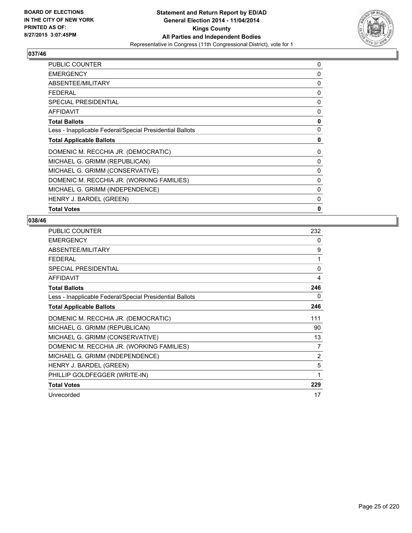

| <b>EMERGENCY</b><br>ABSENTEE/MILITARY                    | 0<br>0       |
|----------------------------------------------------------|--------------|
|                                                          |              |
|                                                          |              |
| <b>FEDERAL</b>                                           | 0            |
| SPECIAL PRESIDENTIAL                                     | 0            |
| <b>AFFIDAVIT</b>                                         | 0            |
| <b>Total Ballots</b>                                     | 0            |
| Less - Inapplicable Federal/Special Presidential Ballots | 0            |
| <b>Total Applicable Ballots</b>                          | 0            |
| DOMENIC M. RECCHIA JR. (DEMOCRATIC)                      | 0            |
| MICHAEL G. GRIMM (REPUBLICAN)                            | 0            |
| MICHAEL G. GRIMM (CONSERVATIVE)                          | 0            |
| DOMENIC M. RECCHIA JR. (WORKING FAMILIES)                | 0            |
| MICHAEL G. GRIMM (INDEPENDENCE)                          | 0            |
| HENRY J. BARDEL (GREEN)                                  | 0            |
| <b>Total Votes</b>                                       | $\mathbf{0}$ |

| PUBLIC COUNTER                                           | 232            |
|----------------------------------------------------------|----------------|
| <b>EMERGENCY</b>                                         | 0              |
| ABSENTEE/MILITARY                                        | 9              |
| <b>FEDERAL</b>                                           | 1              |
| <b>SPECIAL PRESIDENTIAL</b>                              | $\mathbf{0}$   |
| <b>AFFIDAVIT</b>                                         | 4              |
| <b>Total Ballots</b>                                     | 246            |
| Less - Inapplicable Federal/Special Presidential Ballots | 0              |
| <b>Total Applicable Ballots</b>                          | 246            |
| DOMENIC M. RECCHIA JR. (DEMOCRATIC)                      | 111            |
| MICHAEL G. GRIMM (REPUBLICAN)                            | 90             |
| MICHAEL G. GRIMM (CONSERVATIVE)                          | 13             |
| DOMENIC M. RECCHIA JR. (WORKING FAMILIES)                | 7              |
| MICHAEL G. GRIMM (INDEPENDENCE)                          | $\overline{2}$ |
| HENRY J. BARDEL (GREEN)                                  | 5              |
| PHILLIP GOLDFEGGER (WRITE-IN)                            | 1              |
| <b>Total Votes</b>                                       | 229            |
| Unrecorded                                               | 17             |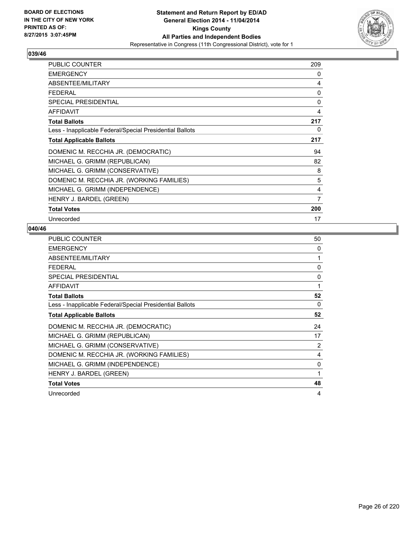

| PUBLIC COUNTER                                           | 209 |
|----------------------------------------------------------|-----|
| <b>EMERGENCY</b>                                         | 0   |
| ABSENTEE/MILITARY                                        | 4   |
| <b>FEDERAL</b>                                           | 0   |
| <b>SPECIAL PRESIDENTIAL</b>                              | 0   |
| <b>AFFIDAVIT</b>                                         | 4   |
| <b>Total Ballots</b>                                     | 217 |
| Less - Inapplicable Federal/Special Presidential Ballots | 0   |
| <b>Total Applicable Ballots</b>                          | 217 |
| DOMENIC M. RECCHIA JR. (DEMOCRATIC)                      | 94  |
| MICHAEL G. GRIMM (REPUBLICAN)                            | 82  |
| MICHAEL G. GRIMM (CONSERVATIVE)                          | 8   |
| DOMENIC M. RECCHIA JR. (WORKING FAMILIES)                | 5   |
| MICHAEL G. GRIMM (INDEPENDENCE)                          | 4   |
| HENRY J. BARDEL (GREEN)                                  | 7   |
| <b>Total Votes</b>                                       | 200 |
| Unrecorded                                               | 17  |

| <b>PUBLIC COUNTER</b>                                    | 50 |
|----------------------------------------------------------|----|
| <b>EMERGENCY</b>                                         | 0  |
| ABSENTEE/MILITARY                                        | 1  |
| <b>FEDERAL</b>                                           | 0  |
| <b>SPECIAL PRESIDENTIAL</b>                              | 0  |
| <b>AFFIDAVIT</b>                                         | 1  |
| <b>Total Ballots</b>                                     | 52 |
| Less - Inapplicable Federal/Special Presidential Ballots | 0  |
| <b>Total Applicable Ballots</b>                          | 52 |
| DOMENIC M. RECCHIA JR. (DEMOCRATIC)                      | 24 |
| MICHAEL G. GRIMM (REPUBLICAN)                            | 17 |
| MICHAEL G. GRIMM (CONSERVATIVE)                          | 2  |
| DOMENIC M. RECCHIA JR. (WORKING FAMILIES)                | 4  |
| MICHAEL G. GRIMM (INDEPENDENCE)                          | 0  |
| HENRY J. BARDEL (GREEN)                                  | 1  |
| <b>Total Votes</b>                                       | 48 |
| Unrecorded                                               | 4  |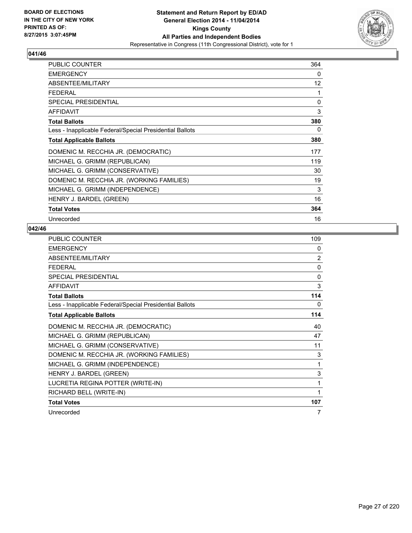

| <b>PUBLIC COUNTER</b>                                    | 364         |
|----------------------------------------------------------|-------------|
| <b>EMERGENCY</b>                                         | 0           |
| ABSENTEE/MILITARY                                        | 12          |
| <b>FEDERAL</b>                                           | 1           |
| <b>SPECIAL PRESIDENTIAL</b>                              | $\mathbf 0$ |
| <b>AFFIDAVIT</b>                                         | 3           |
| <b>Total Ballots</b>                                     | 380         |
| Less - Inapplicable Federal/Special Presidential Ballots | 0           |
| <b>Total Applicable Ballots</b>                          | 380         |
| DOMENIC M. RECCHIA JR. (DEMOCRATIC)                      | 177         |
| MICHAEL G. GRIMM (REPUBLICAN)                            | 119         |
| MICHAEL G. GRIMM (CONSERVATIVE)                          | 30          |
| DOMENIC M. RECCHIA JR. (WORKING FAMILIES)                | 19          |
| MICHAEL G. GRIMM (INDEPENDENCE)                          | 3           |
| HENRY J. BARDEL (GREEN)                                  | 16          |
| <b>Total Votes</b>                                       | 364         |
| Unrecorded                                               | 16          |

| <b>PUBLIC COUNTER</b>                                    | 109            |
|----------------------------------------------------------|----------------|
| <b>EMERGENCY</b>                                         | 0              |
| ABSENTEE/MILITARY                                        | $\overline{2}$ |
| <b>FEDERAL</b>                                           | 0              |
| SPECIAL PRESIDENTIAL                                     | $\mathbf{0}$   |
| <b>AFFIDAVIT</b>                                         | 3              |
| <b>Total Ballots</b>                                     | 114            |
| Less - Inapplicable Federal/Special Presidential Ballots | 0              |
| <b>Total Applicable Ballots</b>                          | 114            |
| DOMENIC M. RECCHIA JR. (DEMOCRATIC)                      | 40             |
| MICHAEL G. GRIMM (REPUBLICAN)                            | 47             |
| MICHAEL G. GRIMM (CONSERVATIVE)                          | 11             |
| DOMENIC M. RECCHIA JR. (WORKING FAMILIES)                | 3              |
| MICHAEL G. GRIMM (INDEPENDENCE)                          | 1              |
| HENRY J. BARDEL (GREEN)                                  | 3              |
| LUCRETIA REGINA POTTER (WRITE-IN)                        | 1              |
| RICHARD BELL (WRITE-IN)                                  | 1              |
| <b>Total Votes</b>                                       | 107            |
| Unrecorded                                               | 7              |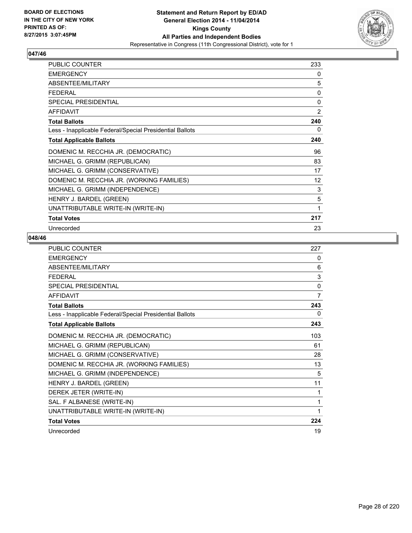

| <b>PUBLIC COUNTER</b>                                    | 233               |
|----------------------------------------------------------|-------------------|
| <b>EMERGENCY</b>                                         | 0                 |
| ABSENTEE/MILITARY                                        | 5                 |
| <b>FEDERAL</b>                                           | 0                 |
| <b>SPECIAL PRESIDENTIAL</b>                              | $\mathbf{0}$      |
| AFFIDAVIT                                                | $\overline{2}$    |
| <b>Total Ballots</b>                                     | 240               |
| Less - Inapplicable Federal/Special Presidential Ballots | 0                 |
| <b>Total Applicable Ballots</b>                          | 240               |
| DOMENIC M. RECCHIA JR. (DEMOCRATIC)                      | 96                |
| MICHAEL G. GRIMM (REPUBLICAN)                            | 83                |
| MICHAEL G. GRIMM (CONSERVATIVE)                          | 17                |
| DOMENIC M. RECCHIA JR. (WORKING FAMILIES)                | $12 \overline{ }$ |
| MICHAEL G. GRIMM (INDEPENDENCE)                          | 3                 |
| HENRY J. BARDEL (GREEN)                                  | 5                 |
| UNATTRIBUTABLE WRITE-IN (WRITE-IN)                       | 1                 |
| <b>Total Votes</b>                                       | 217               |
| Unrecorded                                               | 23                |

| <b>PUBLIC COUNTER</b>                                    | 227      |
|----------------------------------------------------------|----------|
| <b>EMERGENCY</b>                                         | 0        |
| ABSENTEE/MILITARY                                        | 6        |
| <b>FEDERAL</b>                                           | 3        |
| SPECIAL PRESIDENTIAL                                     | $\Omega$ |
| <b>AFFIDAVIT</b>                                         | 7        |
| <b>Total Ballots</b>                                     | 243      |
| Less - Inapplicable Federal/Special Presidential Ballots | 0        |
| <b>Total Applicable Ballots</b>                          | 243      |
| DOMENIC M. RECCHIA JR. (DEMOCRATIC)                      | 103      |
| MICHAEL G. GRIMM (REPUBLICAN)                            | 61       |
| MICHAEL G. GRIMM (CONSERVATIVE)                          | 28       |
| DOMENIC M. RECCHIA JR. (WORKING FAMILIES)                | 13       |
| MICHAEL G. GRIMM (INDEPENDENCE)                          | 5        |
| HENRY J. BARDEL (GREEN)                                  | 11       |
| DEREK JETER (WRITE-IN)                                   | 1        |
| SAL. F ALBANESE (WRITE-IN)                               | 1        |
| UNATTRIBUTABLE WRITE-IN (WRITE-IN)                       | 1        |
| <b>Total Votes</b>                                       | 224      |
| Unrecorded                                               | 19       |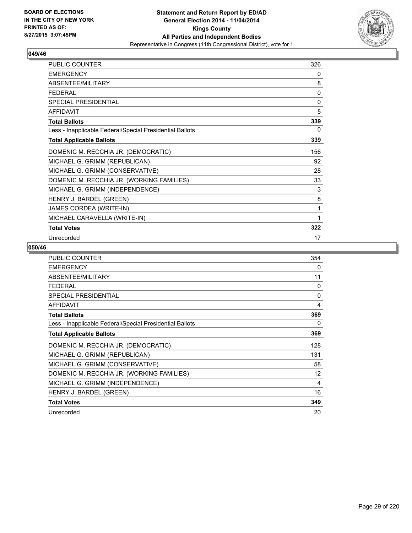

| PUBLIC COUNTER                                           | 326 |
|----------------------------------------------------------|-----|
| <b>EMERGENCY</b>                                         | 0   |
| ABSENTEE/MILITARY                                        | 8   |
| <b>FEDERAL</b>                                           | 0   |
| SPECIAL PRESIDENTIAL                                     | 0   |
| <b>AFFIDAVIT</b>                                         | 5   |
| <b>Total Ballots</b>                                     | 339 |
| Less - Inapplicable Federal/Special Presidential Ballots | 0   |
| <b>Total Applicable Ballots</b>                          | 339 |
| DOMENIC M. RECCHIA JR. (DEMOCRATIC)                      | 156 |
| MICHAEL G. GRIMM (REPUBLICAN)                            | 92  |
| MICHAEL G. GRIMM (CONSERVATIVE)                          | 28  |
| DOMENIC M. RECCHIA JR. (WORKING FAMILIES)                | 33  |
| MICHAEL G. GRIMM (INDEPENDENCE)                          | 3   |
| HENRY J. BARDEL (GREEN)                                  | 8   |
| JAMES CORDEA (WRITE-IN)                                  | 1   |
| MICHAEL CARAVELLA (WRITE-IN)                             | 1   |
| <b>Total Votes</b>                                       | 322 |
| Unrecorded                                               | 17  |

| <b>PUBLIC COUNTER</b>                                    | 354      |
|----------------------------------------------------------|----------|
| <b>EMERGENCY</b>                                         | 0        |
| ABSENTEE/MILITARY                                        | 11       |
| <b>FEDERAL</b>                                           | 0        |
| <b>SPECIAL PRESIDENTIAL</b>                              | $\Omega$ |
| <b>AFFIDAVIT</b>                                         | 4        |
| <b>Total Ballots</b>                                     | 369      |
| Less - Inapplicable Federal/Special Presidential Ballots | 0        |
| <b>Total Applicable Ballots</b>                          | 369      |
| DOMENIC M. RECCHIA JR. (DEMOCRATIC)                      | 128      |
| MICHAEL G. GRIMM (REPUBLICAN)                            | 131      |
| MICHAEL G. GRIMM (CONSERVATIVE)                          | 58       |
| DOMENIC M. RECCHIA JR. (WORKING FAMILIES)                | 12       |
| MICHAEL G. GRIMM (INDEPENDENCE)                          | 4        |
| HENRY J. BARDEL (GREEN)                                  | 16       |
| <b>Total Votes</b>                                       | 349      |
| Unrecorded                                               | 20       |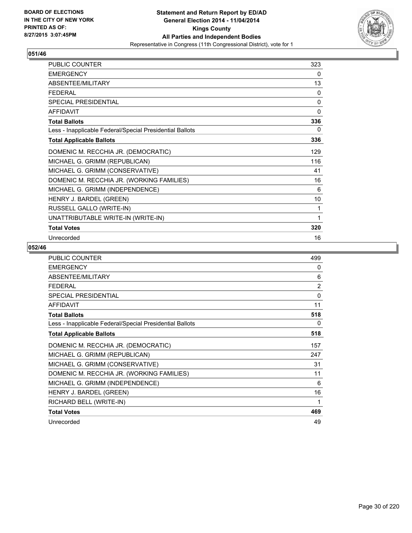

| <b>PUBLIC COUNTER</b>                                    | 323 |
|----------------------------------------------------------|-----|
| <b>EMERGENCY</b>                                         | 0   |
| ABSENTEE/MILITARY                                        | 13  |
| <b>FEDERAL</b>                                           | 0   |
| SPECIAL PRESIDENTIAL                                     | 0   |
| <b>AFFIDAVIT</b>                                         | 0   |
| <b>Total Ballots</b>                                     | 336 |
| Less - Inapplicable Federal/Special Presidential Ballots | 0   |
| <b>Total Applicable Ballots</b>                          | 336 |
| DOMENIC M. RECCHIA JR. (DEMOCRATIC)                      | 129 |
| MICHAEL G. GRIMM (REPUBLICAN)                            | 116 |
| MICHAEL G. GRIMM (CONSERVATIVE)                          | 41  |
| DOMENIC M. RECCHIA JR. (WORKING FAMILIES)                | 16  |
| MICHAEL G. GRIMM (INDEPENDENCE)                          | 6   |
| HENRY J. BARDEL (GREEN)                                  | 10  |
| RUSSELL GALLO (WRITE-IN)                                 | 1   |
| UNATTRIBUTABLE WRITE-IN (WRITE-IN)                       | 1   |
| <b>Total Votes</b>                                       | 320 |
| Unrecorded                                               | 16  |

| <b>PUBLIC COUNTER</b>                                    | 499      |
|----------------------------------------------------------|----------|
| <b>EMERGENCY</b>                                         | 0        |
| ABSENTEE/MILITARY                                        | 6        |
| <b>FEDERAL</b>                                           | 2        |
| <b>SPECIAL PRESIDENTIAL</b>                              | $\Omega$ |
| <b>AFFIDAVIT</b>                                         | 11       |
| <b>Total Ballots</b>                                     | 518      |
| Less - Inapplicable Federal/Special Presidential Ballots | $\Omega$ |
| <b>Total Applicable Ballots</b>                          | 518      |
| DOMENIC M. RECCHIA JR. (DEMOCRATIC)                      | 157      |
| MICHAEL G. GRIMM (REPUBLICAN)                            | 247      |
| MICHAEL G. GRIMM (CONSERVATIVE)                          | 31       |
| DOMENIC M. RECCHIA JR. (WORKING FAMILIES)                | 11       |
| MICHAEL G. GRIMM (INDEPENDENCE)                          | 6        |
| HENRY J. BARDEL (GREEN)                                  | 16       |
| RICHARD BELL (WRITE-IN)                                  | 1        |
| <b>Total Votes</b>                                       | 469      |
| Unrecorded                                               | 49       |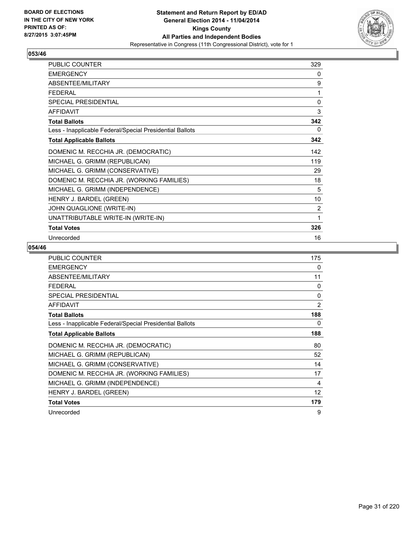

| PUBLIC COUNTER                                           | 329 |
|----------------------------------------------------------|-----|
| <b>EMERGENCY</b>                                         | 0   |
| ABSENTEE/MILITARY                                        | 9   |
| <b>FEDERAL</b>                                           | 1   |
| SPECIAL PRESIDENTIAL                                     | 0   |
| <b>AFFIDAVIT</b>                                         | 3   |
| <b>Total Ballots</b>                                     | 342 |
| Less - Inapplicable Federal/Special Presidential Ballots | 0   |
| <b>Total Applicable Ballots</b>                          | 342 |
| DOMENIC M. RECCHIA JR. (DEMOCRATIC)                      | 142 |
| MICHAEL G. GRIMM (REPUBLICAN)                            | 119 |
| MICHAEL G. GRIMM (CONSERVATIVE)                          | 29  |
| DOMENIC M. RECCHIA JR. (WORKING FAMILIES)                | 18  |
| MICHAEL G. GRIMM (INDEPENDENCE)                          | 5   |
| HENRY J. BARDEL (GREEN)                                  | 10  |
| JOHN QUAGLIONE (WRITE-IN)                                | 2   |
| UNATTRIBUTABLE WRITE-IN (WRITE-IN)                       | 1   |
| <b>Total Votes</b>                                       | 326 |
| Unrecorded                                               | 16  |

| PUBLIC COUNTER                                           | 175            |
|----------------------------------------------------------|----------------|
| <b>EMERGENCY</b>                                         | 0              |
| ABSENTEE/MILITARY                                        | 11             |
| <b>FEDERAL</b>                                           | $\Omega$       |
| <b>SPECIAL PRESIDENTIAL</b>                              | 0              |
| <b>AFFIDAVIT</b>                                         | $\overline{2}$ |
| <b>Total Ballots</b>                                     | 188            |
| Less - Inapplicable Federal/Special Presidential Ballots | 0              |
| <b>Total Applicable Ballots</b>                          | 188            |
| DOMENIC M. RECCHIA JR. (DEMOCRATIC)                      | 80             |
| MICHAEL G. GRIMM (REPUBLICAN)                            | 52             |
| MICHAEL G. GRIMM (CONSERVATIVE)                          | 14             |
| DOMENIC M. RECCHIA JR. (WORKING FAMILIES)                | 17             |
| MICHAEL G. GRIMM (INDEPENDENCE)                          | 4              |
| HENRY J. BARDEL (GREEN)                                  | 12             |
| <b>Total Votes</b>                                       | 179            |
| Unrecorded                                               | 9              |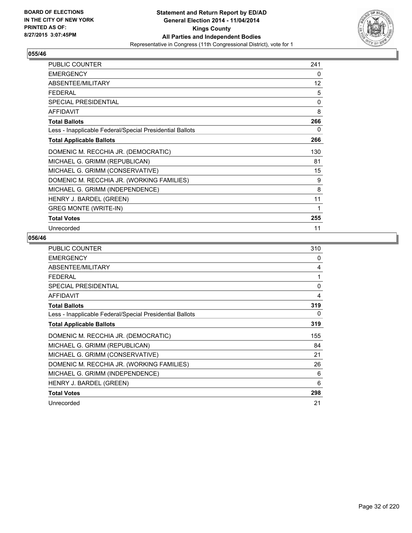

| <b>PUBLIC COUNTER</b>                                    | 241 |
|----------------------------------------------------------|-----|
| <b>EMERGENCY</b>                                         | 0   |
| ABSENTEE/MILITARY                                        | 12  |
| <b>FEDERAL</b>                                           | 5   |
| <b>SPECIAL PRESIDENTIAL</b>                              | 0   |
| <b>AFFIDAVIT</b>                                         | 8   |
| <b>Total Ballots</b>                                     | 266 |
| Less - Inapplicable Federal/Special Presidential Ballots | 0   |
| <b>Total Applicable Ballots</b>                          | 266 |
| DOMENIC M. RECCHIA JR. (DEMOCRATIC)                      | 130 |
| MICHAEL G. GRIMM (REPUBLICAN)                            | 81  |
| MICHAEL G. GRIMM (CONSERVATIVE)                          | 15  |
| DOMENIC M. RECCHIA JR. (WORKING FAMILIES)                | 9   |
| MICHAEL G. GRIMM (INDEPENDENCE)                          | 8   |
| HENRY J. BARDEL (GREEN)                                  | 11  |
| <b>GREG MONTE (WRITE-IN)</b>                             | 1   |
| <b>Total Votes</b>                                       | 255 |
| Unrecorded                                               | 11  |

| <b>PUBLIC COUNTER</b>                                    | 310      |
|----------------------------------------------------------|----------|
| <b>EMERGENCY</b>                                         | 0        |
| ABSENTEE/MILITARY                                        | 4        |
| <b>FEDERAL</b>                                           | 1        |
| <b>SPECIAL PRESIDENTIAL</b>                              | $\Omega$ |
| <b>AFFIDAVIT</b>                                         | 4        |
| <b>Total Ballots</b>                                     | 319      |
| Less - Inapplicable Federal/Special Presidential Ballots | 0        |
| <b>Total Applicable Ballots</b>                          | 319      |
| DOMENIC M. RECCHIA JR. (DEMOCRATIC)                      | 155      |
| MICHAEL G. GRIMM (REPUBLICAN)                            | 84       |
| MICHAEL G. GRIMM (CONSERVATIVE)                          | 21       |
| DOMENIC M. RECCHIA JR. (WORKING FAMILIES)                | 26       |
| MICHAEL G. GRIMM (INDEPENDENCE)                          | 6        |
| HENRY J. BARDEL (GREEN)                                  | 6        |
| <b>Total Votes</b>                                       | 298      |
| Unrecorded                                               | 21       |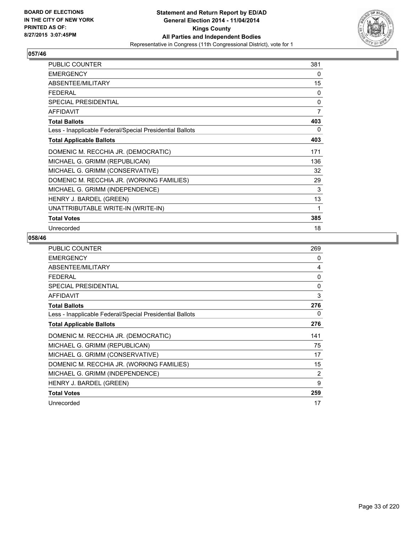

| <b>PUBLIC COUNTER</b>                                    | 381 |
|----------------------------------------------------------|-----|
| <b>EMERGENCY</b>                                         | 0   |
| ABSENTEE/MILITARY                                        | 15  |
| <b>FFDFRAL</b>                                           | 0   |
| <b>SPECIAL PRESIDENTIAL</b>                              | 0   |
| <b>AFFIDAVIT</b>                                         | 7   |
| <b>Total Ballots</b>                                     | 403 |
| Less - Inapplicable Federal/Special Presidential Ballots | 0   |
| <b>Total Applicable Ballots</b>                          | 403 |
| DOMENIC M. RECCHIA JR. (DEMOCRATIC)                      | 171 |
| MICHAEL G. GRIMM (REPUBLICAN)                            | 136 |
| MICHAEL G. GRIMM (CONSERVATIVE)                          | 32  |
| DOMENIC M. RECCHIA JR. (WORKING FAMILIES)                | 29  |
| MICHAEL G. GRIMM (INDEPENDENCE)                          | 3   |
| HENRY J. BARDEL (GREEN)                                  | 13  |
| UNATTRIBUTABLE WRITE-IN (WRITE-IN)                       | 1   |
| <b>Total Votes</b>                                       | 385 |
| Unrecorded                                               | 18  |

| <b>PUBLIC COUNTER</b>                                    | 269          |
|----------------------------------------------------------|--------------|
| <b>EMERGENCY</b>                                         | 0            |
| ABSENTEE/MILITARY                                        | 4            |
| <b>FEDERAL</b>                                           | 0            |
| <b>SPECIAL PRESIDENTIAL</b>                              | $\mathbf{0}$ |
| <b>AFFIDAVIT</b>                                         | 3            |
| <b>Total Ballots</b>                                     | 276          |
| Less - Inapplicable Federal/Special Presidential Ballots | 0            |
| <b>Total Applicable Ballots</b>                          | 276          |
| DOMENIC M. RECCHIA JR. (DEMOCRATIC)                      | 141          |
| MICHAEL G. GRIMM (REPUBLICAN)                            | 75           |
| MICHAEL G. GRIMM (CONSERVATIVE)                          | 17           |
| DOMENIC M. RECCHIA JR. (WORKING FAMILIES)                | 15           |
| MICHAEL G. GRIMM (INDEPENDENCE)                          | 2            |
| HENRY J. BARDEL (GREEN)                                  | 9            |
| <b>Total Votes</b>                                       | 259          |
| Unrecorded                                               | 17           |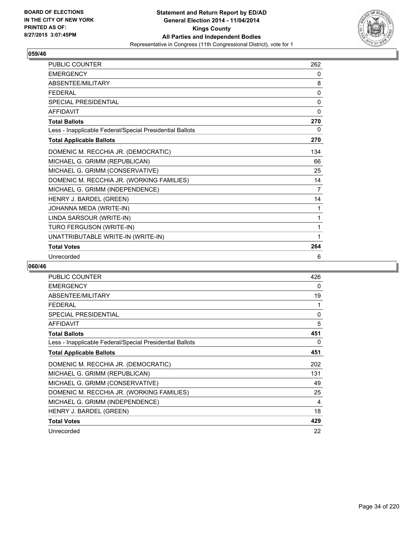

| PUBLIC COUNTER                                           | 262            |
|----------------------------------------------------------|----------------|
| <b>EMERGENCY</b>                                         | 0              |
| ABSENTEE/MILITARY                                        | 8              |
| <b>FEDERAL</b>                                           | 0              |
| <b>SPECIAL PRESIDENTIAL</b>                              | 0              |
| <b>AFFIDAVIT</b>                                         | $\mathbf{0}$   |
| <b>Total Ballots</b>                                     | 270            |
| Less - Inapplicable Federal/Special Presidential Ballots | 0              |
| <b>Total Applicable Ballots</b>                          | 270            |
| DOMENIC M. RECCHIA JR. (DEMOCRATIC)                      | 134            |
| MICHAEL G. GRIMM (REPUBLICAN)                            | 66             |
| MICHAEL G. GRIMM (CONSERVATIVE)                          | 25             |
| DOMENIC M. RECCHIA JR. (WORKING FAMILIES)                | 14             |
| MICHAEL G. GRIMM (INDEPENDENCE)                          | $\overline{7}$ |
| HENRY J. BARDEL (GREEN)                                  | 14             |
| JOHANNA MEDA (WRITE-IN)                                  | 1              |
| LINDA SARSOUR (WRITE-IN)                                 | 1              |
| TURO FERGUSON (WRITE-IN)                                 | 1              |
| UNATTRIBUTABLE WRITE-IN (WRITE-IN)                       | 1              |
| <b>Total Votes</b>                                       | 264            |
| Unrecorded                                               | 6              |

| <b>PUBLIC COUNTER</b>                                    | 426 |
|----------------------------------------------------------|-----|
| <b>EMERGENCY</b>                                         | 0   |
| ABSENTEE/MILITARY                                        | 19  |
| <b>FEDERAL</b>                                           | 1   |
| <b>SPECIAL PRESIDENTIAL</b>                              | 0   |
| <b>AFFIDAVIT</b>                                         | 5   |
| <b>Total Ballots</b>                                     | 451 |
| Less - Inapplicable Federal/Special Presidential Ballots | 0   |
| <b>Total Applicable Ballots</b>                          | 451 |
| DOMENIC M. RECCHIA JR. (DEMOCRATIC)                      | 202 |
| MICHAEL G. GRIMM (REPUBLICAN)                            | 131 |
| MICHAEL G. GRIMM (CONSERVATIVE)                          | 49  |
| DOMENIC M. RECCHIA JR. (WORKING FAMILIES)                | 25  |
| MICHAEL G. GRIMM (INDEPENDENCE)                          | 4   |
| HENRY J. BARDEL (GREEN)                                  | 18  |
| <b>Total Votes</b>                                       | 429 |
| Unrecorded                                               | 22  |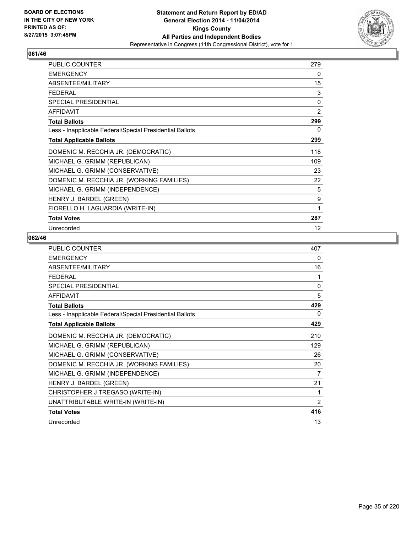

| <b>PUBLIC COUNTER</b>                                    | 279 |
|----------------------------------------------------------|-----|
| <b>EMERGENCY</b>                                         | 0   |
| ABSENTEE/MILITARY                                        | 15  |
| <b>FEDERAL</b>                                           | 3   |
| SPECIAL PRESIDENTIAL                                     | 0   |
| <b>AFFIDAVIT</b>                                         | 2   |
| <b>Total Ballots</b>                                     | 299 |
| Less - Inapplicable Federal/Special Presidential Ballots | 0   |
| <b>Total Applicable Ballots</b>                          | 299 |
| DOMENIC M. RECCHIA JR. (DEMOCRATIC)                      | 118 |
| MICHAEL G. GRIMM (REPUBLICAN)                            | 109 |
| MICHAEL G. GRIMM (CONSERVATIVE)                          | 23  |
| DOMENIC M. RECCHIA JR. (WORKING FAMILIES)                | 22  |
| MICHAEL G. GRIMM (INDEPENDENCE)                          | 5   |
| HENRY J. BARDEL (GREEN)                                  | 9   |
| FIORELLO H. LAGUARDIA (WRITE-IN)                         | 1   |
| <b>Total Votes</b>                                       | 287 |
| Unrecorded                                               | 12  |

| <b>PUBLIC COUNTER</b>                                    | 407          |
|----------------------------------------------------------|--------------|
| <b>EMERGENCY</b>                                         | 0            |
| ABSENTEE/MILITARY                                        | 16           |
| <b>FFDFRAL</b>                                           | 1            |
| <b>SPECIAL PRESIDENTIAL</b>                              | $\mathbf{0}$ |
| <b>AFFIDAVIT</b>                                         | 5            |
| <b>Total Ballots</b>                                     | 429          |
| Less - Inapplicable Federal/Special Presidential Ballots | 0            |
| <b>Total Applicable Ballots</b>                          | 429          |
| DOMENIC M. RECCHIA JR. (DEMOCRATIC)                      | 210          |
| MICHAEL G. GRIMM (REPUBLICAN)                            | 129          |
| MICHAEL G. GRIMM (CONSERVATIVE)                          | 26           |
| DOMENIC M. RECCHIA JR. (WORKING FAMILIES)                | 20           |
| MICHAEL G. GRIMM (INDEPENDENCE)                          | 7            |
| HENRY J. BARDEL (GREEN)                                  | 21           |
| CHRISTOPHER J TREGASO (WRITE-IN)                         | 1            |
| UNATTRIBUTABLE WRITE-IN (WRITE-IN)                       | 2            |
| <b>Total Votes</b>                                       | 416          |
| Unrecorded                                               | 13           |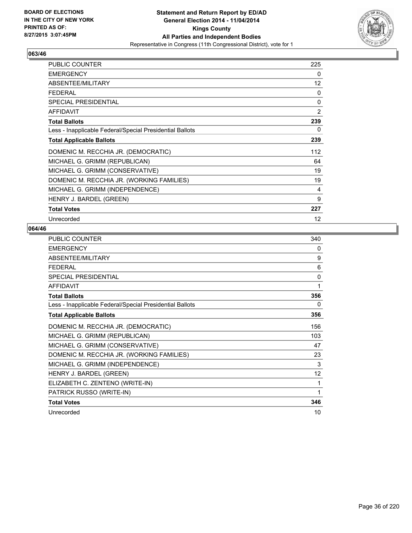

| PUBLIC COUNTER                                           | 225            |
|----------------------------------------------------------|----------------|
| <b>EMERGENCY</b>                                         | 0              |
| ABSENTEE/MILITARY                                        | 12             |
| <b>FEDERAL</b>                                           | 0              |
| <b>SPECIAL PRESIDENTIAL</b>                              | 0              |
| <b>AFFIDAVIT</b>                                         | $\overline{2}$ |
| <b>Total Ballots</b>                                     | 239            |
| Less - Inapplicable Federal/Special Presidential Ballots | 0              |
| <b>Total Applicable Ballots</b>                          | 239            |
| DOMENIC M. RECCHIA JR. (DEMOCRATIC)                      | 112            |
| MICHAEL G. GRIMM (REPUBLICAN)                            | 64             |
| MICHAEL G. GRIMM (CONSERVATIVE)                          | 19             |
| DOMENIC M. RECCHIA JR. (WORKING FAMILIES)                | 19             |
| MICHAEL G. GRIMM (INDEPENDENCE)                          | 4              |
| HENRY J. BARDEL (GREEN)                                  | 9              |
| <b>Total Votes</b>                                       | 227            |
| Unrecorded                                               | 12             |

| <b>PUBLIC COUNTER</b>                                    | 340          |
|----------------------------------------------------------|--------------|
| <b>EMERGENCY</b>                                         | 0            |
| ABSENTEE/MILITARY                                        | 9            |
| <b>FEDERAL</b>                                           | 6            |
| <b>SPECIAL PRESIDENTIAL</b>                              | $\mathbf{0}$ |
| <b>AFFIDAVIT</b>                                         | 1            |
| <b>Total Ballots</b>                                     | 356          |
| Less - Inapplicable Federal/Special Presidential Ballots | 0            |
| <b>Total Applicable Ballots</b>                          | 356          |
| DOMENIC M. RECCHIA JR. (DEMOCRATIC)                      | 156          |
| MICHAEL G. GRIMM (REPUBLICAN)                            | 103          |
| MICHAEL G. GRIMM (CONSERVATIVE)                          | 47           |
| DOMENIC M. RECCHIA JR. (WORKING FAMILIES)                | 23           |
| MICHAEL G. GRIMM (INDEPENDENCE)                          | 3            |
| HENRY J. BARDEL (GREEN)                                  | 12           |
| ELIZABETH C. ZENTENO (WRITE-IN)                          | 1            |
| PATRICK RUSSO (WRITE-IN)                                 | 1            |
| <b>Total Votes</b>                                       | 346          |
| Unrecorded                                               | 10           |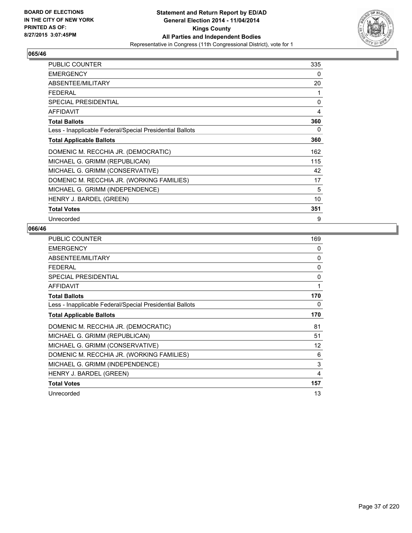

| <b>PUBLIC COUNTER</b>                                    | 335 |
|----------------------------------------------------------|-----|
| <b>EMERGENCY</b>                                         | 0   |
| ABSENTEE/MILITARY                                        | 20  |
| <b>FEDERAL</b>                                           | 1   |
| <b>SPECIAL PRESIDENTIAL</b>                              | 0   |
| <b>AFFIDAVIT</b>                                         | 4   |
| <b>Total Ballots</b>                                     | 360 |
| Less - Inapplicable Federal/Special Presidential Ballots | 0   |
| <b>Total Applicable Ballots</b>                          | 360 |
| DOMENIC M. RECCHIA JR. (DEMOCRATIC)                      | 162 |
| MICHAEL G. GRIMM (REPUBLICAN)                            | 115 |
| MICHAEL G. GRIMM (CONSERVATIVE)                          | 42  |
| DOMENIC M. RECCHIA JR. (WORKING FAMILIES)                | 17  |
| MICHAEL G. GRIMM (INDEPENDENCE)                          | 5   |
| HENRY J. BARDEL (GREEN)                                  | 10  |
| <b>Total Votes</b>                                       | 351 |
| Unrecorded                                               | 9   |

| <b>PUBLIC COUNTER</b>                                    | 169 |
|----------------------------------------------------------|-----|
| <b>EMERGENCY</b>                                         | 0   |
| ABSENTEE/MILITARY                                        | 0   |
| FEDERAL                                                  | 0   |
| <b>SPECIAL PRESIDENTIAL</b>                              | 0   |
| <b>AFFIDAVIT</b>                                         | 1   |
| <b>Total Ballots</b>                                     | 170 |
| Less - Inapplicable Federal/Special Presidential Ballots | 0   |
| <b>Total Applicable Ballots</b>                          | 170 |
| DOMENIC M. RECCHIA JR. (DEMOCRATIC)                      | 81  |
| MICHAEL G. GRIMM (REPUBLICAN)                            | 51  |
| MICHAEL G. GRIMM (CONSERVATIVE)                          | 12  |
| DOMENIC M. RECCHIA JR. (WORKING FAMILIES)                | 6   |
| MICHAEL G. GRIMM (INDEPENDENCE)                          | 3   |
| HENRY J. BARDEL (GREEN)                                  | 4   |
| <b>Total Votes</b>                                       | 157 |
| Unrecorded                                               | 13  |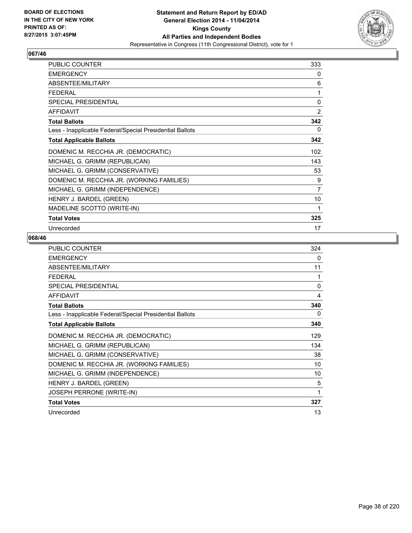

| <b>PUBLIC COUNTER</b>                                    | 333 |
|----------------------------------------------------------|-----|
| <b>EMERGENCY</b>                                         | 0   |
| ABSENTEE/MILITARY                                        | 6   |
| <b>FEDERAL</b>                                           | 1   |
| <b>SPECIAL PRESIDENTIAL</b>                              | 0   |
| AFFIDAVIT                                                | 2   |
| <b>Total Ballots</b>                                     | 342 |
| Less - Inapplicable Federal/Special Presidential Ballots | 0   |
| <b>Total Applicable Ballots</b>                          | 342 |
| DOMENIC M. RECCHIA JR. (DEMOCRATIC)                      | 102 |
| MICHAEL G. GRIMM (REPUBLICAN)                            | 143 |
| MICHAEL G. GRIMM (CONSERVATIVE)                          | 53  |
| DOMENIC M. RECCHIA JR. (WORKING FAMILIES)                | 9   |
| MICHAEL G. GRIMM (INDEPENDENCE)                          | 7   |
| HENRY J. BARDEL (GREEN)                                  | 10  |
| MADELINE SCOTTO (WRITE-IN)                               | 1   |
| <b>Total Votes</b>                                       | 325 |
| Unrecorded                                               | 17  |

| <b>PUBLIC COUNTER</b>                                    | 324          |
|----------------------------------------------------------|--------------|
| <b>EMERGENCY</b>                                         | 0            |
| ABSENTEE/MILITARY                                        | 11           |
| <b>FEDERAL</b>                                           | 1            |
| SPECIAL PRESIDENTIAL                                     | $\mathbf{0}$ |
| <b>AFFIDAVIT</b>                                         | 4            |
| <b>Total Ballots</b>                                     | 340          |
| Less - Inapplicable Federal/Special Presidential Ballots | 0            |
| <b>Total Applicable Ballots</b>                          | 340          |
| DOMENIC M. RECCHIA JR. (DEMOCRATIC)                      | 129          |
| MICHAEL G. GRIMM (REPUBLICAN)                            | 134          |
| MICHAEL G. GRIMM (CONSERVATIVE)                          | 38           |
| DOMENIC M. RECCHIA JR. (WORKING FAMILIES)                | 10           |
| MICHAEL G. GRIMM (INDEPENDENCE)                          | 10           |
| HENRY J. BARDEL (GREEN)                                  | 5            |
| JOSEPH PERRONE (WRITE-IN)                                | 1            |
| <b>Total Votes</b>                                       | 327          |
| Unrecorded                                               | 13           |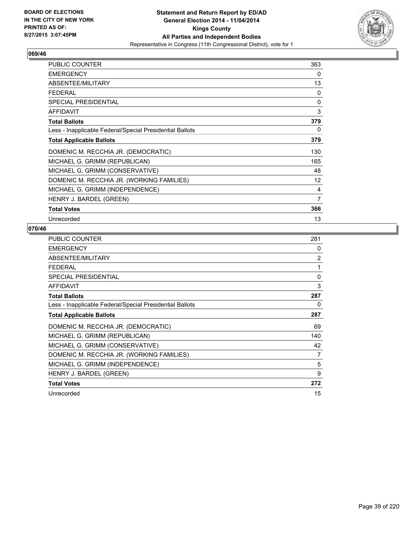

| PUBLIC COUNTER                                           | 363 |
|----------------------------------------------------------|-----|
| <b>EMERGENCY</b>                                         | 0   |
| ABSENTEE/MILITARY                                        | 13  |
| <b>FEDERAL</b>                                           | 0   |
| <b>SPECIAL PRESIDENTIAL</b>                              | 0   |
| <b>AFFIDAVIT</b>                                         | 3   |
| <b>Total Ballots</b>                                     | 379 |
| Less - Inapplicable Federal/Special Presidential Ballots | 0   |
| <b>Total Applicable Ballots</b>                          | 379 |
| DOMENIC M. RECCHIA JR. (DEMOCRATIC)                      | 130 |
| MICHAEL G. GRIMM (REPUBLICAN)                            | 165 |
| MICHAEL G. GRIMM (CONSERVATIVE)                          | 48  |
| DOMENIC M. RECCHIA JR. (WORKING FAMILIES)                | 12  |
| MICHAEL G. GRIMM (INDEPENDENCE)                          | 4   |
| HENRY J. BARDEL (GREEN)                                  | 7   |
| <b>Total Votes</b>                                       | 366 |
| Unrecorded                                               | 13  |

| <b>PUBLIC COUNTER</b>                                    | 281            |
|----------------------------------------------------------|----------------|
| <b>EMERGENCY</b>                                         | 0              |
| ABSENTEE/MILITARY                                        | $\overline{2}$ |
| <b>FEDERAL</b>                                           | 1              |
| <b>SPECIAL PRESIDENTIAL</b>                              | $\Omega$       |
| AFFIDAVIT                                                | 3              |
| <b>Total Ballots</b>                                     | 287            |
| Less - Inapplicable Federal/Special Presidential Ballots | 0              |
| <b>Total Applicable Ballots</b>                          | 287            |
| DOMENIC M. RECCHIA JR. (DEMOCRATIC)                      | 69             |
| MICHAEL G. GRIMM (REPUBLICAN)                            | 140            |
| MICHAEL G. GRIMM (CONSERVATIVE)                          | 42             |
| DOMENIC M. RECCHIA JR. (WORKING FAMILIES)                | 7              |
| MICHAEL G. GRIMM (INDEPENDENCE)                          | 5              |
| HENRY J. BARDEL (GREEN)                                  | 9              |
| <b>Total Votes</b>                                       | 272            |
| Unrecorded                                               | 15             |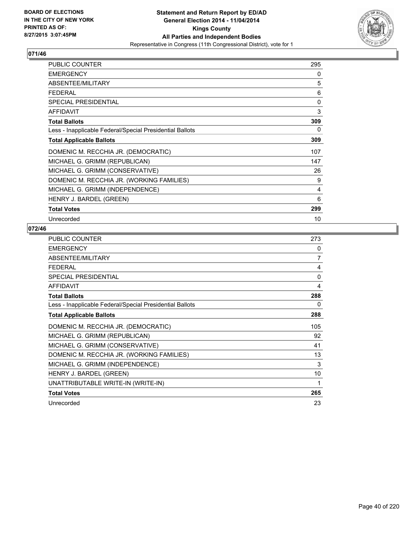

| <b>PUBLIC COUNTER</b>                                    | 295 |
|----------------------------------------------------------|-----|
| <b>EMERGENCY</b>                                         | 0   |
| ABSENTEE/MILITARY                                        | 5   |
| <b>FEDERAL</b>                                           | 6   |
| <b>SPECIAL PRESIDENTIAL</b>                              | 0   |
| <b>AFFIDAVIT</b>                                         | 3   |
| <b>Total Ballots</b>                                     | 309 |
| Less - Inapplicable Federal/Special Presidential Ballots | 0   |
| <b>Total Applicable Ballots</b>                          | 309 |
| DOMENIC M. RECCHIA JR. (DEMOCRATIC)                      | 107 |
| MICHAEL G. GRIMM (REPUBLICAN)                            | 147 |
| MICHAEL G. GRIMM (CONSERVATIVE)                          | 26  |
| DOMENIC M. RECCHIA JR. (WORKING FAMILIES)                | 9   |
| MICHAEL G. GRIMM (INDEPENDENCE)                          | 4   |
| HENRY J. BARDEL (GREEN)                                  | 6   |
| <b>Total Votes</b>                                       | 299 |
| Unrecorded                                               | 10  |

| <b>PUBLIC COUNTER</b>                                    | 273 |
|----------------------------------------------------------|-----|
| <b>EMERGENCY</b>                                         | 0   |
| ABSENTEE/MILITARY                                        | 7   |
| <b>FEDERAL</b>                                           | 4   |
| <b>SPECIAL PRESIDENTIAL</b>                              | 0   |
| <b>AFFIDAVIT</b>                                         | 4   |
| <b>Total Ballots</b>                                     | 288 |
| Less - Inapplicable Federal/Special Presidential Ballots | 0   |
| <b>Total Applicable Ballots</b>                          | 288 |
| DOMENIC M. RECCHIA JR. (DEMOCRATIC)                      | 105 |
| MICHAEL G. GRIMM (REPUBLICAN)                            | 92  |
| MICHAEL G. GRIMM (CONSERVATIVE)                          | 41  |
| DOMENIC M. RECCHIA JR. (WORKING FAMILIES)                | 13  |
| MICHAEL G. GRIMM (INDEPENDENCE)                          | 3   |
| HENRY J. BARDEL (GREEN)                                  | 10  |
| UNATTRIBUTABLE WRITE-IN (WRITE-IN)                       | 1   |
| <b>Total Votes</b>                                       | 265 |
| Unrecorded                                               | 23  |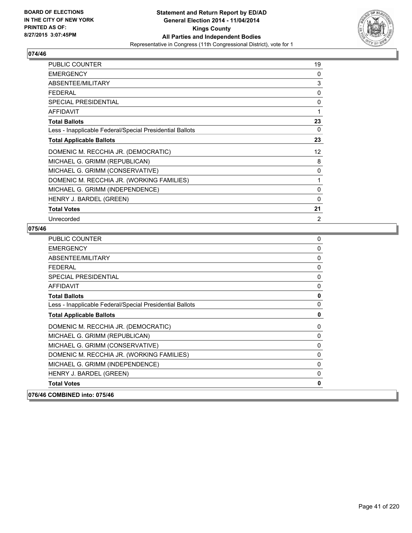

| <b>PUBLIC COUNTER</b>                                    | 19                |
|----------------------------------------------------------|-------------------|
| <b>EMERGENCY</b>                                         | 0                 |
| ABSENTEE/MILITARY                                        | 3                 |
| <b>FEDERAL</b>                                           | 0                 |
| <b>SPECIAL PRESIDENTIAL</b>                              | 0                 |
| <b>AFFIDAVIT</b>                                         | 1                 |
| <b>Total Ballots</b>                                     | 23                |
| Less - Inapplicable Federal/Special Presidential Ballots | 0                 |
| <b>Total Applicable Ballots</b>                          | 23                |
| DOMENIC M. RECCHIA JR. (DEMOCRATIC)                      | $12 \overline{ }$ |
| MICHAEL G. GRIMM (REPUBLICAN)                            | 8                 |
| MICHAEL G. GRIMM (CONSERVATIVE)                          | 0                 |
| DOMENIC M. RECCHIA JR. (WORKING FAMILIES)                | 1                 |
| MICHAEL G. GRIMM (INDEPENDENCE)                          | 0                 |
| HENRY J. BARDEL (GREEN)                                  | 0                 |
| <b>Total Votes</b>                                       | 21                |
| Unrecorded                                               | 2                 |

| <b>PUBLIC COUNTER</b>                                    | 0            |
|----------------------------------------------------------|--------------|
| <b>EMERGENCY</b>                                         | $\mathbf 0$  |
| ABSENTEE/MILITARY                                        | 0            |
| <b>FEDERAL</b>                                           | $\mathbf{0}$ |
| <b>SPECIAL PRESIDENTIAL</b>                              | $\mathbf{0}$ |
| <b>AFFIDAVIT</b>                                         | 0            |
| <b>Total Ballots</b>                                     | $\mathbf 0$  |
| Less - Inapplicable Federal/Special Presidential Ballots | 0            |
| <b>Total Applicable Ballots</b>                          | $\mathbf 0$  |
| DOMENIC M. RECCHIA JR. (DEMOCRATIC)                      | 0            |
| MICHAEL G. GRIMM (REPUBLICAN)                            | $\mathbf 0$  |
| MICHAEL G. GRIMM (CONSERVATIVE)                          | $\Omega$     |
| DOMENIC M. RECCHIA JR. (WORKING FAMILIES)                | 0            |
| MICHAEL G. GRIMM (INDEPENDENCE)                          | 0            |
| HENRY J. BARDEL (GREEN)                                  | 0            |
| <b>Total Votes</b>                                       | 0            |
| 076/46 COMBINED into: 075/46                             |              |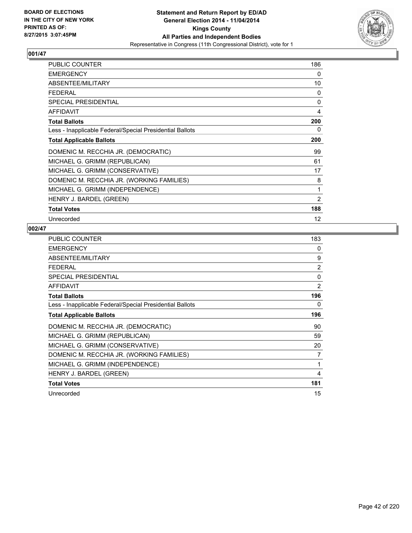

| <b>PUBLIC COUNTER</b>                                    | 186            |
|----------------------------------------------------------|----------------|
| <b>EMERGENCY</b>                                         | 0              |
| ABSENTEE/MILITARY                                        | 10             |
| <b>FEDERAL</b>                                           | 0              |
| <b>SPECIAL PRESIDENTIAL</b>                              | $\mathbf 0$    |
| <b>AFFIDAVIT</b>                                         | 4              |
| <b>Total Ballots</b>                                     | 200            |
| Less - Inapplicable Federal/Special Presidential Ballots | 0              |
| <b>Total Applicable Ballots</b>                          | 200            |
| DOMENIC M. RECCHIA JR. (DEMOCRATIC)                      | 99             |
| MICHAEL G. GRIMM (REPUBLICAN)                            | 61             |
| MICHAEL G. GRIMM (CONSERVATIVE)                          | 17             |
| DOMENIC M. RECCHIA JR. (WORKING FAMILIES)                | 8              |
| MICHAEL G. GRIMM (INDEPENDENCE)                          | 1              |
| HENRY J. BARDEL (GREEN)                                  | $\overline{2}$ |
| <b>Total Votes</b>                                       | 188            |
| Unrecorded                                               | 12             |

| <b>PUBLIC COUNTER</b>                                    | 183            |
|----------------------------------------------------------|----------------|
| <b>EMERGENCY</b>                                         | 0              |
| ABSENTEE/MILITARY                                        | 9              |
| <b>FEDERAL</b>                                           | $\overline{2}$ |
| <b>SPECIAL PRESIDENTIAL</b>                              | $\mathbf{0}$   |
| AFFIDAVIT                                                | 2              |
| <b>Total Ballots</b>                                     | 196            |
| Less - Inapplicable Federal/Special Presidential Ballots | 0              |
| <b>Total Applicable Ballots</b>                          | 196            |
| DOMENIC M. RECCHIA JR. (DEMOCRATIC)                      | 90             |
| MICHAEL G. GRIMM (REPUBLICAN)                            | 59             |
| MICHAEL G. GRIMM (CONSERVATIVE)                          | 20             |
| DOMENIC M. RECCHIA JR. (WORKING FAMILIES)                | 7              |
| MICHAEL G. GRIMM (INDEPENDENCE)                          | 1              |
| HENRY J. BARDEL (GREEN)                                  | 4              |
| <b>Total Votes</b>                                       | 181            |
| Unrecorded                                               | 15             |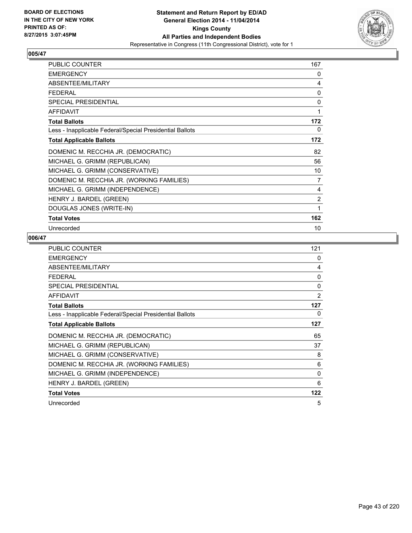

| <b>PUBLIC COUNTER</b>                                    | 167 |
|----------------------------------------------------------|-----|
| <b>EMERGENCY</b>                                         | 0   |
| ABSENTEE/MILITARY                                        | 4   |
| FFDFRAI                                                  | 0   |
| SPECIAL PRESIDENTIAL                                     | 0   |
| <b>AFFIDAVIT</b>                                         | 1   |
| <b>Total Ballots</b>                                     | 172 |
| Less - Inapplicable Federal/Special Presidential Ballots | 0   |
| <b>Total Applicable Ballots</b>                          | 172 |
| DOMENIC M. RECCHIA JR. (DEMOCRATIC)                      | 82  |
| MICHAEL G. GRIMM (REPUBLICAN)                            | 56  |
| MICHAEL G. GRIMM (CONSERVATIVE)                          | 10  |
| DOMENIC M. RECCHIA JR. (WORKING FAMILIES)                | 7   |
| MICHAEL G. GRIMM (INDEPENDENCE)                          | 4   |
| HENRY J. BARDEL (GREEN)                                  | 2   |
| DOUGLAS JONES (WRITE-IN)                                 | 1   |
| <b>Total Votes</b>                                       | 162 |
| Unrecorded                                               | 10  |

| <b>PUBLIC COUNTER</b>                                    | 121            |
|----------------------------------------------------------|----------------|
| <b>EMERGENCY</b>                                         | 0              |
| ABSENTEE/MILITARY                                        | 4              |
| <b>FEDERAL</b>                                           | 0              |
| <b>SPECIAL PRESIDENTIAL</b>                              | 0              |
| <b>AFFIDAVIT</b>                                         | $\overline{2}$ |
| <b>Total Ballots</b>                                     | 127            |
| Less - Inapplicable Federal/Special Presidential Ballots | 0              |
| <b>Total Applicable Ballots</b>                          | 127            |
| DOMENIC M. RECCHIA JR. (DEMOCRATIC)                      | 65             |
| MICHAEL G. GRIMM (REPUBLICAN)                            | 37             |
| MICHAEL G. GRIMM (CONSERVATIVE)                          | 8              |
| DOMENIC M. RECCHIA JR. (WORKING FAMILIES)                | 6              |
| MICHAEL G. GRIMM (INDEPENDENCE)                          | 0              |
| HENRY J. BARDEL (GREEN)                                  | 6              |
| <b>Total Votes</b>                                       | 122            |
| Unrecorded                                               | 5              |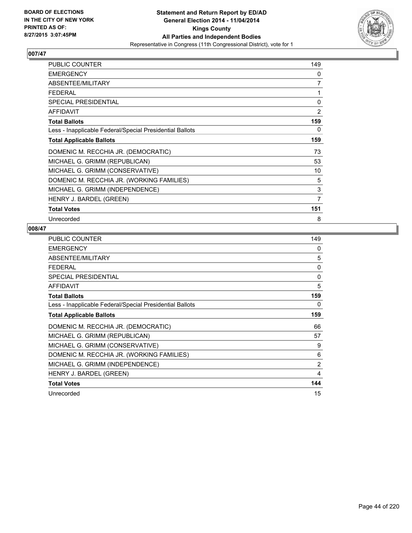

| <b>PUBLIC COUNTER</b>                                    | 149 |
|----------------------------------------------------------|-----|
| <b>EMERGENCY</b>                                         | 0   |
| ABSENTEE/MILITARY                                        | 7   |
| <b>FEDERAL</b>                                           | 1   |
| <b>SPECIAL PRESIDENTIAL</b>                              | 0   |
| <b>AFFIDAVIT</b>                                         | 2   |
| <b>Total Ballots</b>                                     | 159 |
| Less - Inapplicable Federal/Special Presidential Ballots | 0   |
| <b>Total Applicable Ballots</b>                          | 159 |
| DOMENIC M. RECCHIA JR. (DEMOCRATIC)                      | 73  |
| MICHAEL G. GRIMM (REPUBLICAN)                            | 53  |
| MICHAEL G. GRIMM (CONSERVATIVE)                          | 10  |
| DOMENIC M. RECCHIA JR. (WORKING FAMILIES)                | 5   |
| MICHAEL G. GRIMM (INDEPENDENCE)                          | 3   |
| HENRY J. BARDEL (GREEN)                                  | 7   |
| <b>Total Votes</b>                                       | 151 |
| Unrecorded                                               | 8   |

| <b>PUBLIC COUNTER</b>                                    | 149      |
|----------------------------------------------------------|----------|
| <b>EMERGENCY</b>                                         | 0        |
| ABSENTEE/MILITARY                                        | 5        |
| <b>FEDERAL</b>                                           | 0        |
| <b>SPECIAL PRESIDENTIAL</b>                              | $\Omega$ |
| AFFIDAVIT                                                | 5        |
| <b>Total Ballots</b>                                     | 159      |
| Less - Inapplicable Federal/Special Presidential Ballots | 0        |
| <b>Total Applicable Ballots</b>                          | 159      |
| DOMENIC M. RECCHIA JR. (DEMOCRATIC)                      | 66       |
| MICHAEL G. GRIMM (REPUBLICAN)                            | 57       |
| MICHAEL G. GRIMM (CONSERVATIVE)                          | 9        |
| DOMENIC M. RECCHIA JR. (WORKING FAMILIES)                | 6        |
| MICHAEL G. GRIMM (INDEPENDENCE)                          | 2        |
| HENRY J. BARDEL (GREEN)                                  | 4        |
| <b>Total Votes</b>                                       | 144      |
| Unrecorded                                               | 15       |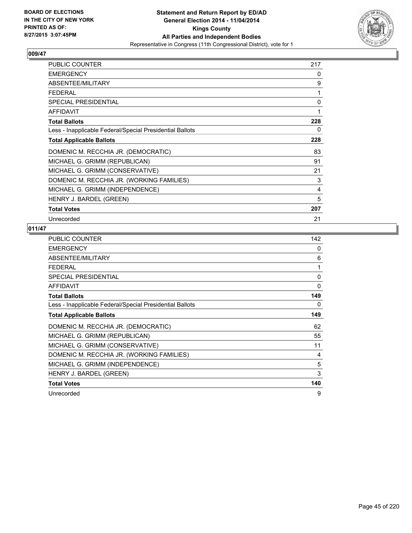

| <b>PUBLIC COUNTER</b>                                    | 217 |
|----------------------------------------------------------|-----|
| <b>EMERGENCY</b>                                         | 0   |
| ABSENTEE/MILITARY                                        | 9   |
| <b>FEDERAL</b>                                           | 1   |
| <b>SPECIAL PRESIDENTIAL</b>                              | 0   |
| <b>AFFIDAVIT</b>                                         | 1   |
| <b>Total Ballots</b>                                     | 228 |
| Less - Inapplicable Federal/Special Presidential Ballots | 0   |
| <b>Total Applicable Ballots</b>                          | 228 |
| DOMENIC M. RECCHIA JR. (DEMOCRATIC)                      | 83  |
| MICHAEL G. GRIMM (REPUBLICAN)                            | 91  |
| MICHAEL G. GRIMM (CONSERVATIVE)                          | 21  |
| DOMENIC M. RECCHIA JR. (WORKING FAMILIES)                | 3   |
| MICHAEL G. GRIMM (INDEPENDENCE)                          | 4   |
| HENRY J. BARDEL (GREEN)                                  | 5   |
| <b>Total Votes</b>                                       | 207 |
| Unrecorded                                               | 21  |

| PUBLIC COUNTER                                           | 142      |
|----------------------------------------------------------|----------|
| <b>EMERGENCY</b>                                         | 0        |
| ABSENTEE/MILITARY                                        | 6        |
| FEDERAL                                                  | 1        |
| <b>SPECIAL PRESIDENTIAL</b>                              | 0        |
| <b>AFFIDAVIT</b>                                         | $\Omega$ |
| <b>Total Ballots</b>                                     | 149      |
| Less - Inapplicable Federal/Special Presidential Ballots | 0        |
| <b>Total Applicable Ballots</b>                          | 149      |
| DOMENIC M. RECCHIA JR. (DEMOCRATIC)                      | 62       |
| MICHAEL G. GRIMM (REPUBLICAN)                            | 55       |
| MICHAEL G. GRIMM (CONSERVATIVE)                          | 11       |
| DOMENIC M. RECCHIA JR. (WORKING FAMILIES)                | 4        |
| MICHAEL G. GRIMM (INDEPENDENCE)                          | 5        |
| HENRY J. BARDEL (GREEN)                                  | 3        |
| <b>Total Votes</b>                                       | 140      |
| Unrecorded                                               | 9        |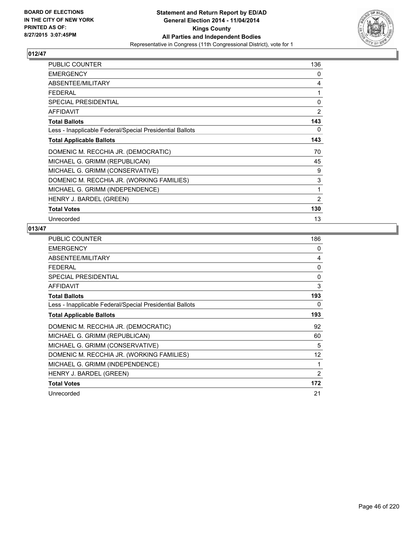

| <b>PUBLIC COUNTER</b>                                    | 136            |
|----------------------------------------------------------|----------------|
| <b>EMERGENCY</b>                                         | 0              |
| ABSENTEE/MILITARY                                        | 4              |
| <b>FEDERAL</b>                                           | 1              |
| <b>SPECIAL PRESIDENTIAL</b>                              | 0              |
| <b>AFFIDAVIT</b>                                         | 2              |
| <b>Total Ballots</b>                                     | 143            |
| Less - Inapplicable Federal/Special Presidential Ballots | 0              |
| <b>Total Applicable Ballots</b>                          | 143            |
| DOMENIC M. RECCHIA JR. (DEMOCRATIC)                      | 70             |
| MICHAEL G. GRIMM (REPUBLICAN)                            | 45             |
| MICHAEL G. GRIMM (CONSERVATIVE)                          | 9              |
| DOMENIC M. RECCHIA JR. (WORKING FAMILIES)                | 3              |
| MICHAEL G. GRIMM (INDEPENDENCE)                          | 1              |
| HENRY J. BARDEL (GREEN)                                  | $\overline{2}$ |
| <b>Total Votes</b>                                       | 130            |
| Unrecorded                                               | 13             |

| <b>PUBLIC COUNTER</b>                                    | 186          |
|----------------------------------------------------------|--------------|
| <b>EMERGENCY</b>                                         | 0            |
| ABSENTEE/MILITARY                                        | 4            |
| <b>FEDERAL</b>                                           | $\mathbf{0}$ |
| <b>SPECIAL PRESIDENTIAL</b>                              | 0            |
| <b>AFFIDAVIT</b>                                         | 3            |
| <b>Total Ballots</b>                                     | 193          |
| Less - Inapplicable Federal/Special Presidential Ballots | 0            |
| <b>Total Applicable Ballots</b>                          | 193          |
| DOMENIC M. RECCHIA JR. (DEMOCRATIC)                      | 92           |
| MICHAEL G. GRIMM (REPUBLICAN)                            | 60           |
| MICHAEL G. GRIMM (CONSERVATIVE)                          | 5            |
| DOMENIC M. RECCHIA JR. (WORKING FAMILIES)                | 12           |
| MICHAEL G. GRIMM (INDEPENDENCE)                          | 1            |
| HENRY J. BARDEL (GREEN)                                  | 2            |
| <b>Total Votes</b>                                       | 172          |
| Unrecorded                                               | 21           |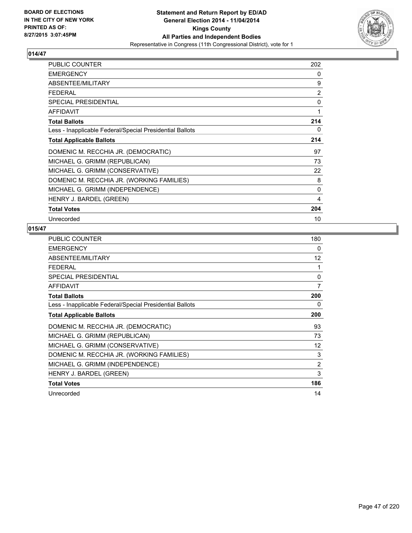

| <b>PUBLIC COUNTER</b>                                    | 202 |
|----------------------------------------------------------|-----|
| <b>EMERGENCY</b>                                         | 0   |
| ABSENTEE/MILITARY                                        | 9   |
| <b>FEDERAL</b>                                           | 2   |
| <b>SPECIAL PRESIDENTIAL</b>                              | 0   |
| <b>AFFIDAVIT</b>                                         | 1   |
| <b>Total Ballots</b>                                     | 214 |
| Less - Inapplicable Federal/Special Presidential Ballots | 0   |
| <b>Total Applicable Ballots</b>                          | 214 |
| DOMENIC M. RECCHIA JR. (DEMOCRATIC)                      | 97  |
| MICHAEL G. GRIMM (REPUBLICAN)                            | 73  |
| MICHAEL G. GRIMM (CONSERVATIVE)                          | 22  |
| DOMENIC M. RECCHIA JR. (WORKING FAMILIES)                | 8   |
| MICHAEL G. GRIMM (INDEPENDENCE)                          | 0   |
| HENRY J. BARDEL (GREEN)                                  | 4   |
| <b>Total Votes</b>                                       | 204 |
| Unrecorded                                               | 10  |

| <b>PUBLIC COUNTER</b>                                    | 180            |
|----------------------------------------------------------|----------------|
| <b>EMERGENCY</b>                                         | 0              |
| ABSENTEE/MILITARY                                        | 12             |
| <b>FEDERAL</b>                                           | 1              |
| <b>SPECIAL PRESIDENTIAL</b>                              | 0              |
| AFFIDAVIT                                                | 7              |
| <b>Total Ballots</b>                                     | 200            |
| Less - Inapplicable Federal/Special Presidential Ballots | 0              |
| <b>Total Applicable Ballots</b>                          | 200            |
| DOMENIC M. RECCHIA JR. (DEMOCRATIC)                      | 93             |
| MICHAEL G. GRIMM (REPUBLICAN)                            | 73             |
| MICHAEL G. GRIMM (CONSERVATIVE)                          | 12             |
| DOMENIC M. RECCHIA JR. (WORKING FAMILIES)                | 3              |
| MICHAEL G. GRIMM (INDEPENDENCE)                          | $\overline{2}$ |
| HENRY J. BARDEL (GREEN)                                  | 3              |
| <b>Total Votes</b>                                       | 186            |
| Unrecorded                                               | 14             |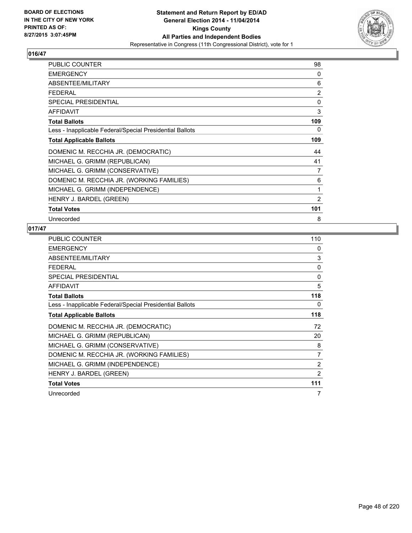

| <b>PUBLIC COUNTER</b>                                    | 98             |
|----------------------------------------------------------|----------------|
| <b>EMERGENCY</b>                                         | 0              |
| ABSENTEE/MILITARY                                        | 6              |
| <b>FEDERAL</b>                                           | $\overline{2}$ |
| <b>SPECIAL PRESIDENTIAL</b>                              | $\mathbf 0$    |
| <b>AFFIDAVIT</b>                                         | 3              |
| <b>Total Ballots</b>                                     | 109            |
| Less - Inapplicable Federal/Special Presidential Ballots | 0              |
| <b>Total Applicable Ballots</b>                          | 109            |
| DOMENIC M. RECCHIA JR. (DEMOCRATIC)                      | 44             |
| MICHAEL G. GRIMM (REPUBLICAN)                            | 41             |
| MICHAEL G. GRIMM (CONSERVATIVE)                          | 7              |
| DOMENIC M. RECCHIA JR. (WORKING FAMILIES)                | 6              |
| MICHAEL G. GRIMM (INDEPENDENCE)                          | 1              |
| HENRY J. BARDEL (GREEN)                                  | $\overline{2}$ |
| <b>Total Votes</b>                                       | 101            |
| Unrecorded                                               | 8              |

| <b>PUBLIC COUNTER</b>                                    | 110            |
|----------------------------------------------------------|----------------|
| <b>EMERGENCY</b>                                         | 0              |
| ABSENTEE/MILITARY                                        | 3              |
| FEDERAL                                                  | 0              |
| SPECIAL PRESIDENTIAL                                     | 0              |
| <b>AFFIDAVIT</b>                                         | 5              |
| <b>Total Ballots</b>                                     | 118            |
| Less - Inapplicable Federal/Special Presidential Ballots | 0              |
| <b>Total Applicable Ballots</b>                          | 118            |
| DOMENIC M. RECCHIA JR. (DEMOCRATIC)                      | 72             |
| MICHAEL G. GRIMM (REPUBLICAN)                            | 20             |
| MICHAEL G. GRIMM (CONSERVATIVE)                          | 8              |
| DOMENIC M. RECCHIA JR. (WORKING FAMILIES)                | $\overline{7}$ |
| MICHAEL G. GRIMM (INDEPENDENCE)                          | 2              |
| HENRY J. BARDEL (GREEN)                                  | 2              |
| <b>Total Votes</b>                                       | 111            |
| Unrecorded                                               | 7              |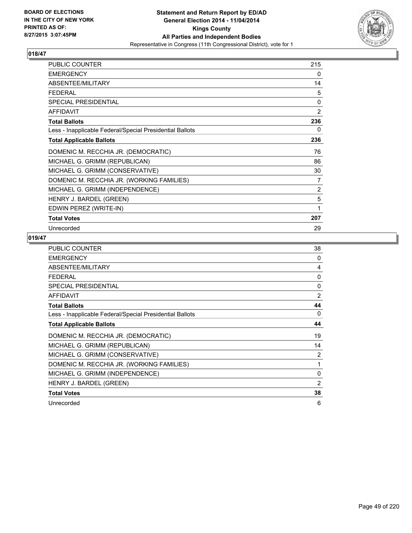

| <b>PUBLIC COUNTER</b>                                    | 215 |
|----------------------------------------------------------|-----|
| <b>EMERGENCY</b>                                         | 0   |
| ABSENTEE/MILITARY                                        | 14  |
| FFDFRAI                                                  | 5   |
| <b>SPECIAL PRESIDENTIAL</b>                              | 0   |
| <b>AFFIDAVIT</b>                                         | 2   |
| <b>Total Ballots</b>                                     | 236 |
| Less - Inapplicable Federal/Special Presidential Ballots | 0   |
| <b>Total Applicable Ballots</b>                          | 236 |
| DOMENIC M. RECCHIA JR. (DEMOCRATIC)                      | 76  |
| MICHAEL G. GRIMM (REPUBLICAN)                            | 86  |
| MICHAEL G. GRIMM (CONSERVATIVE)                          | 30  |
| DOMENIC M. RECCHIA JR. (WORKING FAMILIES)                | 7   |
| MICHAEL G. GRIMM (INDEPENDENCE)                          | 2   |
| HENRY J. BARDEL (GREEN)                                  | 5   |
| EDWIN PEREZ (WRITE-IN)                                   | 1   |
| <b>Total Votes</b>                                       | 207 |
| Unrecorded                                               | 29  |

| <b>PUBLIC COUNTER</b>                                    | 38             |
|----------------------------------------------------------|----------------|
| <b>EMERGENCY</b>                                         | 0              |
| ABSENTEE/MILITARY                                        | 4              |
| <b>FEDERAL</b>                                           | 0              |
| <b>SPECIAL PRESIDENTIAL</b>                              | $\Omega$       |
| <b>AFFIDAVIT</b>                                         | $\overline{2}$ |
| <b>Total Ballots</b>                                     | 44             |
| Less - Inapplicable Federal/Special Presidential Ballots | 0              |
| <b>Total Applicable Ballots</b>                          | 44             |
| DOMENIC M. RECCHIA JR. (DEMOCRATIC)                      | 19             |
| MICHAEL G. GRIMM (REPUBLICAN)                            | 14             |
| MICHAEL G. GRIMM (CONSERVATIVE)                          | 2              |
| DOMENIC M. RECCHIA JR. (WORKING FAMILIES)                | 1              |
| MICHAEL G. GRIMM (INDEPENDENCE)                          | $\Omega$       |
| HENRY J. BARDEL (GREEN)                                  | $\overline{2}$ |
| <b>Total Votes</b>                                       | 38             |
| Unrecorded                                               | 6              |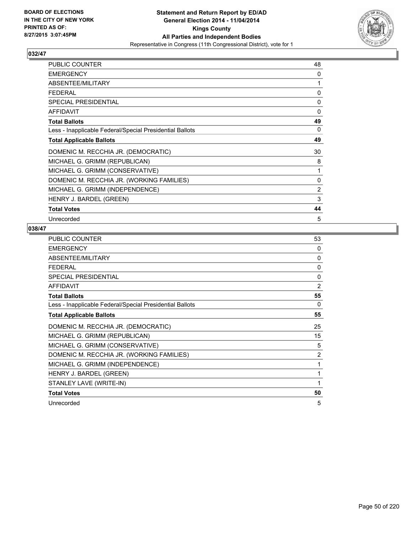

| PUBLIC COUNTER                                           | 48             |
|----------------------------------------------------------|----------------|
| <b>EMERGENCY</b>                                         | 0              |
| ABSENTEE/MILITARY                                        | 1              |
| <b>FEDERAL</b>                                           | 0              |
| <b>SPECIAL PRESIDENTIAL</b>                              | $\Omega$       |
| <b>AFFIDAVIT</b>                                         | 0              |
| <b>Total Ballots</b>                                     | 49             |
| Less - Inapplicable Federal/Special Presidential Ballots | 0              |
| <b>Total Applicable Ballots</b>                          | 49             |
| DOMENIC M. RECCHIA JR. (DEMOCRATIC)                      | 30             |
| MICHAEL G. GRIMM (REPUBLICAN)                            | 8              |
| MICHAEL G. GRIMM (CONSERVATIVE)                          | 1              |
| DOMENIC M. RECCHIA JR. (WORKING FAMILIES)                | 0              |
| MICHAEL G. GRIMM (INDEPENDENCE)                          | $\overline{2}$ |
| HENRY J. BARDEL (GREEN)                                  | 3              |
| <b>Total Votes</b>                                       | 44             |
| Unrecorded                                               | 5              |

| PUBLIC COUNTER                                           | 53             |
|----------------------------------------------------------|----------------|
| <b>EMERGENCY</b>                                         | 0              |
| ABSENTEE/MILITARY                                        | $\Omega$       |
| <b>FEDERAL</b>                                           | $\Omega$       |
| <b>SPECIAL PRESIDENTIAL</b>                              | $\Omega$       |
| <b>AFFIDAVIT</b>                                         | $\overline{2}$ |
| <b>Total Ballots</b>                                     | 55             |
| Less - Inapplicable Federal/Special Presidential Ballots | $\Omega$       |
| <b>Total Applicable Ballots</b>                          | 55             |
| DOMENIC M. RECCHIA JR. (DEMOCRATIC)                      | 25             |
| MICHAEL G. GRIMM (REPUBLICAN)                            | 15             |
| MICHAEL G. GRIMM (CONSERVATIVE)                          | 5              |
| DOMENIC M. RECCHIA JR. (WORKING FAMILIES)                | 2              |
| MICHAEL G. GRIMM (INDEPENDENCE)                          | 1              |
| HENRY J. BARDEL (GREEN)                                  | 1              |
| STANLEY LAVE (WRITE-IN)                                  | 1              |
| <b>Total Votes</b>                                       | 50             |
| Unrecorded                                               | 5              |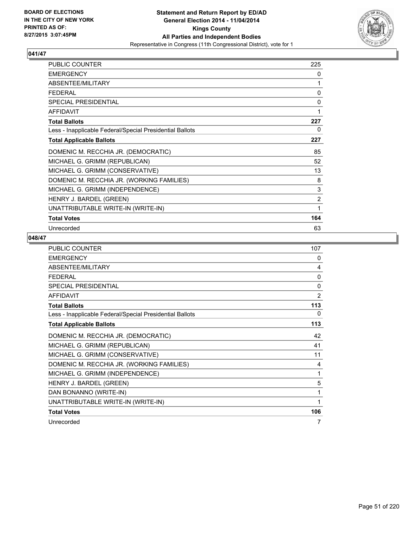

| <b>PUBLIC COUNTER</b>                                    | 225 |
|----------------------------------------------------------|-----|
| <b>EMERGENCY</b>                                         | 0   |
| ABSENTEE/MILITARY                                        | 1   |
| <b>FEDERAL</b>                                           | 0   |
| SPECIAL PRESIDENTIAL                                     | 0   |
| <b>AFFIDAVIT</b>                                         | 1   |
| <b>Total Ballots</b>                                     | 227 |
| Less - Inapplicable Federal/Special Presidential Ballots | 0   |
| <b>Total Applicable Ballots</b>                          | 227 |
| DOMENIC M. RECCHIA JR. (DEMOCRATIC)                      | 85  |
| MICHAEL G. GRIMM (REPUBLICAN)                            | 52  |
| MICHAEL G. GRIMM (CONSERVATIVE)                          | 13  |
| DOMENIC M. RECCHIA JR. (WORKING FAMILIES)                | 8   |
| MICHAEL G. GRIMM (INDEPENDENCE)                          | 3   |
| HENRY J. BARDEL (GREEN)                                  | 2   |
| UNATTRIBUTABLE WRITE-IN (WRITE-IN)                       | 1   |
| <b>Total Votes</b>                                       | 164 |
| Unrecorded                                               | 63  |

| PUBLIC COUNTER                                           | 107 |
|----------------------------------------------------------|-----|
| <b>EMERGENCY</b>                                         | 0   |
| ABSENTEE/MILITARY                                        | 4   |
| <b>FFDFRAI</b>                                           | 0   |
| <b>SPECIAL PRESIDENTIAL</b>                              | 0   |
| <b>AFFIDAVIT</b>                                         | 2   |
| <b>Total Ballots</b>                                     | 113 |
| Less - Inapplicable Federal/Special Presidential Ballots | 0   |
| <b>Total Applicable Ballots</b>                          | 113 |
| DOMENIC M. RECCHIA JR. (DEMOCRATIC)                      | 42  |
| MICHAEL G. GRIMM (REPUBLICAN)                            | 41  |
| MICHAEL G. GRIMM (CONSERVATIVE)                          | 11  |
| DOMENIC M. RECCHIA JR. (WORKING FAMILIES)                | 4   |
| MICHAEL G. GRIMM (INDEPENDENCE)                          | 1   |
| HENRY J. BARDEL (GREEN)                                  | 5   |
| DAN BONANNO (WRITE-IN)                                   | 1   |
| UNATTRIBUTABLE WRITE-IN (WRITE-IN)                       | 1   |
| <b>Total Votes</b>                                       | 106 |
| Unrecorded                                               | 7   |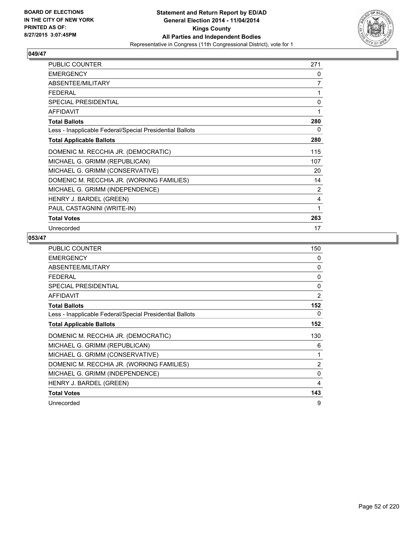

| <b>PUBLIC COUNTER</b>                                    | 271 |
|----------------------------------------------------------|-----|
| <b>EMERGENCY</b>                                         | 0   |
| ABSENTEE/MILITARY                                        | 7   |
| <b>FEDERAL</b>                                           | 1   |
| <b>SPECIAL PRESIDENTIAL</b>                              | 0   |
| <b>AFFIDAVIT</b>                                         |     |
| <b>Total Ballots</b>                                     | 280 |
| Less - Inapplicable Federal/Special Presidential Ballots | 0   |
| <b>Total Applicable Ballots</b>                          | 280 |
| DOMENIC M. RECCHIA JR. (DEMOCRATIC)                      | 115 |
| MICHAEL G. GRIMM (REPUBLICAN)                            | 107 |
| MICHAEL G. GRIMM (CONSERVATIVE)                          | 20  |
| DOMENIC M. RECCHIA JR. (WORKING FAMILIES)                | 14  |
| MICHAEL G. GRIMM (INDEPENDENCE)                          | 2   |
| HENRY J. BARDEL (GREEN)                                  | 4   |
| PAUL CASTAGNINI (WRITE-IN)                               | 1   |
| <b>Total Votes</b>                                       | 263 |
| Unrecorded                                               | 17  |

| <b>PUBLIC COUNTER</b>                                    | 150            |
|----------------------------------------------------------|----------------|
| <b>EMERGENCY</b>                                         | 0              |
| ABSENTEE/MILITARY                                        | 0              |
| <b>FEDERAL</b>                                           | 0              |
| <b>SPECIAL PRESIDENTIAL</b>                              | 0              |
| <b>AFFIDAVIT</b>                                         | $\overline{2}$ |
| <b>Total Ballots</b>                                     | 152            |
| Less - Inapplicable Federal/Special Presidential Ballots | 0              |
| <b>Total Applicable Ballots</b>                          | 152            |
| DOMENIC M. RECCHIA JR. (DEMOCRATIC)                      | 130            |
| MICHAEL G. GRIMM (REPUBLICAN)                            | 6              |
| MICHAEL G. GRIMM (CONSERVATIVE)                          | 1              |
| DOMENIC M. RECCHIA JR. (WORKING FAMILIES)                | $\overline{2}$ |
| MICHAEL G. GRIMM (INDEPENDENCE)                          | $\mathbf{0}$   |
| HENRY J. BARDEL (GREEN)                                  | 4              |
| <b>Total Votes</b>                                       | 143            |
| Unrecorded                                               | 9              |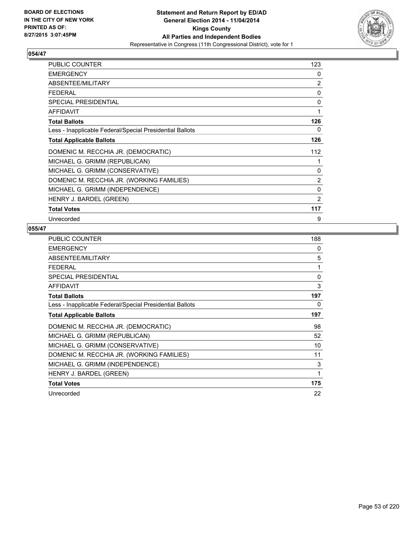

| <b>PUBLIC COUNTER</b>                                    | 123            |
|----------------------------------------------------------|----------------|
| <b>EMERGENCY</b>                                         | 0              |
| ABSENTEE/MILITARY                                        | $\overline{2}$ |
| <b>FEDERAL</b>                                           | 0              |
| <b>SPECIAL PRESIDENTIAL</b>                              | 0              |
| <b>AFFIDAVIT</b>                                         | 1              |
| <b>Total Ballots</b>                                     | 126            |
| Less - Inapplicable Federal/Special Presidential Ballots | 0              |
| <b>Total Applicable Ballots</b>                          | 126            |
| DOMENIC M. RECCHIA JR. (DEMOCRATIC)                      | 112            |
| MICHAEL G. GRIMM (REPUBLICAN)                            | 1              |
| MICHAEL G. GRIMM (CONSERVATIVE)                          | 0              |
| DOMENIC M. RECCHIA JR. (WORKING FAMILIES)                | $\overline{2}$ |
| MICHAEL G. GRIMM (INDEPENDENCE)                          | 0              |
| HENRY J. BARDEL (GREEN)                                  | $\overline{2}$ |
| <b>Total Votes</b>                                       | 117            |
| Unrecorded                                               | 9              |

| <b>PUBLIC COUNTER</b>                                    | 188          |
|----------------------------------------------------------|--------------|
| <b>EMERGENCY</b>                                         | 0            |
| ABSENTEE/MILITARY                                        | 5            |
| <b>FEDERAL</b>                                           | 1            |
| <b>SPECIAL PRESIDENTIAL</b>                              | $\mathbf{0}$ |
| AFFIDAVIT                                                | 3            |
| <b>Total Ballots</b>                                     | 197          |
| Less - Inapplicable Federal/Special Presidential Ballots | 0            |
| <b>Total Applicable Ballots</b>                          | 197          |
| DOMENIC M. RECCHIA JR. (DEMOCRATIC)                      | 98           |
| MICHAEL G. GRIMM (REPUBLICAN)                            | 52           |
| MICHAEL G. GRIMM (CONSERVATIVE)                          | 10           |
| DOMENIC M. RECCHIA JR. (WORKING FAMILIES)                | 11           |
| MICHAEL G. GRIMM (INDEPENDENCE)                          | 3            |
| HENRY J. BARDEL (GREEN)                                  | 1            |
| <b>Total Votes</b>                                       | 175          |
| Unrecorded                                               | 22           |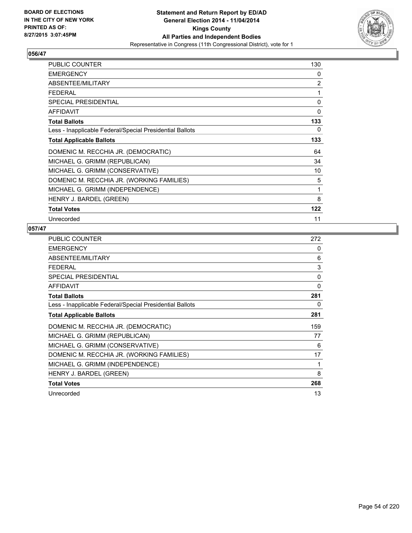

| PUBLIC COUNTER                                           | 130            |
|----------------------------------------------------------|----------------|
| <b>EMERGENCY</b>                                         | 0              |
| ABSENTEE/MILITARY                                        | $\overline{2}$ |
| <b>FEDERAL</b>                                           | 1              |
| <b>SPECIAL PRESIDENTIAL</b>                              | 0              |
| <b>AFFIDAVIT</b>                                         | 0              |
| <b>Total Ballots</b>                                     | 133            |
| Less - Inapplicable Federal/Special Presidential Ballots | 0              |
| <b>Total Applicable Ballots</b>                          | 133            |
| DOMENIC M. RECCHIA JR. (DEMOCRATIC)                      | 64             |
| MICHAEL G. GRIMM (REPUBLICAN)                            | 34             |
| MICHAEL G. GRIMM (CONSERVATIVE)                          | 10             |
| DOMENIC M. RECCHIA JR. (WORKING FAMILIES)                | 5              |
| MICHAEL G. GRIMM (INDEPENDENCE)                          | 1              |
| HENRY J. BARDEL (GREEN)                                  | 8              |
| <b>Total Votes</b>                                       | 122            |
| Unrecorded                                               | 11             |

| <b>PUBLIC COUNTER</b>                                    | 272          |
|----------------------------------------------------------|--------------|
| <b>EMERGENCY</b>                                         | 0            |
| ABSENTEE/MILITARY                                        | 6            |
| FEDERAL                                                  | 3            |
| SPECIAL PRESIDENTIAL                                     | 0            |
| <b>AFFIDAVIT</b>                                         | $\mathbf{0}$ |
| <b>Total Ballots</b>                                     | 281          |
| Less - Inapplicable Federal/Special Presidential Ballots | 0            |
| <b>Total Applicable Ballots</b>                          | 281          |
| DOMENIC M. RECCHIA JR. (DEMOCRATIC)                      | 159          |
| MICHAEL G. GRIMM (REPUBLICAN)                            | 77           |
| MICHAEL G. GRIMM (CONSERVATIVE)                          | 6            |
| DOMENIC M. RECCHIA JR. (WORKING FAMILIES)                | 17           |
| MICHAEL G. GRIMM (INDEPENDENCE)                          | 1            |
| HENRY J. BARDEL (GREEN)                                  | 8            |
| <b>Total Votes</b>                                       | 268          |
| Unrecorded                                               | 13           |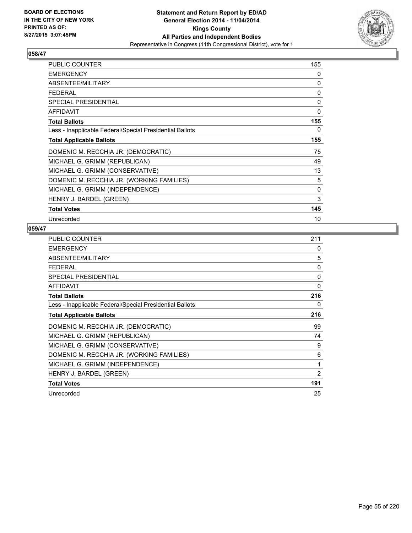

| PUBLIC COUNTER                                           | 155 |
|----------------------------------------------------------|-----|
| <b>EMERGENCY</b>                                         | 0   |
| ABSENTEE/MILITARY                                        | 0   |
| <b>FEDERAL</b>                                           | 0   |
| <b>SPECIAL PRESIDENTIAL</b>                              | 0   |
| <b>AFFIDAVIT</b>                                         | 0   |
| <b>Total Ballots</b>                                     | 155 |
| Less - Inapplicable Federal/Special Presidential Ballots | 0   |
| <b>Total Applicable Ballots</b>                          | 155 |
| DOMENIC M. RECCHIA JR. (DEMOCRATIC)                      | 75  |
| MICHAEL G. GRIMM (REPUBLICAN)                            | 49  |
| MICHAEL G. GRIMM (CONSERVATIVE)                          | 13  |
| DOMENIC M. RECCHIA JR. (WORKING FAMILIES)                | 5   |
| MICHAEL G. GRIMM (INDEPENDENCE)                          | 0   |
| HENRY J. BARDEL (GREEN)                                  | 3   |
| <b>Total Votes</b>                                       | 145 |
| Unrecorded                                               | 10  |

| <b>PUBLIC COUNTER</b>                                    | 211      |
|----------------------------------------------------------|----------|
| <b>EMERGENCY</b>                                         | 0        |
| ABSENTEE/MILITARY                                        | 5        |
| <b>FEDERAL</b>                                           | $\Omega$ |
| <b>SPECIAL PRESIDENTIAL</b>                              | 0        |
| <b>AFFIDAVIT</b>                                         | 0        |
| <b>Total Ballots</b>                                     | 216      |
| Less - Inapplicable Federal/Special Presidential Ballots | 0        |
| <b>Total Applicable Ballots</b>                          | 216      |
| DOMENIC M. RECCHIA JR. (DEMOCRATIC)                      | 99       |
| MICHAEL G. GRIMM (REPUBLICAN)                            | 74       |
| MICHAEL G. GRIMM (CONSERVATIVE)                          | 9        |
| DOMENIC M. RECCHIA JR. (WORKING FAMILIES)                | 6        |
| MICHAEL G. GRIMM (INDEPENDENCE)                          | 1        |
| HENRY J. BARDEL (GREEN)                                  | 2        |
| <b>Total Votes</b>                                       | 191      |
| Unrecorded                                               | 25       |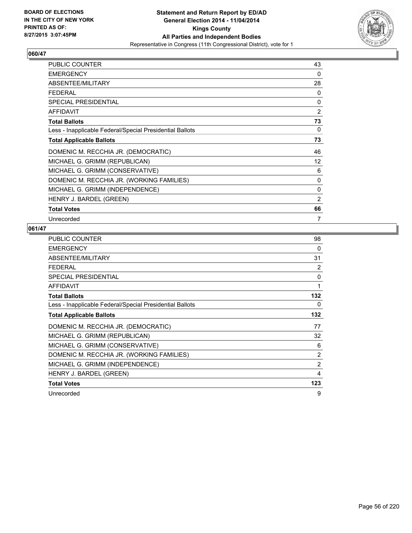

| PUBLIC COUNTER                                           | 43             |
|----------------------------------------------------------|----------------|
| <b>EMERGENCY</b>                                         | 0              |
| ABSENTEE/MILITARY                                        | 28             |
| <b>FEDERAL</b>                                           | 0              |
| <b>SPECIAL PRESIDENTIAL</b>                              | 0              |
| <b>AFFIDAVIT</b>                                         | $\overline{2}$ |
| <b>Total Ballots</b>                                     | 73             |
| Less - Inapplicable Federal/Special Presidential Ballots | 0              |
| <b>Total Applicable Ballots</b>                          | 73             |
| DOMENIC M. RECCHIA JR. (DEMOCRATIC)                      | 46             |
| MICHAEL G. GRIMM (REPUBLICAN)                            | 12             |
| MICHAEL G. GRIMM (CONSERVATIVE)                          | 6              |
| DOMENIC M. RECCHIA JR. (WORKING FAMILIES)                | 0              |
| MICHAEL G. GRIMM (INDEPENDENCE)                          | 0              |
| HENRY J. BARDEL (GREEN)                                  | $\overline{2}$ |
| <b>Total Votes</b>                                       | 66             |
| Unrecorded                                               | 7              |

| <b>PUBLIC COUNTER</b>                                    | 98             |
|----------------------------------------------------------|----------------|
| <b>EMERGENCY</b>                                         | 0              |
| ABSENTEE/MILITARY                                        | 31             |
| <b>FEDERAL</b>                                           | $\overline{2}$ |
| <b>SPECIAL PRESIDENTIAL</b>                              | 0              |
| <b>AFFIDAVIT</b>                                         | 1              |
| <b>Total Ballots</b>                                     | 132            |
| Less - Inapplicable Federal/Special Presidential Ballots | 0              |
| <b>Total Applicable Ballots</b>                          | 132            |
| DOMENIC M. RECCHIA JR. (DEMOCRATIC)                      | 77             |
| MICHAEL G. GRIMM (REPUBLICAN)                            | 32             |
| MICHAEL G. GRIMM (CONSERVATIVE)                          | 6              |
| DOMENIC M. RECCHIA JR. (WORKING FAMILIES)                | 2              |
| MICHAEL G. GRIMM (INDEPENDENCE)                          | $\overline{2}$ |
| HENRY J. BARDEL (GREEN)                                  | 4              |
| <b>Total Votes</b>                                       | 123            |
| Unrecorded                                               | 9              |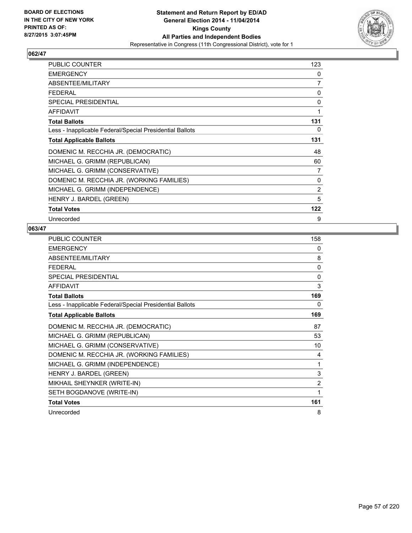

| PUBLIC COUNTER                                           | 123            |
|----------------------------------------------------------|----------------|
| <b>EMERGENCY</b>                                         | 0              |
| ABSENTEE/MILITARY                                        | 7              |
| <b>FEDERAL</b>                                           | 0              |
| <b>SPECIAL PRESIDENTIAL</b>                              | 0              |
| <b>AFFIDAVIT</b>                                         | 1              |
| <b>Total Ballots</b>                                     | 131            |
| Less - Inapplicable Federal/Special Presidential Ballots | 0              |
| <b>Total Applicable Ballots</b>                          | 131            |
| DOMENIC M. RECCHIA JR. (DEMOCRATIC)                      | 48             |
| MICHAEL G. GRIMM (REPUBLICAN)                            | 60             |
| MICHAEL G. GRIMM (CONSERVATIVE)                          | 7              |
| DOMENIC M. RECCHIA JR. (WORKING FAMILIES)                | 0              |
| MICHAEL G. GRIMM (INDEPENDENCE)                          | $\overline{2}$ |
| HENRY J. BARDEL (GREEN)                                  | 5              |
| <b>Total Votes</b>                                       | 122            |
| Unrecorded                                               | 9              |

| <b>PUBLIC COUNTER</b>                                    | 158          |
|----------------------------------------------------------|--------------|
| <b>EMERGENCY</b>                                         | 0            |
| ABSENTEE/MILITARY                                        | 8            |
| <b>FEDERAL</b>                                           | 0            |
| <b>SPECIAL PRESIDENTIAL</b>                              | $\mathbf{0}$ |
| <b>AFFIDAVIT</b>                                         | 3            |
| <b>Total Ballots</b>                                     | 169          |
| Less - Inapplicable Federal/Special Presidential Ballots | 0            |
| <b>Total Applicable Ballots</b>                          | 169          |
| DOMENIC M. RECCHIA JR. (DEMOCRATIC)                      | 87           |
| MICHAEL G. GRIMM (REPUBLICAN)                            | 53           |
| MICHAEL G. GRIMM (CONSERVATIVE)                          | 10           |
| DOMENIC M. RECCHIA JR. (WORKING FAMILIES)                | 4            |
| MICHAEL G. GRIMM (INDEPENDENCE)                          | 1            |
| HENRY J. BARDEL (GREEN)                                  | 3            |
| MIKHAIL SHEYNKER (WRITE-IN)                              | 2            |
| SETH BOGDANOVE (WRITE-IN)                                | 1            |
| <b>Total Votes</b>                                       | 161          |
| Unrecorded                                               | 8            |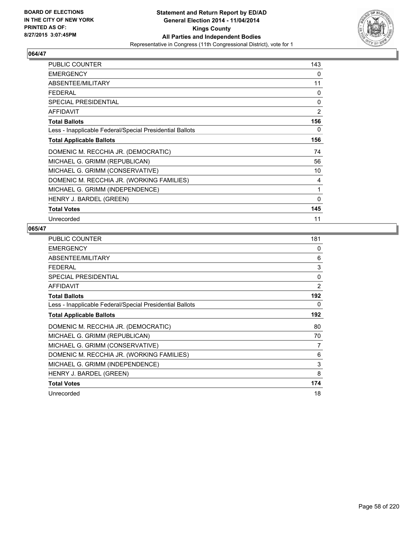

| PUBLIC COUNTER                                           | 143            |
|----------------------------------------------------------|----------------|
| <b>EMERGENCY</b>                                         | 0              |
| ABSENTEE/MILITARY                                        | 11             |
| <b>FEDERAL</b>                                           | 0              |
| <b>SPECIAL PRESIDENTIAL</b>                              | 0              |
| <b>AFFIDAVIT</b>                                         | $\overline{2}$ |
| <b>Total Ballots</b>                                     | 156            |
| Less - Inapplicable Federal/Special Presidential Ballots | 0              |
| <b>Total Applicable Ballots</b>                          | 156            |
| DOMENIC M. RECCHIA JR. (DEMOCRATIC)                      | 74             |
| MICHAEL G. GRIMM (REPUBLICAN)                            | 56             |
| MICHAEL G. GRIMM (CONSERVATIVE)                          | 10             |
| DOMENIC M. RECCHIA JR. (WORKING FAMILIES)                | 4              |
| MICHAEL G. GRIMM (INDEPENDENCE)                          | 1              |
| HENRY J. BARDEL (GREEN)                                  | 0              |
| <b>Total Votes</b>                                       | 145            |
| Unrecorded                                               | 11             |

| <b>PUBLIC COUNTER</b>                                    | 181            |
|----------------------------------------------------------|----------------|
| <b>EMERGENCY</b>                                         | 0              |
| ABSENTEE/MILITARY                                        | 6              |
| <b>FEDERAL</b>                                           | 3              |
| <b>SPECIAL PRESIDENTIAL</b>                              | $\Omega$       |
| <b>AFFIDAVIT</b>                                         | $\overline{2}$ |
| <b>Total Ballots</b>                                     | 192            |
| Less - Inapplicable Federal/Special Presidential Ballots | 0              |
| <b>Total Applicable Ballots</b>                          | 192            |
| DOMENIC M. RECCHIA JR. (DEMOCRATIC)                      | 80             |
| MICHAEL G. GRIMM (REPUBLICAN)                            | 70             |
| MICHAEL G. GRIMM (CONSERVATIVE)                          | 7              |
| DOMENIC M. RECCHIA JR. (WORKING FAMILIES)                | 6              |
| MICHAEL G. GRIMM (INDEPENDENCE)                          | 3              |
| HENRY J. BARDEL (GREEN)                                  | 8              |
| <b>Total Votes</b>                                       | 174            |
| Unrecorded                                               | 18             |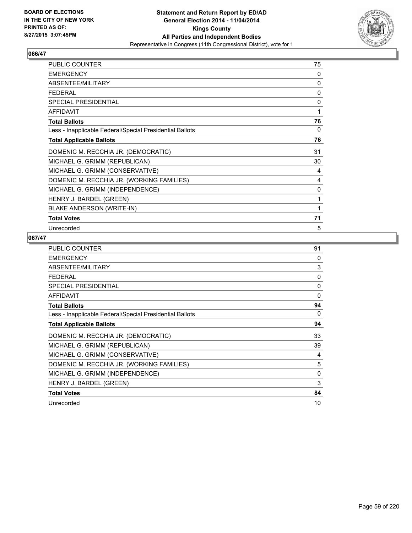

| <b>PUBLIC COUNTER</b>                                    | 75 |
|----------------------------------------------------------|----|
| <b>EMERGENCY</b>                                         | 0  |
| ABSENTEE/MILITARY                                        | 0  |
| FFDFRAI                                                  | 0  |
| SPECIAL PRESIDENTIAL                                     | 0  |
| <b>AFFIDAVIT</b>                                         | 1  |
| <b>Total Ballots</b>                                     | 76 |
| Less - Inapplicable Federal/Special Presidential Ballots | 0  |
| <b>Total Applicable Ballots</b>                          | 76 |
| DOMENIC M. RECCHIA JR. (DEMOCRATIC)                      | 31 |
| MICHAEL G. GRIMM (REPUBLICAN)                            | 30 |
| MICHAEL G. GRIMM (CONSERVATIVE)                          | 4  |
| DOMENIC M. RECCHIA JR. (WORKING FAMILIES)                | 4  |
| MICHAEL G. GRIMM (INDEPENDENCE)                          | 0  |
| HENRY J. BARDEL (GREEN)                                  | 1  |
| <b>BLAKE ANDERSON (WRITE-IN)</b>                         | 1  |
| <b>Total Votes</b>                                       | 71 |
| Unrecorded                                               | 5  |

| <b>PUBLIC COUNTER</b>                                    | 91 |
|----------------------------------------------------------|----|
| <b>EMERGENCY</b>                                         | 0  |
| ABSENTEE/MILITARY                                        | 3  |
| FEDERAL                                                  | 0  |
| <b>SPECIAL PRESIDENTIAL</b>                              | 0  |
| <b>AFFIDAVIT</b>                                         | 0  |
| <b>Total Ballots</b>                                     | 94 |
| Less - Inapplicable Federal/Special Presidential Ballots | 0  |
| <b>Total Applicable Ballots</b>                          | 94 |
| DOMENIC M. RECCHIA JR. (DEMOCRATIC)                      | 33 |
| MICHAEL G. GRIMM (REPUBLICAN)                            | 39 |
| MICHAEL G. GRIMM (CONSERVATIVE)                          | 4  |
| DOMENIC M. RECCHIA JR. (WORKING FAMILIES)                | 5  |
| MICHAEL G. GRIMM (INDEPENDENCE)                          | 0  |
| HENRY J. BARDEL (GREEN)                                  | 3  |
| <b>Total Votes</b>                                       | 84 |
| Unrecorded                                               | 10 |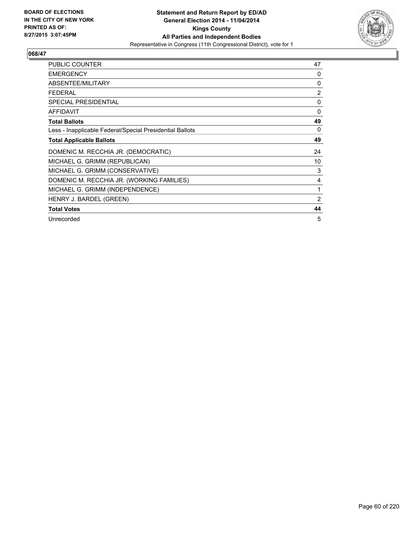

| <b>PUBLIC COUNTER</b>                                    | 47       |
|----------------------------------------------------------|----------|
| <b>EMERGENCY</b>                                         | $\Omega$ |
| ABSENTEE/MILITARY                                        | 0        |
| <b>FEDERAL</b>                                           | 2        |
| <b>SPECIAL PRESIDENTIAL</b>                              | 0        |
| <b>AFFIDAVIT</b>                                         | 0        |
| <b>Total Ballots</b>                                     | 49       |
| Less - Inapplicable Federal/Special Presidential Ballots | 0        |
| <b>Total Applicable Ballots</b>                          | 49       |
| DOMENIC M. RECCHIA JR. (DEMOCRATIC)                      | 24       |
| MICHAEL G. GRIMM (REPUBLICAN)                            | 10       |
| MICHAEL G. GRIMM (CONSERVATIVE)                          | 3        |
| DOMENIC M. RECCHIA JR. (WORKING FAMILIES)                | 4        |
| MICHAEL G. GRIMM (INDEPENDENCE)                          | 1        |
| HENRY J. BARDEL (GREEN)                                  | 2        |
| <b>Total Votes</b>                                       | 44       |
| Unrecorded                                               | 5        |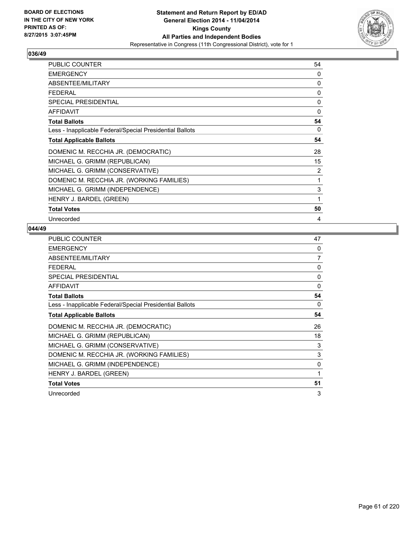

| PUBLIC COUNTER                                           | 54 |
|----------------------------------------------------------|----|
| <b>EMERGENCY</b>                                         | 0  |
| ABSENTEE/MILITARY                                        | 0  |
| <b>FEDERAL</b>                                           | 0  |
| <b>SPECIAL PRESIDENTIAL</b>                              | 0  |
| <b>AFFIDAVIT</b>                                         | 0  |
| <b>Total Ballots</b>                                     | 54 |
| Less - Inapplicable Federal/Special Presidential Ballots | 0  |
| <b>Total Applicable Ballots</b>                          | 54 |
| DOMENIC M. RECCHIA JR. (DEMOCRATIC)                      | 28 |
| MICHAEL G. GRIMM (REPUBLICAN)                            | 15 |
| MICHAEL G. GRIMM (CONSERVATIVE)                          | 2  |
| DOMENIC M. RECCHIA JR. (WORKING FAMILIES)                | 1  |
| MICHAEL G. GRIMM (INDEPENDENCE)                          | 3  |
| HENRY J. BARDEL (GREEN)                                  | 1  |
| <b>Total Votes</b>                                       | 50 |
| Unrecorded                                               | 4  |

| PUBLIC COUNTER                                           | 47             |
|----------------------------------------------------------|----------------|
| <b>EMERGENCY</b>                                         | $\Omega$       |
| ABSENTEE/MILITARY                                        | $\overline{7}$ |
| <b>FEDERAL</b>                                           | 0              |
| <b>SPECIAL PRESIDENTIAL</b>                              | $\mathbf{0}$   |
| <b>AFFIDAVIT</b>                                         | $\Omega$       |
| <b>Total Ballots</b>                                     | 54             |
| Less - Inapplicable Federal/Special Presidential Ballots | 0              |
| <b>Total Applicable Ballots</b>                          | 54             |
| DOMENIC M. RECCHIA JR. (DEMOCRATIC)                      | 26             |
| MICHAEL G. GRIMM (REPUBLICAN)                            | 18             |
| MICHAEL G. GRIMM (CONSERVATIVE)                          | 3              |
| DOMENIC M. RECCHIA JR. (WORKING FAMILIES)                | 3              |
| MICHAEL G. GRIMM (INDEPENDENCE)                          | 0              |
| HENRY J. BARDEL (GREEN)                                  | 1              |
| <b>Total Votes</b>                                       | 51             |
| Unrecorded                                               | 3              |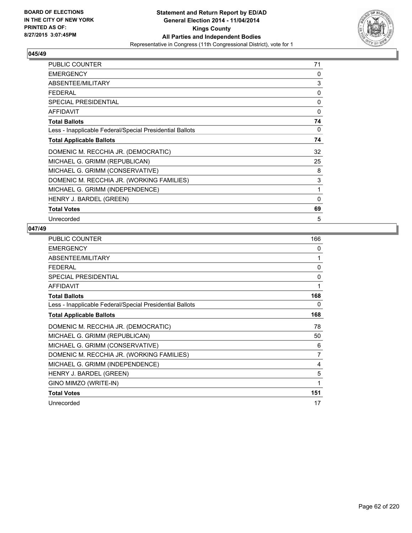

| <b>PUBLIC COUNTER</b>                                    | 71 |
|----------------------------------------------------------|----|
| <b>EMERGENCY</b>                                         | 0  |
| ABSENTEE/MILITARY                                        | 3  |
| <b>FEDERAL</b>                                           | 0  |
| <b>SPECIAL PRESIDENTIAL</b>                              | 0  |
| AFFIDAVIT                                                | 0  |
| <b>Total Ballots</b>                                     | 74 |
| Less - Inapplicable Federal/Special Presidential Ballots | 0  |
| <b>Total Applicable Ballots</b>                          | 74 |
| DOMENIC M. RECCHIA JR. (DEMOCRATIC)                      | 32 |
| MICHAEL G. GRIMM (REPUBLICAN)                            | 25 |
| MICHAEL G. GRIMM (CONSERVATIVE)                          | 8  |
| DOMENIC M. RECCHIA JR. (WORKING FAMILIES)                | 3  |
| MICHAEL G. GRIMM (INDEPENDENCE)                          | 1  |
| HENRY J. BARDEL (GREEN)                                  | 0  |
| <b>Total Votes</b>                                       | 69 |
| Unrecorded                                               | 5  |

| PUBLIC COUNTER                                           | 166            |
|----------------------------------------------------------|----------------|
| <b>EMERGENCY</b>                                         | 0              |
| ABSENTEE/MILITARY                                        | 1              |
| <b>FEDERAL</b>                                           | $\mathbf{0}$   |
| SPECIAL PRESIDENTIAL                                     | 0              |
| <b>AFFIDAVIT</b>                                         | 1              |
| <b>Total Ballots</b>                                     | 168            |
| Less - Inapplicable Federal/Special Presidential Ballots | 0              |
| <b>Total Applicable Ballots</b>                          | 168            |
| DOMENIC M. RECCHIA JR. (DEMOCRATIC)                      | 78             |
| MICHAEL G. GRIMM (REPUBLICAN)                            | 50             |
| MICHAEL G. GRIMM (CONSERVATIVE)                          | 6              |
| DOMENIC M. RECCHIA JR. (WORKING FAMILIES)                | $\overline{7}$ |
| MICHAEL G. GRIMM (INDEPENDENCE)                          | 4              |
| HENRY J. BARDEL (GREEN)                                  | 5              |
| GINO MIMZO (WRITE-IN)                                    | 1              |
| <b>Total Votes</b>                                       | 151            |
| Unrecorded                                               | 17             |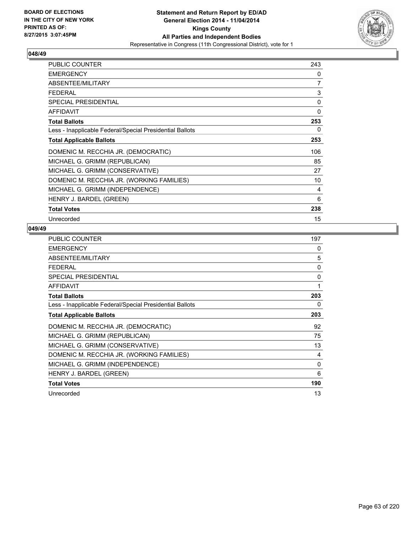

| PUBLIC COUNTER                                           | 243 |
|----------------------------------------------------------|-----|
| <b>EMERGENCY</b>                                         | 0   |
| ABSENTEE/MILITARY                                        | 7   |
| <b>FEDERAL</b>                                           | 3   |
| <b>SPECIAL PRESIDENTIAL</b>                              | 0   |
| <b>AFFIDAVIT</b>                                         | 0   |
| <b>Total Ballots</b>                                     | 253 |
| Less - Inapplicable Federal/Special Presidential Ballots | 0   |
| <b>Total Applicable Ballots</b>                          | 253 |
| DOMENIC M. RECCHIA JR. (DEMOCRATIC)                      | 106 |
| MICHAEL G. GRIMM (REPUBLICAN)                            | 85  |
| MICHAEL G. GRIMM (CONSERVATIVE)                          | 27  |
| DOMENIC M. RECCHIA JR. (WORKING FAMILIES)                | 10  |
| MICHAEL G. GRIMM (INDEPENDENCE)                          | 4   |
| HENRY J. BARDEL (GREEN)                                  | 6   |
| <b>Total Votes</b>                                       | 238 |
| Unrecorded                                               | 15  |

| <b>PUBLIC COUNTER</b>                                    | 197      |
|----------------------------------------------------------|----------|
| <b>EMERGENCY</b>                                         | 0        |
| ABSENTEE/MILITARY                                        | 5        |
| <b>FEDERAL</b>                                           | $\Omega$ |
| <b>SPECIAL PRESIDENTIAL</b>                              | 0        |
| AFFIDAVIT                                                | 1        |
| <b>Total Ballots</b>                                     | 203      |
| Less - Inapplicable Federal/Special Presidential Ballots | 0        |
| <b>Total Applicable Ballots</b>                          | 203      |
| DOMENIC M. RECCHIA JR. (DEMOCRATIC)                      | 92       |
| MICHAEL G. GRIMM (REPUBLICAN)                            | 75       |
| MICHAEL G. GRIMM (CONSERVATIVE)                          | 13       |
| DOMENIC M. RECCHIA JR. (WORKING FAMILIES)                | 4        |
| MICHAEL G. GRIMM (INDEPENDENCE)                          | $\Omega$ |
| HENRY J. BARDEL (GREEN)                                  | 6        |
| <b>Total Votes</b>                                       | 190      |
| Unrecorded                                               | 13       |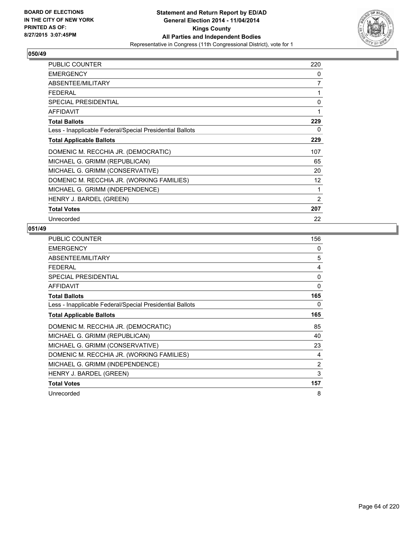

| PUBLIC COUNTER                                           | 220            |
|----------------------------------------------------------|----------------|
| <b>EMERGENCY</b>                                         | 0              |
| ABSENTEE/MILITARY                                        | 7              |
| <b>FEDERAL</b>                                           | 1              |
| <b>SPECIAL PRESIDENTIAL</b>                              | 0              |
| <b>AFFIDAVIT</b>                                         | 1              |
| <b>Total Ballots</b>                                     | 229            |
| Less - Inapplicable Federal/Special Presidential Ballots | 0              |
| <b>Total Applicable Ballots</b>                          | 229            |
| DOMENIC M. RECCHIA JR. (DEMOCRATIC)                      | 107            |
| MICHAEL G. GRIMM (REPUBLICAN)                            | 65             |
| MICHAEL G. GRIMM (CONSERVATIVE)                          | 20             |
| DOMENIC M. RECCHIA JR. (WORKING FAMILIES)                | 12             |
| MICHAEL G. GRIMM (INDEPENDENCE)                          | 1              |
| HENRY J. BARDEL (GREEN)                                  | $\overline{2}$ |
| <b>Total Votes</b>                                       | 207            |
| Unrecorded                                               | 22             |

| <b>PUBLIC COUNTER</b>                                    | 156            |
|----------------------------------------------------------|----------------|
| <b>EMERGENCY</b>                                         | 0              |
| ABSENTEE/MILITARY                                        | 5              |
| <b>FEDERAL</b>                                           | 4              |
| <b>SPECIAL PRESIDENTIAL</b>                              | 0              |
| <b>AFFIDAVIT</b>                                         | 0              |
| <b>Total Ballots</b>                                     | 165            |
| Less - Inapplicable Federal/Special Presidential Ballots | 0              |
| <b>Total Applicable Ballots</b>                          | 165            |
| DOMENIC M. RECCHIA JR. (DEMOCRATIC)                      | 85             |
| MICHAEL G. GRIMM (REPUBLICAN)                            | 40             |
| MICHAEL G. GRIMM (CONSERVATIVE)                          | 23             |
| DOMENIC M. RECCHIA JR. (WORKING FAMILIES)                | 4              |
| MICHAEL G. GRIMM (INDEPENDENCE)                          | $\overline{2}$ |
| HENRY J. BARDEL (GREEN)                                  | 3              |
| <b>Total Votes</b>                                       | 157            |
| Unrecorded                                               | 8              |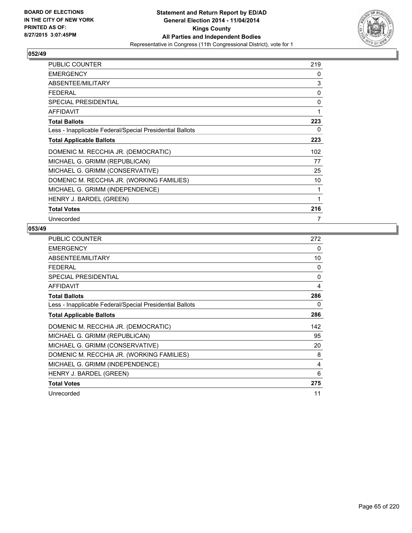

| <b>PUBLIC COUNTER</b>                                    | 219          |
|----------------------------------------------------------|--------------|
| <b>EMERGENCY</b>                                         | 0            |
| ABSENTEE/MILITARY                                        | 3            |
| <b>FEDERAL</b>                                           | $\mathbf{0}$ |
| <b>SPECIAL PRESIDENTIAL</b>                              | $\mathbf{0}$ |
| <b>AFFIDAVIT</b>                                         |              |
| <b>Total Ballots</b>                                     | 223          |
| Less - Inapplicable Federal/Special Presidential Ballots | 0            |
| <b>Total Applicable Ballots</b>                          | 223          |
| DOMENIC M. RECCHIA JR. (DEMOCRATIC)                      | 102          |
| MICHAEL G. GRIMM (REPUBLICAN)                            | 77           |
| MICHAEL G. GRIMM (CONSERVATIVE)                          | 25           |
| DOMENIC M. RECCHIA JR. (WORKING FAMILIES)                | 10           |
| MICHAEL G. GRIMM (INDEPENDENCE)                          | 1            |
| HENRY J. BARDEL (GREEN)                                  |              |
| <b>Total Votes</b>                                       | 216          |
| Unrecorded                                               | 7            |

| <b>PUBLIC COUNTER</b>                                    | 272 |
|----------------------------------------------------------|-----|
| <b>EMERGENCY</b>                                         | 0   |
| ABSENTEE/MILITARY                                        | 10  |
| FEDERAL                                                  | 0   |
| SPECIAL PRESIDENTIAL                                     | 0   |
| <b>AFFIDAVIT</b>                                         | 4   |
| <b>Total Ballots</b>                                     | 286 |
| Less - Inapplicable Federal/Special Presidential Ballots | 0   |
| <b>Total Applicable Ballots</b>                          | 286 |
| DOMENIC M. RECCHIA JR. (DEMOCRATIC)                      | 142 |
| MICHAEL G. GRIMM (REPUBLICAN)                            | 95  |
| MICHAEL G. GRIMM (CONSERVATIVE)                          | 20  |
| DOMENIC M. RECCHIA JR. (WORKING FAMILIES)                | 8   |
| MICHAEL G. GRIMM (INDEPENDENCE)                          | 4   |
| HENRY J. BARDEL (GREEN)                                  | 6   |
| <b>Total Votes</b>                                       | 275 |
| Unrecorded                                               | 11  |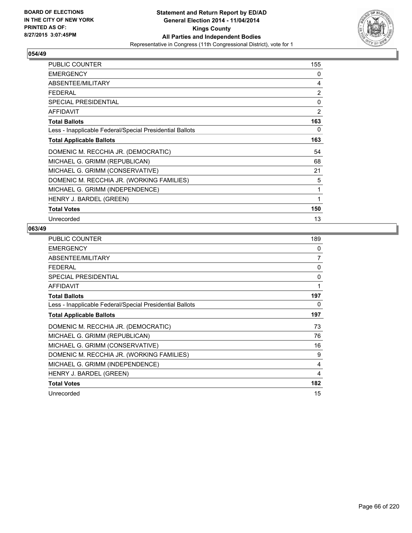

| PUBLIC COUNTER                                           | 155            |
|----------------------------------------------------------|----------------|
| <b>EMERGENCY</b>                                         | 0              |
| ABSENTEE/MILITARY                                        | 4              |
| <b>FEDERAL</b>                                           | $\overline{2}$ |
| <b>SPECIAL PRESIDENTIAL</b>                              | 0              |
| <b>AFFIDAVIT</b>                                         | $\overline{2}$ |
| <b>Total Ballots</b>                                     | 163            |
| Less - Inapplicable Federal/Special Presidential Ballots | 0              |
| <b>Total Applicable Ballots</b>                          | 163            |
| DOMENIC M. RECCHIA JR. (DEMOCRATIC)                      | 54             |
| MICHAEL G. GRIMM (REPUBLICAN)                            | 68             |
| MICHAEL G. GRIMM (CONSERVATIVE)                          | 21             |
| DOMENIC M. RECCHIA JR. (WORKING FAMILIES)                | 5              |
| MICHAEL G. GRIMM (INDEPENDENCE)                          | 1              |
| HENRY J. BARDEL (GREEN)                                  | 1              |
| <b>Total Votes</b>                                       | 150            |
| Unrecorded                                               | 13             |

| <b>PUBLIC COUNTER</b>                                    | 189          |
|----------------------------------------------------------|--------------|
| <b>EMERGENCY</b>                                         | 0            |
| ABSENTEE/MILITARY                                        | 7            |
| <b>FEDERAL</b>                                           | $\mathbf{0}$ |
| <b>SPECIAL PRESIDENTIAL</b>                              | 0            |
| AFFIDAVIT                                                | 1            |
| <b>Total Ballots</b>                                     | 197          |
| Less - Inapplicable Federal/Special Presidential Ballots | 0            |
| <b>Total Applicable Ballots</b>                          | 197          |
| DOMENIC M. RECCHIA JR. (DEMOCRATIC)                      | 73           |
| MICHAEL G. GRIMM (REPUBLICAN)                            | 76           |
| MICHAEL G. GRIMM (CONSERVATIVE)                          | 16           |
| DOMENIC M. RECCHIA JR. (WORKING FAMILIES)                | 9            |
| MICHAEL G. GRIMM (INDEPENDENCE)                          | 4            |
| HENRY J. BARDEL (GREEN)                                  | 4            |
| <b>Total Votes</b>                                       | 182          |
| Unrecorded                                               | 15           |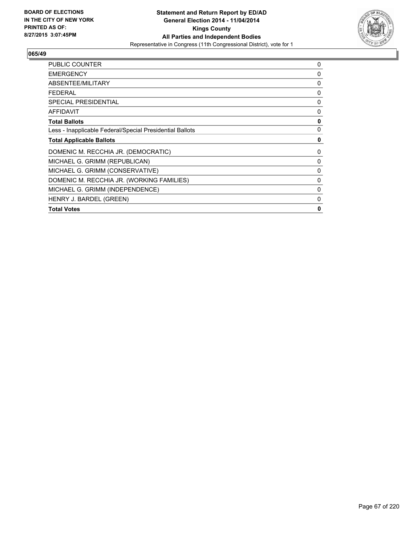

| <b>PUBLIC COUNTER</b>                                    | 0            |
|----------------------------------------------------------|--------------|
| <b>EMERGENCY</b>                                         | 0            |
| ABSENTEE/MILITARY                                        | 0            |
| <b>FEDERAL</b>                                           | 0            |
| <b>SPECIAL PRESIDENTIAL</b>                              | 0            |
| <b>AFFIDAVIT</b>                                         | 0            |
| <b>Total Ballots</b>                                     | $\mathbf{0}$ |
| Less - Inapplicable Federal/Special Presidential Ballots | $\mathbf{0}$ |
| <b>Total Applicable Ballots</b>                          | 0            |
| DOMENIC M. RECCHIA JR. (DEMOCRATIC)                      | 0            |
| MICHAEL G. GRIMM (REPUBLICAN)                            | 0            |
| MICHAEL G. GRIMM (CONSERVATIVE)                          | 0            |
| DOMENIC M. RECCHIA JR. (WORKING FAMILIES)                | 0            |
| MICHAEL G. GRIMM (INDEPENDENCE)                          | 0            |
| HENRY J. BARDEL (GREEN)                                  | 0            |
| <b>Total Votes</b>                                       | $\mathbf{0}$ |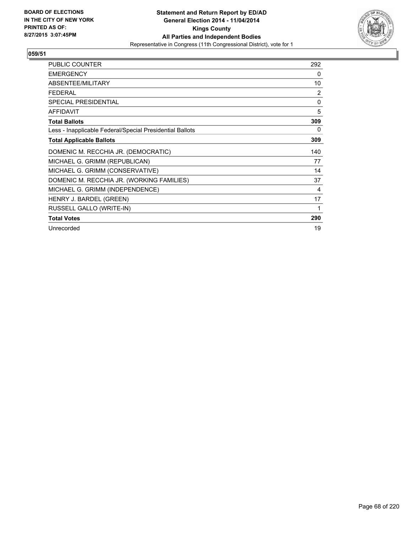

| <b>PUBLIC COUNTER</b>                                    | 292 |
|----------------------------------------------------------|-----|
| <b>EMERGENCY</b>                                         | 0   |
| ABSENTEE/MILITARY                                        | 10  |
| <b>FEDERAL</b>                                           | 2   |
| <b>SPECIAL PRESIDENTIAL</b>                              | 0   |
| <b>AFFIDAVIT</b>                                         | 5   |
| <b>Total Ballots</b>                                     | 309 |
| Less - Inapplicable Federal/Special Presidential Ballots | 0   |
| <b>Total Applicable Ballots</b>                          | 309 |
| DOMENIC M. RECCHIA JR. (DEMOCRATIC)                      | 140 |
| MICHAEL G. GRIMM (REPUBLICAN)                            | 77  |
| MICHAEL G. GRIMM (CONSERVATIVE)                          | 14  |
| DOMENIC M. RECCHIA JR. (WORKING FAMILIES)                | 37  |
| MICHAEL G. GRIMM (INDEPENDENCE)                          | 4   |
| HENRY J. BARDEL (GREEN)                                  | 17  |
| RUSSELL GALLO (WRITE-IN)                                 | 1   |
| <b>Total Votes</b>                                       | 290 |
| Unrecorded                                               | 19  |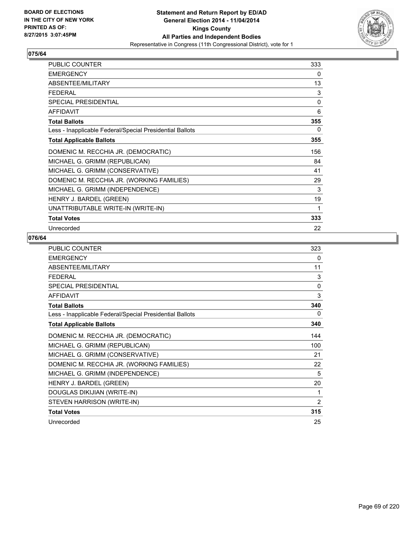

| <b>PUBLIC COUNTER</b>                                    | 333 |
|----------------------------------------------------------|-----|
| <b>EMERGENCY</b>                                         | 0   |
| ABSENTEE/MILITARY                                        | 13  |
| <b>FEDERAL</b>                                           | 3   |
| SPECIAL PRESIDENTIAL                                     | 0   |
| <b>AFFIDAVIT</b>                                         | 6   |
| <b>Total Ballots</b>                                     | 355 |
| Less - Inapplicable Federal/Special Presidential Ballots | 0   |
| <b>Total Applicable Ballots</b>                          | 355 |
| DOMENIC M. RECCHIA JR. (DEMOCRATIC)                      | 156 |
| MICHAEL G. GRIMM (REPUBLICAN)                            | 84  |
| MICHAEL G. GRIMM (CONSERVATIVE)                          | 41  |
| DOMENIC M. RECCHIA JR. (WORKING FAMILIES)                | 29  |
| MICHAEL G. GRIMM (INDEPENDENCE)                          | 3   |
| HENRY J. BARDEL (GREEN)                                  | 19  |
| UNATTRIBUTABLE WRITE-IN (WRITE-IN)                       | 1   |
| <b>Total Votes</b>                                       | 333 |
| Unrecorded                                               | 22  |

| <b>PUBLIC COUNTER</b>                                    | 323      |
|----------------------------------------------------------|----------|
| <b>EMERGENCY</b>                                         | 0        |
| ABSENTEE/MILITARY                                        | 11       |
| <b>FEDERAL</b>                                           | 3        |
| <b>SPECIAL PRESIDENTIAL</b>                              | $\Omega$ |
| <b>AFFIDAVIT</b>                                         | 3        |
| <b>Total Ballots</b>                                     | 340      |
| Less - Inapplicable Federal/Special Presidential Ballots | 0        |
| <b>Total Applicable Ballots</b>                          | 340      |
| DOMENIC M. RECCHIA JR. (DEMOCRATIC)                      | 144      |
| MICHAEL G. GRIMM (REPUBLICAN)                            | 100      |
| MICHAEL G. GRIMM (CONSERVATIVE)                          | 21       |
| DOMENIC M. RECCHIA JR. (WORKING FAMILIES)                | 22       |
| MICHAEL G. GRIMM (INDEPENDENCE)                          | 5        |
| HENRY J. BARDEL (GREEN)                                  | 20       |
| DOUGLAS DIKIJIAN (WRITE-IN)                              | 1        |
| STEVEN HARRISON (WRITE-IN)                               | 2        |
| <b>Total Votes</b>                                       | 315      |
| Unrecorded                                               | 25       |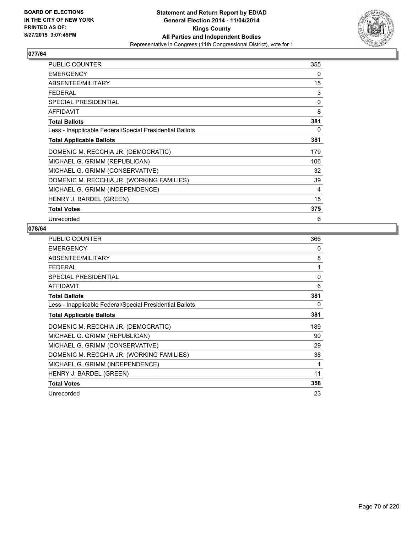

| <b>PUBLIC COUNTER</b>                                    | 355 |
|----------------------------------------------------------|-----|
| <b>EMERGENCY</b>                                         | 0   |
| ABSENTEE/MILITARY                                        | 15  |
| <b>FEDERAL</b>                                           | 3   |
| <b>SPECIAL PRESIDENTIAL</b>                              | 0   |
| <b>AFFIDAVIT</b>                                         | 8   |
| <b>Total Ballots</b>                                     | 381 |
| Less - Inapplicable Federal/Special Presidential Ballots | 0   |
| <b>Total Applicable Ballots</b>                          | 381 |
| DOMENIC M. RECCHIA JR. (DEMOCRATIC)                      | 179 |
| MICHAEL G. GRIMM (REPUBLICAN)                            | 106 |
| MICHAEL G. GRIMM (CONSERVATIVE)                          | 32  |
| DOMENIC M. RECCHIA JR. (WORKING FAMILIES)                | 39  |
| MICHAEL G. GRIMM (INDEPENDENCE)                          | 4   |
| HENRY J. BARDEL (GREEN)                                  | 15  |
| Total Votes                                              | 375 |
| Unrecorded                                               | 6   |

| <b>PUBLIC COUNTER</b>                                    | 366 |
|----------------------------------------------------------|-----|
| <b>EMERGENCY</b>                                         | 0   |
| ABSENTEE/MILITARY                                        | 8   |
| <b>FEDERAL</b>                                           | 1   |
| <b>SPECIAL PRESIDENTIAL</b>                              | 0   |
| AFFIDAVIT                                                | 6   |
| <b>Total Ballots</b>                                     | 381 |
| Less - Inapplicable Federal/Special Presidential Ballots | 0   |
| <b>Total Applicable Ballots</b>                          | 381 |
| DOMENIC M. RECCHIA JR. (DEMOCRATIC)                      | 189 |
| MICHAEL G. GRIMM (REPUBLICAN)                            | 90  |
| MICHAEL G. GRIMM (CONSERVATIVE)                          | 29  |
| DOMENIC M. RECCHIA JR. (WORKING FAMILIES)                | 38  |
| MICHAEL G. GRIMM (INDEPENDENCE)                          | 1   |
| HENRY J. BARDEL (GREEN)                                  | 11  |
| <b>Total Votes</b>                                       | 358 |
| Unrecorded                                               | 23  |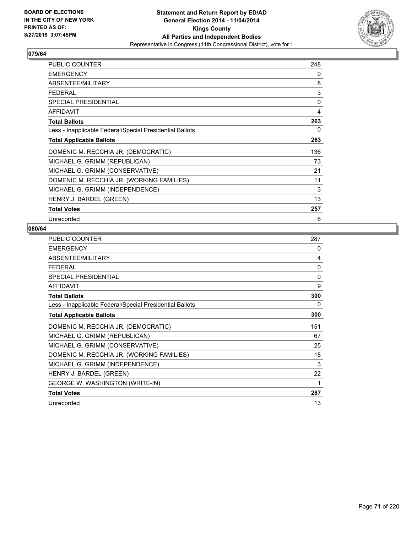

| <b>PUBLIC COUNTER</b>                                    | 248 |
|----------------------------------------------------------|-----|
| <b>EMERGENCY</b>                                         | 0   |
| ABSENTEE/MILITARY                                        | 8   |
| <b>FEDERAL</b>                                           | 3   |
| <b>SPECIAL PRESIDENTIAL</b>                              | 0   |
| <b>AFFIDAVIT</b>                                         | 4   |
| <b>Total Ballots</b>                                     | 263 |
| Less - Inapplicable Federal/Special Presidential Ballots | 0   |
| <b>Total Applicable Ballots</b>                          | 263 |
| DOMENIC M. RECCHIA JR. (DEMOCRATIC)                      | 136 |
| MICHAEL G. GRIMM (REPUBLICAN)                            | 73  |
| MICHAEL G. GRIMM (CONSERVATIVE)                          | 21  |
| DOMENIC M. RECCHIA JR. (WORKING FAMILIES)                | 11  |
| MICHAEL G. GRIMM (INDEPENDENCE)                          | 3   |
| HENRY J. BARDEL (GREEN)                                  | 13  |
| <b>Total Votes</b>                                       | 257 |
| Unrecorded                                               | 6   |

| <b>PUBLIC COUNTER</b>                                    | 287          |
|----------------------------------------------------------|--------------|
| <b>EMERGENCY</b>                                         | 0            |
| <b>ABSENTEE/MILITARY</b>                                 | 4            |
| <b>FEDERAL</b>                                           | $\mathbf{0}$ |
| SPECIAL PRESIDENTIAL                                     | $\mathbf{0}$ |
| <b>AFFIDAVIT</b>                                         | 9            |
| <b>Total Ballots</b>                                     | 300          |
| Less - Inapplicable Federal/Special Presidential Ballots | 0            |
| <b>Total Applicable Ballots</b>                          | 300          |
| DOMENIC M. RECCHIA JR. (DEMOCRATIC)                      | 151          |
| MICHAEL G. GRIMM (REPUBLICAN)                            | 67           |
| MICHAEL G. GRIMM (CONSERVATIVE)                          | 25           |
| DOMENIC M. RECCHIA JR. (WORKING FAMILIES)                | 18           |
| MICHAEL G. GRIMM (INDEPENDENCE)                          | 3            |
| HENRY J. BARDEL (GREEN)                                  | 22           |
| GEORGE W. WASHINGTON (WRITE-IN)                          | 1            |
| <b>Total Votes</b>                                       | 287          |
| Unrecorded                                               | 13           |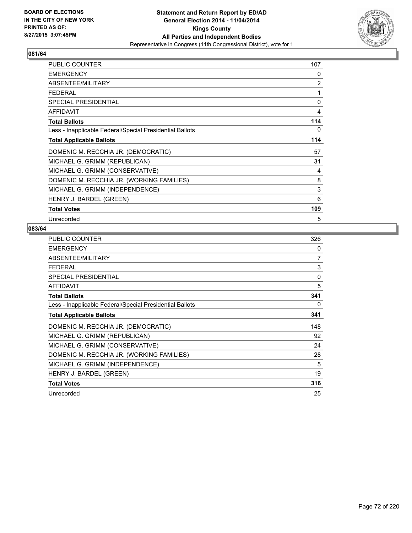

| <b>PUBLIC COUNTER</b>                                    | 107 |
|----------------------------------------------------------|-----|
| <b>EMERGENCY</b>                                         | 0   |
| ABSENTEE/MILITARY                                        | 2   |
| <b>FEDERAL</b>                                           | 1   |
| <b>SPECIAL PRESIDENTIAL</b>                              | 0   |
| <b>AFFIDAVIT</b>                                         | 4   |
| <b>Total Ballots</b>                                     | 114 |
| Less - Inapplicable Federal/Special Presidential Ballots | 0   |
| <b>Total Applicable Ballots</b>                          | 114 |
| DOMENIC M. RECCHIA JR. (DEMOCRATIC)                      | 57  |
| MICHAEL G. GRIMM (REPUBLICAN)                            | 31  |
| MICHAEL G. GRIMM (CONSERVATIVE)                          | 4   |
| DOMENIC M. RECCHIA JR. (WORKING FAMILIES)                | 8   |
| MICHAEL G. GRIMM (INDEPENDENCE)                          | 3   |
| HENRY J. BARDEL (GREEN)                                  | 6   |
| <b>Total Votes</b>                                       | 109 |
| Unrecorded                                               | 5   |

| <b>PUBLIC COUNTER</b>                                    | 326      |
|----------------------------------------------------------|----------|
| <b>EMERGENCY</b>                                         | 0        |
| ABSENTEE/MILITARY                                        | 7        |
| <b>FEDERAL</b>                                           | 3        |
| <b>SPECIAL PRESIDENTIAL</b>                              | $\Omega$ |
| AFFIDAVIT                                                | 5        |
| <b>Total Ballots</b>                                     | 341      |
| Less - Inapplicable Federal/Special Presidential Ballots | 0        |
| <b>Total Applicable Ballots</b>                          | 341      |
| DOMENIC M. RECCHIA JR. (DEMOCRATIC)                      | 148      |
| MICHAEL G. GRIMM (REPUBLICAN)                            | 92       |
| MICHAEL G. GRIMM (CONSERVATIVE)                          | 24       |
| DOMENIC M. RECCHIA JR. (WORKING FAMILIES)                | 28       |
| MICHAEL G. GRIMM (INDEPENDENCE)                          | 5        |
| HENRY J. BARDEL (GREEN)                                  | 19       |
| <b>Total Votes</b>                                       | 316      |
| Unrecorded                                               | 25       |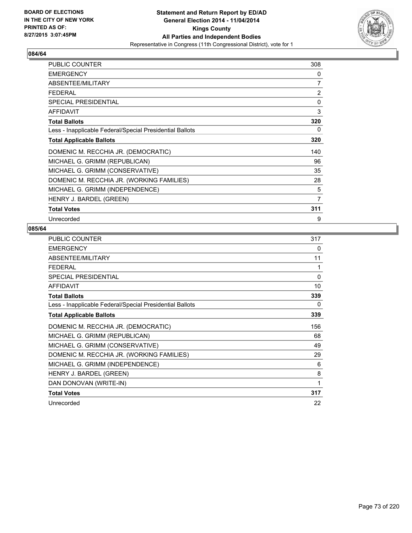

| <b>PUBLIC COUNTER</b>                                    | 308            |
|----------------------------------------------------------|----------------|
| <b>EMERGENCY</b>                                         | 0              |
| ABSENTEE/MILITARY                                        | $\overline{7}$ |
| <b>FEDERAL</b>                                           | 2              |
| <b>SPECIAL PRESIDENTIAL</b>                              | 0              |
| <b>AFFIDAVIT</b>                                         | 3              |
| <b>Total Ballots</b>                                     | 320            |
| Less - Inapplicable Federal/Special Presidential Ballots | 0              |
| <b>Total Applicable Ballots</b>                          | 320            |
| DOMENIC M. RECCHIA JR. (DEMOCRATIC)                      | 140            |
| MICHAEL G. GRIMM (REPUBLICAN)                            | 96             |
| MICHAEL G. GRIMM (CONSERVATIVE)                          | 35             |
| DOMENIC M. RECCHIA JR. (WORKING FAMILIES)                | 28             |
| MICHAEL G. GRIMM (INDEPENDENCE)                          | 5              |
| HENRY J. BARDEL (GREEN)                                  | 7              |
| <b>Total Votes</b>                                       | 311            |
| Unrecorded                                               | 9              |

| <b>PUBLIC COUNTER</b>                                    | 317 |
|----------------------------------------------------------|-----|
| <b>EMERGENCY</b>                                         | 0   |
| ABSENTEE/MILITARY                                        | 11  |
| <b>FEDERAL</b>                                           | 1   |
| SPECIAL PRESIDENTIAL                                     | 0   |
| <b>AFFIDAVIT</b>                                         | 10  |
| <b>Total Ballots</b>                                     | 339 |
| Less - Inapplicable Federal/Special Presidential Ballots | 0   |
| <b>Total Applicable Ballots</b>                          | 339 |
| DOMENIC M. RECCHIA JR. (DEMOCRATIC)                      | 156 |
| MICHAEL G. GRIMM (REPUBLICAN)                            | 68  |
| MICHAEL G. GRIMM (CONSERVATIVE)                          | 49  |
| DOMENIC M. RECCHIA JR. (WORKING FAMILIES)                | 29  |
| MICHAEL G. GRIMM (INDEPENDENCE)                          | 6   |
| HENRY J. BARDEL (GREEN)                                  | 8   |
| DAN DONOVAN (WRITE-IN)                                   | 1   |
| <b>Total Votes</b>                                       | 317 |
| Unrecorded                                               | 22  |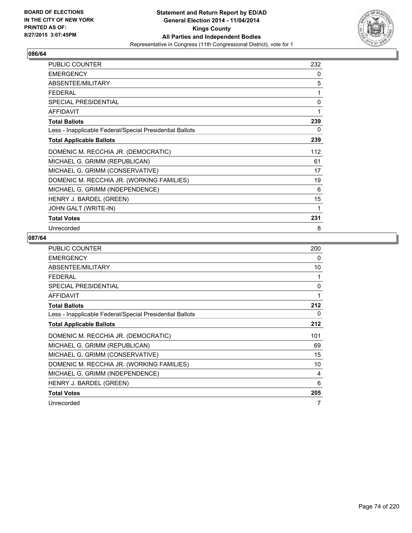

| <b>PUBLIC COUNTER</b>                                    | 232 |
|----------------------------------------------------------|-----|
| <b>EMERGENCY</b>                                         | 0   |
| ABSENTEE/MILITARY                                        | 5   |
| <b>FEDERAL</b>                                           | 1   |
| SPECIAL PRESIDENTIAL                                     | 0   |
| <b>AFFIDAVIT</b>                                         | 1   |
| <b>Total Ballots</b>                                     | 239 |
| Less - Inapplicable Federal/Special Presidential Ballots | 0   |
| <b>Total Applicable Ballots</b>                          | 239 |
| DOMENIC M. RECCHIA JR. (DEMOCRATIC)                      | 112 |
| MICHAEL G. GRIMM (REPUBLICAN)                            | 61  |
| MICHAEL G. GRIMM (CONSERVATIVE)                          | 17  |
| DOMENIC M. RECCHIA JR. (WORKING FAMILIES)                | 19  |
| MICHAEL G. GRIMM (INDEPENDENCE)                          | 6   |
| HENRY J. BARDEL (GREEN)                                  | 15  |
| JOHN GALT (WRITE-IN)                                     | 1   |
| <b>Total Votes</b>                                       | 231 |
| Unrecorded                                               | 8   |

| <b>PUBLIC COUNTER</b>                                    | 200 |
|----------------------------------------------------------|-----|
| <b>EMERGENCY</b>                                         | 0   |
| ABSENTEE/MILITARY                                        | 10  |
| <b>FEDERAL</b>                                           | 1   |
| <b>SPECIAL PRESIDENTIAL</b>                              | 0   |
| <b>AFFIDAVIT</b>                                         | 1   |
| <b>Total Ballots</b>                                     | 212 |
| Less - Inapplicable Federal/Special Presidential Ballots | 0   |
| <b>Total Applicable Ballots</b>                          | 212 |
| DOMENIC M. RECCHIA JR. (DEMOCRATIC)                      | 101 |
| MICHAEL G. GRIMM (REPUBLICAN)                            | 69  |
| MICHAEL G. GRIMM (CONSERVATIVE)                          | 15  |
| DOMENIC M. RECCHIA JR. (WORKING FAMILIES)                | 10  |
| MICHAEL G. GRIMM (INDEPENDENCE)                          | 4   |
| HENRY J. BARDEL (GREEN)                                  | 6   |
| <b>Total Votes</b>                                       | 205 |
| Unrecorded                                               | 7   |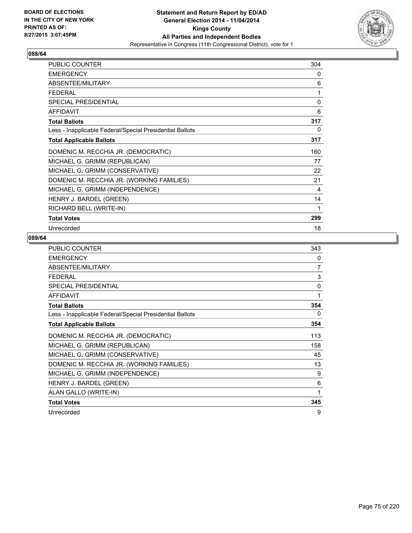

| <b>PUBLIC COUNTER</b>                                    | 304          |
|----------------------------------------------------------|--------------|
| <b>EMERGENCY</b>                                         | 0            |
| ABSENTEE/MILITARY                                        | 6            |
| <b>FEDERAL</b>                                           | 1            |
| SPECIAL PRESIDENTIAL                                     | $\mathbf{0}$ |
| <b>AFFIDAVIT</b>                                         | 6            |
| <b>Total Ballots</b>                                     | 317          |
| Less - Inapplicable Federal/Special Presidential Ballots | 0            |
| <b>Total Applicable Ballots</b>                          | 317          |
| DOMENIC M. RECCHIA JR. (DEMOCRATIC)                      | 160          |
| MICHAEL G. GRIMM (REPUBLICAN)                            | 77           |
| MICHAEL G. GRIMM (CONSERVATIVE)                          | 22           |
| DOMENIC M. RECCHIA JR. (WORKING FAMILIES)                | 21           |
| MICHAEL G. GRIMM (INDEPENDENCE)                          | 4            |
| HENRY J. BARDEL (GREEN)                                  | 14           |
| RICHARD BELL (WRITE-IN)                                  | 1            |
| <b>Total Votes</b>                                       | 299          |
| Unrecorded                                               | 18           |

| PUBLIC COUNTER                                           | 343 |
|----------------------------------------------------------|-----|
| <b>EMERGENCY</b>                                         | 0   |
| ABSENTEE/MILITARY                                        | 7   |
| <b>FEDERAL</b>                                           | 3   |
| SPECIAL PRESIDENTIAL                                     | 0   |
| <b>AFFIDAVIT</b>                                         | 1   |
| <b>Total Ballots</b>                                     | 354 |
| Less - Inapplicable Federal/Special Presidential Ballots | 0   |
| <b>Total Applicable Ballots</b>                          | 354 |
| DOMENIC M. RECCHIA JR. (DEMOCRATIC)                      | 113 |
| MICHAEL G. GRIMM (REPUBLICAN)                            | 158 |
| MICHAEL G. GRIMM (CONSERVATIVE)                          | 45  |
| DOMENIC M. RECCHIA JR. (WORKING FAMILIES)                | 13  |
| MICHAEL G. GRIMM (INDEPENDENCE)                          | 9   |
| HENRY J. BARDEL (GREEN)                                  | 6   |
| ALAN GALLO (WRITE-IN)                                    | 1   |
| <b>Total Votes</b>                                       | 345 |
| Unrecorded                                               | 9   |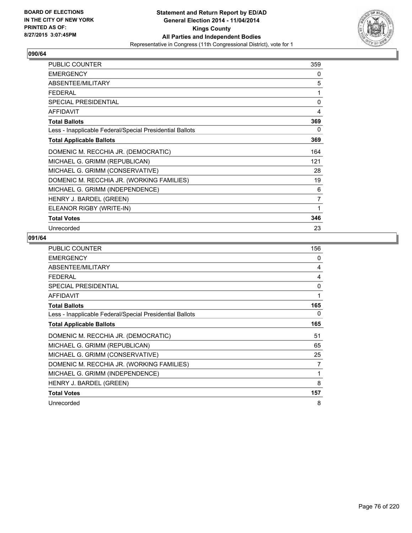

| <b>PUBLIC COUNTER</b>                                    | 359 |
|----------------------------------------------------------|-----|
| <b>EMERGENCY</b>                                         | 0   |
| ABSENTEE/MILITARY                                        | 5   |
| FFDFRAI                                                  | 1   |
| <b>SPECIAL PRESIDENTIAL</b>                              | 0   |
| <b>AFFIDAVIT</b>                                         | 4   |
| <b>Total Ballots</b>                                     | 369 |
| Less - Inapplicable Federal/Special Presidential Ballots | 0   |
| <b>Total Applicable Ballots</b>                          | 369 |
| DOMENIC M. RECCHIA JR. (DEMOCRATIC)                      | 164 |
| MICHAEL G. GRIMM (REPUBLICAN)                            | 121 |
| MICHAEL G. GRIMM (CONSERVATIVE)                          | 28  |
| DOMENIC M. RECCHIA JR. (WORKING FAMILIES)                | 19  |
| MICHAEL G. GRIMM (INDEPENDENCE)                          | 6   |
| HENRY J. BARDEL (GREEN)                                  | 7   |
| ELEANOR RIGBY (WRITE-IN)                                 | 1   |
| <b>Total Votes</b>                                       | 346 |
| Unrecorded                                               | 23  |

| <b>PUBLIC COUNTER</b>                                    | 156 |
|----------------------------------------------------------|-----|
| <b>EMERGENCY</b>                                         | 0   |
| ABSENTEE/MILITARY                                        | 4   |
| <b>FEDERAL</b>                                           | 4   |
| SPECIAL PRESIDENTIAL                                     | 0   |
| <b>AFFIDAVIT</b>                                         | 1   |
| <b>Total Ballots</b>                                     | 165 |
| Less - Inapplicable Federal/Special Presidential Ballots | 0   |
| <b>Total Applicable Ballots</b>                          | 165 |
| DOMENIC M. RECCHIA JR. (DEMOCRATIC)                      | 51  |
| MICHAEL G. GRIMM (REPUBLICAN)                            | 65  |
| MICHAEL G. GRIMM (CONSERVATIVE)                          | 25  |
| DOMENIC M. RECCHIA JR. (WORKING FAMILIES)                | 7   |
| MICHAEL G. GRIMM (INDEPENDENCE)                          | 1   |
| HENRY J. BARDEL (GREEN)                                  | 8   |
| <b>Total Votes</b>                                       | 157 |
| Unrecorded                                               | 8   |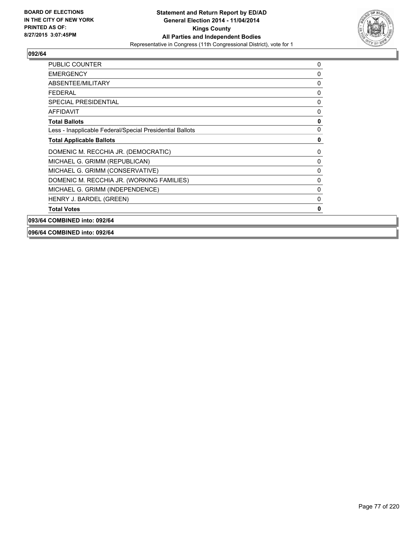

| <b>PUBLIC COUNTER</b>                                    | 0            |
|----------------------------------------------------------|--------------|
| <b>EMERGENCY</b>                                         | 0            |
| ABSENTEE/MILITARY                                        | 0            |
| <b>FEDERAL</b>                                           | 0            |
| <b>SPECIAL PRESIDENTIAL</b>                              | 0            |
| <b>AFFIDAVIT</b>                                         | 0            |
| <b>Total Ballots</b>                                     | $\mathbf 0$  |
| Less - Inapplicable Federal/Special Presidential Ballots | 0            |
| <b>Total Applicable Ballots</b>                          | 0            |
| DOMENIC M. RECCHIA JR. (DEMOCRATIC)                      | 0            |
| MICHAEL G. GRIMM (REPUBLICAN)                            | 0            |
| MICHAEL G. GRIMM (CONSERVATIVE)                          | $\mathbf{0}$ |
| DOMENIC M. RECCHIA JR. (WORKING FAMILIES)                | 0            |
| MICHAEL G. GRIMM (INDEPENDENCE)                          | 0            |
| HENRY J. BARDEL (GREEN)                                  | 0            |
| <b>Total Votes</b>                                       | 0            |
| 093/64 COMBINED into: 092/64                             |              |

**096/64 COMBINED into: 092/64**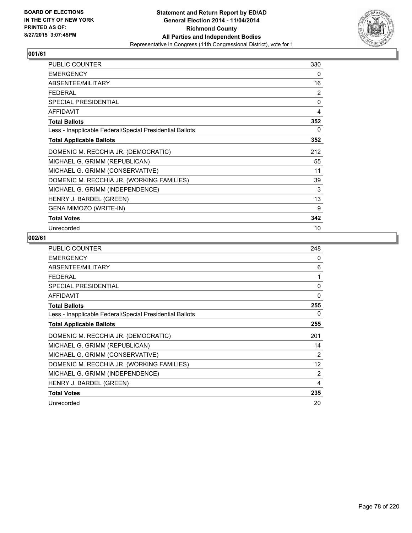

| <b>PUBLIC COUNTER</b>                                    | 330          |
|----------------------------------------------------------|--------------|
| <b>EMERGENCY</b>                                         | 0            |
| ABSENTEE/MILITARY                                        | 16           |
| FFDFRAI                                                  | 2            |
| <b>SPECIAL PRESIDENTIAL</b>                              | $\mathbf{0}$ |
| <b>AFFIDAVIT</b>                                         | 4            |
| <b>Total Ballots</b>                                     | 352          |
| Less - Inapplicable Federal/Special Presidential Ballots | 0            |
| <b>Total Applicable Ballots</b>                          | 352          |
| DOMENIC M. RECCHIA JR. (DEMOCRATIC)                      | 212          |
| MICHAEL G. GRIMM (REPUBLICAN)                            | 55           |
| MICHAEL G. GRIMM (CONSERVATIVE)                          | 11           |
| DOMENIC M. RECCHIA JR. (WORKING FAMILIES)                | 39           |
| MICHAEL G. GRIMM (INDEPENDENCE)                          | 3            |
| HENRY J. BARDEL (GREEN)                                  | 13           |
| <b>GENA MIMOZO (WRITE-IN)</b>                            | 9            |
| <b>Total Votes</b>                                       | 342          |
| Unrecorded                                               | 10           |

| <b>PUBLIC COUNTER</b>                                    | 248 |
|----------------------------------------------------------|-----|
| <b>EMERGENCY</b>                                         | 0   |
| ABSENTEE/MILITARY                                        | 6   |
| <b>FEDERAL</b>                                           | 1   |
| SPECIAL PRESIDENTIAL                                     | 0   |
| <b>AFFIDAVIT</b>                                         | 0   |
| <b>Total Ballots</b>                                     | 255 |
| Less - Inapplicable Federal/Special Presidential Ballots | 0   |
| <b>Total Applicable Ballots</b>                          | 255 |
| DOMENIC M. RECCHIA JR. (DEMOCRATIC)                      | 201 |
| MICHAEL G. GRIMM (REPUBLICAN)                            | 14  |
| MICHAEL G. GRIMM (CONSERVATIVE)                          | 2   |
| DOMENIC M. RECCHIA JR. (WORKING FAMILIES)                | 12  |
| MICHAEL G. GRIMM (INDEPENDENCE)                          | 2   |
| HENRY J. BARDEL (GREEN)                                  | 4   |
| <b>Total Votes</b>                                       | 235 |
| Unrecorded                                               | 20  |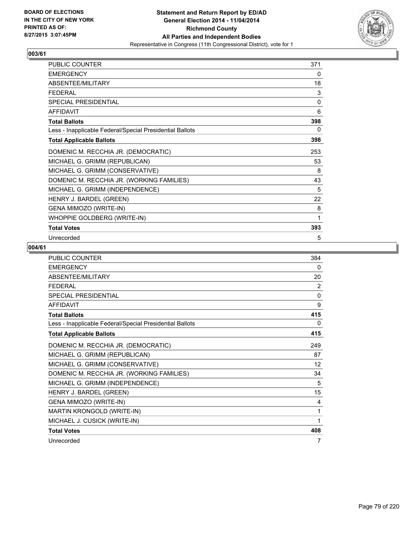

| <b>PUBLIC COUNTER</b>                                    | 371 |
|----------------------------------------------------------|-----|
| <b>EMERGENCY</b>                                         | 0   |
| ABSENTEE/MILITARY                                        | 18  |
| <b>FEDERAL</b>                                           | 3   |
| <b>SPECIAL PRESIDENTIAL</b>                              | 0   |
| <b>AFFIDAVIT</b>                                         | 6   |
| <b>Total Ballots</b>                                     | 398 |
| Less - Inapplicable Federal/Special Presidential Ballots | 0   |
| <b>Total Applicable Ballots</b>                          | 398 |
| DOMENIC M. RECCHIA JR. (DEMOCRATIC)                      | 253 |
| MICHAEL G. GRIMM (REPUBLICAN)                            | 53  |
| MICHAEL G. GRIMM (CONSERVATIVE)                          | 8   |
| DOMENIC M. RECCHIA JR. (WORKING FAMILIES)                | 43  |
| MICHAEL G. GRIMM (INDEPENDENCE)                          | 5   |
| HENRY J. BARDEL (GREEN)                                  | 22  |
| GENA MIMOZO (WRITE-IN)                                   | 8   |
| WHOPPIE GOLDBERG (WRITE-IN)                              | 1   |
| <b>Total Votes</b>                                       | 393 |
| Unrecorded                                               | 5   |

| <b>PUBLIC COUNTER</b>                                    | 384      |
|----------------------------------------------------------|----------|
| <b>EMERGENCY</b>                                         | 0        |
| ABSENTEE/MILITARY                                        | 20       |
| <b>FFDFRAI</b>                                           | 2        |
| <b>SPECIAL PRESIDENTIAL</b>                              | 0        |
| <b>AFFIDAVIT</b>                                         | 9        |
| <b>Total Ballots</b>                                     | 415      |
| Less - Inapplicable Federal/Special Presidential Ballots | $\Omega$ |
| <b>Total Applicable Ballots</b>                          | 415      |
| DOMENIC M. RECCHIA JR. (DEMOCRATIC)                      | 249      |
| MICHAEL G. GRIMM (REPUBLICAN)                            | 87       |
| MICHAEL G. GRIMM (CONSERVATIVE)                          | 12       |
| DOMENIC M. RECCHIA JR. (WORKING FAMILIES)                | 34       |
| MICHAEL G. GRIMM (INDEPENDENCE)                          | 5        |
| HENRY J. BARDEL (GREEN)                                  | 15       |
| GENA MIMOZO (WRITE-IN)                                   | 4        |
| MARTIN KRONGOLD (WRITE-IN)                               | 1        |
| MICHAEL J. CUSICK (WRITE-IN)                             | 1        |
| <b>Total Votes</b>                                       | 408      |
| Unrecorded                                               | 7        |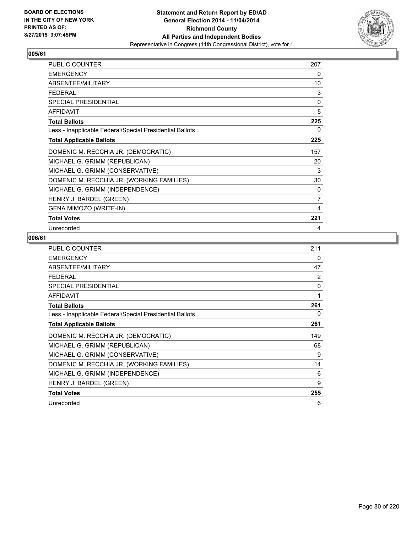

| <b>PUBLIC COUNTER</b>                                    | 207          |
|----------------------------------------------------------|--------------|
| <b>EMERGENCY</b>                                         | 0            |
| ABSENTEE/MILITARY                                        | 10           |
| FFDFRAI                                                  | 3            |
| <b>SPECIAL PRESIDENTIAL</b>                              | $\mathbf{0}$ |
| <b>AFFIDAVIT</b>                                         | 5            |
| <b>Total Ballots</b>                                     | 225          |
| Less - Inapplicable Federal/Special Presidential Ballots | 0            |
| <b>Total Applicable Ballots</b>                          | 225          |
| DOMENIC M. RECCHIA JR. (DEMOCRATIC)                      | 157          |
| MICHAEL G. GRIMM (REPUBLICAN)                            | 20           |
| MICHAEL G. GRIMM (CONSERVATIVE)                          | 3            |
| DOMENIC M. RECCHIA JR. (WORKING FAMILIES)                | 30           |
| MICHAEL G. GRIMM (INDEPENDENCE)                          | 0            |
| HENRY J. BARDEL (GREEN)                                  | 7            |
| <b>GENA MIMOZO (WRITE-IN)</b>                            | 4            |
| <b>Total Votes</b>                                       | 221          |
| Unrecorded                                               | 4            |

| <b>PUBLIC COUNTER</b>                                    | 211 |
|----------------------------------------------------------|-----|
| <b>EMERGENCY</b>                                         | 0   |
| ABSENTEE/MILITARY                                        | 47  |
| <b>FEDERAL</b>                                           | 2   |
| <b>SPECIAL PRESIDENTIAL</b>                              | 0   |
| AFFIDAVIT                                                | 1   |
| <b>Total Ballots</b>                                     | 261 |
| Less - Inapplicable Federal/Special Presidential Ballots | 0   |
| <b>Total Applicable Ballots</b>                          | 261 |
| DOMENIC M. RECCHIA JR. (DEMOCRATIC)                      | 149 |
| MICHAEL G. GRIMM (REPUBLICAN)                            | 68  |
| MICHAEL G. GRIMM (CONSERVATIVE)                          | 9   |
| DOMENIC M. RECCHIA JR. (WORKING FAMILIES)                | 14  |
| MICHAEL G. GRIMM (INDEPENDENCE)                          | 6   |
| HENRY J. BARDEL (GREEN)                                  | 9   |
| <b>Total Votes</b>                                       | 255 |
| Unrecorded                                               | 6   |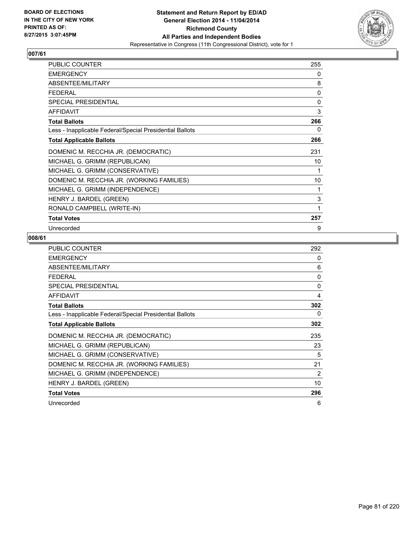

| <b>PUBLIC COUNTER</b>                                    | 255 |
|----------------------------------------------------------|-----|
| <b>EMERGENCY</b>                                         | 0   |
| ABSENTEE/MILITARY                                        | 8   |
| <b>FEDERAL</b>                                           | 0   |
| <b>SPECIAL PRESIDENTIAL</b>                              | 0   |
| <b>AFFIDAVIT</b>                                         | 3   |
| <b>Total Ballots</b>                                     | 266 |
| Less - Inapplicable Federal/Special Presidential Ballots | 0   |
| <b>Total Applicable Ballots</b>                          | 266 |
| DOMENIC M. RECCHIA JR. (DEMOCRATIC)                      | 231 |
| MICHAEL G. GRIMM (REPUBLICAN)                            | 10  |
| MICHAEL G. GRIMM (CONSERVATIVE)                          | 1   |
| DOMENIC M. RECCHIA JR. (WORKING FAMILIES)                | 10  |
| MICHAEL G. GRIMM (INDEPENDENCE)                          | 1   |
| HENRY J. BARDEL (GREEN)                                  | 3   |
| RONALD CAMPBELL (WRITE-IN)                               | 1   |
| <b>Total Votes</b>                                       | 257 |
| Unrecorded                                               | 9   |

| <b>PUBLIC COUNTER</b>                                    | 292      |
|----------------------------------------------------------|----------|
| <b>EMERGENCY</b>                                         | 0        |
| ABSENTEE/MILITARY                                        | 6        |
| <b>FEDERAL</b>                                           | $\Omega$ |
| <b>SPECIAL PRESIDENTIAL</b>                              | 0        |
| <b>AFFIDAVIT</b>                                         | 4        |
| <b>Total Ballots</b>                                     | 302      |
| Less - Inapplicable Federal/Special Presidential Ballots | 0        |
| <b>Total Applicable Ballots</b>                          | 302      |
| DOMENIC M. RECCHIA JR. (DEMOCRATIC)                      | 235      |
| MICHAEL G. GRIMM (REPUBLICAN)                            | 23       |
| MICHAEL G. GRIMM (CONSERVATIVE)                          | 5        |
| DOMENIC M. RECCHIA JR. (WORKING FAMILIES)                | 21       |
| MICHAEL G. GRIMM (INDEPENDENCE)                          | 2        |
| HENRY J. BARDEL (GREEN)                                  | 10       |
| <b>Total Votes</b>                                       | 296      |
| Unrecorded                                               | 6        |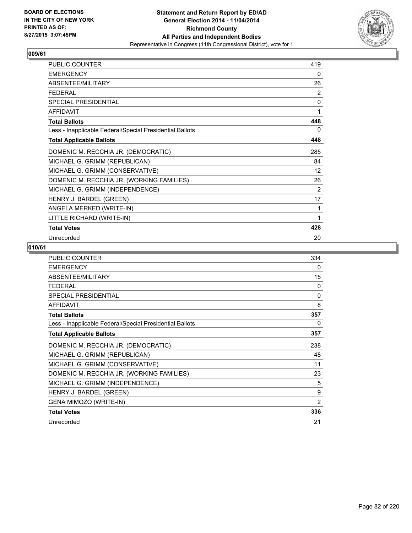

| <b>PUBLIC COUNTER</b>                                    | 419 |
|----------------------------------------------------------|-----|
| <b>EMERGENCY</b>                                         | 0   |
| ABSENTEE/MILITARY                                        | 26  |
| <b>FEDERAL</b>                                           | 2   |
| <b>SPECIAL PRESIDENTIAL</b>                              | 0   |
| <b>AFFIDAVIT</b>                                         | 1   |
| <b>Total Ballots</b>                                     | 448 |
| Less - Inapplicable Federal/Special Presidential Ballots | 0   |
| <b>Total Applicable Ballots</b>                          | 448 |
| DOMENIC M. RECCHIA JR. (DEMOCRATIC)                      | 285 |
| MICHAEL G. GRIMM (REPUBLICAN)                            | 84  |
| MICHAEL G. GRIMM (CONSERVATIVE)                          | 12  |
| DOMENIC M. RECCHIA JR. (WORKING FAMILIES)                | 26  |
| MICHAEL G. GRIMM (INDEPENDENCE)                          | 2   |
| HENRY J. BARDEL (GREEN)                                  | 17  |
| ANGELA MERKED (WRITE-IN)                                 | 1   |
| LITTLE RICHARD (WRITE-IN)                                | 1   |
| <b>Total Votes</b>                                       | 428 |
| Unrecorded                                               | 20  |

| <b>PUBLIC COUNTER</b>                                    | 334            |
|----------------------------------------------------------|----------------|
| <b>EMERGENCY</b>                                         | 0              |
| ABSENTEE/MILITARY                                        | 15             |
| <b>FEDERAL</b>                                           | $\Omega$       |
| <b>SPECIAL PRESIDENTIAL</b>                              | 0              |
| <b>AFFIDAVIT</b>                                         | 8              |
| <b>Total Ballots</b>                                     | 357            |
| Less - Inapplicable Federal/Special Presidential Ballots | 0              |
| <b>Total Applicable Ballots</b>                          | 357            |
| DOMENIC M. RECCHIA JR. (DEMOCRATIC)                      | 238            |
| MICHAEL G. GRIMM (REPUBLICAN)                            | 48             |
| MICHAEL G. GRIMM (CONSERVATIVE)                          | 11             |
| DOMENIC M. RECCHIA JR. (WORKING FAMILIES)                | 23             |
| MICHAEL G. GRIMM (INDEPENDENCE)                          | 5              |
| HENRY J. BARDEL (GREEN)                                  | 9              |
| GENA MIMOZO (WRITE-IN)                                   | $\overline{2}$ |
| <b>Total Votes</b>                                       | 336            |
| Unrecorded                                               | 21             |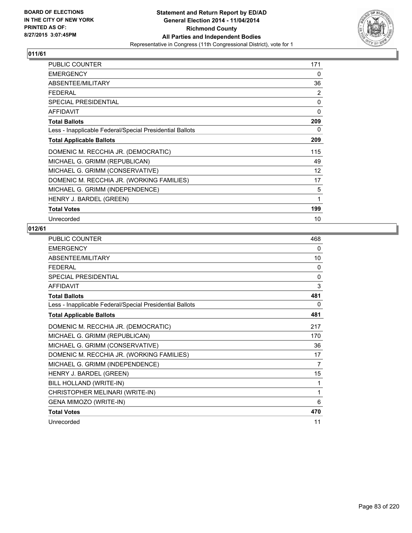

| <b>PUBLIC COUNTER</b>                                    | 171 |
|----------------------------------------------------------|-----|
| <b>EMERGENCY</b>                                         | 0   |
| ABSENTEE/MILITARY                                        | 36  |
| <b>FEDERAL</b>                                           | 2   |
| <b>SPECIAL PRESIDENTIAL</b>                              | 0   |
| <b>AFFIDAVIT</b>                                         | 0   |
| <b>Total Ballots</b>                                     | 209 |
| Less - Inapplicable Federal/Special Presidential Ballots | 0   |
| <b>Total Applicable Ballots</b>                          | 209 |
| DOMENIC M. RECCHIA JR. (DEMOCRATIC)                      | 115 |
| MICHAEL G. GRIMM (REPUBLICAN)                            | 49  |
| MICHAEL G. GRIMM (CONSERVATIVE)                          | 12  |
| DOMENIC M. RECCHIA JR. (WORKING FAMILIES)                | 17  |
| MICHAEL G. GRIMM (INDEPENDENCE)                          | 5   |
| HENRY J. BARDEL (GREEN)                                  | 1   |
| <b>Total Votes</b>                                       | 199 |
| Unrecorded                                               | 10  |

| PUBLIC COUNTER                                           | 468      |
|----------------------------------------------------------|----------|
| <b>EMERGENCY</b>                                         | 0        |
| ABSENTEE/MILITARY                                        | 10       |
| <b>FFDFRAI</b>                                           | 0        |
| SPECIAL PRESIDENTIAL                                     | $\Omega$ |
| <b>AFFIDAVIT</b>                                         | 3        |
| <b>Total Ballots</b>                                     | 481      |
| Less - Inapplicable Federal/Special Presidential Ballots | 0        |
| <b>Total Applicable Ballots</b>                          | 481      |
| DOMENIC M. RECCHIA JR. (DEMOCRATIC)                      | 217      |
| MICHAEL G. GRIMM (REPUBLICAN)                            | 170      |
| MICHAEL G. GRIMM (CONSERVATIVE)                          | 36       |
| DOMENIC M. RECCHIA JR. (WORKING FAMILIES)                | 17       |
| MICHAEL G. GRIMM (INDEPENDENCE)                          | 7        |
| HENRY J. BARDEL (GREEN)                                  | 15       |
| BILL HOLLAND (WRITE-IN)                                  | 1        |
| CHRISTOPHER MELINARI (WRITE-IN)                          | 1        |
| GENA MIMOZO (WRITE-IN)                                   | 6        |
| <b>Total Votes</b>                                       | 470      |
| Unrecorded                                               | 11       |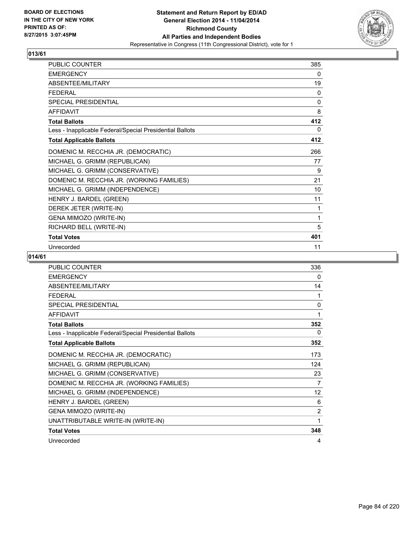

| PUBLIC COUNTER                                           | 385 |
|----------------------------------------------------------|-----|
| <b>EMERGENCY</b>                                         | 0   |
| ABSENTEE/MILITARY                                        | 19  |
| <b>FEDERAL</b>                                           | 0   |
| <b>SPECIAL PRESIDENTIAL</b>                              | 0   |
| <b>AFFIDAVIT</b>                                         | 8   |
| <b>Total Ballots</b>                                     | 412 |
| Less - Inapplicable Federal/Special Presidential Ballots | 0   |
| <b>Total Applicable Ballots</b>                          | 412 |
| DOMENIC M. RECCHIA JR. (DEMOCRATIC)                      | 266 |
| MICHAEL G. GRIMM (REPUBLICAN)                            | 77  |
| MICHAEL G. GRIMM (CONSERVATIVE)                          | 9   |
| DOMENIC M. RECCHIA JR. (WORKING FAMILIES)                | 21  |
| MICHAEL G. GRIMM (INDEPENDENCE)                          | 10  |
| HENRY J. BARDEL (GREEN)                                  | 11  |
| DEREK JETER (WRITE-IN)                                   | 1   |
| GENA MIMOZO (WRITE-IN)                                   | 1   |
| RICHARD BELL (WRITE-IN)                                  | 5   |
| <b>Total Votes</b>                                       | 401 |
| Unrecorded                                               | 11  |

| <b>PUBLIC COUNTER</b>                                    | 336      |
|----------------------------------------------------------|----------|
| <b>EMERGENCY</b>                                         | 0        |
| ABSENTEE/MILITARY                                        | 14       |
| <b>FFDFRAL</b>                                           | 1        |
| <b>SPECIAL PRESIDENTIAL</b>                              | $\Omega$ |
| <b>AFFIDAVIT</b>                                         | 1        |
| <b>Total Ballots</b>                                     | 352      |
| Less - Inapplicable Federal/Special Presidential Ballots | 0        |
| <b>Total Applicable Ballots</b>                          | 352      |
| DOMENIC M. RECCHIA JR. (DEMOCRATIC)                      | 173      |
| MICHAEL G. GRIMM (REPUBLICAN)                            | 124      |
| MICHAEL G. GRIMM (CONSERVATIVE)                          | 23       |
| DOMENIC M. RECCHIA JR. (WORKING FAMILIES)                | 7        |
| MICHAEL G. GRIMM (INDEPENDENCE)                          | 12       |
| HENRY J. BARDEL (GREEN)                                  | 6        |
| GENA MIMOZO (WRITE-IN)                                   | 2        |
| UNATTRIBUTABLE WRITE-IN (WRITE-IN)                       | 1        |
| <b>Total Votes</b>                                       | 348      |
| Unrecorded                                               | 4        |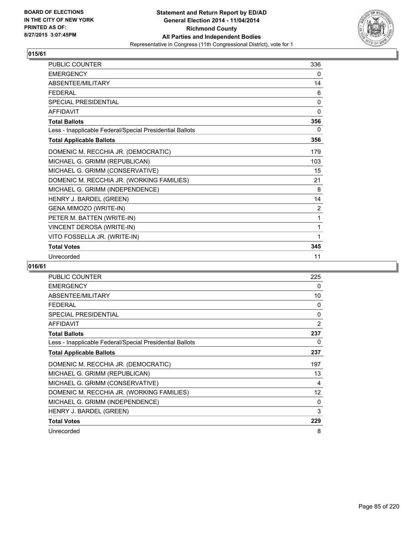

| PUBLIC COUNTER                                           | 336          |
|----------------------------------------------------------|--------------|
| <b>EMERGENCY</b>                                         | 0            |
| <b>ABSENTEE/MILITARY</b>                                 | 14           |
| <b>FFDFRAL</b>                                           | 6            |
| <b>SPECIAL PRESIDENTIAL</b>                              | 0            |
| <b>AFFIDAVIT</b>                                         | $\mathbf{0}$ |
| <b>Total Ballots</b>                                     | 356          |
| Less - Inapplicable Federal/Special Presidential Ballots | 0            |
| <b>Total Applicable Ballots</b>                          | 356          |
| DOMENIC M. RECCHIA JR. (DEMOCRATIC)                      | 179          |
| MICHAEL G. GRIMM (REPUBLICAN)                            | 103          |
| MICHAEL G. GRIMM (CONSERVATIVE)                          | 15           |
| DOMENIC M. RECCHIA JR. (WORKING FAMILIES)                | 21           |
| MICHAEL G. GRIMM (INDEPENDENCE)                          | 8            |
| HENRY J. BARDEL (GREEN)                                  | 14           |
| GENA MIMOZO (WRITE-IN)                                   | 2            |
| PETER M. BATTEN (WRITE-IN)                               | 1            |
| VINCENT DEROSA (WRITE-IN)                                | 1            |
| VITO FOSSELLA JR. (WRITE-IN)                             | 1            |
| <b>Total Votes</b>                                       | 345          |
| Unrecorded                                               | 11           |

| <b>PUBLIC COUNTER</b>                                    | 225               |
|----------------------------------------------------------|-------------------|
| <b>EMERGENCY</b>                                         | 0                 |
| ABSENTEE/MILITARY                                        | 10                |
| FEDERAL                                                  | 0                 |
| SPECIAL PRESIDENTIAL                                     | 0                 |
| <b>AFFIDAVIT</b>                                         | 2                 |
| <b>Total Ballots</b>                                     | 237               |
| Less - Inapplicable Federal/Special Presidential Ballots | 0                 |
| <b>Total Applicable Ballots</b>                          | 237               |
| DOMENIC M. RECCHIA JR. (DEMOCRATIC)                      | 197               |
| MICHAEL G. GRIMM (REPUBLICAN)                            | 13                |
| MICHAEL G. GRIMM (CONSERVATIVE)                          | 4                 |
| DOMENIC M. RECCHIA JR. (WORKING FAMILIES)                | $12 \overline{ }$ |
| MICHAEL G. GRIMM (INDEPENDENCE)                          | 0                 |
| <b>HENRY J. BARDEL (GREEN)</b>                           | 3                 |
| <b>Total Votes</b>                                       | 229               |
| Unrecorded                                               | 8                 |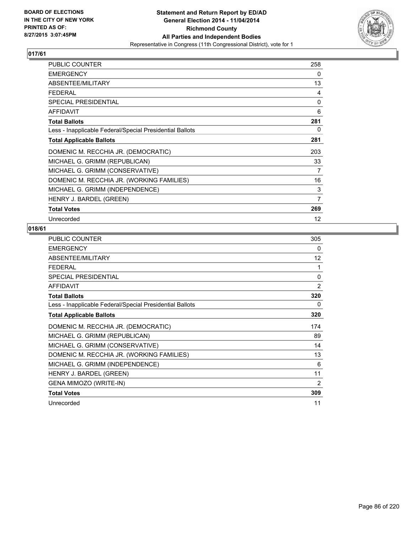

| <b>PUBLIC COUNTER</b>                                    | 258               |
|----------------------------------------------------------|-------------------|
| <b>EMERGENCY</b>                                         | 0                 |
| ABSENTEE/MILITARY                                        | 13                |
| <b>FEDERAL</b>                                           | 4                 |
| <b>SPECIAL PRESIDENTIAL</b>                              | $\Omega$          |
| <b>AFFIDAVIT</b>                                         | 6                 |
| <b>Total Ballots</b>                                     | 281               |
| Less - Inapplicable Federal/Special Presidential Ballots | 0                 |
| <b>Total Applicable Ballots</b>                          | 281               |
| DOMENIC M. RECCHIA JR. (DEMOCRATIC)                      | 203               |
| MICHAEL G. GRIMM (REPUBLICAN)                            | 33                |
| MICHAEL G. GRIMM (CONSERVATIVE)                          | 7                 |
| DOMENIC M. RECCHIA JR. (WORKING FAMILIES)                | 16                |
| MICHAEL G. GRIMM (INDEPENDENCE)                          | 3                 |
| HENRY J. BARDEL (GREEN)                                  | $\overline{7}$    |
| <b>Total Votes</b>                                       | 269               |
| Unrecorded                                               | $12 \overline{ }$ |

| PUBLIC COUNTER                                           | 305      |
|----------------------------------------------------------|----------|
| <b>EMERGENCY</b>                                         | 0        |
| ABSENTEE/MILITARY                                        | 12       |
| <b>FEDERAL</b>                                           | 1        |
| SPECIAL PRESIDENTIAL                                     | $\Omega$ |
| <b>AFFIDAVIT</b>                                         | 2        |
| <b>Total Ballots</b>                                     | 320      |
| Less - Inapplicable Federal/Special Presidential Ballots | 0        |
| <b>Total Applicable Ballots</b>                          | 320      |
| DOMENIC M. RECCHIA JR. (DEMOCRATIC)                      | 174      |
| MICHAEL G. GRIMM (REPUBLICAN)                            | 89       |
| MICHAEL G. GRIMM (CONSERVATIVE)                          | 14       |
| DOMENIC M. RECCHIA JR. (WORKING FAMILIES)                | 13       |
| MICHAEL G. GRIMM (INDEPENDENCE)                          | 6        |
| HENRY J. BARDEL (GREEN)                                  | 11       |
| GENA MIMOZO (WRITE-IN)                                   | 2        |
| <b>Total Votes</b>                                       | 309      |
| Unrecorded                                               | 11       |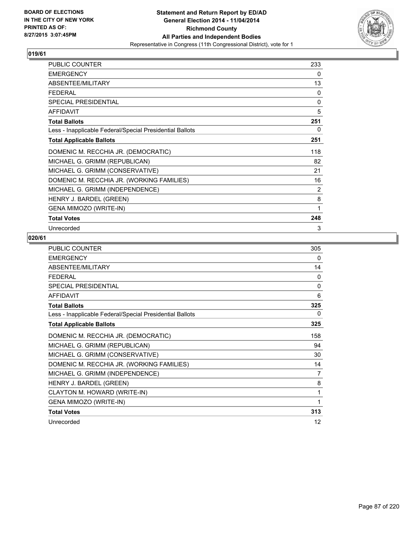

| <b>PUBLIC COUNTER</b>                                    | 233 |
|----------------------------------------------------------|-----|
| <b>EMERGENCY</b>                                         | 0   |
| ABSENTEE/MILITARY                                        | 13  |
| FFDFRAI                                                  | 0   |
| <b>SPECIAL PRESIDENTIAL</b>                              | 0   |
| <b>AFFIDAVIT</b>                                         | 5   |
| <b>Total Ballots</b>                                     | 251 |
| Less - Inapplicable Federal/Special Presidential Ballots | 0   |
| <b>Total Applicable Ballots</b>                          | 251 |
| DOMENIC M. RECCHIA JR. (DEMOCRATIC)                      | 118 |
| MICHAEL G. GRIMM (REPUBLICAN)                            | 82  |
| MICHAEL G. GRIMM (CONSERVATIVE)                          | 21  |
| DOMENIC M. RECCHIA JR. (WORKING FAMILIES)                | 16  |
| MICHAEL G. GRIMM (INDEPENDENCE)                          | 2   |
| HENRY J. BARDEL (GREEN)                                  | 8   |
| <b>GENA MIMOZO (WRITE-IN)</b>                            | 1   |
| <b>Total Votes</b>                                       | 248 |
| Unrecorded                                               | 3   |

| <b>PUBLIC COUNTER</b>                                    | 305 |
|----------------------------------------------------------|-----|
| <b>EMERGENCY</b>                                         | 0   |
| ABSENTEE/MILITARY                                        | 14  |
| <b>FEDERAL</b>                                           | 0   |
| <b>SPECIAL PRESIDENTIAL</b>                              | 0   |
| <b>AFFIDAVIT</b>                                         | 6   |
| <b>Total Ballots</b>                                     | 325 |
| Less - Inapplicable Federal/Special Presidential Ballots | 0   |
| <b>Total Applicable Ballots</b>                          | 325 |
| DOMENIC M. RECCHIA JR. (DEMOCRATIC)                      | 158 |
| MICHAEL G. GRIMM (REPUBLICAN)                            | 94  |
| MICHAEL G. GRIMM (CONSERVATIVE)                          | 30  |
| DOMENIC M. RECCHIA JR. (WORKING FAMILIES)                | 14  |
| MICHAEL G. GRIMM (INDEPENDENCE)                          | 7   |
| HENRY J. BARDEL (GREEN)                                  | 8   |
| CLAYTON M. HOWARD (WRITE-IN)                             | 1   |
| <b>GENA MIMOZO (WRITE-IN)</b>                            | 1   |
| <b>Total Votes</b>                                       | 313 |
| Unrecorded                                               | 12  |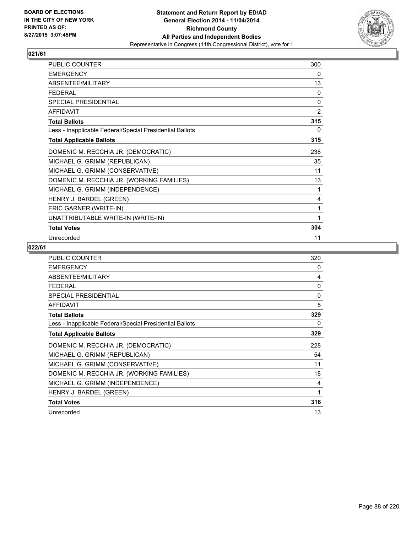

| <b>PUBLIC COUNTER</b>                                    | 300 |
|----------------------------------------------------------|-----|
| <b>EMERGENCY</b>                                         | 0   |
| ABSENTEE/MILITARY                                        | 13  |
| <b>FEDERAL</b>                                           | 0   |
| <b>SPECIAL PRESIDENTIAL</b>                              | 0   |
| <b>AFFIDAVIT</b>                                         | 2   |
| <b>Total Ballots</b>                                     | 315 |
| Less - Inapplicable Federal/Special Presidential Ballots | 0   |
| <b>Total Applicable Ballots</b>                          | 315 |
| DOMENIC M. RECCHIA JR. (DEMOCRATIC)                      | 238 |
| MICHAEL G. GRIMM (REPUBLICAN)                            | 35  |
| MICHAEL G. GRIMM (CONSERVATIVE)                          | 11  |
| DOMENIC M. RECCHIA JR. (WORKING FAMILIES)                | 13  |
| MICHAEL G. GRIMM (INDEPENDENCE)                          | 1   |
| HENRY J. BARDEL (GREEN)                                  | 4   |
| ERIC GARNER (WRITE-IN)                                   | 1   |
| UNATTRIBUTABLE WRITE-IN (WRITE-IN)                       | 1   |
| <b>Total Votes</b>                                       | 304 |
| Unrecorded                                               | 11  |

| <b>PUBLIC COUNTER</b>                                    | 320 |
|----------------------------------------------------------|-----|
| <b>EMERGENCY</b>                                         | 0   |
| ABSENTEE/MILITARY                                        | 4   |
| <b>FEDERAL</b>                                           | 0   |
| <b>SPECIAL PRESIDENTIAL</b>                              | 0   |
| <b>AFFIDAVIT</b>                                         | 5   |
| <b>Total Ballots</b>                                     | 329 |
| Less - Inapplicable Federal/Special Presidential Ballots | 0   |
| <b>Total Applicable Ballots</b>                          | 329 |
| DOMENIC M. RECCHIA JR. (DEMOCRATIC)                      | 228 |
| MICHAEL G. GRIMM (REPUBLICAN)                            | 54  |
| MICHAEL G. GRIMM (CONSERVATIVE)                          | 11  |
| DOMENIC M. RECCHIA JR. (WORKING FAMILIES)                | 18  |
| MICHAEL G. GRIMM (INDEPENDENCE)                          | 4   |
| HENRY J. BARDEL (GREEN)                                  | 1   |
| <b>Total Votes</b>                                       | 316 |
| Unrecorded                                               | 13  |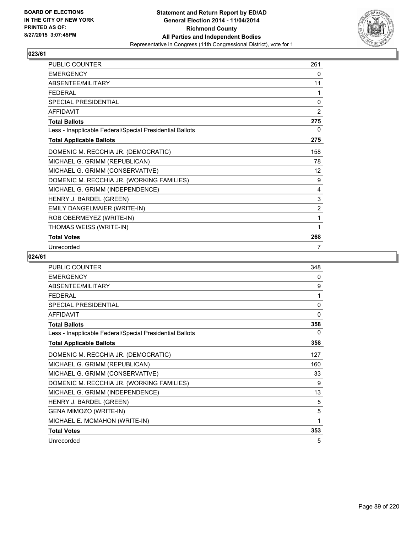

| PUBLIC COUNTER                                           | 261 |
|----------------------------------------------------------|-----|
| <b>EMERGENCY</b>                                         | 0   |
| ABSENTEE/MILITARY                                        | 11  |
| <b>FFDFRAI</b>                                           | 1   |
| <b>SPECIAL PRESIDENTIAL</b>                              | 0   |
| <b>AFFIDAVIT</b>                                         | 2   |
| <b>Total Ballots</b>                                     | 275 |
| Less - Inapplicable Federal/Special Presidential Ballots | 0   |
| <b>Total Applicable Ballots</b>                          | 275 |
| DOMENIC M. RECCHIA JR. (DEMOCRATIC)                      | 158 |
| MICHAEL G. GRIMM (REPUBLICAN)                            | 78  |
| MICHAEL G. GRIMM (CONSERVATIVE)                          | 12  |
| DOMENIC M. RECCHIA JR. (WORKING FAMILIES)                | 9   |
| MICHAEL G. GRIMM (INDEPENDENCE)                          | 4   |
| HENRY J. BARDEL (GREEN)                                  | 3   |
| EMILY DANGELMAIER (WRITE-IN)                             | 2   |
| ROB OBERMEYEZ (WRITE-IN)                                 | 1   |
| THOMAS WEISS (WRITE-IN)                                  | 1   |
| <b>Total Votes</b>                                       | 268 |
| Unrecorded                                               | 7   |

| <b>PUBLIC COUNTER</b>                                    | 348          |
|----------------------------------------------------------|--------------|
| <b>EMERGENCY</b>                                         | 0            |
| ABSENTEE/MILITARY                                        | 9            |
| <b>FFDFRAL</b>                                           | 1            |
| <b>SPECIAL PRESIDENTIAL</b>                              | $\mathbf{0}$ |
| <b>AFFIDAVIT</b>                                         | $\mathbf{0}$ |
| <b>Total Ballots</b>                                     | 358          |
| Less - Inapplicable Federal/Special Presidential Ballots | 0            |
| <b>Total Applicable Ballots</b>                          | 358          |
| DOMENIC M. RECCHIA JR. (DEMOCRATIC)                      | 127          |
| MICHAEL G. GRIMM (REPUBLICAN)                            | 160          |
| MICHAEL G. GRIMM (CONSERVATIVE)                          | 33           |
| DOMENIC M. RECCHIA JR. (WORKING FAMILIES)                | 9            |
| MICHAEL G. GRIMM (INDEPENDENCE)                          | 13           |
| HENRY J. BARDEL (GREEN)                                  | 5            |
| GENA MIMOZO (WRITE-IN)                                   | 5            |
| MICHAEL E. MCMAHON (WRITE-IN)                            | 1            |
| <b>Total Votes</b>                                       | 353          |
| Unrecorded                                               | 5            |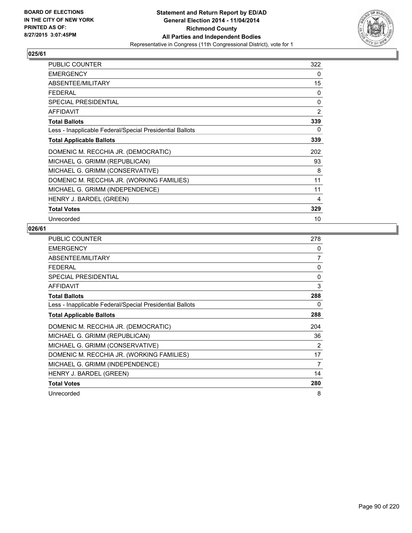

| PUBLIC COUNTER                                           | 322      |
|----------------------------------------------------------|----------|
| <b>EMERGENCY</b>                                         | 0        |
| ABSENTEE/MILITARY                                        | 15       |
| <b>FEDERAL</b>                                           | 0        |
| <b>SPECIAL PRESIDENTIAL</b>                              | $\Omega$ |
| <b>AFFIDAVIT</b>                                         | 2        |
| <b>Total Ballots</b>                                     | 339      |
| Less - Inapplicable Federal/Special Presidential Ballots | 0        |
| <b>Total Applicable Ballots</b>                          | 339      |
| DOMENIC M. RECCHIA JR. (DEMOCRATIC)                      | 202      |
| MICHAEL G. GRIMM (REPUBLICAN)                            | 93       |
| MICHAEL G. GRIMM (CONSERVATIVE)                          | 8        |
| DOMENIC M. RECCHIA JR. (WORKING FAMILIES)                | 11       |
| MICHAEL G. GRIMM (INDEPENDENCE)                          | 11       |
| HENRY J. BARDEL (GREEN)                                  | 4        |
| <b>Total Votes</b>                                       | 329      |
| Unrecorded                                               | 10       |

| <b>PUBLIC COUNTER</b>                                    | 278 |
|----------------------------------------------------------|-----|
| <b>EMERGENCY</b>                                         | 0   |
| ABSENTEE/MILITARY                                        | 7   |
| <b>FEDERAL</b>                                           | 0   |
| <b>SPECIAL PRESIDENTIAL</b>                              | 0   |
| <b>AFFIDAVIT</b>                                         | 3   |
| <b>Total Ballots</b>                                     | 288 |
| Less - Inapplicable Federal/Special Presidential Ballots | 0   |
| <b>Total Applicable Ballots</b>                          | 288 |
| DOMENIC M. RECCHIA JR. (DEMOCRATIC)                      | 204 |
| MICHAEL G. GRIMM (REPUBLICAN)                            | 36  |
| MICHAEL G. GRIMM (CONSERVATIVE)                          | 2   |
| DOMENIC M. RECCHIA JR. (WORKING FAMILIES)                | 17  |
| MICHAEL G. GRIMM (INDEPENDENCE)                          | 7   |
| HENRY J. BARDEL (GREEN)                                  | 14  |
| <b>Total Votes</b>                                       | 280 |
| Unrecorded                                               | 8   |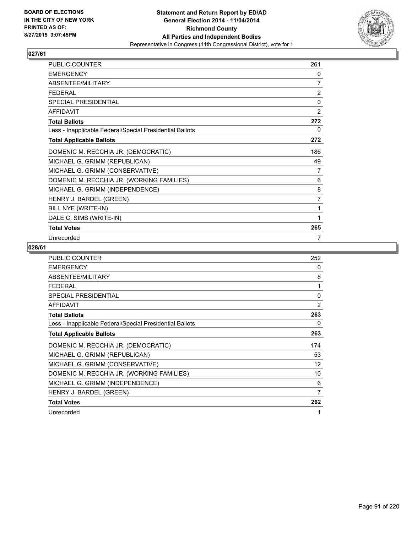

| PUBLIC COUNTER                                           | 261            |
|----------------------------------------------------------|----------------|
| <b>EMERGENCY</b>                                         | 0              |
| ABSENTEE/MILITARY                                        | 7              |
| <b>FEDERAL</b>                                           | $\overline{2}$ |
| SPECIAL PRESIDENTIAL                                     | $\mathbf 0$    |
| <b>AFFIDAVIT</b>                                         | 2              |
| <b>Total Ballots</b>                                     | 272            |
| Less - Inapplicable Federal/Special Presidential Ballots | 0              |
| <b>Total Applicable Ballots</b>                          | 272            |
| DOMENIC M. RECCHIA JR. (DEMOCRATIC)                      | 186            |
| MICHAEL G. GRIMM (REPUBLICAN)                            | 49             |
| MICHAEL G. GRIMM (CONSERVATIVE)                          | 7              |
| DOMENIC M. RECCHIA JR. (WORKING FAMILIES)                | 6              |
| MICHAEL G. GRIMM (INDEPENDENCE)                          | 8              |
| HENRY J. BARDEL (GREEN)                                  | 7              |
| BILL NYE (WRITE-IN)                                      | 1              |
| DALE C. SIMS (WRITE-IN)                                  | 1              |
| <b>Total Votes</b>                                       | 265            |
| Unrecorded                                               | 7              |

| PUBLIC COUNTER                                           | 252 |
|----------------------------------------------------------|-----|
| <b>EMERGENCY</b>                                         | 0   |
| ABSENTEE/MILITARY                                        | 8   |
| <b>FEDERAL</b>                                           | 1   |
| <b>SPECIAL PRESIDENTIAL</b>                              | 0   |
| <b>AFFIDAVIT</b>                                         | 2   |
| <b>Total Ballots</b>                                     | 263 |
| Less - Inapplicable Federal/Special Presidential Ballots | 0   |
| <b>Total Applicable Ballots</b>                          | 263 |
| DOMENIC M. RECCHIA JR. (DEMOCRATIC)                      | 174 |
| MICHAEL G. GRIMM (REPUBLICAN)                            | 53  |
| MICHAEL G. GRIMM (CONSERVATIVE)                          | 12  |
| DOMENIC M. RECCHIA JR. (WORKING FAMILIES)                | 10  |
| MICHAEL G. GRIMM (INDEPENDENCE)                          | 6   |
| HENRY J. BARDEL (GREEN)                                  | 7   |
| <b>Total Votes</b>                                       | 262 |
| Unrecorded                                               | 1   |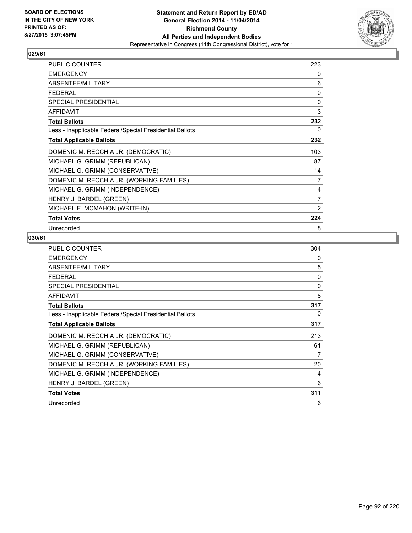

| <b>PUBLIC COUNTER</b>                                    | 223 |
|----------------------------------------------------------|-----|
| <b>EMERGENCY</b>                                         | 0   |
| ABSENTEE/MILITARY                                        | 6   |
| <b>FEDERAL</b>                                           | 0   |
| <b>SPECIAL PRESIDENTIAL</b>                              | 0   |
| <b>AFFIDAVIT</b>                                         | 3   |
| <b>Total Ballots</b>                                     | 232 |
| Less - Inapplicable Federal/Special Presidential Ballots | 0   |
| <b>Total Applicable Ballots</b>                          | 232 |
| DOMENIC M. RECCHIA JR. (DEMOCRATIC)                      | 103 |
| MICHAEL G. GRIMM (REPUBLICAN)                            | 87  |
| MICHAEL G. GRIMM (CONSERVATIVE)                          | 14  |
| DOMENIC M. RECCHIA JR. (WORKING FAMILIES)                | 7   |
| MICHAEL G. GRIMM (INDEPENDENCE)                          | 4   |
| HENRY J. BARDEL (GREEN)                                  | 7   |
| MICHAEL E. MCMAHON (WRITE-IN)                            | 2   |
| <b>Total Votes</b>                                       | 224 |
| Unrecorded                                               | 8   |

| <b>PUBLIC COUNTER</b>                                    | 304 |
|----------------------------------------------------------|-----|
| <b>EMERGENCY</b>                                         | 0   |
| ABSENTEE/MILITARY                                        | 5   |
| <b>FEDERAL</b>                                           | 0   |
| <b>SPECIAL PRESIDENTIAL</b>                              | 0   |
| <b>AFFIDAVIT</b>                                         | 8   |
| <b>Total Ballots</b>                                     | 317 |
| Less - Inapplicable Federal/Special Presidential Ballots | 0   |
| <b>Total Applicable Ballots</b>                          | 317 |
| DOMENIC M. RECCHIA JR. (DEMOCRATIC)                      | 213 |
| MICHAEL G. GRIMM (REPUBLICAN)                            | 61  |
| MICHAEL G. GRIMM (CONSERVATIVE)                          | 7   |
| DOMENIC M. RECCHIA JR. (WORKING FAMILIES)                | 20  |
| MICHAEL G. GRIMM (INDEPENDENCE)                          | 4   |
| HENRY J. BARDEL (GREEN)                                  | 6   |
| <b>Total Votes</b>                                       | 311 |
| Unrecorded                                               | 6   |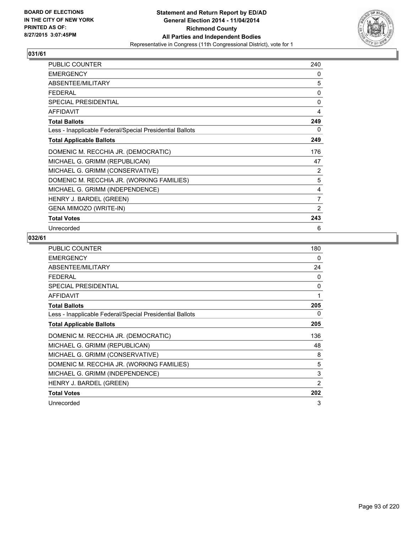

| <b>PUBLIC COUNTER</b>                                    | 240 |
|----------------------------------------------------------|-----|
| <b>EMERGENCY</b>                                         | 0   |
| ABSENTEE/MILITARY                                        | 5   |
| <b>FEDERAL</b>                                           | 0   |
| <b>SPECIAL PRESIDENTIAL</b>                              | 0   |
| AFFIDAVIT                                                | 4   |
| <b>Total Ballots</b>                                     | 249 |
| Less - Inapplicable Federal/Special Presidential Ballots | 0   |
| <b>Total Applicable Ballots</b>                          | 249 |
| DOMENIC M. RECCHIA JR. (DEMOCRATIC)                      | 176 |
| MICHAEL G. GRIMM (REPUBLICAN)                            | 47  |
| MICHAEL G. GRIMM (CONSERVATIVE)                          | 2   |
| DOMENIC M. RECCHIA JR. (WORKING FAMILIES)                | 5   |
| MICHAEL G. GRIMM (INDEPENDENCE)                          | 4   |
| HENRY J. BARDEL (GREEN)                                  | 7   |
| <b>GENA MIMOZO (WRITE-IN)</b>                            | 2   |
| <b>Total Votes</b>                                       | 243 |
| Unrecorded                                               | 6   |

| <b>PUBLIC COUNTER</b>                                    | 180            |
|----------------------------------------------------------|----------------|
| <b>EMERGENCY</b>                                         | 0              |
| ABSENTEE/MILITARY                                        | 24             |
| <b>FEDERAL</b>                                           | 0              |
| <b>SPECIAL PRESIDENTIAL</b>                              | 0              |
| <b>AFFIDAVIT</b>                                         | 1              |
| <b>Total Ballots</b>                                     | 205            |
| Less - Inapplicable Federal/Special Presidential Ballots | 0              |
| <b>Total Applicable Ballots</b>                          | 205            |
| DOMENIC M. RECCHIA JR. (DEMOCRATIC)                      | 136            |
| MICHAEL G. GRIMM (REPUBLICAN)                            | 48             |
| MICHAEL G. GRIMM (CONSERVATIVE)                          | 8              |
| DOMENIC M. RECCHIA JR. (WORKING FAMILIES)                | 5              |
| MICHAEL G. GRIMM (INDEPENDENCE)                          | 3              |
| HENRY J. BARDEL (GREEN)                                  | $\overline{2}$ |
| <b>Total Votes</b>                                       | 202            |
| Unrecorded                                               | 3              |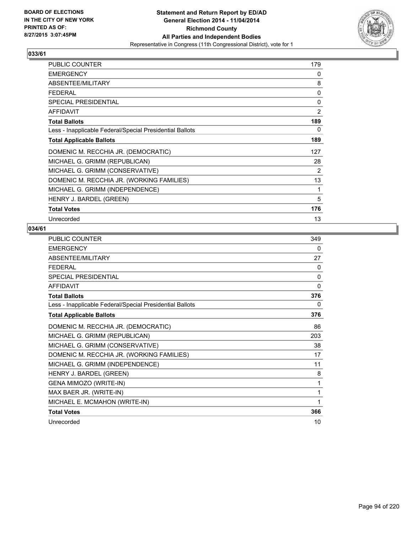

| <b>PUBLIC COUNTER</b>                                    | 179            |
|----------------------------------------------------------|----------------|
| <b>EMERGENCY</b>                                         | 0              |
| ABSENTEE/MILITARY                                        | 8              |
| <b>FEDERAL</b>                                           | 0              |
| <b>SPECIAL PRESIDENTIAL</b>                              | 0              |
| <b>AFFIDAVIT</b>                                         | $\overline{2}$ |
| <b>Total Ballots</b>                                     | 189            |
| Less - Inapplicable Federal/Special Presidential Ballots | 0              |
| <b>Total Applicable Ballots</b>                          | 189            |
| DOMENIC M. RECCHIA JR. (DEMOCRATIC)                      | 127            |
| MICHAEL G. GRIMM (REPUBLICAN)                            | 28             |
| MICHAEL G. GRIMM (CONSERVATIVE)                          | 2              |
| DOMENIC M. RECCHIA JR. (WORKING FAMILIES)                | 13             |
| MICHAEL G. GRIMM (INDEPENDENCE)                          | 1              |
| HENRY J. BARDEL (GREEN)                                  | 5              |
| <b>Total Votes</b>                                       | 176            |
| Unrecorded                                               | 13             |

| <b>PUBLIC COUNTER</b>                                    | 349          |
|----------------------------------------------------------|--------------|
| <b>EMERGENCY</b>                                         | 0            |
| ABSENTEE/MILITARY                                        | 27           |
| <b>FEDERAL</b>                                           | 0            |
| <b>SPECIAL PRESIDENTIAL</b>                              | 0            |
| <b>AFFIDAVIT</b>                                         | $\mathbf{0}$ |
| <b>Total Ballots</b>                                     | 376          |
| Less - Inapplicable Federal/Special Presidential Ballots | 0            |
| <b>Total Applicable Ballots</b>                          | 376          |
| DOMENIC M. RECCHIA JR. (DEMOCRATIC)                      | 86           |
| MICHAEL G. GRIMM (REPUBLICAN)                            | 203          |
| MICHAEL G. GRIMM (CONSERVATIVE)                          | 38           |
| DOMENIC M. RECCHIA JR. (WORKING FAMILIES)                | 17           |
| MICHAEL G. GRIMM (INDEPENDENCE)                          | 11           |
| HENRY J. BARDEL (GREEN)                                  | 8            |
| GENA MIMOZO (WRITE-IN)                                   | 1            |
| MAX BAER JR. (WRITE-IN)                                  | 1            |
| MICHAEL E. MCMAHON (WRITE-IN)                            | 1            |
| <b>Total Votes</b>                                       | 366          |
| Unrecorded                                               | 10           |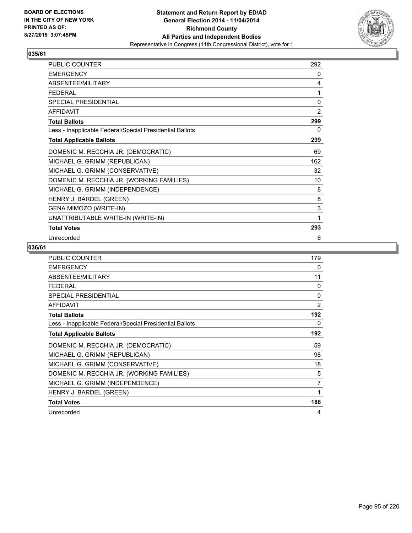

| <b>PUBLIC COUNTER</b>                                    | 292 |
|----------------------------------------------------------|-----|
| <b>EMERGENCY</b>                                         | 0   |
| ABSENTEE/MILITARY                                        | 4   |
| <b>FEDERAL</b>                                           | 1   |
| <b>SPECIAL PRESIDENTIAL</b>                              | 0   |
| <b>AFFIDAVIT</b>                                         | 2   |
| <b>Total Ballots</b>                                     | 299 |
| Less - Inapplicable Federal/Special Presidential Ballots | 0   |
| <b>Total Applicable Ballots</b>                          | 299 |
| DOMENIC M. RECCHIA JR. (DEMOCRATIC)                      | 69  |
| MICHAEL G. GRIMM (REPUBLICAN)                            | 162 |
| MICHAEL G. GRIMM (CONSERVATIVE)                          | 32  |
| DOMENIC M. RECCHIA JR. (WORKING FAMILIES)                | 10  |
| MICHAEL G. GRIMM (INDEPENDENCE)                          | 8   |
| HENRY J. BARDEL (GREEN)                                  | 8   |
| GENA MIMOZO (WRITE-IN)                                   | 3   |
| UNATTRIBUTABLE WRITE-IN (WRITE-IN)                       | 1   |
| <b>Total Votes</b>                                       | 293 |
| Unrecorded                                               | 6   |

| PUBLIC COUNTER                                           | 179            |
|----------------------------------------------------------|----------------|
| <b>EMERGENCY</b>                                         | 0              |
| ABSENTEE/MILITARY                                        | 11             |
| <b>FEDERAL</b>                                           | $\Omega$       |
| <b>SPECIAL PRESIDENTIAL</b>                              | 0              |
| <b>AFFIDAVIT</b>                                         | $\overline{2}$ |
| <b>Total Ballots</b>                                     | 192            |
| Less - Inapplicable Federal/Special Presidential Ballots | 0              |
| <b>Total Applicable Ballots</b>                          | 192            |
| DOMENIC M. RECCHIA JR. (DEMOCRATIC)                      | 59             |
| MICHAEL G. GRIMM (REPUBLICAN)                            | 98             |
| MICHAEL G. GRIMM (CONSERVATIVE)                          | 18             |
| DOMENIC M. RECCHIA JR. (WORKING FAMILIES)                | 5              |
| MICHAEL G. GRIMM (INDEPENDENCE)                          | 7              |
| HENRY J. BARDEL (GREEN)                                  | 1              |
| <b>Total Votes</b>                                       | 188            |
| Unrecorded                                               | 4              |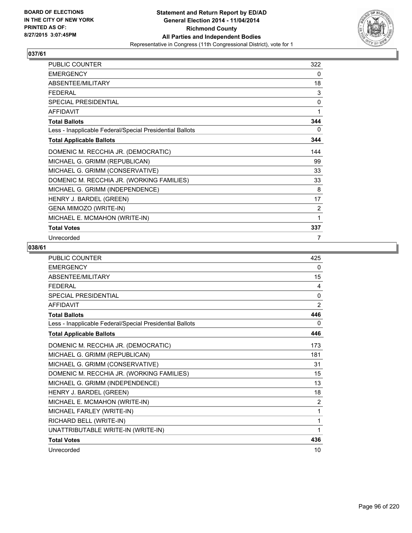

| PUBLIC COUNTER                                           | 322 |
|----------------------------------------------------------|-----|
| <b>EMERGENCY</b>                                         | 0   |
| ABSENTEE/MILITARY                                        | 18  |
| <b>FEDERAL</b>                                           | 3   |
| SPECIAL PRESIDENTIAL                                     | 0   |
| <b>AFFIDAVIT</b>                                         | 1   |
| <b>Total Ballots</b>                                     | 344 |
| Less - Inapplicable Federal/Special Presidential Ballots | 0   |
| <b>Total Applicable Ballots</b>                          | 344 |
| DOMENIC M. RECCHIA JR. (DEMOCRATIC)                      | 144 |
| MICHAEL G. GRIMM (REPUBLICAN)                            | 99  |
| MICHAEL G. GRIMM (CONSERVATIVE)                          | 33  |
| DOMENIC M. RECCHIA JR. (WORKING FAMILIES)                | 33  |
| MICHAEL G. GRIMM (INDEPENDENCE)                          | 8   |
| HENRY J. BARDEL (GREEN)                                  | 17  |
| GENA MIMOZO (WRITE-IN)                                   | 2   |
| MICHAEL E. MCMAHON (WRITE-IN)                            | 1   |
| <b>Total Votes</b>                                       | 337 |
| Unrecorded                                               | 7   |

| PUBLIC COUNTER                                           | 425            |
|----------------------------------------------------------|----------------|
| <b>EMERGENCY</b>                                         | 0              |
| ABSENTEE/MILITARY                                        | 15             |
| <b>FFDFRAI</b>                                           | 4              |
| <b>SPECIAL PRESIDENTIAL</b>                              | 0              |
| <b>AFFIDAVIT</b>                                         | $\overline{2}$ |
| <b>Total Ballots</b>                                     | 446            |
| Less - Inapplicable Federal/Special Presidential Ballots | 0              |
| <b>Total Applicable Ballots</b>                          | 446            |
| DOMENIC M. RECCHIA JR. (DEMOCRATIC)                      | 173            |
| MICHAEL G. GRIMM (REPUBLICAN)                            | 181            |
| MICHAEL G. GRIMM (CONSERVATIVE)                          | 31             |
| DOMENIC M. RECCHIA JR. (WORKING FAMILIES)                | 15             |
| MICHAEL G. GRIMM (INDEPENDENCE)                          | 13             |
| HENRY J. BARDEL (GREEN)                                  | 18             |
| MICHAEL E. MCMAHON (WRITE-IN)                            | $\overline{2}$ |
| MICHAEL FARLEY (WRITE-IN)                                | $\mathbf{1}$   |
| RICHARD BELL (WRITE-IN)                                  | 1              |
| UNATTRIBUTABLE WRITE-IN (WRITE-IN)                       | 1              |
| <b>Total Votes</b>                                       | 436            |
| Unrecorded                                               | 10             |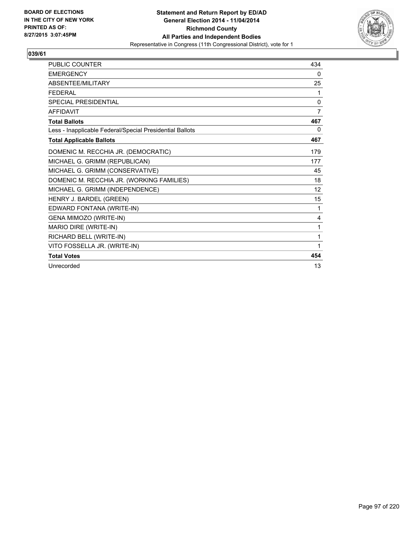

| <b>PUBLIC COUNTER</b>                                    | 434 |
|----------------------------------------------------------|-----|
| <b>EMERGENCY</b>                                         | 0   |
| <b>ABSENTFF/MILITARY</b>                                 | 25  |
| <b>FEDERAL</b>                                           | 1   |
| SPECIAL PRESIDENTIAL                                     | 0   |
| <b>AFFIDAVIT</b>                                         | 7   |
| <b>Total Ballots</b>                                     | 467 |
| Less - Inapplicable Federal/Special Presidential Ballots | 0   |
| <b>Total Applicable Ballots</b>                          | 467 |
| DOMENIC M. RECCHIA JR. (DEMOCRATIC)                      | 179 |
| MICHAEL G. GRIMM (REPUBLICAN)                            | 177 |
| MICHAEL G. GRIMM (CONSERVATIVE)                          | 45  |
| DOMENIC M. RECCHIA JR. (WORKING FAMILIES)                | 18  |
| MICHAEL G. GRIMM (INDEPENDENCE)                          | 12  |
| HENRY J. BARDEL (GREEN)                                  | 15  |
| EDWARD FONTANA (WRITE-IN)                                | 1   |
| <b>GENA MIMOZO (WRITE-IN)</b>                            | 4   |
| MARIO DIRE (WRITE-IN)                                    | 1   |
| RICHARD BELL (WRITE-IN)                                  | 1   |
| VITO FOSSELLA JR. (WRITE-IN)                             | 1   |
| <b>Total Votes</b>                                       | 454 |
| Unrecorded                                               | 13  |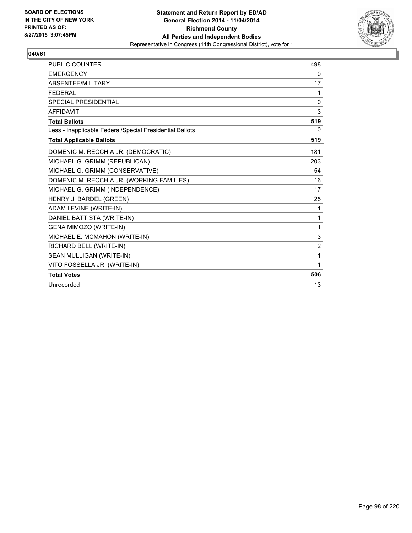

| <b>PUBLIC COUNTER</b>                                    | 498            |
|----------------------------------------------------------|----------------|
| <b>EMERGENCY</b>                                         | 0              |
| ABSENTEE/MILITARY                                        | 17             |
| <b>FEDERAL</b>                                           | 1              |
| <b>SPECIAL PRESIDENTIAL</b>                              | $\mathbf{0}$   |
| <b>AFFIDAVIT</b>                                         | 3              |
| <b>Total Ballots</b>                                     | 519            |
| Less - Inapplicable Federal/Special Presidential Ballots | 0              |
| <b>Total Applicable Ballots</b>                          | 519            |
| DOMENIC M. RECCHIA JR. (DEMOCRATIC)                      | 181            |
| MICHAEL G. GRIMM (REPUBLICAN)                            | 203            |
| MICHAEL G. GRIMM (CONSERVATIVE)                          | 54             |
| DOMENIC M. RECCHIA JR. (WORKING FAMILIES)                | 16             |
| MICHAEL G. GRIMM (INDEPENDENCE)                          | 17             |
| HENRY J. BARDEL (GREEN)                                  | 25             |
| ADAM LEVINE (WRITE-IN)                                   | 1              |
| DANIEL BATTISTA (WRITE-IN)                               | 1              |
| GENA MIMOZO (WRITE-IN)                                   | 1              |
| MICHAEL E. MCMAHON (WRITE-IN)                            | 3              |
| RICHARD BELL (WRITE-IN)                                  | $\overline{2}$ |
| SEAN MULLIGAN (WRITE-IN)                                 | 1              |
| VITO FOSSELLA JR. (WRITE-IN)                             | 1              |
| <b>Total Votes</b>                                       | 506            |
| Unrecorded                                               | 13             |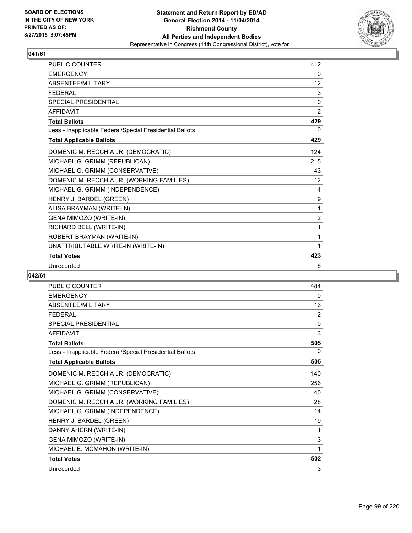

| <b>PUBLIC COUNTER</b>                                    | 412            |
|----------------------------------------------------------|----------------|
| <b>EMERGENCY</b>                                         | 0              |
| <b>ABSENTFF/MILITARY</b>                                 | 12             |
| <b>FFDFRAL</b>                                           | 3              |
| SPECIAL PRESIDENTIAL                                     | $\Omega$       |
| <b>AFFIDAVIT</b>                                         | 2              |
| <b>Total Ballots</b>                                     | 429            |
| Less - Inapplicable Federal/Special Presidential Ballots | 0              |
| <b>Total Applicable Ballots</b>                          | 429            |
| DOMENIC M. RECCHIA JR. (DEMOCRATIC)                      | 124            |
| MICHAEL G. GRIMM (REPUBLICAN)                            | 215            |
| MICHAEL G. GRIMM (CONSERVATIVE)                          | 43             |
| DOMENIC M. RECCHIA JR. (WORKING FAMILIES)                | 12             |
| MICHAEL G. GRIMM (INDEPENDENCE)                          | 14             |
| HENRY J. BARDEL (GREEN)                                  | 9              |
| ALISA BRAYMAN (WRITE-IN)                                 | $\mathbf{1}$   |
| GENA MIMOZO (WRITE-IN)                                   | $\overline{2}$ |
| RICHARD BELL (WRITE-IN)                                  | 1              |
| ROBERT BRAYMAN (WRITE-IN)                                | 1              |
| UNATTRIBUTABLE WRITE-IN (WRITE-IN)                       | 1              |
| <b>Total Votes</b>                                       | 423            |
| Unrecorded                                               | 6              |

| <b>PUBLIC COUNTER</b>                                    | 484 |
|----------------------------------------------------------|-----|
| <b>EMERGENCY</b>                                         | 0   |
| <b>ABSENTEE/MILITARY</b>                                 | 16  |
| <b>FEDERAL</b>                                           | 2   |
| <b>SPECIAL PRESIDENTIAL</b>                              | 0   |
| <b>AFFIDAVIT</b>                                         | 3   |
| <b>Total Ballots</b>                                     | 505 |
| Less - Inapplicable Federal/Special Presidential Ballots | 0   |
| <b>Total Applicable Ballots</b>                          | 505 |
| DOMENIC M. RECCHIA JR. (DEMOCRATIC)                      | 140 |
| MICHAEL G. GRIMM (REPUBLICAN)                            | 256 |
| MICHAEL G. GRIMM (CONSERVATIVE)                          | 40  |
| DOMENIC M. RECCHIA JR. (WORKING FAMILIES)                | 28  |
| MICHAEL G. GRIMM (INDEPENDENCE)                          | 14  |
| HENRY J. BARDEL (GREEN)                                  | 19  |
| DANNY AHERN (WRITE-IN)                                   | 1   |
| GENA MIMOZO (WRITE-IN)                                   | 3   |
| MICHAEL E. MCMAHON (WRITE-IN)                            | 1   |
| <b>Total Votes</b>                                       | 502 |
| Unrecorded                                               | 3   |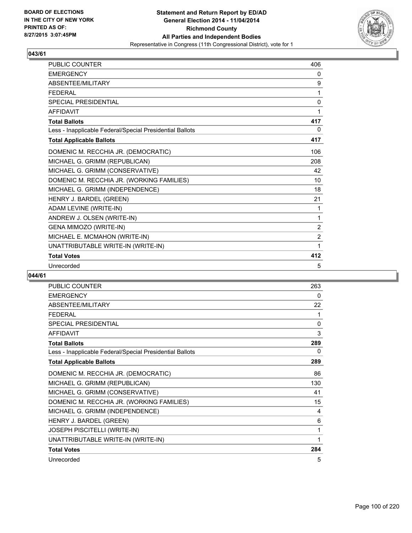

| <b>PUBLIC COUNTER</b>                                    | 406            |
|----------------------------------------------------------|----------------|
| <b>EMERGENCY</b>                                         | 0              |
| <b>ABSENTEF/MILITARY</b>                                 | 9              |
| <b>FFDFRAL</b>                                           | 1              |
| <b>SPECIAL PRESIDENTIAL</b>                              | $\mathbf{0}$   |
| <b>AFFIDAVIT</b>                                         | 1              |
| <b>Total Ballots</b>                                     | 417            |
| Less - Inapplicable Federal/Special Presidential Ballots | $\mathbf{0}$   |
| <b>Total Applicable Ballots</b>                          | 417            |
| DOMENIC M. RECCHIA JR. (DEMOCRATIC)                      | 106            |
| MICHAEL G. GRIMM (REPUBLICAN)                            | 208            |
| MICHAEL G. GRIMM (CONSERVATIVE)                          | 42             |
| DOMENIC M. RECCHIA JR. (WORKING FAMILIES)                | 10             |
| MICHAEL G. GRIMM (INDEPENDENCE)                          | 18             |
| HENRY J. BARDEL (GREEN)                                  | 21             |
| ADAM LEVINE (WRITE-IN)                                   | 1              |
| ANDREW J. OLSEN (WRITE-IN)                               | 1              |
| GENA MIMOZO (WRITE-IN)                                   | 2              |
| MICHAEL E. MCMAHON (WRITE-IN)                            | $\overline{2}$ |
| UNATTRIBUTABLE WRITE-IN (WRITE-IN)                       | 1              |
| <b>Total Votes</b>                                       | 412            |
| Unrecorded                                               | 5              |

| <b>PUBLIC COUNTER</b>                                    | 263 |
|----------------------------------------------------------|-----|
| <b>EMERGENCY</b>                                         | 0   |
| ABSENTEE/MILITARY                                        | 22  |
| <b>FEDERAL</b>                                           | 1   |
| <b>SPECIAL PRESIDENTIAL</b>                              | 0   |
| <b>AFFIDAVIT</b>                                         | 3   |
| <b>Total Ballots</b>                                     | 289 |
| Less - Inapplicable Federal/Special Presidential Ballots | 0   |
| <b>Total Applicable Ballots</b>                          | 289 |
| DOMENIC M. RECCHIA JR. (DEMOCRATIC)                      | 86  |
| MICHAEL G. GRIMM (REPUBLICAN)                            | 130 |
| MICHAEL G. GRIMM (CONSERVATIVE)                          | 41  |
| DOMENIC M. RECCHIA JR. (WORKING FAMILIES)                | 15  |
| MICHAEL G. GRIMM (INDEPENDENCE)                          | 4   |
| HENRY J. BARDEL (GREEN)                                  | 6   |
| JOSEPH PISCITELLI (WRITE-IN)                             | 1   |
| UNATTRIBUTABLE WRITE-IN (WRITE-IN)                       | 1   |
| <b>Total Votes</b>                                       | 284 |
| Unrecorded                                               | 5   |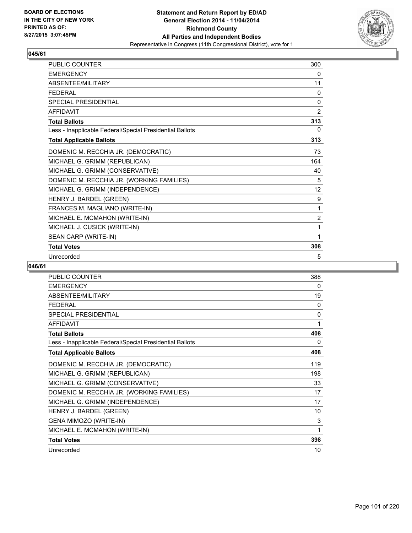

| <b>PUBLIC COUNTER</b>                                    | 300            |
|----------------------------------------------------------|----------------|
| <b>EMERGENCY</b>                                         | 0              |
| ABSENTEE/MILITARY                                        | 11             |
| <b>FFDFRAL</b>                                           | 0              |
| <b>SPECIAL PRESIDENTIAL</b>                              | 0              |
| <b>AFFIDAVIT</b>                                         | $\overline{2}$ |
| <b>Total Ballots</b>                                     | 313            |
| Less - Inapplicable Federal/Special Presidential Ballots | 0              |
| <b>Total Applicable Ballots</b>                          | 313            |
| DOMENIC M. RECCHIA JR. (DEMOCRATIC)                      | 73             |
| MICHAEL G. GRIMM (REPUBLICAN)                            | 164            |
| MICHAEL G. GRIMM (CONSERVATIVE)                          | 40             |
| DOMENIC M. RECCHIA JR. (WORKING FAMILIES)                | 5              |
| MICHAEL G. GRIMM (INDEPENDENCE)                          | 12             |
| HENRY J. BARDEL (GREEN)                                  | 9              |
| FRANCES M. MAGLIANO (WRITE-IN)                           | 1              |
| MICHAEL E. MCMAHON (WRITE-IN)                            | $\overline{2}$ |
| MICHAEL J. CUSICK (WRITE-IN)                             | 1              |
| SEAN CARP (WRITE-IN)                                     | 1              |
| <b>Total Votes</b>                                       | 308            |
| Unrecorded                                               | 5              |

| <b>PUBLIC COUNTER</b>                                    | 388 |
|----------------------------------------------------------|-----|
| <b>EMERGENCY</b>                                         | 0   |
| ABSENTEE/MILITARY                                        | 19  |
| <b>FEDERAL</b>                                           | 0   |
| SPECIAL PRESIDENTIAL                                     | 0   |
| <b>AFFIDAVIT</b>                                         | 1   |
| <b>Total Ballots</b>                                     | 408 |
| Less - Inapplicable Federal/Special Presidential Ballots | 0   |
| <b>Total Applicable Ballots</b>                          | 408 |
| DOMENIC M. RECCHIA JR. (DEMOCRATIC)                      | 119 |
| MICHAEL G. GRIMM (REPUBLICAN)                            | 198 |
| MICHAEL G. GRIMM (CONSERVATIVE)                          | 33  |
| DOMENIC M. RECCHIA JR. (WORKING FAMILIES)                | 17  |
| MICHAEL G. GRIMM (INDEPENDENCE)                          | 17  |
| HENRY J. BARDEL (GREEN)                                  | 10  |
| GENA MIMOZO (WRITE-IN)                                   | 3   |
| MICHAEL E. MCMAHON (WRITE-IN)                            | 1   |
| <b>Total Votes</b>                                       | 398 |
| Unrecorded                                               | 10  |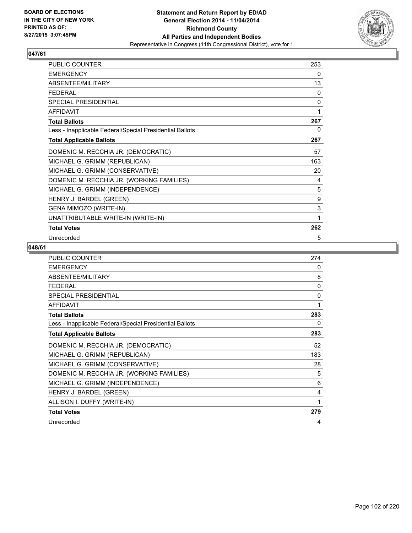

| PUBLIC COUNTER                                           | 253 |
|----------------------------------------------------------|-----|
| <b>EMERGENCY</b>                                         | 0   |
| ABSENTEE/MILITARY                                        | 13  |
| <b>FEDERAL</b>                                           | 0   |
| SPECIAL PRESIDENTIAL                                     | 0   |
| <b>AFFIDAVIT</b>                                         | 1   |
| <b>Total Ballots</b>                                     | 267 |
| Less - Inapplicable Federal/Special Presidential Ballots | 0   |
| <b>Total Applicable Ballots</b>                          | 267 |
| DOMENIC M. RECCHIA JR. (DEMOCRATIC)                      | 57  |
| MICHAEL G. GRIMM (REPUBLICAN)                            | 163 |
| MICHAEL G. GRIMM (CONSERVATIVE)                          | 20  |
| DOMENIC M. RECCHIA JR. (WORKING FAMILIES)                | 4   |
| MICHAEL G. GRIMM (INDEPENDENCE)                          | 5   |
| HENRY J. BARDEL (GREEN)                                  | 9   |
| GENA MIMOZO (WRITE-IN)                                   | 3   |
| UNATTRIBUTABLE WRITE-IN (WRITE-IN)                       | 1   |
| <b>Total Votes</b>                                       | 262 |
| Unrecorded                                               | 5   |

| <b>PUBLIC COUNTER</b>                                    | 274 |
|----------------------------------------------------------|-----|
| <b>EMERGENCY</b>                                         | 0   |
| ABSENTEE/MILITARY                                        | 8   |
| <b>FEDERAL</b>                                           | 0   |
| SPECIAL PRESIDENTIAL                                     | 0   |
| <b>AFFIDAVIT</b>                                         | 1   |
| <b>Total Ballots</b>                                     | 283 |
| Less - Inapplicable Federal/Special Presidential Ballots | 0   |
| <b>Total Applicable Ballots</b>                          | 283 |
| DOMENIC M. RECCHIA JR. (DEMOCRATIC)                      | 52  |
| MICHAEL G. GRIMM (REPUBLICAN)                            | 183 |
| MICHAEL G. GRIMM (CONSERVATIVE)                          | 28  |
| DOMENIC M. RECCHIA JR. (WORKING FAMILIES)                | 5   |
| MICHAEL G. GRIMM (INDEPENDENCE)                          | 6   |
| HENRY J. BARDEL (GREEN)                                  | 4   |
| ALLISON I. DUFFY (WRITE-IN)                              | 1   |
| <b>Total Votes</b>                                       | 279 |
| Unrecorded                                               | 4   |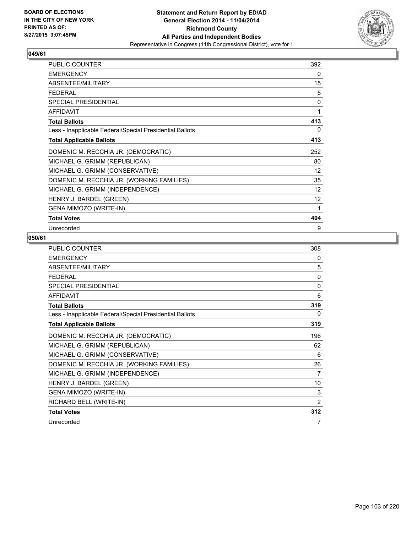

| <b>PUBLIC COUNTER</b>                                    | 392               |
|----------------------------------------------------------|-------------------|
| <b>EMERGENCY</b>                                         | 0                 |
| ABSENTEE/MILITARY                                        | 15                |
| FFDFRAI                                                  | 5                 |
| <b>SPECIAL PRESIDENTIAL</b>                              | 0                 |
| <b>AFFIDAVIT</b>                                         | 1                 |
| <b>Total Ballots</b>                                     | 413               |
| Less - Inapplicable Federal/Special Presidential Ballots | 0                 |
| <b>Total Applicable Ballots</b>                          | 413               |
| DOMENIC M. RECCHIA JR. (DEMOCRATIC)                      | 252               |
| MICHAEL G. GRIMM (REPUBLICAN)                            | 80                |
| MICHAEL G. GRIMM (CONSERVATIVE)                          | $12 \overline{ }$ |
| DOMENIC M. RECCHIA JR. (WORKING FAMILIES)                | 35                |
| MICHAEL G. GRIMM (INDEPENDENCE)                          | 12                |
| HENRY J. BARDEL (GREEN)                                  | 12                |
| GENA MIMOZO (WRITE-IN)                                   | 1                 |
| <b>Total Votes</b>                                       | 404               |
| Unrecorded                                               | 9                 |

| <b>PUBLIC COUNTER</b>                                    | 308          |
|----------------------------------------------------------|--------------|
| <b>EMERGENCY</b>                                         | 0            |
| ABSENTEE/MILITARY                                        | 5            |
| <b>FEDERAL</b>                                           | 0            |
| <b>SPECIAL PRESIDENTIAL</b>                              | $\mathbf{0}$ |
| <b>AFFIDAVIT</b>                                         | 6            |
| <b>Total Ballots</b>                                     | 319          |
| Less - Inapplicable Federal/Special Presidential Ballots | 0            |
| <b>Total Applicable Ballots</b>                          | 319          |
| DOMENIC M. RECCHIA JR. (DEMOCRATIC)                      | 196          |
| MICHAEL G. GRIMM (REPUBLICAN)                            | 62           |
| MICHAEL G. GRIMM (CONSERVATIVE)                          | 6            |
| DOMENIC M. RECCHIA JR. (WORKING FAMILIES)                | 26           |
| MICHAEL G. GRIMM (INDEPENDENCE)                          | 7            |
| HENRY J. BARDEL (GREEN)                                  | 10           |
| GENA MIMOZO (WRITE-IN)                                   | 3            |
| RICHARD BELL (WRITE-IN)                                  | 2            |
| <b>Total Votes</b>                                       | 312          |
| Unrecorded                                               | 7            |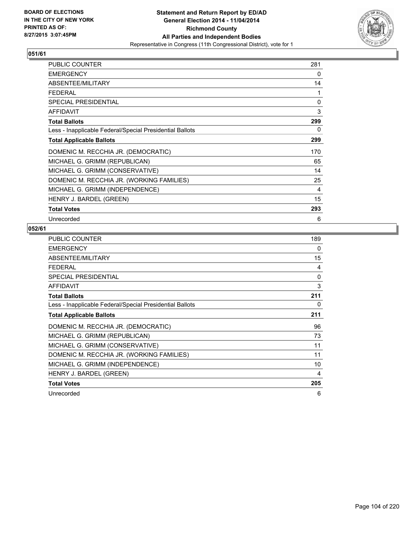

| <b>PUBLIC COUNTER</b>                                    | 281 |
|----------------------------------------------------------|-----|
| <b>EMERGENCY</b>                                         | 0   |
| ABSENTEE/MILITARY                                        | 14  |
| <b>FEDERAL</b>                                           | 1   |
| <b>SPECIAL PRESIDENTIAL</b>                              | 0   |
| <b>AFFIDAVIT</b>                                         | 3   |
| <b>Total Ballots</b>                                     | 299 |
| Less - Inapplicable Federal/Special Presidential Ballots | 0   |
| <b>Total Applicable Ballots</b>                          | 299 |
| DOMENIC M. RECCHIA JR. (DEMOCRATIC)                      | 170 |
| MICHAEL G. GRIMM (REPUBLICAN)                            | 65  |
| MICHAEL G. GRIMM (CONSERVATIVE)                          | 14  |
| DOMENIC M. RECCHIA JR. (WORKING FAMILIES)                | 25  |
| MICHAEL G. GRIMM (INDEPENDENCE)                          | 4   |
| HENRY J. BARDEL (GREEN)                                  | 15  |
| <b>Total Votes</b>                                       | 293 |
| Unrecorded                                               | 6   |

| <b>PUBLIC COUNTER</b>                                    | 189 |
|----------------------------------------------------------|-----|
| <b>EMERGENCY</b>                                         | 0   |
| ABSENTEE/MILITARY                                        | 15  |
| FEDERAL                                                  | 4   |
| SPECIAL PRESIDENTIAL                                     | 0   |
| <b>AFFIDAVIT</b>                                         | 3   |
| <b>Total Ballots</b>                                     | 211 |
| Less - Inapplicable Federal/Special Presidential Ballots | 0   |
| <b>Total Applicable Ballots</b>                          | 211 |
| DOMENIC M. RECCHIA JR. (DEMOCRATIC)                      | 96  |
| MICHAEL G. GRIMM (REPUBLICAN)                            | 73  |
| MICHAEL G. GRIMM (CONSERVATIVE)                          | 11  |
| DOMENIC M. RECCHIA JR. (WORKING FAMILIES)                | 11  |
| MICHAEL G. GRIMM (INDEPENDENCE)                          | 10  |
| HENRY J. BARDEL (GREEN)                                  | 4   |
| <b>Total Votes</b>                                       | 205 |
| Unrecorded                                               | 6   |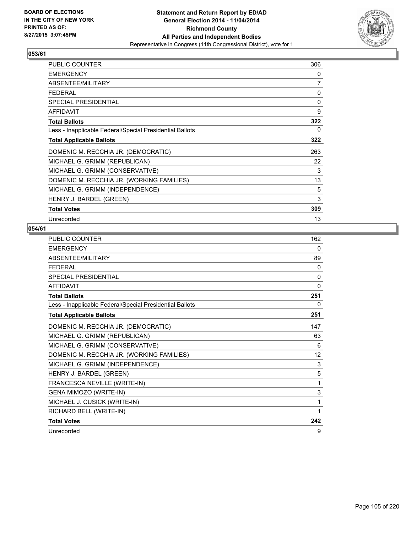

| <b>PUBLIC COUNTER</b>                                    | 306      |
|----------------------------------------------------------|----------|
| <b>EMERGENCY</b>                                         | 0        |
| ABSENTEE/MILITARY                                        | 7        |
| <b>FEDERAL</b>                                           | 0        |
| <b>SPECIAL PRESIDENTIAL</b>                              | $\Omega$ |
| <b>AFFIDAVIT</b>                                         | 9        |
| <b>Total Ballots</b>                                     | 322      |
| Less - Inapplicable Federal/Special Presidential Ballots | 0        |
| <b>Total Applicable Ballots</b>                          | 322      |
| DOMENIC M. RECCHIA JR. (DEMOCRATIC)                      | 263      |
| MICHAEL G. GRIMM (REPUBLICAN)                            | 22       |
| MICHAEL G. GRIMM (CONSERVATIVE)                          | 3        |
| DOMENIC M. RECCHIA JR. (WORKING FAMILIES)                | 13       |
| MICHAEL G. GRIMM (INDEPENDENCE)                          | 5        |
| HENRY J. BARDEL (GREEN)                                  | 3        |
| <b>Total Votes</b>                                       | 309      |
| Unrecorded                                               | 13       |

| <b>PUBLIC COUNTER</b>                                    | 162      |
|----------------------------------------------------------|----------|
| <b>EMERGENCY</b>                                         | 0        |
| ABSENTEE/MILITARY                                        | 89       |
| <b>FFDFRAI</b>                                           | 0        |
| SPECIAL PRESIDENTIAL                                     | 0        |
| <b>AFFIDAVIT</b>                                         | $\Omega$ |
| <b>Total Ballots</b>                                     | 251      |
| Less - Inapplicable Federal/Special Presidential Ballots | 0        |
| <b>Total Applicable Ballots</b>                          | 251      |
| DOMENIC M. RECCHIA JR. (DEMOCRATIC)                      | 147      |
| MICHAEL G. GRIMM (REPUBLICAN)                            | 63       |
| MICHAEL G. GRIMM (CONSERVATIVE)                          | 6        |
| DOMENIC M. RECCHIA JR. (WORKING FAMILIES)                | 12       |
| MICHAEL G. GRIMM (INDEPENDENCE)                          | 3        |
| HENRY J. BARDEL (GREEN)                                  | 5        |
| FRANCESCA NEVILLE (WRITE-IN)                             | 1        |
| GENA MIMOZO (WRITE-IN)                                   | 3        |
| MICHAEL J. CUSICK (WRITE-IN)                             | 1        |
| RICHARD BELL (WRITE-IN)                                  | 1        |
| <b>Total Votes</b>                                       | 242      |
| Unrecorded                                               | 9        |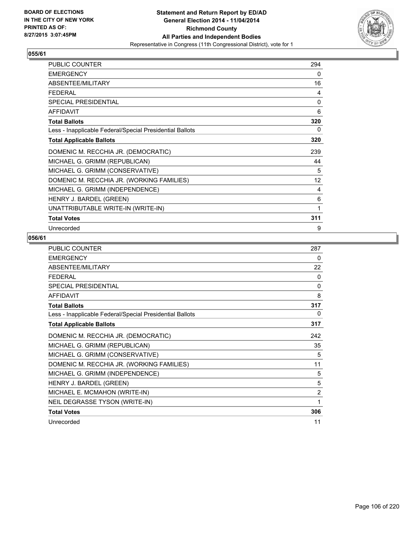

| <b>PUBLIC COUNTER</b>                                    | 294 |
|----------------------------------------------------------|-----|
| <b>EMERGENCY</b>                                         | 0   |
| ABSENTEE/MILITARY                                        | 16  |
| <b>FEDERAL</b>                                           | 4   |
| SPECIAL PRESIDENTIAL                                     | 0   |
| <b>AFFIDAVIT</b>                                         | 6   |
| <b>Total Ballots</b>                                     | 320 |
| Less - Inapplicable Federal/Special Presidential Ballots | 0   |
| <b>Total Applicable Ballots</b>                          | 320 |
| DOMENIC M. RECCHIA JR. (DEMOCRATIC)                      | 239 |
| MICHAEL G. GRIMM (REPUBLICAN)                            | 44  |
| MICHAEL G. GRIMM (CONSERVATIVE)                          | 5   |
| DOMENIC M. RECCHIA JR. (WORKING FAMILIES)                | 12  |
| MICHAEL G. GRIMM (INDEPENDENCE)                          | 4   |
| HENRY J. BARDEL (GREEN)                                  | 6   |
| UNATTRIBUTABLE WRITE-IN (WRITE-IN)                       | 1   |
| <b>Total Votes</b>                                       | 311 |
| Unrecorded                                               | 9   |

| PUBLIC COUNTER                                           | 287          |
|----------------------------------------------------------|--------------|
| <b>EMERGENCY</b>                                         | 0            |
| ABSENTEE/MILITARY                                        | 22           |
| <b>FEDERAL</b>                                           | 0            |
| SPECIAL PRESIDENTIAL                                     | $\mathbf{0}$ |
| <b>AFFIDAVIT</b>                                         | 8            |
| <b>Total Ballots</b>                                     | 317          |
| Less - Inapplicable Federal/Special Presidential Ballots | 0            |
| <b>Total Applicable Ballots</b>                          | 317          |
| DOMENIC M. RECCHIA JR. (DEMOCRATIC)                      | 242          |
| MICHAEL G. GRIMM (REPUBLICAN)                            | 35           |
| MICHAEL G. GRIMM (CONSERVATIVE)                          | 5            |
| DOMENIC M. RECCHIA JR. (WORKING FAMILIES)                | 11           |
| MICHAEL G. GRIMM (INDEPENDENCE)                          | 5            |
| HENRY J. BARDEL (GREEN)                                  | 5            |
| MICHAEL E. MCMAHON (WRITE-IN)                            | 2            |
| NEIL DEGRASSE TYSON (WRITE-IN)                           | 1            |
| <b>Total Votes</b>                                       | 306          |
| Unrecorded                                               | 11           |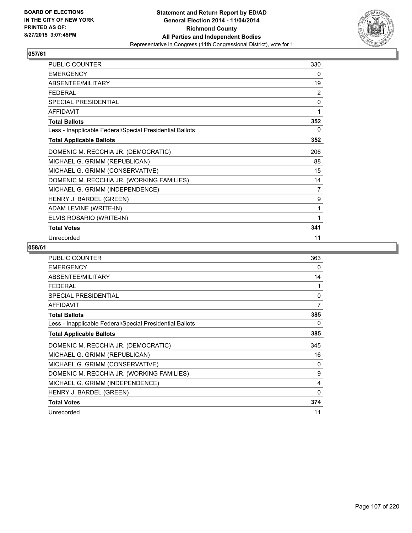

| PUBLIC COUNTER                                           | 330            |
|----------------------------------------------------------|----------------|
| <b>EMERGENCY</b>                                         | 0              |
| ABSENTEE/MILITARY                                        | 19             |
| <b>FEDERAL</b>                                           | 2              |
| SPECIAL PRESIDENTIAL                                     | $\mathbf 0$    |
| <b>AFFIDAVIT</b>                                         | 1              |
| <b>Total Ballots</b>                                     | 352            |
| Less - Inapplicable Federal/Special Presidential Ballots | 0              |
| <b>Total Applicable Ballots</b>                          | 352            |
| DOMENIC M. RECCHIA JR. (DEMOCRATIC)                      | 206            |
| MICHAEL G. GRIMM (REPUBLICAN)                            | 88             |
| MICHAEL G. GRIMM (CONSERVATIVE)                          | 15             |
| DOMENIC M. RECCHIA JR. (WORKING FAMILIES)                | 14             |
| MICHAEL G. GRIMM (INDEPENDENCE)                          | $\overline{7}$ |
| HENRY J. BARDEL (GREEN)                                  | 9              |
| ADAM LEVINE (WRITE-IN)                                   | 1              |
| ELVIS ROSARIO (WRITE-IN)                                 | 1              |
| <b>Total Votes</b>                                       | 341            |
| Unrecorded                                               | 11             |

| <b>PUBLIC COUNTER</b>                                    | 363          |
|----------------------------------------------------------|--------------|
| <b>EMERGENCY</b>                                         | 0            |
| ABSENTEE/MILITARY                                        | 14           |
| <b>FEDERAL</b>                                           | 1            |
| SPECIAL PRESIDENTIAL                                     | 0            |
| <b>AFFIDAVIT</b>                                         | 7            |
| <b>Total Ballots</b>                                     | 385          |
| Less - Inapplicable Federal/Special Presidential Ballots | 0            |
| <b>Total Applicable Ballots</b>                          | 385          |
| DOMENIC M. RECCHIA JR. (DEMOCRATIC)                      | 345          |
| MICHAEL G. GRIMM (REPUBLICAN)                            | 16           |
| MICHAEL G. GRIMM (CONSERVATIVE)                          | 0            |
| DOMENIC M. RECCHIA JR. (WORKING FAMILIES)                | 9            |
| MICHAEL G. GRIMM (INDEPENDENCE)                          | 4            |
| HENRY J. BARDEL (GREEN)                                  | $\mathbf{0}$ |
| <b>Total Votes</b>                                       | 374          |
| Unrecorded                                               | 11           |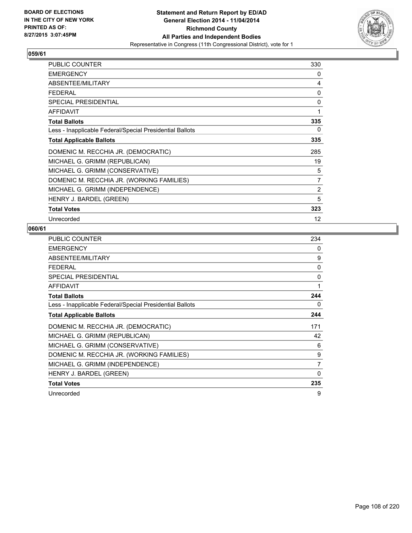

| <b>PUBLIC COUNTER</b>                                    | 330            |
|----------------------------------------------------------|----------------|
| <b>EMERGENCY</b>                                         | 0              |
| ABSENTEE/MILITARY                                        | 4              |
| <b>FEDERAL</b>                                           | 0              |
| <b>SPECIAL PRESIDENTIAL</b>                              | 0              |
| <b>AFFIDAVIT</b>                                         | 1              |
| <b>Total Ballots</b>                                     | 335            |
| Less - Inapplicable Federal/Special Presidential Ballots | 0              |
| <b>Total Applicable Ballots</b>                          | 335            |
| DOMENIC M. RECCHIA JR. (DEMOCRATIC)                      | 285            |
| MICHAEL G. GRIMM (REPUBLICAN)                            | 19             |
| MICHAEL G. GRIMM (CONSERVATIVE)                          | 5              |
| DOMENIC M. RECCHIA JR. (WORKING FAMILIES)                | $\overline{7}$ |
| MICHAEL G. GRIMM (INDEPENDENCE)                          | $\overline{2}$ |
| HENRY J. BARDEL (GREEN)                                  | 5              |
| <b>Total Votes</b>                                       | 323            |
| Unrecorded                                               | 12             |

| <b>PUBLIC COUNTER</b>                                    | 234          |
|----------------------------------------------------------|--------------|
| <b>EMERGENCY</b>                                         | 0            |
| ABSENTEE/MILITARY                                        | 9            |
| <b>FEDERAL</b>                                           | $\mathbf{0}$ |
| <b>SPECIAL PRESIDENTIAL</b>                              | 0            |
| <b>AFFIDAVIT</b>                                         | 1            |
| <b>Total Ballots</b>                                     | 244          |
| Less - Inapplicable Federal/Special Presidential Ballots | 0            |
| <b>Total Applicable Ballots</b>                          | 244          |
| DOMENIC M. RECCHIA JR. (DEMOCRATIC)                      | 171          |
| MICHAEL G. GRIMM (REPUBLICAN)                            | 42           |
| MICHAEL G. GRIMM (CONSERVATIVE)                          | 6            |
| DOMENIC M. RECCHIA JR. (WORKING FAMILIES)                | 9            |
| MICHAEL G. GRIMM (INDEPENDENCE)                          | 7            |
| HENRY J. BARDEL (GREEN)                                  | 0            |
| <b>Total Votes</b>                                       | 235          |
| Unrecorded                                               | 9            |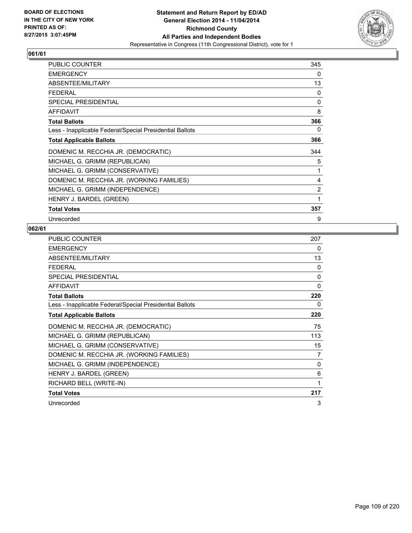

| <b>PUBLIC COUNTER</b>                                    | 345            |
|----------------------------------------------------------|----------------|
| <b>EMERGENCY</b>                                         | 0              |
| ABSENTEE/MILITARY                                        | 13             |
| <b>FEDERAL</b>                                           | 0              |
| <b>SPECIAL PRESIDENTIAL</b>                              | 0              |
| <b>AFFIDAVIT</b>                                         | 8              |
| <b>Total Ballots</b>                                     | 366            |
| Less - Inapplicable Federal/Special Presidential Ballots | 0              |
| <b>Total Applicable Ballots</b>                          | 366            |
| DOMENIC M. RECCHIA JR. (DEMOCRATIC)                      | 344            |
| MICHAEL G. GRIMM (REPUBLICAN)                            | 5              |
| MICHAEL G. GRIMM (CONSERVATIVE)                          | 1              |
| DOMENIC M. RECCHIA JR. (WORKING FAMILIES)                | 4              |
| MICHAEL G. GRIMM (INDEPENDENCE)                          | $\overline{2}$ |
| HENRY J. BARDEL (GREEN)                                  | 1              |
| <b>Total Votes</b>                                       | 357            |
| Unrecorded                                               | 9              |

| <b>PUBLIC COUNTER</b>                                    | 207      |
|----------------------------------------------------------|----------|
| <b>EMERGENCY</b>                                         | 0        |
| ABSENTEE/MILITARY                                        | 13       |
| FFDFRAI                                                  | 0        |
| <b>SPECIAL PRESIDENTIAL</b>                              | 0        |
| <b>AFFIDAVIT</b>                                         | 0        |
| <b>Total Ballots</b>                                     | 220      |
| Less - Inapplicable Federal/Special Presidential Ballots | 0        |
| <b>Total Applicable Ballots</b>                          | 220      |
| DOMENIC M. RECCHIA JR. (DEMOCRATIC)                      | 75       |
| MICHAEL G. GRIMM (REPUBLICAN)                            | 113      |
| MICHAEL G. GRIMM (CONSERVATIVE)                          | 15       |
| DOMENIC M. RECCHIA JR. (WORKING FAMILIES)                | 7        |
| MICHAEL G. GRIMM (INDEPENDENCE)                          | $\Omega$ |
| HENRY J. BARDEL (GREEN)                                  | 6        |
| RICHARD BELL (WRITE-IN)                                  | 1        |
| <b>Total Votes</b>                                       | 217      |
| Unrecorded                                               | 3        |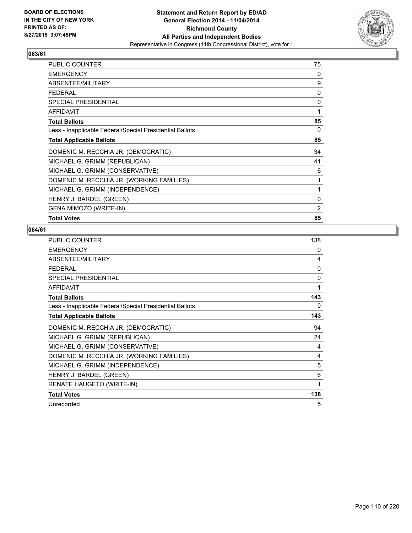

| PUBLIC COUNTER                                           | 75 |
|----------------------------------------------------------|----|
| <b>EMERGENCY</b>                                         | 0  |
| ABSENTEE/MILITARY                                        | 9  |
| <b>FEDERAL</b>                                           | 0  |
| <b>SPECIAL PRESIDENTIAL</b>                              | 0  |
| <b>AFFIDAVIT</b>                                         | 1  |
| <b>Total Ballots</b>                                     | 85 |
| Less - Inapplicable Federal/Special Presidential Ballots | 0  |
| <b>Total Applicable Ballots</b>                          | 85 |
| DOMENIC M. RECCHIA JR. (DEMOCRATIC)                      | 34 |
| MICHAEL G. GRIMM (REPUBLICAN)                            | 41 |
| MICHAEL G. GRIMM (CONSERVATIVE)                          | 6  |
| DOMENIC M. RECCHIA JR. (WORKING FAMILIES)                | 1  |
| MICHAEL G. GRIMM (INDEPENDENCE)                          | 1  |
| HENRY J. BARDEL (GREEN)                                  | 0  |
| GENA MIMOZO (WRITE-IN)                                   | 2  |
| <b>Total Votes</b>                                       | 85 |

| <b>PUBLIC COUNTER</b>                                    | 138          |
|----------------------------------------------------------|--------------|
| <b>EMERGENCY</b>                                         | 0            |
| ABSENTEE/MILITARY                                        | 4            |
| <b>FEDERAL</b>                                           | $\mathbf{0}$ |
| SPECIAL PRESIDENTIAL                                     | 0            |
| <b>AFFIDAVIT</b>                                         | 1            |
| <b>Total Ballots</b>                                     | 143          |
| Less - Inapplicable Federal/Special Presidential Ballots | 0            |
| <b>Total Applicable Ballots</b>                          | 143          |
| DOMENIC M. RECCHIA JR. (DEMOCRATIC)                      | 94           |
| MICHAEL G. GRIMM (REPUBLICAN)                            | 24           |
| MICHAEL G. GRIMM (CONSERVATIVE)                          | 4            |
| DOMENIC M. RECCHIA JR. (WORKING FAMILIES)                | 4            |
| MICHAEL G. GRIMM (INDEPENDENCE)                          | 5            |
| HENRY J. BARDEL (GREEN)                                  | 6            |
| RENATE HAUGETO (WRITE-IN)                                | 1            |
| <b>Total Votes</b>                                       | 138          |
| Unrecorded                                               | 5            |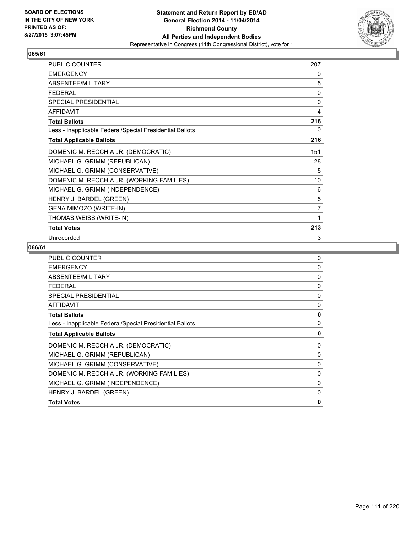

| PUBLIC COUNTER                                           | 207 |
|----------------------------------------------------------|-----|
| <b>EMERGENCY</b>                                         | 0   |
| ABSENTEE/MILITARY                                        | 5   |
| <b>FEDERAL</b>                                           | 0   |
| SPECIAL PRESIDENTIAL                                     | 0   |
| <b>AFFIDAVIT</b>                                         | 4   |
| <b>Total Ballots</b>                                     | 216 |
| Less - Inapplicable Federal/Special Presidential Ballots | 0   |
| <b>Total Applicable Ballots</b>                          | 216 |
| DOMENIC M. RECCHIA JR. (DEMOCRATIC)                      | 151 |
| MICHAEL G. GRIMM (REPUBLICAN)                            | 28  |
| MICHAEL G. GRIMM (CONSERVATIVE)                          | 5   |
| DOMENIC M. RECCHIA JR. (WORKING FAMILIES)                | 10  |
| MICHAEL G. GRIMM (INDEPENDENCE)                          | 6   |
| HENRY J. BARDEL (GREEN)                                  | 5   |
| GENA MIMOZO (WRITE-IN)                                   | 7   |
| THOMAS WEISS (WRITE-IN)                                  | 1   |
| <b>Total Votes</b>                                       | 213 |
| Unrecorded                                               | 3   |

| <b>PUBLIC COUNTER</b>                                    | 0            |
|----------------------------------------------------------|--------------|
| <b>EMERGENCY</b>                                         | 0            |
| ABSENTEE/MILITARY                                        | 0            |
| <b>FFDFRAL</b>                                           | $\Omega$     |
| <b>SPECIAL PRESIDENTIAL</b>                              | 0            |
| <b>AFFIDAVIT</b>                                         | 0            |
| <b>Total Ballots</b>                                     | 0            |
| Less - Inapplicable Federal/Special Presidential Ballots | $\mathbf{0}$ |
| <b>Total Applicable Ballots</b>                          | 0            |
| DOMENIC M. RECCHIA JR. (DEMOCRATIC)                      | 0            |
| MICHAEL G. GRIMM (REPUBLICAN)                            | 0            |
| MICHAEL G. GRIMM (CONSERVATIVE)                          | 0            |
| DOMENIC M. RECCHIA JR. (WORKING FAMILIES)                | $\Omega$     |
| MICHAEL G. GRIMM (INDEPENDENCE)                          | 0            |
| HENRY J. BARDEL (GREEN)                                  | 0            |
| <b>Total Votes</b>                                       | $\mathbf{0}$ |
|                                                          |              |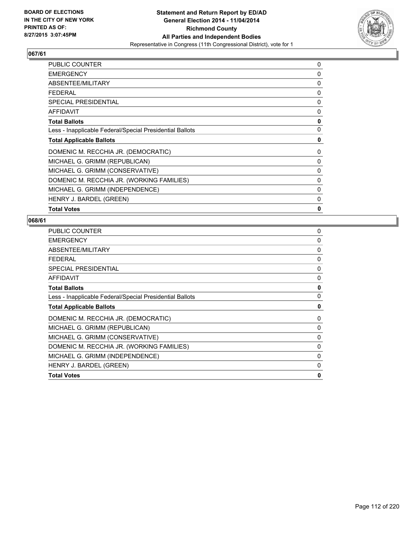

| 0 |
|---|
| 0 |
| 0 |
| 0 |
| 0 |
| 0 |
| 0 |
| 0 |
| 0 |
| 0 |
| 0 |
| 0 |
| 0 |
| 0 |
| 0 |
| 0 |
|   |

| <b>PUBLIC COUNTER</b>                                    | 0            |
|----------------------------------------------------------|--------------|
| <b>EMERGENCY</b>                                         | 0            |
| ABSENTEE/MILITARY                                        | 0            |
| <b>FEDERAL</b>                                           | 0            |
| <b>SPECIAL PRESIDENTIAL</b>                              | $\mathbf{0}$ |
| <b>AFFIDAVIT</b>                                         | 0            |
| <b>Total Ballots</b>                                     | 0            |
| Less - Inapplicable Federal/Special Presidential Ballots | 0            |
| <b>Total Applicable Ballots</b>                          | 0            |
| DOMENIC M. RECCHIA JR. (DEMOCRATIC)                      | 0            |
| MICHAEL G. GRIMM (REPUBLICAN)                            | 0            |
| MICHAEL G. GRIMM (CONSERVATIVE)                          | 0            |
| DOMENIC M. RECCHIA JR. (WORKING FAMILIES)                | $\mathbf{0}$ |
| MICHAEL G. GRIMM (INDEPENDENCE)                          | 0            |
| HENRY J. BARDEL (GREEN)                                  | 0            |
| <b>Total Votes</b>                                       | $\mathbf{0}$ |
|                                                          |              |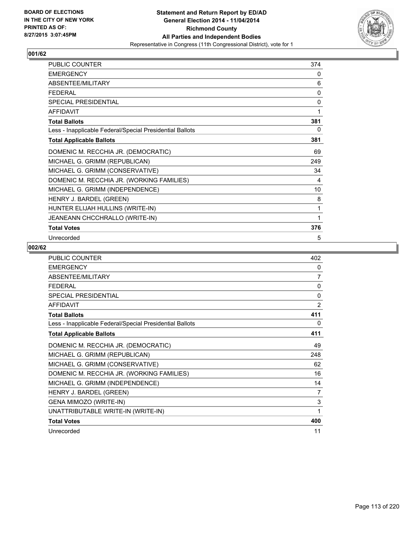

| <b>PUBLIC COUNTER</b>                                    | 374 |
|----------------------------------------------------------|-----|
| <b>EMERGENCY</b>                                         | 0   |
| ABSENTEE/MILITARY                                        | 6   |
| <b>FEDERAL</b>                                           | 0   |
| <b>SPECIAL PRESIDENTIAL</b>                              | 0   |
| <b>AFFIDAVIT</b>                                         | 1   |
| <b>Total Ballots</b>                                     | 381 |
| Less - Inapplicable Federal/Special Presidential Ballots | 0   |
| <b>Total Applicable Ballots</b>                          | 381 |
| DOMENIC M. RECCHIA JR. (DEMOCRATIC)                      | 69  |
| MICHAEL G. GRIMM (REPUBLICAN)                            | 249 |
| MICHAEL G. GRIMM (CONSERVATIVE)                          | 34  |
| DOMENIC M. RECCHIA JR. (WORKING FAMILIES)                | 4   |
| MICHAEL G. GRIMM (INDEPENDENCE)                          | 10  |
| HENRY J. BARDEL (GREEN)                                  | 8   |
| HUNTER ELIJAH HULLINS (WRITE-IN)                         | 1   |
| JEANEANN CHCCHRALLO (WRITE-IN)                           | 1   |
| <b>Total Votes</b>                                       | 376 |
| Unrecorded                                               | 5   |

| <b>PUBLIC COUNTER</b>                                    | 402            |
|----------------------------------------------------------|----------------|
| <b>EMERGENCY</b>                                         | 0              |
| ABSENTEE/MILITARY                                        | $\overline{7}$ |
| <b>FEDERAL</b>                                           | $\Omega$       |
| <b>SPECIAL PRESIDENTIAL</b>                              | $\mathbf{0}$   |
| <b>AFFIDAVIT</b>                                         | 2              |
| <b>Total Ballots</b>                                     | 411            |
| Less - Inapplicable Federal/Special Presidential Ballots | 0              |
| <b>Total Applicable Ballots</b>                          | 411            |
| DOMENIC M. RECCHIA JR. (DEMOCRATIC)                      | 49             |
| MICHAEL G. GRIMM (REPUBLICAN)                            | 248            |
| MICHAEL G. GRIMM (CONSERVATIVE)                          | 62             |
| DOMENIC M. RECCHIA JR. (WORKING FAMILIES)                | 16             |
| MICHAEL G. GRIMM (INDEPENDENCE)                          | 14             |
| HENRY J. BARDEL (GREEN)                                  | $\overline{7}$ |
| GENA MIMOZO (WRITE-IN)                                   | 3              |
| UNATTRIBUTABLE WRITE-IN (WRITE-IN)                       | 1              |
| <b>Total Votes</b>                                       | 400            |
| Unrecorded                                               | 11             |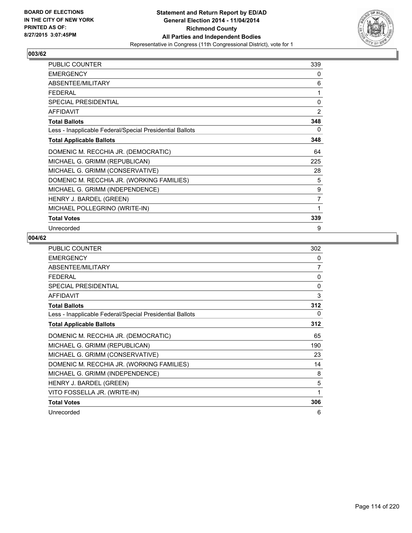

| <b>PUBLIC COUNTER</b>                                    | 339 |
|----------------------------------------------------------|-----|
| <b>EMERGENCY</b>                                         | 0   |
| ABSENTEE/MILITARY                                        | 6   |
| <b>FEDERAL</b>                                           | 1   |
| <b>SPECIAL PRESIDENTIAL</b>                              | 0   |
| <b>AFFIDAVIT</b>                                         | 2   |
| <b>Total Ballots</b>                                     | 348 |
| Less - Inapplicable Federal/Special Presidential Ballots | 0   |
| <b>Total Applicable Ballots</b>                          | 348 |
| DOMENIC M. RECCHIA JR. (DEMOCRATIC)                      | 64  |
| MICHAEL G. GRIMM (REPUBLICAN)                            | 225 |
| MICHAEL G. GRIMM (CONSERVATIVE)                          | 28  |
| DOMENIC M. RECCHIA JR. (WORKING FAMILIES)                | 5   |
| MICHAEL G. GRIMM (INDEPENDENCE)                          | 9   |
| HENRY J. BARDEL (GREEN)                                  | 7   |
| MICHAEL POLLEGRINO (WRITE-IN)                            | 1   |
| <b>Total Votes</b>                                       | 339 |
| Unrecorded                                               | 9   |

| <b>PUBLIC COUNTER</b>                                    | 302      |
|----------------------------------------------------------|----------|
| <b>EMERGENCY</b>                                         | 0        |
| ABSENTEE/MILITARY                                        | 7        |
| <b>FEDERAL</b>                                           | $\Omega$ |
| <b>SPECIAL PRESIDENTIAL</b>                              | $\Omega$ |
| <b>AFFIDAVIT</b>                                         | 3        |
| <b>Total Ballots</b>                                     | 312      |
| Less - Inapplicable Federal/Special Presidential Ballots | $\Omega$ |
| <b>Total Applicable Ballots</b>                          | 312      |
| DOMENIC M. RECCHIA JR. (DEMOCRATIC)                      | 65       |
| MICHAEL G. GRIMM (REPUBLICAN)                            | 190      |
| MICHAEL G. GRIMM (CONSERVATIVE)                          | 23       |
| DOMENIC M. RECCHIA JR. (WORKING FAMILIES)                | 14       |
| MICHAEL G. GRIMM (INDEPENDENCE)                          | 8        |
| HENRY J. BARDEL (GREEN)                                  | 5        |
| VITO FOSSELLA JR. (WRITE-IN)                             | 1        |
| <b>Total Votes</b>                                       | 306      |
| Unrecorded                                               | 6        |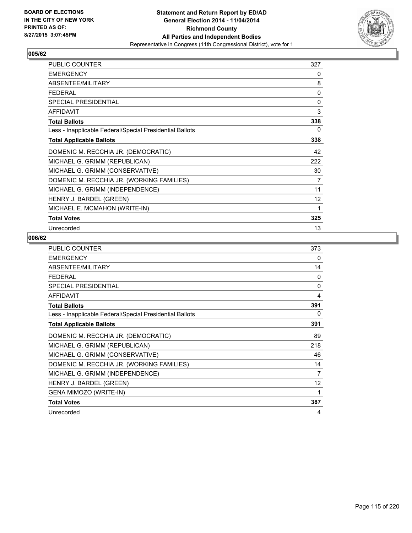

| <b>PUBLIC COUNTER</b>                                    | 327 |
|----------------------------------------------------------|-----|
| <b>EMERGENCY</b>                                         | 0   |
| ABSENTEE/MILITARY                                        | 8   |
| FFDFRAI                                                  | 0   |
| <b>SPECIAL PRESIDENTIAL</b>                              | 0   |
| <b>AFFIDAVIT</b>                                         | 3   |
| <b>Total Ballots</b>                                     | 338 |
| Less - Inapplicable Federal/Special Presidential Ballots | 0   |
| <b>Total Applicable Ballots</b>                          | 338 |
| DOMENIC M. RECCHIA JR. (DEMOCRATIC)                      | 42  |
| MICHAEL G. GRIMM (REPUBLICAN)                            | 222 |
| MICHAEL G. GRIMM (CONSERVATIVE)                          | 30  |
| DOMENIC M. RECCHIA JR. (WORKING FAMILIES)                | 7   |
| MICHAEL G. GRIMM (INDEPENDENCE)                          | 11  |
| HENRY J. BARDEL (GREEN)                                  | 12  |
| MICHAEL E. MCMAHON (WRITE-IN)                            | 1   |
| <b>Total Votes</b>                                       | 325 |
| Unrecorded                                               | 13  |

| PUBLIC COUNTER                                           | 373      |
|----------------------------------------------------------|----------|
| <b>EMERGENCY</b>                                         | 0        |
| ABSENTEE/MILITARY                                        | 14       |
| <b>FEDERAL</b>                                           | $\Omega$ |
| <b>SPECIAL PRESIDENTIAL</b>                              | $\Omega$ |
| <b>AFFIDAVIT</b>                                         | 4        |
| <b>Total Ballots</b>                                     | 391      |
| Less - Inapplicable Federal/Special Presidential Ballots | 0        |
| <b>Total Applicable Ballots</b>                          | 391      |
| DOMENIC M. RECCHIA JR. (DEMOCRATIC)                      | 89       |
| MICHAEL G. GRIMM (REPUBLICAN)                            | 218      |
| MICHAEL G. GRIMM (CONSERVATIVE)                          | 46       |
| DOMENIC M. RECCHIA JR. (WORKING FAMILIES)                | 14       |
| MICHAEL G. GRIMM (INDEPENDENCE)                          | 7        |
| HENRY J. BARDEL (GREEN)                                  | 12       |
| GENA MIMOZO (WRITE-IN)                                   | 1        |
| <b>Total Votes</b>                                       | 387      |
| Unrecorded                                               | 4        |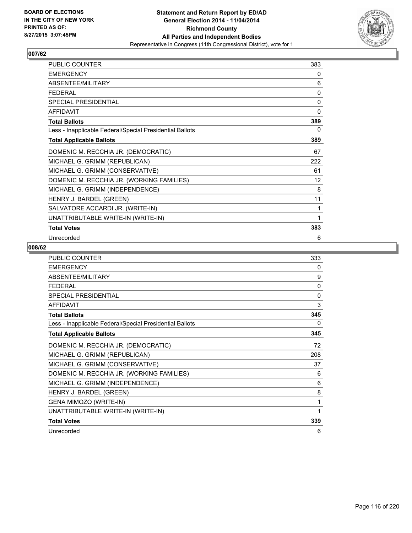

| <b>PUBLIC COUNTER</b>                                    | 383 |
|----------------------------------------------------------|-----|
| <b>EMERGENCY</b>                                         | 0   |
| ABSENTEE/MILITARY                                        | 6   |
| <b>FEDERAL</b>                                           | 0   |
| <b>SPECIAL PRESIDENTIAL</b>                              | 0   |
| <b>AFFIDAVIT</b>                                         | 0   |
| <b>Total Ballots</b>                                     | 389 |
| Less - Inapplicable Federal/Special Presidential Ballots | 0   |
| <b>Total Applicable Ballots</b>                          | 389 |
| DOMENIC M. RECCHIA JR. (DEMOCRATIC)                      | 67  |
| MICHAEL G. GRIMM (REPUBLICAN)                            | 222 |
| MICHAEL G. GRIMM (CONSERVATIVE)                          | 61  |
| DOMENIC M. RECCHIA JR. (WORKING FAMILIES)                | 12  |
| MICHAEL G. GRIMM (INDEPENDENCE)                          | 8   |
| HENRY J. BARDEL (GREEN)                                  | 11  |
| SALVATORE ACCARDI JR. (WRITE-IN)                         | 1   |
| UNATTRIBUTABLE WRITE-IN (WRITE-IN)                       | 1   |
| <b>Total Votes</b>                                       | 383 |
| Unrecorded                                               | 6   |

| <b>PUBLIC COUNTER</b>                                    | 333          |
|----------------------------------------------------------|--------------|
| <b>EMERGENCY</b>                                         | 0            |
| ABSENTEE/MILITARY                                        | 9            |
| <b>FEDERAL</b>                                           | 0            |
| <b>SPECIAL PRESIDENTIAL</b>                              | $\mathbf{0}$ |
| <b>AFFIDAVIT</b>                                         | 3            |
| <b>Total Ballots</b>                                     | 345          |
| Less - Inapplicable Federal/Special Presidential Ballots | 0            |
| <b>Total Applicable Ballots</b>                          | 345          |
| DOMENIC M. RECCHIA JR. (DEMOCRATIC)                      | 72           |
| MICHAEL G. GRIMM (REPUBLICAN)                            | 208          |
| MICHAEL G. GRIMM (CONSERVATIVE)                          | 37           |
| DOMENIC M. RECCHIA JR. (WORKING FAMILIES)                | 6            |
| MICHAEL G. GRIMM (INDEPENDENCE)                          | 6            |
| HENRY J. BARDEL (GREEN)                                  | 8            |
| GENA MIMOZO (WRITE-IN)                                   | 1            |
| UNATTRIBUTABLE WRITE-IN (WRITE-IN)                       | 1            |
| <b>Total Votes</b>                                       | 339          |
| Unrecorded                                               | 6            |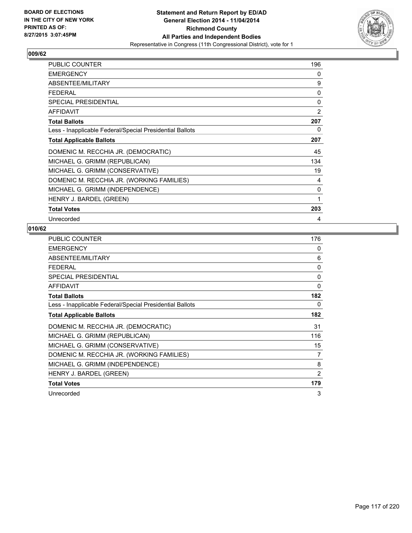

| PUBLIC COUNTER                                           | 196            |
|----------------------------------------------------------|----------------|
| <b>EMERGENCY</b>                                         | 0              |
| ABSENTEE/MILITARY                                        | 9              |
| <b>FEDERAL</b>                                           | 0              |
| <b>SPECIAL PRESIDENTIAL</b>                              | 0              |
| <b>AFFIDAVIT</b>                                         | $\overline{2}$ |
| <b>Total Ballots</b>                                     | 207            |
| Less - Inapplicable Federal/Special Presidential Ballots | 0              |
| <b>Total Applicable Ballots</b>                          | 207            |
| DOMENIC M. RECCHIA JR. (DEMOCRATIC)                      | 45             |
| MICHAEL G. GRIMM (REPUBLICAN)                            | 134            |
| MICHAEL G. GRIMM (CONSERVATIVE)                          | 19             |
| DOMENIC M. RECCHIA JR. (WORKING FAMILIES)                | 4              |
| MICHAEL G. GRIMM (INDEPENDENCE)                          | 0              |
| HENRY J. BARDEL (GREEN)                                  | 1              |
| <b>Total Votes</b>                                       | 203            |
| Unrecorded                                               | 4              |

| <b>PUBLIC COUNTER</b>                                    | 176 |
|----------------------------------------------------------|-----|
| <b>EMERGENCY</b>                                         | 0   |
| ABSENTEE/MILITARY                                        | 6   |
| <b>FEDERAL</b>                                           | 0   |
| SPECIAL PRESIDENTIAL                                     | 0   |
| <b>AFFIDAVIT</b>                                         | 0   |
| <b>Total Ballots</b>                                     | 182 |
| Less - Inapplicable Federal/Special Presidential Ballots | 0   |
| <b>Total Applicable Ballots</b>                          | 182 |
| DOMENIC M. RECCHIA JR. (DEMOCRATIC)                      | 31  |
| MICHAEL G. GRIMM (REPUBLICAN)                            | 116 |
| MICHAEL G. GRIMM (CONSERVATIVE)                          | 15  |
| DOMENIC M. RECCHIA JR. (WORKING FAMILIES)                | 7   |
| MICHAEL G. GRIMM (INDEPENDENCE)                          | 8   |
| HENRY J. BARDEL (GREEN)                                  | 2   |
| <b>Total Votes</b>                                       | 179 |
| Unrecorded                                               | 3   |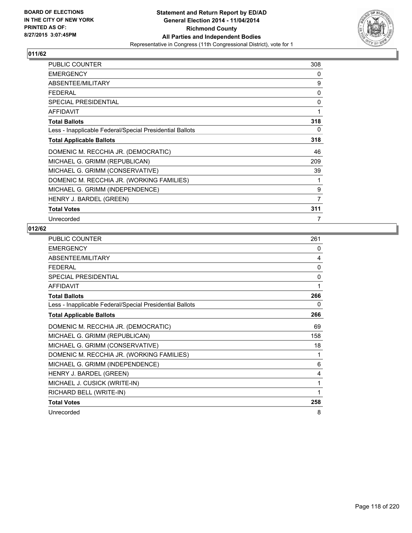

| <b>PUBLIC COUNTER</b>                                    | 308 |
|----------------------------------------------------------|-----|
| <b>EMERGENCY</b>                                         | 0   |
| ABSENTEE/MILITARY                                        | 9   |
| <b>FEDERAL</b>                                           | 0   |
| <b>SPECIAL PRESIDENTIAL</b>                              | 0   |
| <b>AFFIDAVIT</b>                                         | 1   |
| <b>Total Ballots</b>                                     | 318 |
| Less - Inapplicable Federal/Special Presidential Ballots | 0   |
| <b>Total Applicable Ballots</b>                          | 318 |
| DOMENIC M. RECCHIA JR. (DEMOCRATIC)                      | 46  |
| MICHAEL G. GRIMM (REPUBLICAN)                            | 209 |
| MICHAEL G. GRIMM (CONSERVATIVE)                          | 39  |
| DOMENIC M. RECCHIA JR. (WORKING FAMILIES)                | 1   |
| MICHAEL G. GRIMM (INDEPENDENCE)                          | 9   |
| HENRY J. BARDEL (GREEN)                                  | 7   |
| Total Votes                                              | 311 |
| Unrecorded                                               | 7   |

| <b>PUBLIC COUNTER</b>                                    | 261          |
|----------------------------------------------------------|--------------|
| <b>EMERGENCY</b>                                         | 0            |
| ABSENTEE/MILITARY                                        | 4            |
| <b>FEDERAL</b>                                           | $\mathbf{0}$ |
| SPECIAL PRESIDENTIAL                                     | 0            |
| <b>AFFIDAVIT</b>                                         | 1            |
| <b>Total Ballots</b>                                     | 266          |
| Less - Inapplicable Federal/Special Presidential Ballots | 0            |
| <b>Total Applicable Ballots</b>                          | 266          |
| DOMENIC M. RECCHIA JR. (DEMOCRATIC)                      | 69           |
| MICHAEL G. GRIMM (REPUBLICAN)                            | 158          |
| MICHAEL G. GRIMM (CONSERVATIVE)                          | 18           |
| DOMENIC M. RECCHIA JR. (WORKING FAMILIES)                | 1            |
| MICHAEL G. GRIMM (INDEPENDENCE)                          | 6            |
| HENRY J. BARDEL (GREEN)                                  | 4            |
| MICHAEL J. CUSICK (WRITE-IN)                             | 1            |
| RICHARD BELL (WRITE-IN)                                  | 1            |
| <b>Total Votes</b>                                       | 258          |
| Unrecorded                                               | 8            |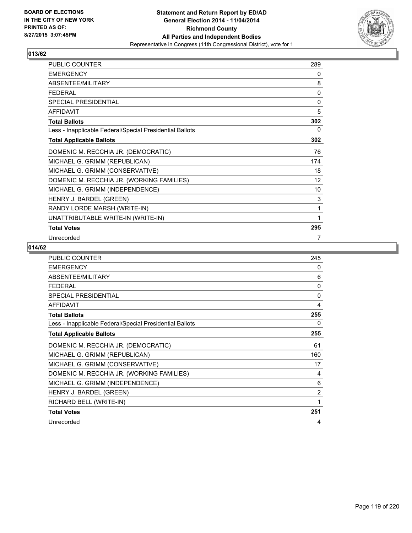

| <b>PUBLIC COUNTER</b>                                    | 289 |
|----------------------------------------------------------|-----|
| <b>EMERGENCY</b>                                         | 0   |
| ABSENTEE/MILITARY                                        | 8   |
| <b>FEDERAL</b>                                           | 0   |
| <b>SPECIAL PRESIDENTIAL</b>                              | 0   |
| <b>AFFIDAVIT</b>                                         | 5   |
| <b>Total Ballots</b>                                     | 302 |
| Less - Inapplicable Federal/Special Presidential Ballots | 0   |
| <b>Total Applicable Ballots</b>                          | 302 |
| DOMENIC M. RECCHIA JR. (DEMOCRATIC)                      | 76  |
| MICHAEL G. GRIMM (REPUBLICAN)                            | 174 |
| MICHAEL G. GRIMM (CONSERVATIVE)                          | 18  |
| DOMENIC M. RECCHIA JR. (WORKING FAMILIES)                | 12  |
| MICHAEL G. GRIMM (INDEPENDENCE)                          | 10  |
| HENRY J. BARDEL (GREEN)                                  | 3   |
| RANDY LORDE MARSH (WRITE-IN)                             | 1   |
| UNATTRIBUTABLE WRITE-IN (WRITE-IN)                       | 1   |
| <b>Total Votes</b>                                       | 295 |
| Unrecorded                                               | 7   |

| <b>PUBLIC COUNTER</b>                                    | 245            |
|----------------------------------------------------------|----------------|
| <b>EMERGENCY</b>                                         | 0              |
| ABSENTEE/MILITARY                                        | 6              |
| <b>FEDERAL</b>                                           | 0              |
| SPECIAL PRESIDENTIAL                                     | 0              |
| <b>AFFIDAVIT</b>                                         | 4              |
| <b>Total Ballots</b>                                     | 255            |
| Less - Inapplicable Federal/Special Presidential Ballots | 0              |
| <b>Total Applicable Ballots</b>                          | 255            |
| DOMENIC M. RECCHIA JR. (DEMOCRATIC)                      | 61             |
| MICHAEL G. GRIMM (REPUBLICAN)                            | 160            |
| MICHAEL G. GRIMM (CONSERVATIVE)                          | 17             |
| DOMENIC M. RECCHIA JR. (WORKING FAMILIES)                | 4              |
| MICHAEL G. GRIMM (INDEPENDENCE)                          | 6              |
| HENRY J. BARDEL (GREEN)                                  | $\overline{2}$ |
| RICHARD BELL (WRITE-IN)                                  | 1              |
| <b>Total Votes</b>                                       | 251            |
| Unrecorded                                               | 4              |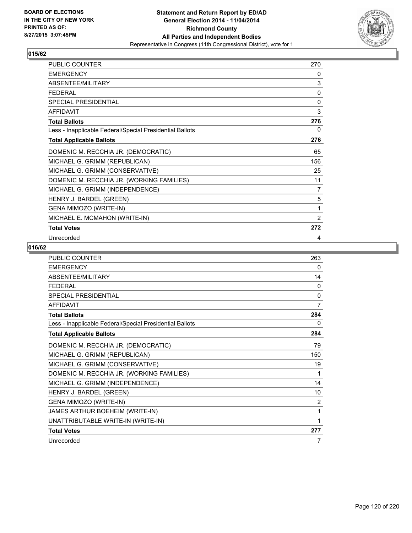

| PUBLIC COUNTER                                           | 270            |
|----------------------------------------------------------|----------------|
| <b>EMERGENCY</b>                                         | 0              |
| ABSENTEE/MILITARY                                        | 3              |
| <b>FEDERAL</b>                                           | 0              |
| SPECIAL PRESIDENTIAL                                     | 0              |
| <b>AFFIDAVIT</b>                                         | 3              |
| <b>Total Ballots</b>                                     | 276            |
| Less - Inapplicable Federal/Special Presidential Ballots | 0              |
| <b>Total Applicable Ballots</b>                          | 276            |
| DOMENIC M. RECCHIA JR. (DEMOCRATIC)                      | 65             |
| MICHAEL G. GRIMM (REPUBLICAN)                            | 156            |
| MICHAEL G. GRIMM (CONSERVATIVE)                          | 25             |
| DOMENIC M. RECCHIA JR. (WORKING FAMILIES)                | 11             |
| MICHAEL G. GRIMM (INDEPENDENCE)                          | $\overline{7}$ |
| HENRY J. BARDEL (GREEN)                                  | 5              |
| GENA MIMOZO (WRITE-IN)                                   | 1              |
| MICHAEL E. MCMAHON (WRITE-IN)                            | 2              |
| <b>Total Votes</b>                                       | 272            |
| Unrecorded                                               | 4              |

| <b>PUBLIC COUNTER</b>                                    | 263          |
|----------------------------------------------------------|--------------|
| <b>EMERGENCY</b>                                         | 0            |
| <b>ABSENTEE/MILITARY</b>                                 | 14           |
| <b>FEDERAL</b>                                           | 0            |
| <b>SPECIAL PRESIDENTIAL</b>                              | $\mathbf{0}$ |
| <b>AFFIDAVIT</b>                                         | 7            |
| <b>Total Ballots</b>                                     | 284          |
| Less - Inapplicable Federal/Special Presidential Ballots | 0            |
| <b>Total Applicable Ballots</b>                          | 284          |
| DOMENIC M. RECCHIA JR. (DEMOCRATIC)                      | 79           |
| MICHAEL G. GRIMM (REPUBLICAN)                            | 150          |
| MICHAEL G. GRIMM (CONSERVATIVE)                          | 19           |
| DOMENIC M. RECCHIA JR. (WORKING FAMILIES)                | 1            |
| MICHAEL G. GRIMM (INDEPENDENCE)                          | 14           |
| HENRY J. BARDEL (GREEN)                                  | 10           |
| GENA MIMOZO (WRITE-IN)                                   | 2            |
| JAMES ARTHUR BOEHEIM (WRITE-IN)                          | 1            |
| UNATTRIBUTABLE WRITE-IN (WRITE-IN)                       | 1            |
| <b>Total Votes</b>                                       | 277          |
| Unrecorded                                               | 7            |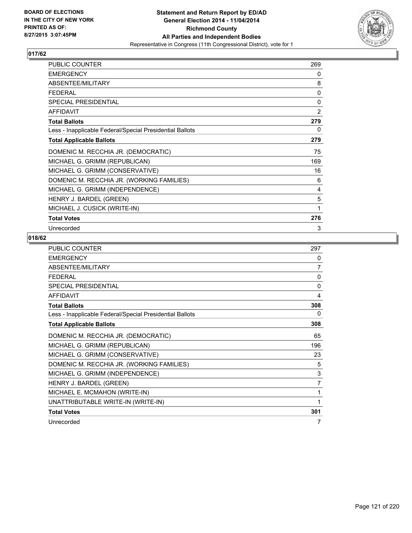

| <b>PUBLIC COUNTER</b>                                    | 269          |
|----------------------------------------------------------|--------------|
| <b>EMERGENCY</b>                                         | 0            |
| ABSENTEE/MILITARY                                        | 8            |
| <b>FEDERAL</b>                                           | $\mathbf{0}$ |
| SPECIAL PRESIDENTIAL                                     | 0            |
| <b>AFFIDAVIT</b>                                         | 2            |
| <b>Total Ballots</b>                                     | 279          |
| Less - Inapplicable Federal/Special Presidential Ballots | 0            |
| <b>Total Applicable Ballots</b>                          | 279          |
| DOMENIC M. RECCHIA JR. (DEMOCRATIC)                      | 75           |
| MICHAEL G. GRIMM (REPUBLICAN)                            | 169          |
| MICHAEL G. GRIMM (CONSERVATIVE)                          | 16           |
| DOMENIC M. RECCHIA JR. (WORKING FAMILIES)                | 6            |
| MICHAEL G. GRIMM (INDEPENDENCE)                          | 4            |
| HENRY J. BARDEL (GREEN)                                  | 5            |
| MICHAEL J. CUSICK (WRITE-IN)                             | 1            |
| <b>Total Votes</b>                                       | 276          |
| Unrecorded                                               | 3            |

| <b>PUBLIC COUNTER</b>                                    | 297          |
|----------------------------------------------------------|--------------|
| <b>EMERGENCY</b>                                         | 0            |
| ABSENTEE/MILITARY                                        | 7            |
| <b>FFDFRAI</b>                                           | $\mathbf{0}$ |
| <b>SPECIAL PRESIDENTIAL</b>                              | 0            |
| <b>AFFIDAVIT</b>                                         | 4            |
| <b>Total Ballots</b>                                     | 308          |
| Less - Inapplicable Federal/Special Presidential Ballots | 0            |
| <b>Total Applicable Ballots</b>                          | 308          |
| DOMENIC M. RECCHIA JR. (DEMOCRATIC)                      | 65           |
| MICHAEL G. GRIMM (REPUBLICAN)                            | 196          |
| MICHAEL G. GRIMM (CONSERVATIVE)                          | 23           |
| DOMENIC M. RECCHIA JR. (WORKING FAMILIES)                | 5            |
| MICHAEL G. GRIMM (INDEPENDENCE)                          | 3            |
| HENRY J. BARDEL (GREEN)                                  | 7            |
| MICHAEL E. MCMAHON (WRITE-IN)                            | 1            |
| UNATTRIBUTABLE WRITE-IN (WRITE-IN)                       | 1            |
| <b>Total Votes</b>                                       | 301          |
| Unrecorded                                               | 7            |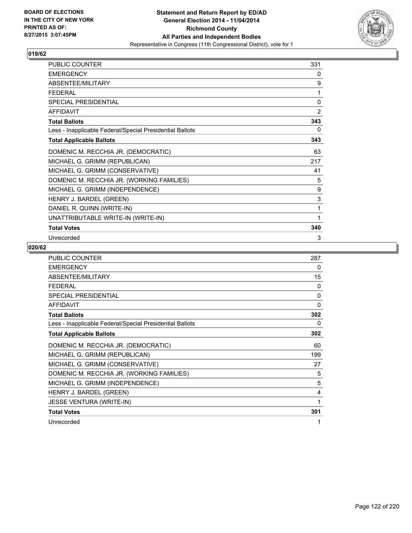

| PUBLIC COUNTER                                           | 331 |
|----------------------------------------------------------|-----|
| <b>EMERGENCY</b>                                         | 0   |
| ABSENTEE/MILITARY                                        | 9   |
| <b>FEDERAL</b>                                           | 1   |
| SPECIAL PRESIDENTIAL                                     | 0   |
| <b>AFFIDAVIT</b>                                         | 2   |
| <b>Total Ballots</b>                                     | 343 |
| Less - Inapplicable Federal/Special Presidential Ballots | 0   |
| <b>Total Applicable Ballots</b>                          | 343 |
| DOMENIC M. RECCHIA JR. (DEMOCRATIC)                      | 63  |
| MICHAEL G. GRIMM (REPUBLICAN)                            | 217 |
| MICHAEL G. GRIMM (CONSERVATIVE)                          | 41  |
| DOMENIC M. RECCHIA JR. (WORKING FAMILIES)                | 5   |
| MICHAEL G. GRIMM (INDEPENDENCE)                          | 9   |
| HENRY J. BARDEL (GREEN)                                  | 3   |
| DANIEL R. QUINN (WRITE-IN)                               | 1   |
| UNATTRIBUTABLE WRITE-IN (WRITE-IN)                       | 1   |
| <b>Total Votes</b>                                       | 340 |
| Unrecorded                                               | 3   |

| <b>PUBLIC COUNTER</b>                                    | 287 |
|----------------------------------------------------------|-----|
| <b>EMERGENCY</b>                                         | 0   |
| ABSENTEE/MILITARY                                        | 15  |
| <b>FEDERAL</b>                                           | 0   |
| <b>SPECIAL PRESIDENTIAL</b>                              | 0   |
| <b>AFFIDAVIT</b>                                         | 0   |
| <b>Total Ballots</b>                                     | 302 |
| Less - Inapplicable Federal/Special Presidential Ballots | 0   |
| <b>Total Applicable Ballots</b>                          | 302 |
| DOMENIC M. RECCHIA JR. (DEMOCRATIC)                      | 60  |
| MICHAEL G. GRIMM (REPUBLICAN)                            | 199 |
| MICHAEL G. GRIMM (CONSERVATIVE)                          | 27  |
| DOMENIC M. RECCHIA JR. (WORKING FAMILIES)                | 5   |
| MICHAEL G. GRIMM (INDEPENDENCE)                          | 5   |
| HENRY J. BARDEL (GREEN)                                  | 4   |
| <b>JESSE VENTURA (WRITE-IN)</b>                          | 1   |
| <b>Total Votes</b>                                       | 301 |
| Unrecorded                                               | 1   |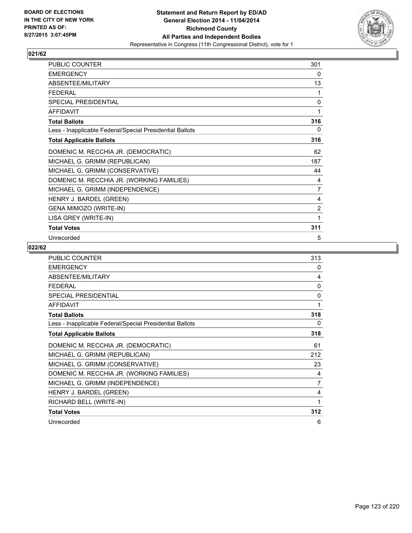

| PUBLIC COUNTER                                           | 301            |
|----------------------------------------------------------|----------------|
| <b>EMERGENCY</b>                                         | 0              |
| ABSENTEE/MILITARY                                        | 13             |
| <b>FEDERAL</b>                                           | 1              |
| SPECIAL PRESIDENTIAL                                     | 0              |
| <b>AFFIDAVIT</b>                                         | 1              |
| <b>Total Ballots</b>                                     | 316            |
| Less - Inapplicable Federal/Special Presidential Ballots | 0              |
| <b>Total Applicable Ballots</b>                          | 316            |
| DOMENIC M. RECCHIA JR. (DEMOCRATIC)                      | 62             |
| MICHAEL G. GRIMM (REPUBLICAN)                            | 187            |
| MICHAEL G. GRIMM (CONSERVATIVE)                          | 44             |
| DOMENIC M. RECCHIA JR. (WORKING FAMILIES)                | 4              |
| MICHAEL G. GRIMM (INDEPENDENCE)                          | 7              |
| HENRY J. BARDEL (GREEN)                                  | 4              |
| GENA MIMOZO (WRITE-IN)                                   | $\overline{2}$ |
| LISA GREY (WRITE-IN)                                     | 1              |
| <b>Total Votes</b>                                       | 311            |
| Unrecorded                                               | 5              |

| <b>PUBLIC COUNTER</b>                                    | 313 |
|----------------------------------------------------------|-----|
| <b>EMERGENCY</b>                                         | 0   |
| ABSENTEE/MILITARY                                        | 4   |
| <b>FFDFRAL</b>                                           | 0   |
| SPECIAL PRESIDENTIAL                                     | 0   |
| <b>AFFIDAVIT</b>                                         | 1   |
| <b>Total Ballots</b>                                     | 318 |
| Less - Inapplicable Federal/Special Presidential Ballots | 0   |
| <b>Total Applicable Ballots</b>                          | 318 |
| DOMENIC M. RECCHIA JR. (DEMOCRATIC)                      | 61  |
| MICHAEL G. GRIMM (REPUBLICAN)                            | 212 |
| MICHAEL G. GRIMM (CONSERVATIVE)                          | 23  |
| DOMENIC M. RECCHIA JR. (WORKING FAMILIES)                | 4   |
| MICHAEL G. GRIMM (INDEPENDENCE)                          | 7   |
| HENRY J. BARDEL (GREEN)                                  | 4   |
| RICHARD BELL (WRITE-IN)                                  | 1   |
| <b>Total Votes</b>                                       | 312 |
| Unrecorded                                               | 6   |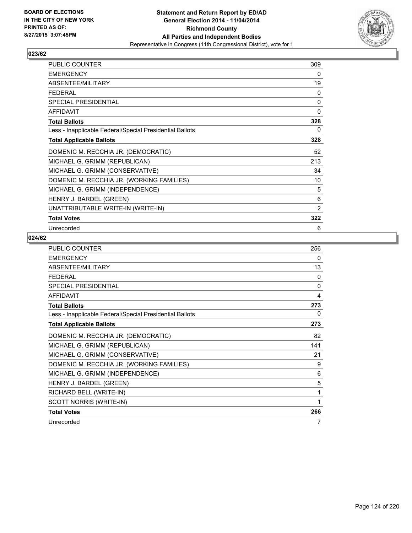

| <b>PUBLIC COUNTER</b>                                    | 309 |
|----------------------------------------------------------|-----|
| <b>EMERGENCY</b>                                         | 0   |
| ABSENTEE/MILITARY                                        | 19  |
| <b>FEDERAL</b>                                           | 0   |
| <b>SPECIAL PRESIDENTIAL</b>                              | 0   |
| <b>AFFIDAVIT</b>                                         | 0   |
| <b>Total Ballots</b>                                     | 328 |
| Less - Inapplicable Federal/Special Presidential Ballots | 0   |
| <b>Total Applicable Ballots</b>                          | 328 |
| DOMENIC M. RECCHIA JR. (DEMOCRATIC)                      | 52  |
| MICHAEL G. GRIMM (REPUBLICAN)                            | 213 |
| MICHAEL G. GRIMM (CONSERVATIVE)                          | 34  |
| DOMENIC M. RECCHIA JR. (WORKING FAMILIES)                | 10  |
| MICHAEL G. GRIMM (INDEPENDENCE)                          | 5   |
| HENRY J. BARDEL (GREEN)                                  | 6   |
| UNATTRIBUTABLE WRITE-IN (WRITE-IN)                       | 2   |
| <b>Total Votes</b>                                       | 322 |
| Unrecorded                                               | 6   |

| PUBLIC COUNTER                                           | 256          |
|----------------------------------------------------------|--------------|
| <b>EMERGENCY</b>                                         | 0            |
| ABSENTEE/MILITARY                                        | 13           |
| <b>FEDERAL</b>                                           | 0            |
| <b>SPECIAL PRESIDENTIAL</b>                              | $\mathbf{0}$ |
| <b>AFFIDAVIT</b>                                         | 4            |
| <b>Total Ballots</b>                                     | 273          |
| Less - Inapplicable Federal/Special Presidential Ballots | 0            |
| <b>Total Applicable Ballots</b>                          | 273          |
| DOMENIC M. RECCHIA JR. (DEMOCRATIC)                      | 82           |
| MICHAEL G. GRIMM (REPUBLICAN)                            | 141          |
| MICHAEL G. GRIMM (CONSERVATIVE)                          | 21           |
| DOMENIC M. RECCHIA JR. (WORKING FAMILIES)                | 9            |
| MICHAEL G. GRIMM (INDEPENDENCE)                          | 6            |
| HENRY J. BARDEL (GREEN)                                  | 5            |
| RICHARD BELL (WRITE-IN)                                  | 1            |
| SCOTT NORRIS (WRITE-IN)                                  | 1            |
| <b>Total Votes</b>                                       | 266          |
| Unrecorded                                               | 7            |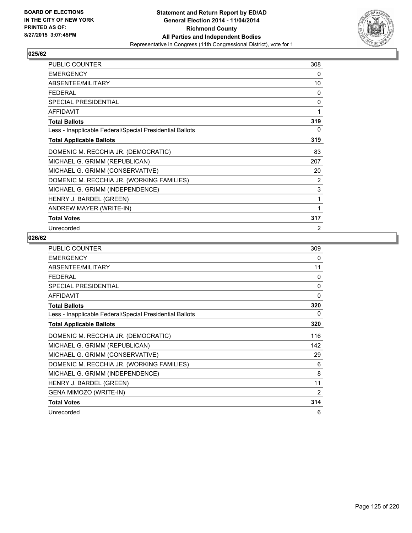

| <b>PUBLIC COUNTER</b>                                    | 308            |
|----------------------------------------------------------|----------------|
| <b>EMERGENCY</b>                                         | 0              |
| ABSENTEE/MILITARY                                        | 10             |
| FFDFRAI                                                  | 0              |
| SPECIAL PRESIDENTIAL                                     | $\mathbf{0}$   |
| <b>AFFIDAVIT</b>                                         | 1              |
| <b>Total Ballots</b>                                     | 319            |
| Less - Inapplicable Federal/Special Presidential Ballots | 0              |
| <b>Total Applicable Ballots</b>                          | 319            |
| DOMENIC M. RECCHIA JR. (DEMOCRATIC)                      | 83             |
| MICHAEL G. GRIMM (REPUBLICAN)                            | 207            |
| MICHAEL G. GRIMM (CONSERVATIVE)                          | 20             |
| DOMENIC M. RECCHIA JR. (WORKING FAMILIES)                | 2              |
| MICHAEL G. GRIMM (INDEPENDENCE)                          | 3              |
| HENRY J. BARDEL (GREEN)                                  | 1              |
| ANDREW MAYER (WRITE-IN)                                  | 1              |
| <b>Total Votes</b>                                       | 317            |
| Unrecorded                                               | $\overline{2}$ |

| PUBLIC COUNTER                                           | 309      |
|----------------------------------------------------------|----------|
| <b>EMERGENCY</b>                                         | 0        |
| ABSENTEE/MILITARY                                        | 11       |
| <b>FEDERAL</b>                                           | $\Omega$ |
| <b>SPECIAL PRESIDENTIAL</b>                              | 0        |
| <b>AFFIDAVIT</b>                                         | 0        |
| <b>Total Ballots</b>                                     | 320      |
| Less - Inapplicable Federal/Special Presidential Ballots | 0        |
| <b>Total Applicable Ballots</b>                          | 320      |
| DOMENIC M. RECCHIA JR. (DEMOCRATIC)                      | 116      |
| MICHAEL G. GRIMM (REPUBLICAN)                            | 142      |
| MICHAEL G. GRIMM (CONSERVATIVE)                          | 29       |
| DOMENIC M. RECCHIA JR. (WORKING FAMILIES)                | 6        |
| MICHAEL G. GRIMM (INDEPENDENCE)                          | 8        |
| HENRY J. BARDEL (GREEN)                                  | 11       |
| GENA MIMOZO (WRITE-IN)                                   | 2        |
| <b>Total Votes</b>                                       | 314      |
| Unrecorded                                               | 6        |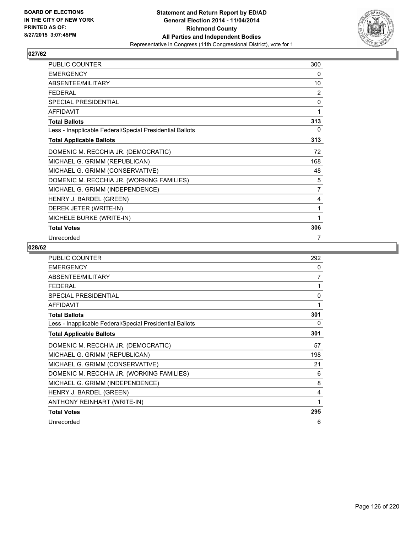

| <b>PUBLIC COUNTER</b>                                    | 300            |
|----------------------------------------------------------|----------------|
| <b>EMERGENCY</b>                                         | 0              |
| ABSENTEE/MILITARY                                        | 10             |
| <b>FEDERAL</b>                                           | $\overline{2}$ |
| <b>SPECIAL PRESIDENTIAL</b>                              | 0              |
| <b>AFFIDAVIT</b>                                         | 1              |
| <b>Total Ballots</b>                                     | 313            |
| Less - Inapplicable Federal/Special Presidential Ballots | 0              |
| <b>Total Applicable Ballots</b>                          | 313            |
| DOMENIC M. RECCHIA JR. (DEMOCRATIC)                      | 72             |
| MICHAEL G. GRIMM (REPUBLICAN)                            | 168            |
| MICHAEL G. GRIMM (CONSERVATIVE)                          | 48             |
| DOMENIC M. RECCHIA JR. (WORKING FAMILIES)                | 5              |
| MICHAEL G. GRIMM (INDEPENDENCE)                          | 7              |
| HENRY J. BARDEL (GREEN)                                  | 4              |
| DEREK JETER (WRITE-IN)                                   | 1              |
| MICHELE BURKE (WRITE-IN)                                 | 1              |
| <b>Total Votes</b>                                       | 306            |
| Unrecorded                                               | 7              |

| <b>PUBLIC COUNTER</b>                                    | 292 |
|----------------------------------------------------------|-----|
| <b>EMERGENCY</b>                                         | 0   |
| ABSENTEE/MILITARY                                        | 7   |
| <b>FEDERAL</b>                                           | 1   |
| <b>SPECIAL PRESIDENTIAL</b>                              | 0   |
| AFFIDAVIT                                                | 1   |
| <b>Total Ballots</b>                                     | 301 |
| Less - Inapplicable Federal/Special Presidential Ballots | 0   |
| <b>Total Applicable Ballots</b>                          | 301 |
| DOMENIC M. RECCHIA JR. (DEMOCRATIC)                      | 57  |
| MICHAEL G. GRIMM (REPUBLICAN)                            | 198 |
| MICHAEL G. GRIMM (CONSERVATIVE)                          | 21  |
| DOMENIC M. RECCHIA JR. (WORKING FAMILIES)                | 6   |
| MICHAEL G. GRIMM (INDEPENDENCE)                          | 8   |
| HENRY J. BARDEL (GREEN)                                  | 4   |
| ANTHONY REINHART (WRITE-IN)                              |     |
| <b>Total Votes</b>                                       | 295 |
| Unrecorded                                               | 6   |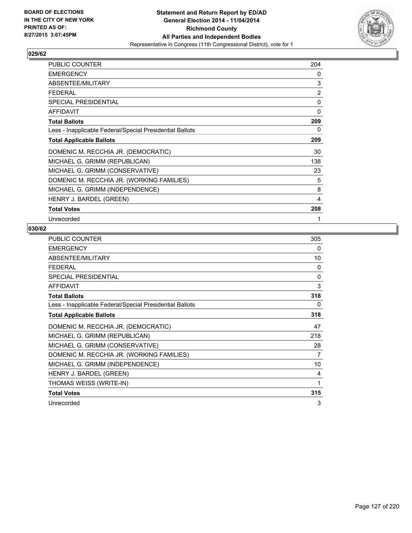

| <b>PUBLIC COUNTER</b>                                    | 204 |
|----------------------------------------------------------|-----|
| <b>EMERGENCY</b>                                         | 0   |
| ABSENTEE/MILITARY                                        | 3   |
| <b>FEDERAL</b>                                           | 2   |
| SPECIAL PRESIDENTIAL                                     | 0   |
| <b>AFFIDAVIT</b>                                         | 0   |
| <b>Total Ballots</b>                                     | 209 |
| Less - Inapplicable Federal/Special Presidential Ballots | 0   |
| <b>Total Applicable Ballots</b>                          | 209 |
| DOMENIC M. RECCHIA JR. (DEMOCRATIC)                      | 30  |
| MICHAEL G. GRIMM (REPUBLICAN)                            | 138 |
| MICHAEL G. GRIMM (CONSERVATIVE)                          | 23  |
| DOMENIC M. RECCHIA JR. (WORKING FAMILIES)                | 5   |
| MICHAEL G. GRIMM (INDEPENDENCE)                          | 8   |
| HENRY J. BARDEL (GREEN)                                  | 4   |
| <b>Total Votes</b>                                       | 208 |
| Unrecorded                                               |     |

| <b>PUBLIC COUNTER</b>                                    | 305 |
|----------------------------------------------------------|-----|
| <b>EMERGENCY</b>                                         | 0   |
| <b>ABSENTEE/MILITARY</b>                                 | 10  |
| <b>FEDERAL</b>                                           | 0   |
| SPECIAL PRESIDENTIAL                                     | 0   |
| <b>AFFIDAVIT</b>                                         | 3   |
| <b>Total Ballots</b>                                     | 318 |
| Less - Inapplicable Federal/Special Presidential Ballots | 0   |
| <b>Total Applicable Ballots</b>                          | 318 |
| DOMENIC M. RECCHIA JR. (DEMOCRATIC)                      | 47  |
| MICHAEL G. GRIMM (REPUBLICAN)                            | 218 |
| MICHAEL G. GRIMM (CONSERVATIVE)                          | 28  |
| DOMENIC M. RECCHIA JR. (WORKING FAMILIES)                | 7   |
| MICHAEL G. GRIMM (INDEPENDENCE)                          | 10  |
| HENRY J. BARDEL (GREEN)                                  | 4   |
| THOMAS WEISS (WRITE-IN)                                  | 1   |
| <b>Total Votes</b>                                       | 315 |
| Unrecorded                                               | 3   |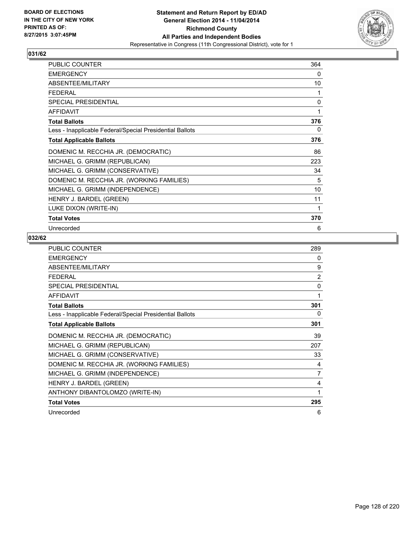

| <b>PUBLIC COUNTER</b>                                    | 364 |
|----------------------------------------------------------|-----|
| <b>EMERGENCY</b>                                         | 0   |
| ABSENTEE/MILITARY                                        | 10  |
| <b>FEDERAL</b>                                           | 1   |
| SPECIAL PRESIDENTIAL                                     | 0   |
| AFFIDAVIT                                                | 1   |
| <b>Total Ballots</b>                                     | 376 |
| Less - Inapplicable Federal/Special Presidential Ballots | 0   |
| <b>Total Applicable Ballots</b>                          | 376 |
| DOMENIC M. RECCHIA JR. (DEMOCRATIC)                      | 86  |
| MICHAEL G. GRIMM (REPUBLICAN)                            | 223 |
| MICHAEL G. GRIMM (CONSERVATIVE)                          | 34  |
| DOMENIC M. RECCHIA JR. (WORKING FAMILIES)                | 5   |
| MICHAEL G. GRIMM (INDEPENDENCE)                          | 10  |
| HENRY J. BARDEL (GREEN)                                  | 11  |
| LUKE DIXON (WRITE-IN)                                    | 1   |
| <b>Total Votes</b>                                       | 370 |
| Unrecorded                                               | 6   |

| <b>PUBLIC COUNTER</b>                                    | 289            |
|----------------------------------------------------------|----------------|
| <b>EMERGENCY</b>                                         | 0              |
| ABSENTEE/MILITARY                                        | 9              |
| <b>FEDERAL</b>                                           | $\overline{2}$ |
| <b>SPECIAL PRESIDENTIAL</b>                              | 0              |
| <b>AFFIDAVIT</b>                                         | 1              |
| <b>Total Ballots</b>                                     | 301            |
| Less - Inapplicable Federal/Special Presidential Ballots | 0              |
| <b>Total Applicable Ballots</b>                          | 301            |
| DOMENIC M. RECCHIA JR. (DEMOCRATIC)                      | 39             |
| MICHAEL G. GRIMM (REPUBLICAN)                            | 207            |
| MICHAEL G. GRIMM (CONSERVATIVE)                          | 33             |
| DOMENIC M. RECCHIA JR. (WORKING FAMILIES)                | 4              |
| MICHAEL G. GRIMM (INDEPENDENCE)                          | 7              |
| HENRY J. BARDEL (GREEN)                                  | 4              |
| ANTHONY DIBANTOLOMZO (WRITE-IN)                          | 1              |
| <b>Total Votes</b>                                       | 295            |
| Unrecorded                                               | 6              |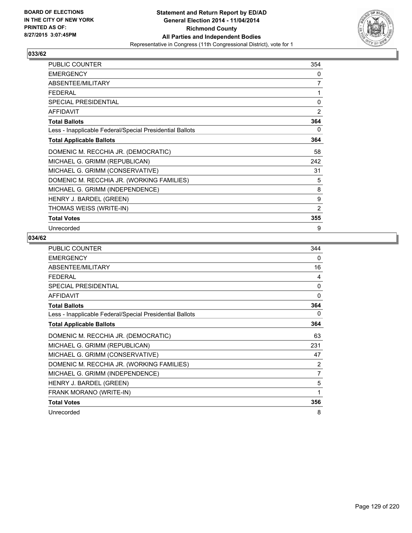

| <b>PUBLIC COUNTER</b>                                    | 354 |
|----------------------------------------------------------|-----|
| <b>EMERGENCY</b>                                         | 0   |
| ABSENTEE/MILITARY                                        | 7   |
| <b>FEDERAL</b>                                           | 1   |
| <b>SPECIAL PRESIDENTIAL</b>                              | 0   |
| AFFIDAVIT                                                | 2   |
| <b>Total Ballots</b>                                     | 364 |
| Less - Inapplicable Federal/Special Presidential Ballots | 0   |
| <b>Total Applicable Ballots</b>                          | 364 |
| DOMENIC M. RECCHIA JR. (DEMOCRATIC)                      | 58  |
| MICHAEL G. GRIMM (REPUBLICAN)                            | 242 |
| MICHAEL G. GRIMM (CONSERVATIVE)                          | 31  |
| DOMENIC M. RECCHIA JR. (WORKING FAMILIES)                | 5   |
| MICHAEL G. GRIMM (INDEPENDENCE)                          | 8   |
| HENRY J. BARDEL (GREEN)                                  | 9   |
| THOMAS WEISS (WRITE-IN)                                  | 2   |
| <b>Total Votes</b>                                       | 355 |
| Unrecorded                                               | 9   |

| PUBLIC COUNTER                                           | 344          |
|----------------------------------------------------------|--------------|
| <b>EMERGENCY</b>                                         | 0            |
| ABSENTEE/MILITARY                                        | 16           |
| <b>FEDERAL</b>                                           | 4            |
| <b>SPECIAL PRESIDENTIAL</b>                              | $\mathbf{0}$ |
| <b>AFFIDAVIT</b>                                         | 0            |
| <b>Total Ballots</b>                                     | 364          |
| Less - Inapplicable Federal/Special Presidential Ballots | 0            |
| <b>Total Applicable Ballots</b>                          | 364          |
| DOMENIC M. RECCHIA JR. (DEMOCRATIC)                      | 63           |
| MICHAEL G. GRIMM (REPUBLICAN)                            | 231          |
| MICHAEL G. GRIMM (CONSERVATIVE)                          | 47           |
| DOMENIC M. RECCHIA JR. (WORKING FAMILIES)                | 2            |
| MICHAEL G. GRIMM (INDEPENDENCE)                          | 7            |
| HENRY J. BARDEL (GREEN)                                  | 5            |
| FRANK MORANO (WRITE-IN)                                  | 1            |
| <b>Total Votes</b>                                       | 356          |
| Unrecorded                                               | 8            |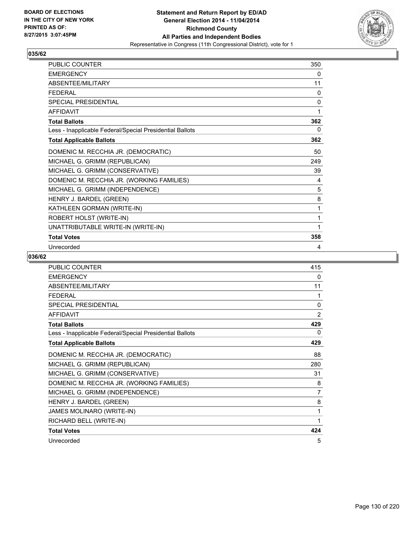

| PUBLIC COUNTER                                           | 350 |
|----------------------------------------------------------|-----|
| <b>EMERGENCY</b>                                         | 0   |
| <b>ABSENTEE/MILITARY</b>                                 | 11  |
| <b>FEDERAL</b>                                           | 0   |
| <b>SPECIAL PRESIDENTIAL</b>                              | 0   |
| <b>AFFIDAVIT</b>                                         | 1   |
| <b>Total Ballots</b>                                     | 362 |
| Less - Inapplicable Federal/Special Presidential Ballots | 0   |
| <b>Total Applicable Ballots</b>                          | 362 |
| DOMENIC M. RECCHIA JR. (DEMOCRATIC)                      | 50  |
| MICHAEL G. GRIMM (REPUBLICAN)                            | 249 |
| MICHAEL G. GRIMM (CONSERVATIVE)                          | 39  |
| DOMENIC M. RECCHIA JR. (WORKING FAMILIES)                | 4   |
| MICHAEL G. GRIMM (INDEPENDENCE)                          | 5   |
| HENRY J. BARDEL (GREEN)                                  | 8   |
| KATHLEEN GORMAN (WRITE-IN)                               | 1   |
| ROBERT HOLST (WRITE-IN)                                  | 1   |
| UNATTRIBUTABLE WRITE-IN (WRITE-IN)                       | 1   |
| <b>Total Votes</b>                                       | 358 |
| Unrecorded                                               | 4   |

| <b>PUBLIC COUNTER</b>                                    | 415            |
|----------------------------------------------------------|----------------|
| <b>EMERGENCY</b>                                         | 0              |
| ABSENTEE/MILITARY                                        | 11             |
| <b>FEDERAL</b>                                           | 1              |
| <b>SPECIAL PRESIDENTIAL</b>                              | 0              |
| <b>AFFIDAVIT</b>                                         | $\overline{2}$ |
| <b>Total Ballots</b>                                     | 429            |
| Less - Inapplicable Federal/Special Presidential Ballots | 0              |
| <b>Total Applicable Ballots</b>                          | 429            |
| DOMENIC M. RECCHIA JR. (DEMOCRATIC)                      | 88             |
| MICHAEL G. GRIMM (REPUBLICAN)                            | 280            |
| MICHAEL G. GRIMM (CONSERVATIVE)                          | 31             |
| DOMENIC M. RECCHIA JR. (WORKING FAMILIES)                | 8              |
| MICHAEL G. GRIMM (INDEPENDENCE)                          | $\overline{7}$ |
| HENRY J. BARDEL (GREEN)                                  | 8              |
| JAMES MOLINARO (WRITE-IN)                                | 1              |
| RICHARD BELL (WRITE-IN)                                  | 1              |
| <b>Total Votes</b>                                       | 424            |
| Unrecorded                                               | 5              |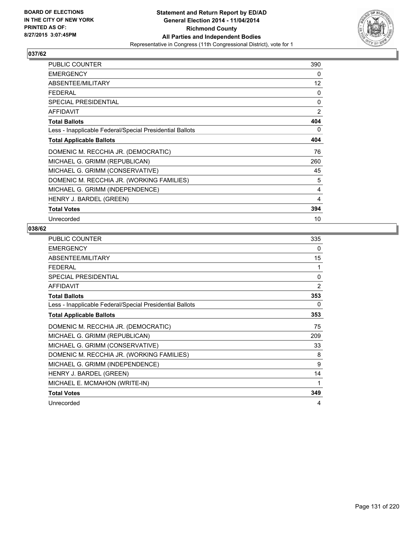

| <b>PUBLIC COUNTER</b>                                    | 390         |
|----------------------------------------------------------|-------------|
| <b>EMERGENCY</b>                                         | 0           |
| ABSENTEE/MILITARY                                        | 12          |
| <b>FEDERAL</b>                                           | 0           |
| <b>SPECIAL PRESIDENTIAL</b>                              | $\mathbf 0$ |
| <b>AFFIDAVIT</b>                                         | 2           |
| <b>Total Ballots</b>                                     | 404         |
| Less - Inapplicable Federal/Special Presidential Ballots | 0           |
| <b>Total Applicable Ballots</b>                          | 404         |
| DOMENIC M. RECCHIA JR. (DEMOCRATIC)                      | 76          |
| MICHAEL G. GRIMM (REPUBLICAN)                            | 260         |
| MICHAEL G. GRIMM (CONSERVATIVE)                          | 45          |
| DOMENIC M. RECCHIA JR. (WORKING FAMILIES)                | 5           |
| MICHAEL G. GRIMM (INDEPENDENCE)                          | 4           |
| HENRY J. BARDEL (GREEN)                                  | 4           |
| <b>Total Votes</b>                                       | 394         |
| Unrecorded                                               | 10          |

| <b>PUBLIC COUNTER</b>                                    | 335            |
|----------------------------------------------------------|----------------|
| <b>EMERGENCY</b>                                         | 0              |
| <b>ABSENTEE/MILITARY</b>                                 | 15             |
| <b>FEDERAL</b>                                           | 1              |
| SPECIAL PRESIDENTIAL                                     | $\mathbf{0}$   |
| <b>AFFIDAVIT</b>                                         | $\overline{2}$ |
| <b>Total Ballots</b>                                     | 353            |
| Less - Inapplicable Federal/Special Presidential Ballots | 0              |
| <b>Total Applicable Ballots</b>                          | 353            |
| DOMENIC M. RECCHIA JR. (DEMOCRATIC)                      | 75             |
| MICHAEL G. GRIMM (REPUBLICAN)                            | 209            |
| MICHAEL G. GRIMM (CONSERVATIVE)                          | 33             |
| DOMENIC M. RECCHIA JR. (WORKING FAMILIES)                | 8              |
| MICHAEL G. GRIMM (INDEPENDENCE)                          | 9              |
| HENRY J. BARDEL (GREEN)                                  | 14             |
| MICHAEL E. MCMAHON (WRITE-IN)                            | 1              |
| <b>Total Votes</b>                                       | 349            |
| Unrecorded                                               | 4              |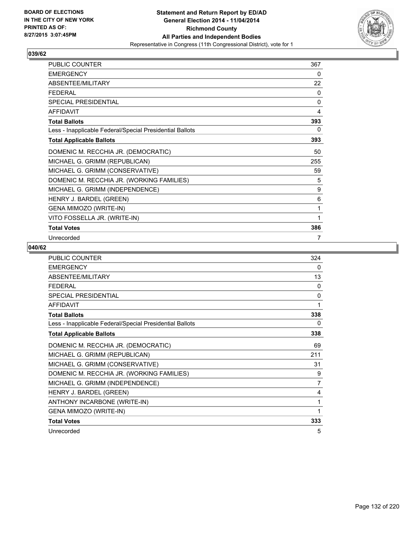

| <b>PUBLIC COUNTER</b>                                    | 367 |
|----------------------------------------------------------|-----|
| <b>EMERGENCY</b>                                         | 0   |
| ABSENTEE/MILITARY                                        | 22  |
| <b>FEDERAL</b>                                           | 0   |
| SPECIAL PRESIDENTIAL                                     | 0   |
| <b>AFFIDAVIT</b>                                         | 4   |
| <b>Total Ballots</b>                                     | 393 |
| Less - Inapplicable Federal/Special Presidential Ballots | 0   |
| <b>Total Applicable Ballots</b>                          | 393 |
| DOMENIC M. RECCHIA JR. (DEMOCRATIC)                      | 50  |
| MICHAEL G. GRIMM (REPUBLICAN)                            | 255 |
| MICHAEL G. GRIMM (CONSERVATIVE)                          | 59  |
| DOMENIC M. RECCHIA JR. (WORKING FAMILIES)                | 5   |
| MICHAEL G. GRIMM (INDEPENDENCE)                          | 9   |
| HENRY J. BARDEL (GREEN)                                  | 6   |
| GENA MIMOZO (WRITE-IN)                                   | 1   |
| VITO FOSSELLA JR. (WRITE-IN)                             | 1   |
| <b>Total Votes</b>                                       | 386 |
| Unrecorded                                               | 7   |

| <b>PUBLIC COUNTER</b>                                    | 324          |
|----------------------------------------------------------|--------------|
| <b>EMERGENCY</b>                                         | 0            |
| ABSENTEE/MILITARY                                        | 13           |
| <b>FFDFRAL</b>                                           | $\mathbf{0}$ |
| <b>SPECIAL PRESIDENTIAL</b>                              | 0            |
| <b>AFFIDAVIT</b>                                         | 1            |
| <b>Total Ballots</b>                                     | 338          |
| Less - Inapplicable Federal/Special Presidential Ballots | 0            |
| <b>Total Applicable Ballots</b>                          | 338          |
| DOMENIC M. RECCHIA JR. (DEMOCRATIC)                      | 69           |
| MICHAEL G. GRIMM (REPUBLICAN)                            | 211          |
| MICHAEL G. GRIMM (CONSERVATIVE)                          | 31           |
| DOMENIC M. RECCHIA JR. (WORKING FAMILIES)                | 9            |
| MICHAEL G. GRIMM (INDEPENDENCE)                          | 7            |
| HENRY J. BARDEL (GREEN)                                  | 4            |
| ANTHONY INCARBONE (WRITE-IN)                             | 1            |
| GENA MIMOZO (WRITE-IN)                                   | 1            |
| <b>Total Votes</b>                                       | 333          |
| Unrecorded                                               | 5            |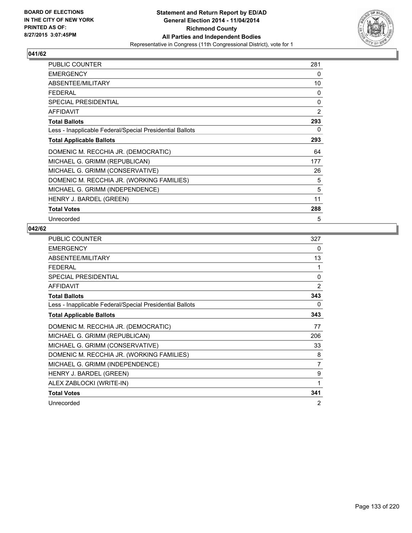

| <b>PUBLIC COUNTER</b>                                    | 281            |
|----------------------------------------------------------|----------------|
| <b>EMERGENCY</b>                                         | 0              |
| ABSENTEE/MILITARY                                        | 10             |
| <b>FEDERAL</b>                                           | 0              |
| <b>SPECIAL PRESIDENTIAL</b>                              | 0              |
| <b>AFFIDAVIT</b>                                         | $\overline{2}$ |
| <b>Total Ballots</b>                                     | 293            |
| Less - Inapplicable Federal/Special Presidential Ballots | 0              |
| <b>Total Applicable Ballots</b>                          | 293            |
| DOMENIC M. RECCHIA JR. (DEMOCRATIC)                      | 64             |
| MICHAEL G. GRIMM (REPUBLICAN)                            | 177            |
| MICHAEL G. GRIMM (CONSERVATIVE)                          | 26             |
| DOMENIC M. RECCHIA JR. (WORKING FAMILIES)                | 5              |
| MICHAEL G. GRIMM (INDEPENDENCE)                          | 5              |
| HENRY J. BARDEL (GREEN)                                  | 11             |
| <b>Total Votes</b>                                       | 288            |
| Unrecorded                                               | 5              |

| <b>PUBLIC COUNTER</b>                                    | 327            |
|----------------------------------------------------------|----------------|
| <b>EMERGENCY</b>                                         | 0              |
| ABSENTEE/MILITARY                                        | 13             |
| <b>FEDERAL</b>                                           | 1              |
| <b>SPECIAL PRESIDENTIAL</b>                              | $\mathbf{0}$   |
| <b>AFFIDAVIT</b>                                         | 2              |
| <b>Total Ballots</b>                                     | 343            |
| Less - Inapplicable Federal/Special Presidential Ballots | 0              |
| <b>Total Applicable Ballots</b>                          | 343            |
| DOMENIC M. RECCHIA JR. (DEMOCRATIC)                      | 77             |
| MICHAEL G. GRIMM (REPUBLICAN)                            | 206            |
| MICHAEL G. GRIMM (CONSERVATIVE)                          | 33             |
| DOMENIC M. RECCHIA JR. (WORKING FAMILIES)                | 8              |
| MICHAEL G. GRIMM (INDEPENDENCE)                          | 7              |
| HENRY J. BARDEL (GREEN)                                  | 9              |
| ALEX ZABLOCKI (WRITE-IN)                                 | 1              |
| <b>Total Votes</b>                                       | 341            |
| Unrecorded                                               | $\overline{2}$ |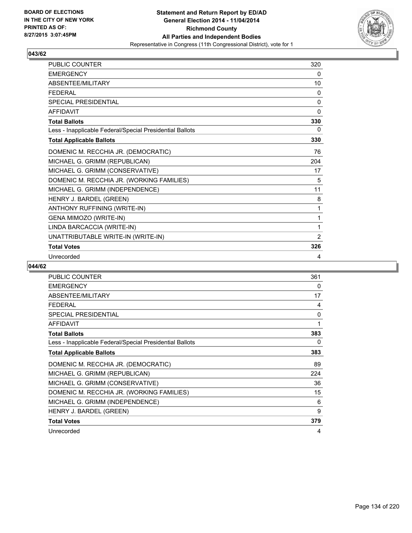

| <b>PUBLIC COUNTER</b>                                    | 320          |
|----------------------------------------------------------|--------------|
| <b>EMERGENCY</b>                                         | 0            |
| ABSENTEE/MILITARY                                        | 10           |
| <b>FEDERAL</b>                                           | 0            |
| <b>SPECIAL PRESIDENTIAL</b>                              | 0            |
| <b>AFFIDAVIT</b>                                         | $\mathbf{0}$ |
| <b>Total Ballots</b>                                     | 330          |
| Less - Inapplicable Federal/Special Presidential Ballots | 0            |
| <b>Total Applicable Ballots</b>                          | 330          |
| DOMENIC M. RECCHIA JR. (DEMOCRATIC)                      | 76           |
| MICHAEL G. GRIMM (REPUBLICAN)                            | 204          |
| MICHAEL G. GRIMM (CONSERVATIVE)                          | 17           |
| DOMENIC M. RECCHIA JR. (WORKING FAMILIES)                | 5            |
| MICHAEL G. GRIMM (INDEPENDENCE)                          | 11           |
| HENRY J. BARDEL (GREEN)                                  | 8            |
| ANTHONY RUFFINING (WRITE-IN)                             | 1            |
| GENA MIMOZO (WRITE-IN)                                   | 1            |
| LINDA BARCACCIA (WRITE-IN)                               | $\mathbf{1}$ |
| UNATTRIBUTABLE WRITE-IN (WRITE-IN)                       | 2            |
| <b>Total Votes</b>                                       | 326          |
| Unrecorded                                               | 4            |

| <b>PUBLIC COUNTER</b>                                    | 361 |
|----------------------------------------------------------|-----|
| <b>EMERGENCY</b>                                         | 0   |
| ABSENTEE/MILITARY                                        | 17  |
| FEDERAL                                                  | 4   |
| SPECIAL PRESIDENTIAL                                     | 0   |
| <b>AFFIDAVIT</b>                                         | 1   |
| <b>Total Ballots</b>                                     | 383 |
| Less - Inapplicable Federal/Special Presidential Ballots | 0   |
| <b>Total Applicable Ballots</b>                          | 383 |
| DOMENIC M. RECCHIA JR. (DEMOCRATIC)                      | 89  |
| MICHAEL G. GRIMM (REPUBLICAN)                            | 224 |
| MICHAEL G. GRIMM (CONSERVATIVE)                          | 36  |
| DOMENIC M. RECCHIA JR. (WORKING FAMILIES)                | 15  |
| MICHAEL G. GRIMM (INDEPENDENCE)                          | 6   |
| HENRY J. BARDEL (GREEN)                                  | 9   |
| <b>Total Votes</b>                                       | 379 |
| Unrecorded                                               | 4   |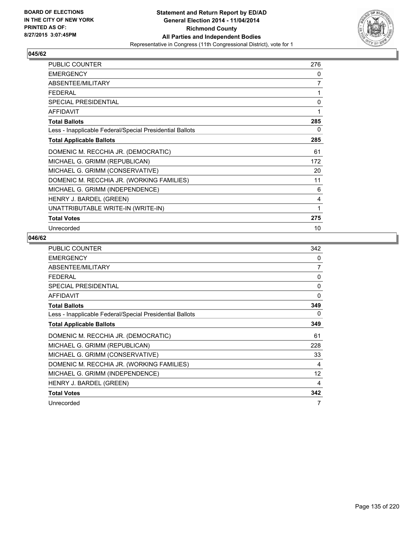

| <b>PUBLIC COUNTER</b>                                    | 276 |
|----------------------------------------------------------|-----|
| <b>EMERGENCY</b>                                         | 0   |
| ABSENTEE/MILITARY                                        | 7   |
| <b>FFDFRAI</b>                                           | 1   |
| SPECIAL PRESIDENTIAL                                     | 0   |
| <b>AFFIDAVIT</b>                                         | 1   |
| <b>Total Ballots</b>                                     | 285 |
| Less - Inapplicable Federal/Special Presidential Ballots | 0   |
| <b>Total Applicable Ballots</b>                          | 285 |
| DOMENIC M. RECCHIA JR. (DEMOCRATIC)                      | 61  |
| MICHAEL G. GRIMM (REPUBLICAN)                            | 172 |
| MICHAEL G. GRIMM (CONSERVATIVE)                          | 20  |
| DOMENIC M. RECCHIA JR. (WORKING FAMILIES)                | 11  |
| MICHAEL G. GRIMM (INDEPENDENCE)                          | 6   |
| HENRY J. BARDEL (GREEN)                                  | 4   |
| UNATTRIBUTABLE WRITE-IN (WRITE-IN)                       | 1   |
| <b>Total Votes</b>                                       | 275 |
| Unrecorded                                               | 10  |

| <b>PUBLIC COUNTER</b>                                    | 342            |
|----------------------------------------------------------|----------------|
| <b>EMERGENCY</b>                                         | 0              |
| ABSENTEE/MILITARY                                        | $\overline{7}$ |
| <b>FEDERAL</b>                                           | 0              |
| <b>SPECIAL PRESIDENTIAL</b>                              | 0              |
| <b>AFFIDAVIT</b>                                         | 0              |
| <b>Total Ballots</b>                                     | 349            |
| Less - Inapplicable Federal/Special Presidential Ballots | 0              |
| <b>Total Applicable Ballots</b>                          | 349            |
| DOMENIC M. RECCHIA JR. (DEMOCRATIC)                      | 61             |
| MICHAEL G. GRIMM (REPUBLICAN)                            | 228            |
| MICHAEL G. GRIMM (CONSERVATIVE)                          | 33             |
| DOMENIC M. RECCHIA JR. (WORKING FAMILIES)                | 4              |
| MICHAEL G. GRIMM (INDEPENDENCE)                          | 12             |
| HENRY J. BARDEL (GREEN)                                  | 4              |
| <b>Total Votes</b>                                       | 342            |
| Unrecorded                                               | 7              |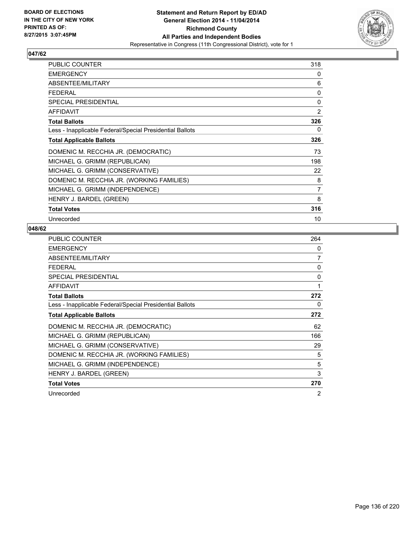

| <b>PUBLIC COUNTER</b>                                    | 318            |
|----------------------------------------------------------|----------------|
| <b>EMERGENCY</b>                                         | 0              |
| ABSENTEE/MILITARY                                        | 6              |
| <b>FEDERAL</b>                                           | 0              |
| <b>SPECIAL PRESIDENTIAL</b>                              | 0              |
| <b>AFFIDAVIT</b>                                         | 2              |
| <b>Total Ballots</b>                                     | 326            |
| Less - Inapplicable Federal/Special Presidential Ballots | 0              |
| <b>Total Applicable Ballots</b>                          | 326            |
| DOMENIC M. RECCHIA JR. (DEMOCRATIC)                      | 73             |
| MICHAEL G. GRIMM (REPUBLICAN)                            | 198            |
| MICHAEL G. GRIMM (CONSERVATIVE)                          | 22             |
| DOMENIC M. RECCHIA JR. (WORKING FAMILIES)                | 8              |
| MICHAEL G. GRIMM (INDEPENDENCE)                          | $\overline{7}$ |
| HENRY J. BARDEL (GREEN)                                  | 8              |
| <b>Total Votes</b>                                       | 316            |
| Unrecorded                                               | 10             |

| <b>PUBLIC COUNTER</b>                                    | 264 |
|----------------------------------------------------------|-----|
| <b>EMERGENCY</b>                                         | 0   |
| ABSENTEE/MILITARY                                        | 7   |
| FEDERAL                                                  | 0   |
| SPECIAL PRESIDENTIAL                                     | 0   |
| <b>AFFIDAVIT</b>                                         | 1   |
| <b>Total Ballots</b>                                     | 272 |
| Less - Inapplicable Federal/Special Presidential Ballots | 0   |
| <b>Total Applicable Ballots</b>                          | 272 |
| DOMENIC M. RECCHIA JR. (DEMOCRATIC)                      | 62  |
| MICHAEL G. GRIMM (REPUBLICAN)                            | 166 |
| MICHAEL G. GRIMM (CONSERVATIVE)                          | 29  |
| DOMENIC M. RECCHIA JR. (WORKING FAMILIES)                | 5   |
| MICHAEL G. GRIMM (INDEPENDENCE)                          | 5   |
| HENRY J. BARDEL (GREEN)                                  | 3   |
| <b>Total Votes</b>                                       | 270 |
| Unrecorded                                               | 2   |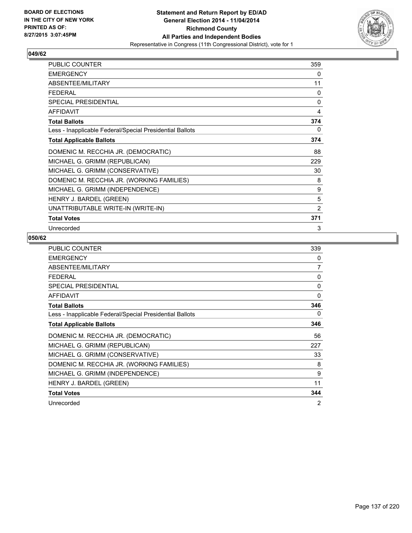

| <b>PUBLIC COUNTER</b>                                    | 359          |
|----------------------------------------------------------|--------------|
| <b>EMERGENCY</b>                                         | 0            |
| ABSENTEE/MILITARY                                        | 11           |
| <b>FEDERAL</b>                                           | 0            |
| SPECIAL PRESIDENTIAL                                     | $\mathbf{0}$ |
| <b>AFFIDAVIT</b>                                         | 4            |
| <b>Total Ballots</b>                                     | 374          |
| Less - Inapplicable Federal/Special Presidential Ballots | 0            |
| <b>Total Applicable Ballots</b>                          | 374          |
| DOMENIC M. RECCHIA JR. (DEMOCRATIC)                      | 88           |
| MICHAEL G. GRIMM (REPUBLICAN)                            | 229          |
| MICHAEL G. GRIMM (CONSERVATIVE)                          | 30           |
| DOMENIC M. RECCHIA JR. (WORKING FAMILIES)                | 8            |
| MICHAEL G. GRIMM (INDEPENDENCE)                          | 9            |
| HENRY J. BARDEL (GREEN)                                  | 5            |
| UNATTRIBUTABLE WRITE-IN (WRITE-IN)                       | 2            |
| <b>Total Votes</b>                                       | 371          |
| Unrecorded                                               | 3            |

| <b>PUBLIC COUNTER</b>                                    | 339            |
|----------------------------------------------------------|----------------|
| <b>EMERGENCY</b>                                         | 0              |
| ABSENTEE/MILITARY                                        | $\overline{7}$ |
| <b>FEDERAL</b>                                           | 0              |
| <b>SPECIAL PRESIDENTIAL</b>                              | 0              |
| <b>AFFIDAVIT</b>                                         | 0              |
| <b>Total Ballots</b>                                     | 346            |
| Less - Inapplicable Federal/Special Presidential Ballots | 0              |
| <b>Total Applicable Ballots</b>                          | 346            |
| DOMENIC M. RECCHIA JR. (DEMOCRATIC)                      | 56             |
| MICHAEL G. GRIMM (REPUBLICAN)                            | 227            |
| MICHAEL G. GRIMM (CONSERVATIVE)                          | 33             |
| DOMENIC M. RECCHIA JR. (WORKING FAMILIES)                | 8              |
| MICHAEL G. GRIMM (INDEPENDENCE)                          | 9              |
| HENRY J. BARDEL (GREEN)                                  | 11             |
| <b>Total Votes</b>                                       | 344            |
| Unrecorded                                               | $\overline{2}$ |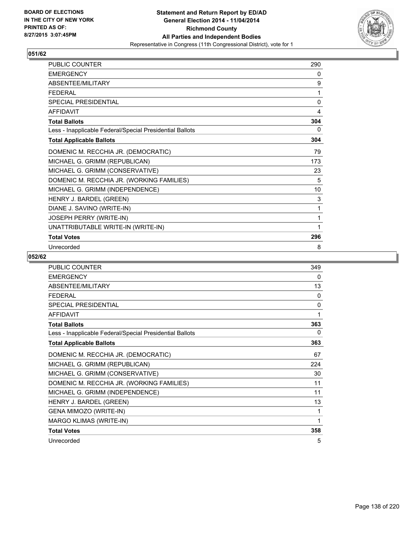

| <b>PUBLIC COUNTER</b>                                    | 290 |
|----------------------------------------------------------|-----|
| <b>EMERGENCY</b>                                         | 0   |
| ABSENTEE/MILITARY                                        | 9   |
| <b>FEDERAL</b>                                           | 1   |
| <b>SPECIAL PRESIDENTIAL</b>                              | 0   |
| <b>AFFIDAVIT</b>                                         | 4   |
| <b>Total Ballots</b>                                     | 304 |
| Less - Inapplicable Federal/Special Presidential Ballots | 0   |
| <b>Total Applicable Ballots</b>                          | 304 |
| DOMENIC M. RECCHIA JR. (DEMOCRATIC)                      | 79  |
| MICHAEL G. GRIMM (REPUBLICAN)                            | 173 |
| MICHAEL G. GRIMM (CONSERVATIVE)                          | 23  |
| DOMENIC M. RECCHIA JR. (WORKING FAMILIES)                | 5   |
| MICHAEL G. GRIMM (INDEPENDENCE)                          | 10  |
| HENRY J. BARDEL (GREEN)                                  | 3   |
| DIANE J. SAVINO (WRITE-IN)                               | 1   |
| JOSEPH PERRY (WRITE-IN)                                  | 1   |
| UNATTRIBUTABLE WRITE-IN (WRITE-IN)                       | 1   |
| <b>Total Votes</b>                                       | 296 |
| Unrecorded                                               | 8   |

| <b>PUBLIC COUNTER</b>                                    | 349          |
|----------------------------------------------------------|--------------|
| <b>EMERGENCY</b>                                         | 0            |
| ABSENTEE/MILITARY                                        | 13           |
| <b>FFDFRAL</b>                                           | $\Omega$     |
| <b>SPECIAL PRESIDENTIAL</b>                              | $\mathbf{0}$ |
| <b>AFFIDAVIT</b>                                         | 1            |
| <b>Total Ballots</b>                                     | 363          |
| Less - Inapplicable Federal/Special Presidential Ballots | 0            |
| <b>Total Applicable Ballots</b>                          | 363          |
| DOMENIC M. RECCHIA JR. (DEMOCRATIC)                      | 67           |
| MICHAEL G. GRIMM (REPUBLICAN)                            | 224          |
| MICHAEL G. GRIMM (CONSERVATIVE)                          | 30           |
| DOMENIC M. RECCHIA JR. (WORKING FAMILIES)                | 11           |
| MICHAEL G. GRIMM (INDEPENDENCE)                          | 11           |
| HENRY J. BARDEL (GREEN)                                  | 13           |
| GENA MIMOZO (WRITE-IN)                                   | 1            |
| MARGO KLIMAS (WRITE-IN)                                  | 1            |
| <b>Total Votes</b>                                       | 358          |
| Unrecorded                                               | 5            |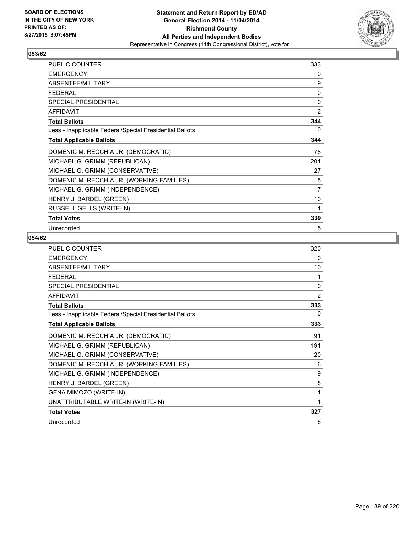

| <b>PUBLIC COUNTER</b>                                    | 333          |
|----------------------------------------------------------|--------------|
| <b>EMERGENCY</b>                                         | 0            |
| ABSENTEE/MILITARY                                        | 9            |
| <b>FEDERAL</b>                                           | $\mathbf{0}$ |
| SPECIAL PRESIDENTIAL                                     | 0            |
| <b>AFFIDAVIT</b>                                         | 2            |
| <b>Total Ballots</b>                                     | 344          |
| Less - Inapplicable Federal/Special Presidential Ballots | 0            |
| <b>Total Applicable Ballots</b>                          | 344          |
| DOMENIC M. RECCHIA JR. (DEMOCRATIC)                      | 78           |
| MICHAEL G. GRIMM (REPUBLICAN)                            | 201          |
| MICHAEL G. GRIMM (CONSERVATIVE)                          | 27           |
| DOMENIC M. RECCHIA JR. (WORKING FAMILIES)                | 5            |
| MICHAEL G. GRIMM (INDEPENDENCE)                          | 17           |
| HENRY J. BARDEL (GREEN)                                  | 10           |
| RUSSELL GELLS (WRITE-IN)                                 | 1            |
| <b>Total Votes</b>                                       | 339          |
| Unrecorded                                               | 5            |

| PUBLIC COUNTER                                           | 320 |
|----------------------------------------------------------|-----|
| <b>EMERGENCY</b>                                         | 0   |
| ABSENTEE/MILITARY                                        | 10  |
| <b>FEDERAL</b>                                           | 1   |
| <b>SPECIAL PRESIDENTIAL</b>                              | 0   |
| <b>AFFIDAVIT</b>                                         | 2   |
| <b>Total Ballots</b>                                     | 333 |
| Less - Inapplicable Federal/Special Presidential Ballots | 0   |
| <b>Total Applicable Ballots</b>                          | 333 |
| DOMENIC M. RECCHIA JR. (DEMOCRATIC)                      | 91  |
| MICHAEL G. GRIMM (REPUBLICAN)                            | 191 |
| MICHAEL G. GRIMM (CONSERVATIVE)                          | 20  |
| DOMENIC M. RECCHIA JR. (WORKING FAMILIES)                | 6   |
| MICHAEL G. GRIMM (INDEPENDENCE)                          | 9   |
| HENRY J. BARDEL (GREEN)                                  | 8   |
| GENA MIMOZO (WRITE-IN)                                   | 1   |
| UNATTRIBUTABLE WRITE-IN (WRITE-IN)                       | 1   |
| <b>Total Votes</b>                                       | 327 |
| Unrecorded                                               | 6   |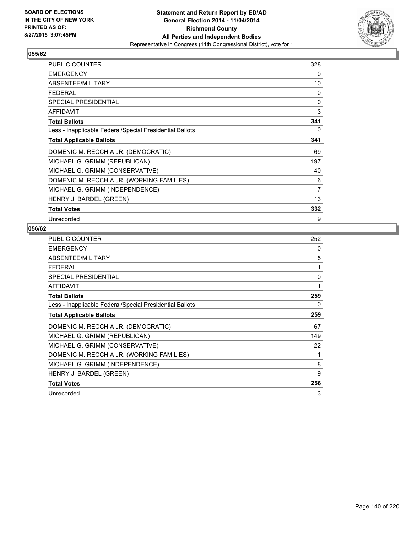

| <b>PUBLIC COUNTER</b>                                    | 328            |
|----------------------------------------------------------|----------------|
| <b>EMERGENCY</b>                                         | 0              |
| ABSENTEE/MILITARY                                        | 10             |
| <b>FEDERAL</b>                                           | 0              |
| SPECIAL PRESIDENTIAL                                     | 0              |
| <b>AFFIDAVIT</b>                                         | 3              |
| <b>Total Ballots</b>                                     | 341            |
| Less - Inapplicable Federal/Special Presidential Ballots | 0              |
| <b>Total Applicable Ballots</b>                          | 341            |
| DOMENIC M. RECCHIA JR. (DEMOCRATIC)                      | 69             |
| MICHAEL G. GRIMM (REPUBLICAN)                            | 197            |
| MICHAEL G. GRIMM (CONSERVATIVE)                          | 40             |
| DOMENIC M. RECCHIA JR. (WORKING FAMILIES)                | 6              |
| MICHAEL G. GRIMM (INDEPENDENCE)                          | $\overline{7}$ |
| HENRY J. BARDEL (GREEN)                                  | 13             |
| <b>Total Votes</b>                                       | 332            |
| Unrecorded                                               | 9              |

| <b>PUBLIC COUNTER</b>                                    | 252 |
|----------------------------------------------------------|-----|
| <b>EMERGENCY</b>                                         | 0   |
| ABSENTEE/MILITARY                                        | 5   |
| FEDERAL                                                  | 1   |
| SPECIAL PRESIDENTIAL                                     | 0   |
| <b>AFFIDAVIT</b>                                         | 1   |
| <b>Total Ballots</b>                                     | 259 |
| Less - Inapplicable Federal/Special Presidential Ballots | 0   |
| <b>Total Applicable Ballots</b>                          | 259 |
| DOMENIC M. RECCHIA JR. (DEMOCRATIC)                      | 67  |
| MICHAEL G. GRIMM (REPUBLICAN)                            | 149 |
| MICHAEL G. GRIMM (CONSERVATIVE)                          | 22  |
| DOMENIC M. RECCHIA JR. (WORKING FAMILIES)                | 1   |
| MICHAEL G. GRIMM (INDEPENDENCE)                          | 8   |
| HENRY J. BARDEL (GREEN)                                  | 9   |
| <b>Total Votes</b>                                       | 256 |
| Unrecorded                                               | 3   |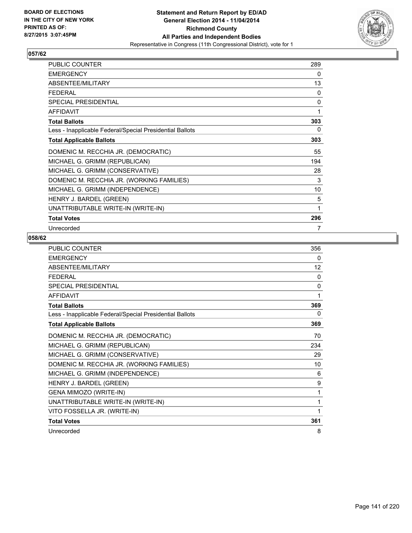

| <b>PUBLIC COUNTER</b>                                    | 289 |
|----------------------------------------------------------|-----|
| <b>EMERGENCY</b>                                         | 0   |
| ABSENTEE/MILITARY                                        | 13  |
| FFDFRAI                                                  | 0   |
| SPECIAL PRESIDENTIAL                                     | 0   |
| <b>AFFIDAVIT</b>                                         | 1   |
| <b>Total Ballots</b>                                     | 303 |
| Less - Inapplicable Federal/Special Presidential Ballots | 0   |
| <b>Total Applicable Ballots</b>                          | 303 |
| DOMENIC M. RECCHIA JR. (DEMOCRATIC)                      | 55  |
| MICHAEL G. GRIMM (REPUBLICAN)                            | 194 |
| MICHAEL G. GRIMM (CONSERVATIVE)                          | 28  |
| DOMENIC M. RECCHIA JR. (WORKING FAMILIES)                | 3   |
| MICHAEL G. GRIMM (INDEPENDENCE)                          | 10  |
| HENRY J. BARDEL (GREEN)                                  | 5   |
| UNATTRIBUTABLE WRITE-IN (WRITE-IN)                       | 1   |
| <b>Total Votes</b>                                       | 296 |
| Unrecorded                                               | 7   |

| PUBLIC COUNTER                                           | 356 |
|----------------------------------------------------------|-----|
| <b>EMERGENCY</b>                                         | 0   |
| ABSENTEE/MILITARY                                        | 12  |
| <b>FFDFRAI</b>                                           | 0   |
| SPECIAL PRESIDENTIAL                                     | 0   |
| <b>AFFIDAVIT</b>                                         | 1   |
| <b>Total Ballots</b>                                     | 369 |
| Less - Inapplicable Federal/Special Presidential Ballots | 0   |
| <b>Total Applicable Ballots</b>                          | 369 |
| DOMENIC M. RECCHIA JR. (DEMOCRATIC)                      | 70  |
| MICHAEL G. GRIMM (REPUBLICAN)                            | 234 |
| MICHAEL G. GRIMM (CONSERVATIVE)                          | 29  |
| DOMENIC M. RECCHIA JR. (WORKING FAMILIES)                | 10  |
| MICHAEL G. GRIMM (INDEPENDENCE)                          | 6   |
| HENRY J. BARDEL (GREEN)                                  | 9   |
| GENA MIMOZO (WRITE-IN)                                   | 1   |
| UNATTRIBUTABLE WRITE-IN (WRITE-IN)                       | 1   |
| VITO FOSSELLA JR. (WRITE-IN)                             | 1   |
| <b>Total Votes</b>                                       | 361 |
| Unrecorded                                               | 8   |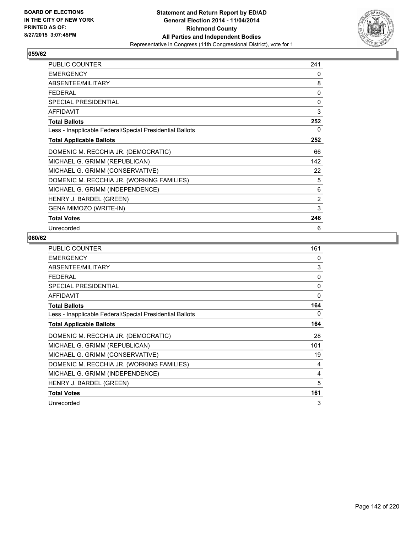

| <b>PUBLIC COUNTER</b>                                    | 241      |
|----------------------------------------------------------|----------|
| <b>EMERGENCY</b>                                         | 0        |
| ABSENTEE/MILITARY                                        | 8        |
| <b>FEDERAL</b>                                           | $\Omega$ |
| SPECIAL PRESIDENTIAL                                     | 0        |
| <b>AFFIDAVIT</b>                                         | 3        |
| <b>Total Ballots</b>                                     | 252      |
| Less - Inapplicable Federal/Special Presidential Ballots | 0        |
| <b>Total Applicable Ballots</b>                          | 252      |
| DOMENIC M. RECCHIA JR. (DEMOCRATIC)                      | 66       |
| MICHAEL G. GRIMM (REPUBLICAN)                            | 142      |
| MICHAEL G. GRIMM (CONSERVATIVE)                          | 22       |
| DOMENIC M. RECCHIA JR. (WORKING FAMILIES)                | 5        |
| MICHAEL G. GRIMM (INDEPENDENCE)                          | 6        |
| HENRY J. BARDEL (GREEN)                                  | 2        |
| GENA MIMOZO (WRITE-IN)                                   | 3        |
| <b>Total Votes</b>                                       | 246      |
| Unrecorded                                               | 6        |

| <b>PUBLIC COUNTER</b>                                    | 161 |
|----------------------------------------------------------|-----|
| <b>EMERGENCY</b>                                         | 0   |
| ABSENTEE/MILITARY                                        | 3   |
| <b>FEDERAL</b>                                           | 0   |
| <b>SPECIAL PRESIDENTIAL</b>                              | 0   |
| <b>AFFIDAVIT</b>                                         | 0   |
| <b>Total Ballots</b>                                     | 164 |
| Less - Inapplicable Federal/Special Presidential Ballots | 0   |
| <b>Total Applicable Ballots</b>                          | 164 |
| DOMENIC M. RECCHIA JR. (DEMOCRATIC)                      | 28  |
| MICHAEL G. GRIMM (REPUBLICAN)                            | 101 |
| MICHAEL G. GRIMM (CONSERVATIVE)                          | 19  |
| DOMENIC M. RECCHIA JR. (WORKING FAMILIES)                | 4   |
| MICHAEL G. GRIMM (INDEPENDENCE)                          | 4   |
| HENRY J. BARDEL (GREEN)                                  | 5   |
| <b>Total Votes</b>                                       | 161 |
| Unrecorded                                               | 3   |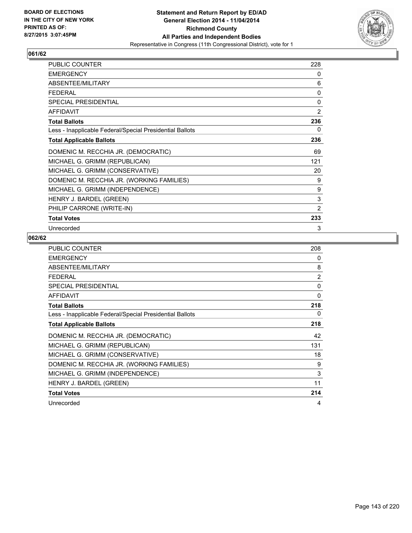

| <b>PUBLIC COUNTER</b>                                    | 228            |
|----------------------------------------------------------|----------------|
| <b>EMERGENCY</b>                                         | 0              |
| ABSENTEE/MILITARY                                        | 6              |
| FFDFRAI                                                  | 0              |
| SPECIAL PRESIDENTIAL                                     | 0              |
| <b>AFFIDAVIT</b>                                         | 2              |
| <b>Total Ballots</b>                                     | 236            |
| Less - Inapplicable Federal/Special Presidential Ballots | 0              |
| <b>Total Applicable Ballots</b>                          | 236            |
| DOMENIC M. RECCHIA JR. (DEMOCRATIC)                      | 69             |
| MICHAEL G. GRIMM (REPUBLICAN)                            | 121            |
| MICHAEL G. GRIMM (CONSERVATIVE)                          | 20             |
| DOMENIC M. RECCHIA JR. (WORKING FAMILIES)                | 9              |
| MICHAEL G. GRIMM (INDEPENDENCE)                          | 9              |
| HENRY J. BARDEL (GREEN)                                  | 3              |
| PHILIP CARRONE (WRITE-IN)                                | $\overline{2}$ |
| <b>Total Votes</b>                                       | 233            |
| Unrecorded                                               | 3              |

| <b>PUBLIC COUNTER</b>                                    | 208 |
|----------------------------------------------------------|-----|
| <b>EMERGENCY</b>                                         | 0   |
| ABSENTEE/MILITARY                                        | 8   |
| <b>FEDERAL</b>                                           | 2   |
| <b>SPECIAL PRESIDENTIAL</b>                              | 0   |
| <b>AFFIDAVIT</b>                                         | 0   |
| <b>Total Ballots</b>                                     | 218 |
| Less - Inapplicable Federal/Special Presidential Ballots | 0   |
| <b>Total Applicable Ballots</b>                          | 218 |
| DOMENIC M. RECCHIA JR. (DEMOCRATIC)                      | 42  |
| MICHAEL G. GRIMM (REPUBLICAN)                            | 131 |
| MICHAEL G. GRIMM (CONSERVATIVE)                          | 18  |
| DOMENIC M. RECCHIA JR. (WORKING FAMILIES)                | 9   |
| MICHAEL G. GRIMM (INDEPENDENCE)                          | 3   |
| HENRY J. BARDEL (GREEN)                                  | 11  |
| <b>Total Votes</b>                                       | 214 |
| Unrecorded                                               | 4   |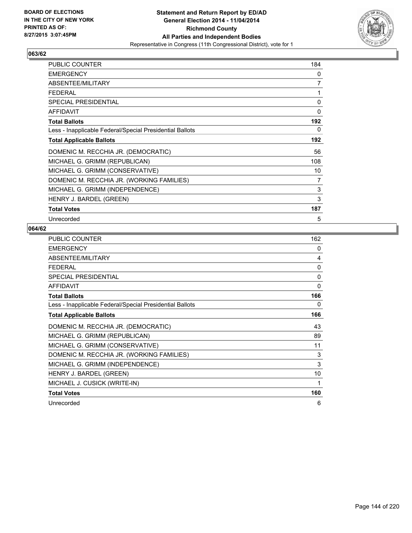

| <b>PUBLIC COUNTER</b>                                    | 184 |
|----------------------------------------------------------|-----|
| <b>EMERGENCY</b>                                         | 0   |
| ABSENTEE/MILITARY                                        | 7   |
| <b>FEDERAL</b>                                           | 1   |
| SPECIAL PRESIDENTIAL                                     | 0   |
| <b>AFFIDAVIT</b>                                         | 0   |
| <b>Total Ballots</b>                                     | 192 |
| Less - Inapplicable Federal/Special Presidential Ballots | 0   |
| <b>Total Applicable Ballots</b>                          | 192 |
| DOMENIC M. RECCHIA JR. (DEMOCRATIC)                      | 56  |
| MICHAEL G. GRIMM (REPUBLICAN)                            | 108 |
| MICHAEL G. GRIMM (CONSERVATIVE)                          | 10  |
| DOMENIC M. RECCHIA JR. (WORKING FAMILIES)                | 7   |
| MICHAEL G. GRIMM (INDEPENDENCE)                          | 3   |
| HENRY J. BARDEL (GREEN)                                  | 3   |
| <b>Total Votes</b>                                       | 187 |
| Unrecorded                                               | 5   |

| <b>PUBLIC COUNTER</b>                                    | 162          |
|----------------------------------------------------------|--------------|
| <b>EMERGENCY</b>                                         | 0            |
| ABSENTEE/MILITARY                                        | 4            |
| <b>FEDERAL</b>                                           | $\mathbf{0}$ |
| <b>SPECIAL PRESIDENTIAL</b>                              | $\mathbf{0}$ |
| <b>AFFIDAVIT</b>                                         | $\mathbf{0}$ |
| <b>Total Ballots</b>                                     | 166          |
| Less - Inapplicable Federal/Special Presidential Ballots | 0            |
| <b>Total Applicable Ballots</b>                          | 166          |
| DOMENIC M. RECCHIA JR. (DEMOCRATIC)                      | 43           |
| MICHAEL G. GRIMM (REPUBLICAN)                            | 89           |
| MICHAEL G. GRIMM (CONSERVATIVE)                          | 11           |
| DOMENIC M. RECCHIA JR. (WORKING FAMILIES)                | 3            |
| MICHAEL G. GRIMM (INDEPENDENCE)                          | 3            |
| HENRY J. BARDEL (GREEN)                                  | 10           |
| MICHAEL J. CUSICK (WRITE-IN)                             | 1            |
| <b>Total Votes</b>                                       | 160          |
| Unrecorded                                               | 6            |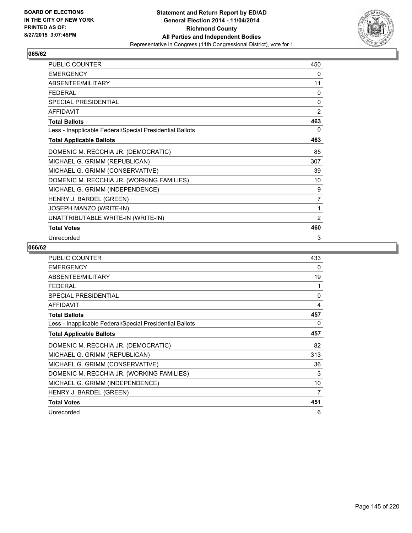

| PUBLIC COUNTER                                           | 450            |
|----------------------------------------------------------|----------------|
| <b>EMERGENCY</b>                                         | 0              |
| ABSENTEE/MILITARY                                        | 11             |
| <b>FEDERAL</b>                                           | 0              |
| SPECIAL PRESIDENTIAL                                     | 0              |
| <b>AFFIDAVIT</b>                                         | $\overline{2}$ |
| <b>Total Ballots</b>                                     | 463            |
| Less - Inapplicable Federal/Special Presidential Ballots | 0              |
| <b>Total Applicable Ballots</b>                          | 463            |
| DOMENIC M. RECCHIA JR. (DEMOCRATIC)                      | 85             |
| MICHAEL G. GRIMM (REPUBLICAN)                            | 307            |
| MICHAEL G. GRIMM (CONSERVATIVE)                          | 39             |
| DOMENIC M. RECCHIA JR. (WORKING FAMILIES)                | 10             |
| MICHAEL G. GRIMM (INDEPENDENCE)                          | 9              |
| HENRY J. BARDEL (GREEN)                                  | 7              |
| JOSEPH MANZO (WRITE-IN)                                  | 1              |
| UNATTRIBUTABLE WRITE-IN (WRITE-IN)                       | $\overline{2}$ |
| <b>Total Votes</b>                                       | 460            |
| Unrecorded                                               | 3              |

| <b>PUBLIC COUNTER</b>                                    | 433 |
|----------------------------------------------------------|-----|
| <b>EMERGENCY</b>                                         | 0   |
| ABSENTEE/MILITARY                                        | 19  |
| <b>FEDERAL</b>                                           | 1   |
| <b>SPECIAL PRESIDENTIAL</b>                              | 0   |
| <b>AFFIDAVIT</b>                                         | 4   |
| <b>Total Ballots</b>                                     | 457 |
| Less - Inapplicable Federal/Special Presidential Ballots | 0   |
| <b>Total Applicable Ballots</b>                          | 457 |
| DOMENIC M. RECCHIA JR. (DEMOCRATIC)                      | 82  |
| MICHAEL G. GRIMM (REPUBLICAN)                            | 313 |
| MICHAEL G. GRIMM (CONSERVATIVE)                          | 36  |
| DOMENIC M. RECCHIA JR. (WORKING FAMILIES)                | 3   |
| MICHAEL G. GRIMM (INDEPENDENCE)                          | 10  |
| HENRY J. BARDEL (GREEN)                                  | 7   |
| <b>Total Votes</b>                                       | 451 |
| Unrecorded                                               | 6   |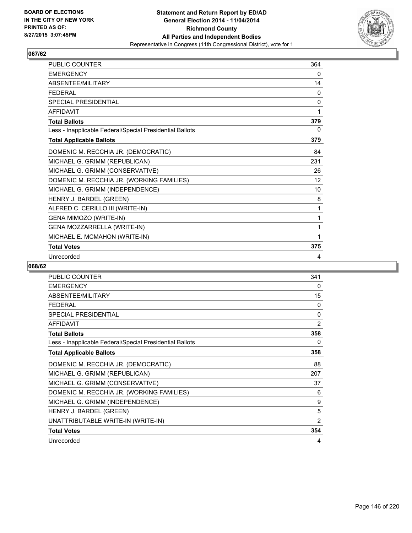

| <b>PUBLIC COUNTER</b>                                    | 364 |
|----------------------------------------------------------|-----|
| <b>EMERGENCY</b>                                         | 0   |
| ABSENTEE/MILITARY                                        | 14  |
| <b>FFDFRAI</b>                                           | 0   |
| <b>SPECIAL PRESIDENTIAL</b>                              | 0   |
| <b>AFFIDAVIT</b>                                         | 1   |
| <b>Total Ballots</b>                                     | 379 |
| Less - Inapplicable Federal/Special Presidential Ballots | 0   |
| <b>Total Applicable Ballots</b>                          | 379 |
| DOMENIC M. RECCHIA JR. (DEMOCRATIC)                      | 84  |
| MICHAEL G. GRIMM (REPUBLICAN)                            | 231 |
| MICHAEL G. GRIMM (CONSERVATIVE)                          | 26  |
| DOMENIC M. RECCHIA JR. (WORKING FAMILIES)                | 12  |
| MICHAEL G. GRIMM (INDEPENDENCE)                          | 10  |
| HENRY J. BARDEL (GREEN)                                  | 8   |
| ALFRED C. CERILLO III (WRITE-IN)                         | 1   |
| GENA MIMOZO (WRITE-IN)                                   | 1   |
| GENA MOZZARRELLA (WRITE-IN)                              | 1   |
| MICHAEL E. MCMAHON (WRITE-IN)                            | 1   |
| <b>Total Votes</b>                                       | 375 |
| Unrecorded                                               | 4   |

| <b>PUBLIC COUNTER</b>                                    | 341            |
|----------------------------------------------------------|----------------|
| <b>EMERGENCY</b>                                         | 0              |
| ABSENTEE/MILITARY                                        | 15             |
| <b>FEDERAL</b>                                           | 0              |
| SPECIAL PRESIDENTIAL                                     | 0              |
| <b>AFFIDAVIT</b>                                         | $\overline{2}$ |
| <b>Total Ballots</b>                                     | 358            |
| Less - Inapplicable Federal/Special Presidential Ballots | 0              |
| <b>Total Applicable Ballots</b>                          | 358            |
| DOMENIC M. RECCHIA JR. (DEMOCRATIC)                      | 88             |
| MICHAEL G. GRIMM (REPUBLICAN)                            | 207            |
| MICHAEL G. GRIMM (CONSERVATIVE)                          | 37             |
| DOMENIC M. RECCHIA JR. (WORKING FAMILIES)                | 6              |
| MICHAEL G. GRIMM (INDEPENDENCE)                          | 9              |
| HENRY J. BARDEL (GREEN)                                  | 5              |
| UNATTRIBUTABLE WRITE-IN (WRITE-IN)                       | $\overline{2}$ |
| <b>Total Votes</b>                                       | 354            |
| Unrecorded                                               | 4              |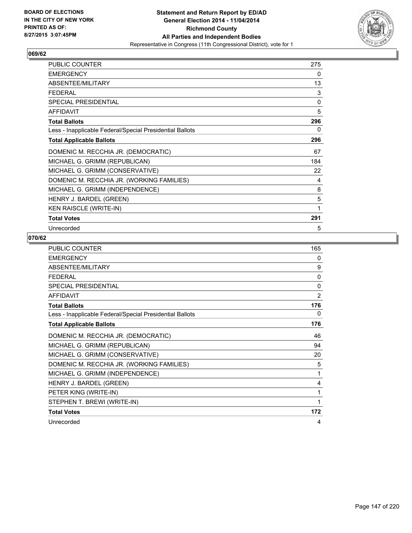

| <b>PUBLIC COUNTER</b>                                    | 275 |
|----------------------------------------------------------|-----|
| <b>EMERGENCY</b>                                         | 0   |
| ABSENTEE/MILITARY                                        | 13  |
| <b>FEDERAL</b>                                           | 3   |
| SPECIAL PRESIDENTIAL                                     | 0   |
| <b>AFFIDAVIT</b>                                         | 5   |
| <b>Total Ballots</b>                                     | 296 |
| Less - Inapplicable Federal/Special Presidential Ballots | 0   |
| <b>Total Applicable Ballots</b>                          | 296 |
| DOMENIC M. RECCHIA JR. (DEMOCRATIC)                      | 67  |
| MICHAEL G. GRIMM (REPUBLICAN)                            | 184 |
| MICHAEL G. GRIMM (CONSERVATIVE)                          | 22  |
| DOMENIC M. RECCHIA JR. (WORKING FAMILIES)                | 4   |
| MICHAEL G. GRIMM (INDEPENDENCE)                          | 8   |
| HENRY J. BARDEL (GREEN)                                  | 5   |
| <b>KEN RAISCLE (WRITE-IN)</b>                            | 1   |
| <b>Total Votes</b>                                       | 291 |
| Unrecorded                                               | 5   |

| PUBLIC COUNTER                                           | 165 |
|----------------------------------------------------------|-----|
| <b>EMERGENCY</b>                                         | 0   |
| ABSENTEE/MILITARY                                        | 9   |
| <b>FEDERAL</b>                                           | 0   |
| <b>SPECIAL PRESIDENTIAL</b>                              | 0   |
| <b>AFFIDAVIT</b>                                         | 2   |
| <b>Total Ballots</b>                                     | 176 |
| Less - Inapplicable Federal/Special Presidential Ballots | 0   |
| <b>Total Applicable Ballots</b>                          | 176 |
| DOMENIC M. RECCHIA JR. (DEMOCRATIC)                      | 46  |
| MICHAEL G. GRIMM (REPUBLICAN)                            | 94  |
| MICHAEL G. GRIMM (CONSERVATIVE)                          | 20  |
| DOMENIC M. RECCHIA JR. (WORKING FAMILIES)                | 5   |
| MICHAEL G. GRIMM (INDEPENDENCE)                          | 1   |
| HENRY J. BARDEL (GREEN)                                  | 4   |
| PETER KING (WRITE-IN)                                    | 1   |
| STEPHEN T. BREWI (WRITE-IN)                              | 1   |
| <b>Total Votes</b>                                       | 172 |
| Unrecorded                                               | 4   |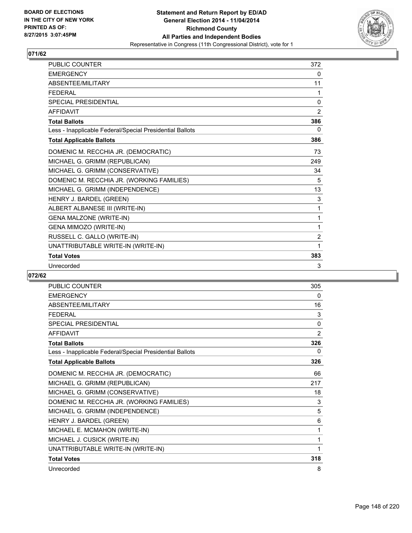

| <b>PUBLIC COUNTER</b>                                    | 372          |
|----------------------------------------------------------|--------------|
| <b>EMERGENCY</b>                                         | 0            |
| ABSENTEE/MILITARY                                        | 11           |
| <b>FEDERAL</b>                                           | 1            |
| <b>SPECIAL PRESIDENTIAL</b>                              | $\mathbf{0}$ |
| AFFIDAVIT                                                | 2            |
| <b>Total Ballots</b>                                     | 386          |
| Less - Inapplicable Federal/Special Presidential Ballots | 0            |
| <b>Total Applicable Ballots</b>                          | 386          |
| DOMENIC M. RECCHIA JR. (DEMOCRATIC)                      | 73           |
| MICHAEL G. GRIMM (REPUBLICAN)                            | 249          |
| MICHAEL G. GRIMM (CONSERVATIVE)                          | 34           |
| DOMENIC M. RECCHIA JR. (WORKING FAMILIES)                | 5            |
| MICHAEL G. GRIMM (INDEPENDENCE)                          | 13           |
| HENRY J. BARDEL (GREEN)                                  | 3            |
| ALBERT ALBANESE III (WRITE-IN)                           | $\mathbf{1}$ |
| <b>GENA MALZONE (WRITE-IN)</b>                           | 1            |
| GENA MIMOZO (WRITE-IN)                                   | 1            |
| RUSSELL C. GALLO (WRITE-IN)                              | 2            |
| UNATTRIBUTABLE WRITE-IN (WRITE-IN)                       | 1            |
| <b>Total Votes</b>                                       | 383          |
| Unrecorded                                               | 3            |

| <b>PUBLIC COUNTER</b>                                    | 305 |
|----------------------------------------------------------|-----|
| <b>EMERGENCY</b>                                         | 0   |
| ABSENTEE/MILITARY                                        | 16  |
| <b>FEDERAL</b>                                           | 3   |
| <b>SPECIAL PRESIDENTIAL</b>                              | 0   |
| <b>AFFIDAVIT</b>                                         | 2   |
| <b>Total Ballots</b>                                     | 326 |
| Less - Inapplicable Federal/Special Presidential Ballots | 0   |
| <b>Total Applicable Ballots</b>                          | 326 |
| DOMENIC M. RECCHIA JR. (DEMOCRATIC)                      | 66  |
| MICHAEL G. GRIMM (REPUBLICAN)                            | 217 |
| MICHAEL G. GRIMM (CONSERVATIVE)                          | 18  |
| DOMENIC M. RECCHIA JR. (WORKING FAMILIES)                | 3   |
| MICHAEL G. GRIMM (INDEPENDENCE)                          | 5   |
| HENRY J. BARDEL (GREEN)                                  | 6   |
| MICHAEL E. MCMAHON (WRITE-IN)                            | 1   |
| MICHAEL J. CUSICK (WRITE-IN)                             | 1   |
| UNATTRIBUTABLE WRITE-IN (WRITE-IN)                       | 1   |
| <b>Total Votes</b>                                       | 318 |
| Unrecorded                                               | 8   |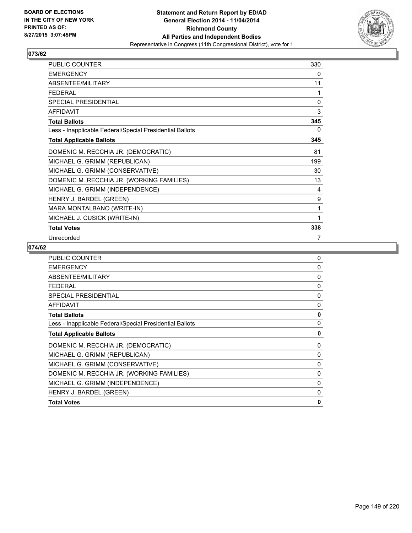

| PUBLIC COUNTER                                           | 330 |
|----------------------------------------------------------|-----|
| <b>EMERGENCY</b>                                         | 0   |
| ABSENTEE/MILITARY                                        | 11  |
| <b>FEDERAL</b>                                           | 1   |
| SPECIAL PRESIDENTIAL                                     | 0   |
| <b>AFFIDAVIT</b>                                         | 3   |
| <b>Total Ballots</b>                                     | 345 |
| Less - Inapplicable Federal/Special Presidential Ballots | 0   |
| <b>Total Applicable Ballots</b>                          | 345 |
| DOMENIC M. RECCHIA JR. (DEMOCRATIC)                      | 81  |
| MICHAEL G. GRIMM (REPUBLICAN)                            | 199 |
| MICHAEL G. GRIMM (CONSERVATIVE)                          | 30  |
| DOMENIC M. RECCHIA JR. (WORKING FAMILIES)                | 13  |
| MICHAEL G. GRIMM (INDEPENDENCE)                          | 4   |
| HENRY J. BARDEL (GREEN)                                  | 9   |
| MARA MONTALBANO (WRITE-IN)                               | 1   |
| MICHAEL J. CUSICK (WRITE-IN)                             | 1   |
| <b>Total Votes</b>                                       | 338 |
| Unrecorded                                               | 7   |

| PUBLIC COUNTER                                           | $\mathbf{0}$ |
|----------------------------------------------------------|--------------|
| <b>EMERGENCY</b>                                         | 0            |
| ABSENTEE/MILITARY                                        | 0            |
| <b>FEDERAL</b>                                           | $\Omega$     |
| <b>SPECIAL PRESIDENTIAL</b>                              | 0            |
| <b>AFFIDAVIT</b>                                         | 0            |
| <b>Total Ballots</b>                                     | 0            |
| Less - Inapplicable Federal/Special Presidential Ballots | $\mathbf{0}$ |
| <b>Total Applicable Ballots</b>                          | 0            |
| DOMENIC M. RECCHIA JR. (DEMOCRATIC)                      | 0            |
| MICHAEL G. GRIMM (REPUBLICAN)                            | 0            |
| MICHAEL G. GRIMM (CONSERVATIVE)                          | 0            |
| DOMENIC M. RECCHIA JR. (WORKING FAMILIES)                | 0            |
| MICHAEL G. GRIMM (INDEPENDENCE)                          | 0            |
| HENRY J. BARDEL (GREEN)                                  | 0            |
| <b>Total Votes</b>                                       | $\mathbf{0}$ |
|                                                          |              |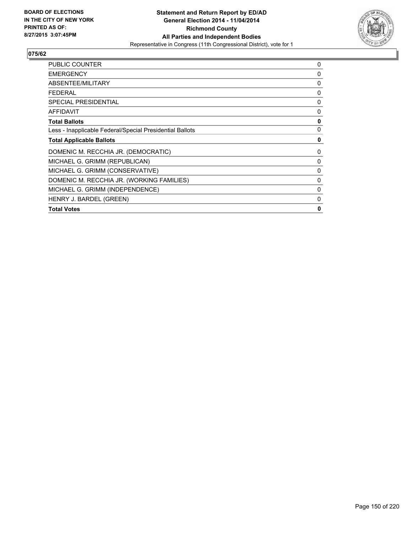

| <b>PUBLIC COUNTER</b>                                    | 0 |
|----------------------------------------------------------|---|
| <b>EMERGENCY</b>                                         | 0 |
| ABSENTEE/MILITARY                                        | 0 |
| <b>FEDERAL</b>                                           | 0 |
| <b>SPECIAL PRESIDENTIAL</b>                              | 0 |
| AFFIDAVIT                                                | 0 |
| <b>Total Ballots</b>                                     | 0 |
| Less - Inapplicable Federal/Special Presidential Ballots | 0 |
| <b>Total Applicable Ballots</b>                          | 0 |
| DOMENIC M. RECCHIA JR. (DEMOCRATIC)                      | 0 |
| MICHAEL G. GRIMM (REPUBLICAN)                            | 0 |
| MICHAEL G. GRIMM (CONSERVATIVE)                          | 0 |
| DOMENIC M. RECCHIA JR. (WORKING FAMILIES)                | 0 |
| MICHAEL G. GRIMM (INDEPENDENCE)                          | 0 |
| HENRY J. BARDEL (GREEN)                                  | 0 |
| <b>Total Votes</b>                                       | 0 |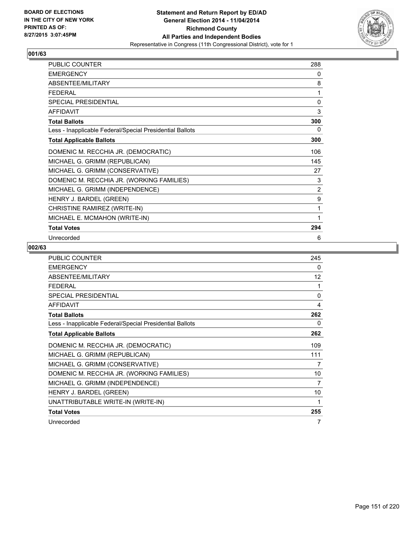

| <b>PUBLIC COUNTER</b>                                    | 288 |
|----------------------------------------------------------|-----|
| <b>EMERGENCY</b>                                         | 0   |
| ABSENTEE/MILITARY                                        | 8   |
| <b>FEDERAL</b>                                           | 1   |
| <b>SPECIAL PRESIDENTIAL</b>                              | 0   |
| <b>AFFIDAVIT</b>                                         | 3   |
| <b>Total Ballots</b>                                     | 300 |
| Less - Inapplicable Federal/Special Presidential Ballots | 0   |
| <b>Total Applicable Ballots</b>                          | 300 |
| DOMENIC M. RECCHIA JR. (DEMOCRATIC)                      | 106 |
| MICHAEL G. GRIMM (REPUBLICAN)                            | 145 |
| MICHAEL G. GRIMM (CONSERVATIVE)                          | 27  |
| DOMENIC M. RECCHIA JR. (WORKING FAMILIES)                | 3   |
| MICHAEL G. GRIMM (INDEPENDENCE)                          | 2   |
| HENRY J. BARDEL (GREEN)                                  | 9   |
| CHRISTINE RAMIREZ (WRITE-IN)                             | 1   |
| MICHAEL E. MCMAHON (WRITE-IN)                            | 1   |
| <b>Total Votes</b>                                       | 294 |
| Unrecorded                                               | 6   |

| <b>PUBLIC COUNTER</b>                                    | 245      |
|----------------------------------------------------------|----------|
| <b>EMERGENCY</b>                                         | 0        |
| ABSENTEE/MILITARY                                        | 12       |
| <b>FEDERAL</b>                                           | 1        |
| SPECIAL PRESIDENTIAL                                     | $\Omega$ |
| <b>AFFIDAVIT</b>                                         | 4        |
| <b>Total Ballots</b>                                     | 262      |
| Less - Inapplicable Federal/Special Presidential Ballots | 0        |
| <b>Total Applicable Ballots</b>                          | 262      |
| DOMENIC M. RECCHIA JR. (DEMOCRATIC)                      | 109      |
| MICHAEL G. GRIMM (REPUBLICAN)                            | 111      |
| MICHAEL G. GRIMM (CONSERVATIVE)                          | 7        |
| DOMENIC M. RECCHIA JR. (WORKING FAMILIES)                | 10       |
| MICHAEL G. GRIMM (INDEPENDENCE)                          | 7        |
| HENRY J. BARDEL (GREEN)                                  | 10       |
| UNATTRIBUTABLE WRITE-IN (WRITE-IN)                       | 1        |
| <b>Total Votes</b>                                       | 255      |
| Unrecorded                                               | 7        |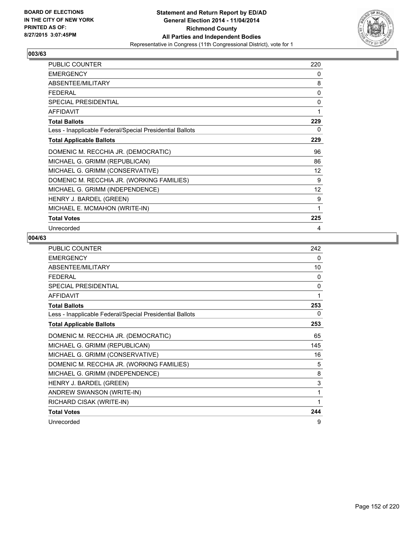

| <b>PUBLIC COUNTER</b>                                    | 220 |
|----------------------------------------------------------|-----|
| <b>EMERGENCY</b>                                         | 0   |
| ABSENTEE/MILITARY                                        | 8   |
| <b>FEDERAL</b>                                           | 0   |
| SPECIAL PRESIDENTIAL                                     | 0   |
| <b>AFFIDAVIT</b>                                         | 1   |
| <b>Total Ballots</b>                                     | 229 |
| Less - Inapplicable Federal/Special Presidential Ballots | 0   |
| <b>Total Applicable Ballots</b>                          | 229 |
| DOMENIC M. RECCHIA JR. (DEMOCRATIC)                      | 96  |
| MICHAEL G. GRIMM (REPUBLICAN)                            | 86  |
| MICHAEL G. GRIMM (CONSERVATIVE)                          | 12  |
| DOMENIC M. RECCHIA JR. (WORKING FAMILIES)                | 9   |
| MICHAEL G. GRIMM (INDEPENDENCE)                          | 12  |
| HENRY J. BARDEL (GREEN)                                  | 9   |
| MICHAEL E. MCMAHON (WRITE-IN)                            | 1   |
| <b>Total Votes</b>                                       | 225 |
| Unrecorded                                               | 4   |

| PUBLIC COUNTER                                           | 242          |
|----------------------------------------------------------|--------------|
| <b>EMERGENCY</b>                                         | 0            |
| ABSENTEE/MILITARY                                        | 10           |
| <b>FEDERAL</b>                                           | 0            |
| <b>SPECIAL PRESIDENTIAL</b>                              | $\mathbf{0}$ |
| <b>AFFIDAVIT</b>                                         | 1            |
| <b>Total Ballots</b>                                     | 253          |
| Less - Inapplicable Federal/Special Presidential Ballots | 0            |
| <b>Total Applicable Ballots</b>                          | 253          |
| DOMENIC M. RECCHIA JR. (DEMOCRATIC)                      | 65           |
| MICHAEL G. GRIMM (REPUBLICAN)                            | 145          |
| MICHAEL G. GRIMM (CONSERVATIVE)                          | 16           |
| DOMENIC M. RECCHIA JR. (WORKING FAMILIES)                | 5            |
| MICHAEL G. GRIMM (INDEPENDENCE)                          | 8            |
| HENRY J. BARDEL (GREEN)                                  | 3            |
| ANDREW SWANSON (WRITE-IN)                                | 1            |
| RICHARD CISAK (WRITE-IN)                                 | 1            |
| <b>Total Votes</b>                                       | 244          |
| Unrecorded                                               | 9            |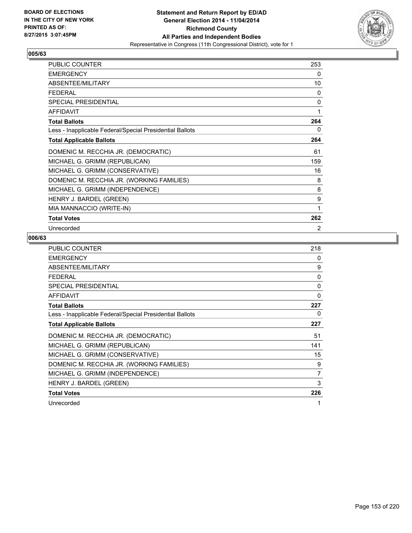

| <b>PUBLIC COUNTER</b>                                    | 253 |
|----------------------------------------------------------|-----|
| <b>EMERGENCY</b>                                         | 0   |
| ABSENTEE/MILITARY                                        | 10  |
| FFDFRAI                                                  | 0   |
| SPECIAL PRESIDENTIAL                                     | 0   |
| <b>AFFIDAVIT</b>                                         | 1   |
| <b>Total Ballots</b>                                     | 264 |
| Less - Inapplicable Federal/Special Presidential Ballots | 0   |
| <b>Total Applicable Ballots</b>                          | 264 |
| DOMENIC M. RECCHIA JR. (DEMOCRATIC)                      | 61  |
| MICHAEL G. GRIMM (REPUBLICAN)                            | 159 |
| MICHAEL G. GRIMM (CONSERVATIVE)                          | 16  |
| DOMENIC M. RECCHIA JR. (WORKING FAMILIES)                | 8   |
| MICHAEL G. GRIMM (INDEPENDENCE)                          | 8   |
| HENRY J. BARDEL (GREEN)                                  | 9   |
| MIA MANNACCIO (WRITE-IN)                                 | 1   |
| <b>Total Votes</b>                                       | 262 |
| Unrecorded                                               | 2   |

| <b>PUBLIC COUNTER</b>                                    | 218 |
|----------------------------------------------------------|-----|
| <b>EMERGENCY</b>                                         | 0   |
| ABSENTEE/MILITARY                                        | 9   |
| <b>FEDERAL</b>                                           | 0   |
| <b>SPECIAL PRESIDENTIAL</b>                              | 0   |
| AFFIDAVIT                                                | 0   |
| <b>Total Ballots</b>                                     | 227 |
| Less - Inapplicable Federal/Special Presidential Ballots | 0   |
| <b>Total Applicable Ballots</b>                          | 227 |
| DOMENIC M. RECCHIA JR. (DEMOCRATIC)                      | 51  |
| MICHAEL G. GRIMM (REPUBLICAN)                            | 141 |
| MICHAEL G. GRIMM (CONSERVATIVE)                          | 15  |
| DOMENIC M. RECCHIA JR. (WORKING FAMILIES)                | 9   |
| MICHAEL G. GRIMM (INDEPENDENCE)                          | 7   |
| HENRY J. BARDEL (GREEN)                                  | 3   |
| <b>Total Votes</b>                                       | 226 |
| Unrecorded                                               | 1   |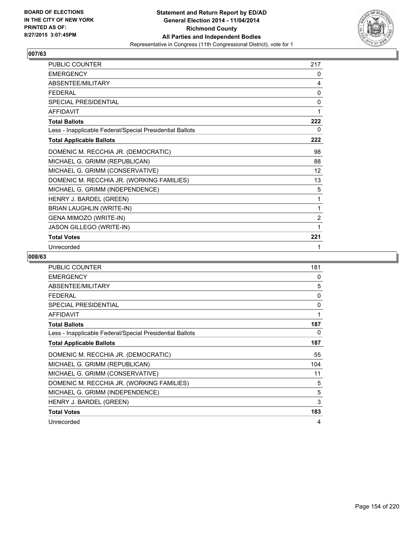

| PUBLIC COUNTER                                           | 217            |
|----------------------------------------------------------|----------------|
| <b>EMERGENCY</b>                                         | 0              |
| ABSENTEE/MILITARY                                        | 4              |
| <b>FEDERAL</b>                                           | 0              |
| <b>SPECIAL PRESIDENTIAL</b>                              | 0              |
| <b>AFFIDAVIT</b>                                         | 1              |
| <b>Total Ballots</b>                                     | 222            |
| Less - Inapplicable Federal/Special Presidential Ballots | 0              |
| <b>Total Applicable Ballots</b>                          | 222            |
| DOMENIC M. RECCHIA JR. (DEMOCRATIC)                      | 98             |
| MICHAEL G. GRIMM (REPUBLICAN)                            | 88             |
| MICHAEL G. GRIMM (CONSERVATIVE)                          | 12             |
| DOMENIC M. RECCHIA JR. (WORKING FAMILIES)                | 13             |
| MICHAEL G. GRIMM (INDEPENDENCE)                          | 5              |
| HENRY J. BARDEL (GREEN)                                  | 1              |
| <b>BRIAN LAUGHLIN (WRITE-IN)</b>                         | 1              |
| GENA MIMOZO (WRITE-IN)                                   | $\overline{2}$ |
| JASON GILLEGO (WRITE-IN)                                 | 1              |
| <b>Total Votes</b>                                       | 221            |
| Unrecorded                                               | 1              |

| <b>PUBLIC COUNTER</b>                                    | 181 |
|----------------------------------------------------------|-----|
| <b>EMERGENCY</b>                                         | 0   |
| ABSENTEE/MILITARY                                        | 5   |
| <b>FEDERAL</b>                                           | 0   |
| <b>SPECIAL PRESIDENTIAL</b>                              | 0   |
| <b>AFFIDAVIT</b>                                         | 1   |
| <b>Total Ballots</b>                                     | 187 |
| Less - Inapplicable Federal/Special Presidential Ballots | 0   |
| <b>Total Applicable Ballots</b>                          | 187 |
| DOMENIC M. RECCHIA JR. (DEMOCRATIC)                      | 55  |
| MICHAEL G. GRIMM (REPUBLICAN)                            | 104 |
| MICHAEL G. GRIMM (CONSERVATIVE)                          | 11  |
| DOMENIC M. RECCHIA JR. (WORKING FAMILIES)                | 5   |
| MICHAEL G. GRIMM (INDEPENDENCE)                          | 5   |
| HENRY J. BARDEL (GREEN)                                  | 3   |
| <b>Total Votes</b>                                       | 183 |
| Unrecorded                                               | 4   |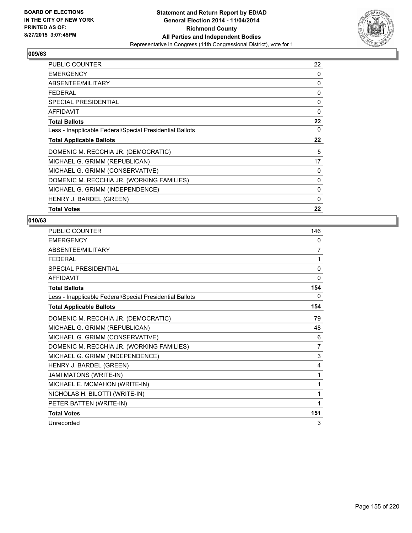

| PUBLIC COUNTER                                           | 22       |
|----------------------------------------------------------|----------|
| <b>EMERGENCY</b>                                         | 0        |
| ABSENTEE/MILITARY                                        | 0        |
| <b>FEDERAL</b>                                           | 0        |
| <b>SPECIAL PRESIDENTIAL</b>                              | 0        |
| <b>AFFIDAVIT</b>                                         | 0        |
| <b>Total Ballots</b>                                     | 22       |
| Less - Inapplicable Federal/Special Presidential Ballots | 0        |
| <b>Total Applicable Ballots</b>                          | 22       |
| DOMENIC M. RECCHIA JR. (DEMOCRATIC)                      | 5        |
| MICHAEL G. GRIMM (REPUBLICAN)                            | 17       |
| MICHAEL G. GRIMM (CONSERVATIVE)                          | 0        |
| DOMENIC M. RECCHIA JR. (WORKING FAMILIES)                | 0        |
| MICHAEL G. GRIMM (INDEPENDENCE)                          | 0        |
| HENRY J. BARDEL (GREEN)                                  | $\Omega$ |
| <b>Total Votes</b>                                       | 22       |

| PUBLIC COUNTER                                           | 146      |
|----------------------------------------------------------|----------|
| <b>EMERGENCY</b>                                         | 0        |
| ABSENTEE/MILITARY                                        | 7        |
| <b>FEDERAL</b>                                           | 1        |
| <b>SPECIAL PRESIDENTIAL</b>                              | $\Omega$ |
| <b>AFFIDAVIT</b>                                         | 0        |
| <b>Total Ballots</b>                                     | 154      |
| Less - Inapplicable Federal/Special Presidential Ballots | 0        |
| <b>Total Applicable Ballots</b>                          | 154      |
| DOMENIC M. RECCHIA JR. (DEMOCRATIC)                      | 79       |
| MICHAEL G. GRIMM (REPUBLICAN)                            | 48       |
| MICHAEL G. GRIMM (CONSERVATIVE)                          | 6        |
| DOMENIC M. RECCHIA JR. (WORKING FAMILIES)                | 7        |
| MICHAEL G. GRIMM (INDEPENDENCE)                          | 3        |
| HENRY J. BARDEL (GREEN)                                  | 4        |
| <b>JAMI MATONS (WRITE-IN)</b>                            | 1        |
| MICHAEL E. MCMAHON (WRITE-IN)                            | 1        |
| NICHOLAS H. BILOTTI (WRITE-IN)                           | 1        |
| PETER BATTEN (WRITE-IN)                                  | 1        |
| <b>Total Votes</b>                                       | 151      |
| Unrecorded                                               | 3        |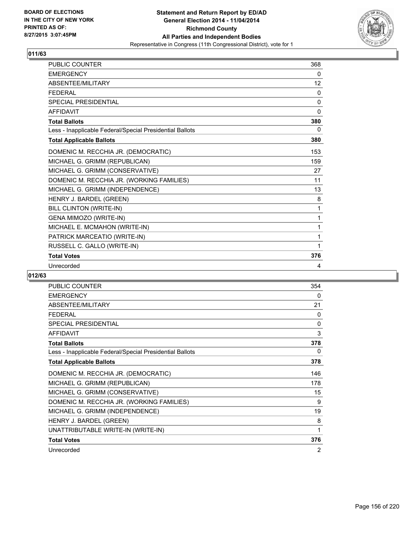

| <b>PUBLIC COUNTER</b>                                    | 368          |
|----------------------------------------------------------|--------------|
| <b>EMERGENCY</b>                                         | 0            |
| ABSENTEE/MILITARY                                        | 12           |
| <b>FEDERAL</b>                                           | $\mathbf{0}$ |
| <b>SPECIAL PRESIDENTIAL</b>                              | $\mathbf{0}$ |
| <b>AFFIDAVIT</b>                                         | $\Omega$     |
| <b>Total Ballots</b>                                     | 380          |
| Less - Inapplicable Federal/Special Presidential Ballots | 0            |
| <b>Total Applicable Ballots</b>                          | 380          |
| DOMENIC M. RECCHIA JR. (DEMOCRATIC)                      | 153          |
| MICHAEL G. GRIMM (REPUBLICAN)                            | 159          |
| MICHAEL G. GRIMM (CONSERVATIVE)                          | 27           |
| DOMENIC M. RECCHIA JR. (WORKING FAMILIES)                | 11           |
| MICHAEL G. GRIMM (INDEPENDENCE)                          | 13           |
| HENRY J. BARDEL (GREEN)                                  | 8            |
| BILL CLINTON (WRITE-IN)                                  | 1            |
| GENA MIMOZO (WRITE-IN)                                   | 1            |
| MICHAEL E. MCMAHON (WRITE-IN)                            | 1            |
| PATRICK MARCEATIO (WRITE-IN)                             | 1            |
| RUSSELL C. GALLO (WRITE-IN)                              | 1            |
| <b>Total Votes</b>                                       | 376          |
| Unrecorded                                               | 4            |

| <b>PUBLIC COUNTER</b>                                    | 354 |
|----------------------------------------------------------|-----|
| <b>EMERGENCY</b>                                         | 0   |
| ABSENTEE/MILITARY                                        | 21  |
| <b>FEDERAL</b>                                           | 0   |
| SPECIAL PRESIDENTIAL                                     | 0   |
| <b>AFFIDAVIT</b>                                         | 3   |
| <b>Total Ballots</b>                                     | 378 |
| Less - Inapplicable Federal/Special Presidential Ballots | 0   |
| <b>Total Applicable Ballots</b>                          | 378 |
| DOMENIC M. RECCHIA JR. (DEMOCRATIC)                      | 146 |
| MICHAEL G. GRIMM (REPUBLICAN)                            | 178 |
| MICHAEL G. GRIMM (CONSERVATIVE)                          | 15  |
| DOMENIC M. RECCHIA JR. (WORKING FAMILIES)                | 9   |
| MICHAEL G. GRIMM (INDEPENDENCE)                          | 19  |
| HENRY J. BARDEL (GREEN)                                  | 8   |
| UNATTRIBUTABLE WRITE-IN (WRITE-IN)                       | 1   |
| <b>Total Votes</b>                                       | 376 |
| Unrecorded                                               | 2   |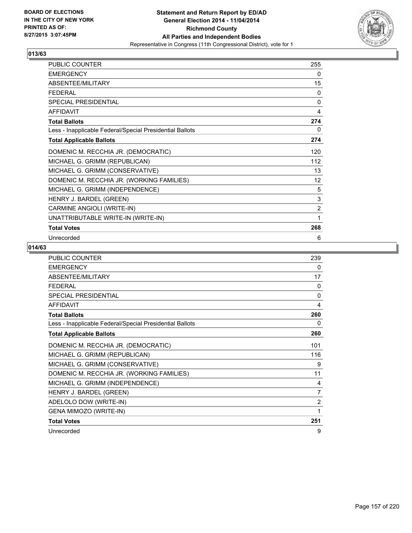

| PUBLIC COUNTER                                           | 255            |
|----------------------------------------------------------|----------------|
| <b>EMERGENCY</b>                                         | 0              |
| ABSENTEE/MILITARY                                        | 15             |
| <b>FEDERAL</b>                                           | 0              |
| SPECIAL PRESIDENTIAL                                     | 0              |
| <b>AFFIDAVIT</b>                                         | 4              |
| <b>Total Ballots</b>                                     | 274            |
| Less - Inapplicable Federal/Special Presidential Ballots | 0              |
| <b>Total Applicable Ballots</b>                          | 274            |
| DOMENIC M. RECCHIA JR. (DEMOCRATIC)                      | 120            |
| MICHAEL G. GRIMM (REPUBLICAN)                            | 112            |
| MICHAEL G. GRIMM (CONSERVATIVE)                          | 13             |
| DOMENIC M. RECCHIA JR. (WORKING FAMILIES)                | 12             |
| MICHAEL G. GRIMM (INDEPENDENCE)                          | 5              |
| HENRY J. BARDEL (GREEN)                                  | 3              |
| CARMINE ANGIOLI (WRITE-IN)                               | $\overline{2}$ |
| UNATTRIBUTABLE WRITE-IN (WRITE-IN)                       | 1              |
| <b>Total Votes</b>                                       | 268            |
| Unrecorded                                               | 6              |

| <b>PUBLIC COUNTER</b>                                    | 239          |
|----------------------------------------------------------|--------------|
| <b>EMERGENCY</b>                                         | 0            |
| ABSENTEE/MILITARY                                        | 17           |
| <b>FEDERAL</b>                                           | $\Omega$     |
| <b>SPECIAL PRESIDENTIAL</b>                              | $\mathbf{0}$ |
| <b>AFFIDAVIT</b>                                         | 4            |
| <b>Total Ballots</b>                                     | 260          |
| Less - Inapplicable Federal/Special Presidential Ballots | 0            |
| <b>Total Applicable Ballots</b>                          | 260          |
| DOMENIC M. RECCHIA JR. (DEMOCRATIC)                      | 101          |
| MICHAEL G. GRIMM (REPUBLICAN)                            | 116          |
| MICHAEL G. GRIMM (CONSERVATIVE)                          | 9            |
| DOMENIC M. RECCHIA JR. (WORKING FAMILIES)                | 11           |
| MICHAEL G. GRIMM (INDEPENDENCE)                          | 4            |
| HENRY J. BARDEL (GREEN)                                  | 7            |
| ADELOLO DOW (WRITE-IN)                                   | 2            |
| GENA MIMOZO (WRITE-IN)                                   | 1            |
| <b>Total Votes</b>                                       | 251          |
| Unrecorded                                               | 9            |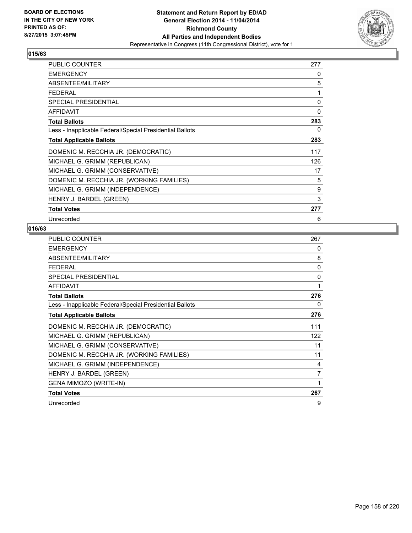

| <b>PUBLIC COUNTER</b>                                    | 277 |
|----------------------------------------------------------|-----|
| <b>EMERGENCY</b>                                         | 0   |
| ABSENTEE/MILITARY                                        | 5   |
| <b>FEDERAL</b>                                           | 1   |
| <b>SPECIAL PRESIDENTIAL</b>                              | 0   |
| <b>AFFIDAVIT</b>                                         | 0   |
| <b>Total Ballots</b>                                     | 283 |
| Less - Inapplicable Federal/Special Presidential Ballots | 0   |
| <b>Total Applicable Ballots</b>                          | 283 |
| DOMENIC M. RECCHIA JR. (DEMOCRATIC)                      | 117 |
| MICHAEL G. GRIMM (REPUBLICAN)                            | 126 |
| MICHAEL G. GRIMM (CONSERVATIVE)                          | 17  |
| DOMENIC M. RECCHIA JR. (WORKING FAMILIES)                | 5   |
| MICHAEL G. GRIMM (INDEPENDENCE)                          | 9   |
| HENRY J. BARDEL (GREEN)                                  | 3   |
| <b>Total Votes</b>                                       | 277 |
| Unrecorded                                               | 6   |

| <b>PUBLIC COUNTER</b>                                    | 267          |
|----------------------------------------------------------|--------------|
| <b>EMERGENCY</b>                                         | 0            |
| ABSENTEE/MILITARY                                        | 8            |
| FFDFRAI                                                  | $\mathbf{0}$ |
| SPECIAL PRESIDENTIAL                                     | $\mathbf{0}$ |
| <b>AFFIDAVIT</b>                                         | 1            |
| <b>Total Ballots</b>                                     | 276          |
| Less - Inapplicable Federal/Special Presidential Ballots | 0            |
| <b>Total Applicable Ballots</b>                          | 276          |
| DOMENIC M. RECCHIA JR. (DEMOCRATIC)                      | 111          |
| MICHAEL G. GRIMM (REPUBLICAN)                            | 122          |
| MICHAEL G. GRIMM (CONSERVATIVE)                          | 11           |
| DOMENIC M. RECCHIA JR. (WORKING FAMILIES)                | 11           |
| MICHAEL G. GRIMM (INDEPENDENCE)                          | 4            |
| HENRY J. BARDEL (GREEN)                                  | 7            |
| GENA MIMOZO (WRITE-IN)                                   | 1            |
| <b>Total Votes</b>                                       | 267          |
| Unrecorded                                               | 9            |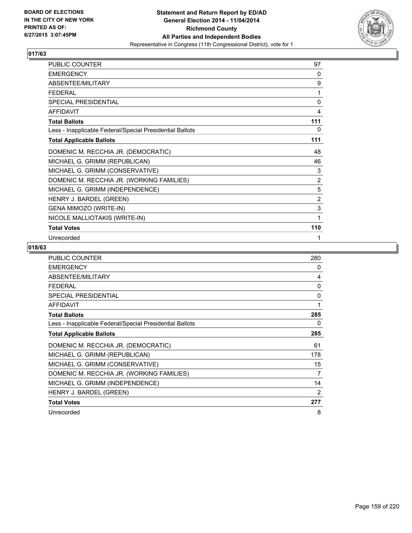

| PUBLIC COUNTER                                           | 97             |
|----------------------------------------------------------|----------------|
| <b>EMERGENCY</b>                                         | 0              |
| ABSENTEE/MILITARY                                        | 9              |
| <b>FEDERAL</b>                                           | 1              |
| <b>SPECIAL PRESIDENTIAL</b>                              | 0              |
| <b>AFFIDAVIT</b>                                         | 4              |
| <b>Total Ballots</b>                                     | 111            |
| Less - Inapplicable Federal/Special Presidential Ballots | 0              |
| <b>Total Applicable Ballots</b>                          | 111            |
| DOMENIC M. RECCHIA JR. (DEMOCRATIC)                      | 48             |
| MICHAEL G. GRIMM (REPUBLICAN)                            | 46             |
| MICHAEL G. GRIMM (CONSERVATIVE)                          | 3              |
| DOMENIC M. RECCHIA JR. (WORKING FAMILIES)                | 2              |
| MICHAEL G. GRIMM (INDEPENDENCE)                          | 5              |
| HENRY J. BARDEL (GREEN)                                  | $\overline{2}$ |
| GENA MIMOZO (WRITE-IN)                                   | 3              |
| NICOLE MALLIOTAKIS (WRITE-IN)                            | 1              |
| <b>Total Votes</b>                                       | 110            |
| Unrecorded                                               | 1              |

| <b>PUBLIC COUNTER</b>                                    | 280 |
|----------------------------------------------------------|-----|
| <b>EMERGENCY</b>                                         | 0   |
| ABSENTEE/MILITARY                                        | 4   |
| <b>FEDERAL</b>                                           | 0   |
| <b>SPECIAL PRESIDENTIAL</b>                              | 0   |
| <b>AFFIDAVIT</b>                                         | 1   |
| <b>Total Ballots</b>                                     | 285 |
| Less - Inapplicable Federal/Special Presidential Ballots | 0   |
| <b>Total Applicable Ballots</b>                          | 285 |
| DOMENIC M. RECCHIA JR. (DEMOCRATIC)                      | 61  |
| MICHAEL G. GRIMM (REPUBLICAN)                            | 178 |
| MICHAEL G. GRIMM (CONSERVATIVE)                          | 15  |
| DOMENIC M. RECCHIA JR. (WORKING FAMILIES)                | 7   |
| MICHAEL G. GRIMM (INDEPENDENCE)                          | 14  |
| HENRY J. BARDEL (GREEN)                                  | 2   |
| <b>Total Votes</b>                                       | 277 |
| Unrecorded                                               | 8   |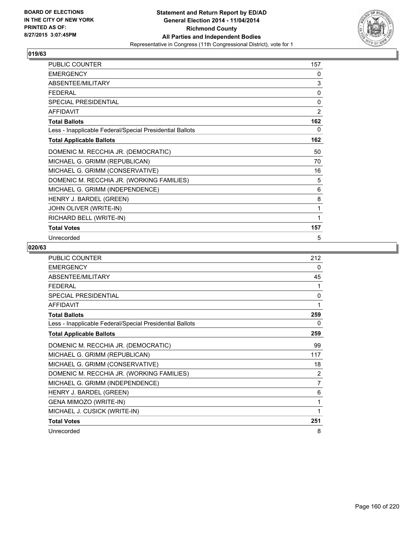

| PUBLIC COUNTER                                           | 157            |
|----------------------------------------------------------|----------------|
| <b>EMERGENCY</b>                                         | 0              |
| ABSENTEE/MILITARY                                        | 3              |
| <b>FEDERAL</b>                                           | 0              |
| SPECIAL PRESIDENTIAL                                     | 0              |
| <b>AFFIDAVIT</b>                                         | $\overline{2}$ |
| <b>Total Ballots</b>                                     | 162            |
| Less - Inapplicable Federal/Special Presidential Ballots | 0              |
| <b>Total Applicable Ballots</b>                          | 162            |
| DOMENIC M. RECCHIA JR. (DEMOCRATIC)                      | 50             |
| MICHAEL G. GRIMM (REPUBLICAN)                            | 70             |
| MICHAEL G. GRIMM (CONSERVATIVE)                          | 16             |
| DOMENIC M. RECCHIA JR. (WORKING FAMILIES)                | 5              |
| MICHAEL G. GRIMM (INDEPENDENCE)                          | 6              |
| HENRY J. BARDEL (GREEN)                                  | 8              |
| JOHN OLIVER (WRITE-IN)                                   | 1              |
| RICHARD BELL (WRITE-IN)                                  | 1              |
| <b>Total Votes</b>                                       | 157            |
| Unrecorded                                               | 5              |

| <b>PUBLIC COUNTER</b>                                    | 212 |
|----------------------------------------------------------|-----|
| <b>EMERGENCY</b>                                         | 0   |
| ABSENTEE/MILITARY                                        | 45  |
| <b>FFDFRAL</b>                                           | 1   |
| <b>SPECIAL PRESIDENTIAL</b>                              | 0   |
| <b>AFFIDAVIT</b>                                         | 1   |
| <b>Total Ballots</b>                                     | 259 |
| Less - Inapplicable Federal/Special Presidential Ballots | 0   |
| <b>Total Applicable Ballots</b>                          | 259 |
| DOMENIC M. RECCHIA JR. (DEMOCRATIC)                      | 99  |
| MICHAEL G. GRIMM (REPUBLICAN)                            | 117 |
| MICHAEL G. GRIMM (CONSERVATIVE)                          | 18  |
| DOMENIC M. RECCHIA JR. (WORKING FAMILIES)                | 2   |
| MICHAEL G. GRIMM (INDEPENDENCE)                          | 7   |
| HENRY J. BARDEL (GREEN)                                  | 6   |
| GENA MIMOZO (WRITE-IN)                                   | 1   |
| MICHAEL J. CUSICK (WRITE-IN)                             | 1   |
| <b>Total Votes</b>                                       | 251 |
| Unrecorded                                               | 8   |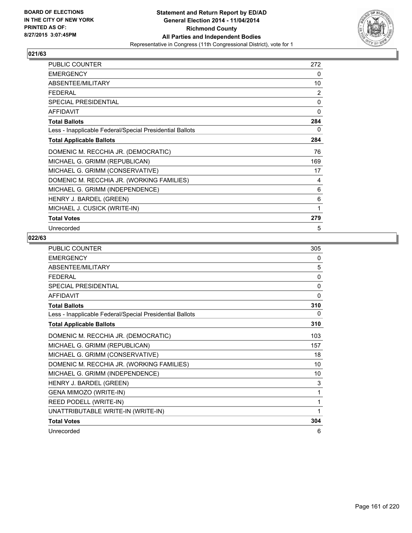

| <b>PUBLIC COUNTER</b>                                    | 272 |
|----------------------------------------------------------|-----|
| <b>EMERGENCY</b>                                         | 0   |
| ABSENTEE/MILITARY                                        | 10  |
| <b>FEDERAL</b>                                           | 2   |
| <b>SPECIAL PRESIDENTIAL</b>                              | 0   |
| <b>AFFIDAVIT</b>                                         | 0   |
| <b>Total Ballots</b>                                     | 284 |
| Less - Inapplicable Federal/Special Presidential Ballots | 0   |
| <b>Total Applicable Ballots</b>                          | 284 |
| DOMENIC M. RECCHIA JR. (DEMOCRATIC)                      | 76  |
| MICHAEL G. GRIMM (REPUBLICAN)                            | 169 |
| MICHAEL G. GRIMM (CONSERVATIVE)                          | 17  |
| DOMENIC M. RECCHIA JR. (WORKING FAMILIES)                | 4   |
| MICHAEL G. GRIMM (INDEPENDENCE)                          | 6   |
| HENRY J. BARDEL (GREEN)                                  | 6   |
| MICHAEL J. CUSICK (WRITE-IN)                             | 1   |
| <b>Total Votes</b>                                       | 279 |
| Unrecorded                                               | 5   |

| PUBLIC COUNTER                                           | 305          |
|----------------------------------------------------------|--------------|
| <b>FMFRGFNCY</b>                                         | 0            |
| ABSENTEE/MILITARY                                        | 5            |
| <b>FFDFRAI</b>                                           | 0            |
| SPECIAL PRESIDENTIAL                                     | $\mathbf{0}$ |
| <b>AFFIDAVIT</b>                                         | $\mathbf{0}$ |
| <b>Total Ballots</b>                                     | 310          |
| Less - Inapplicable Federal/Special Presidential Ballots | 0            |
| <b>Total Applicable Ballots</b>                          | 310          |
| DOMENIC M. RECCHIA JR. (DEMOCRATIC)                      | 103          |
| MICHAEL G. GRIMM (REPUBLICAN)                            | 157          |
| MICHAEL G. GRIMM (CONSERVATIVE)                          | 18           |
| DOMENIC M. RECCHIA JR. (WORKING FAMILIES)                | 10           |
| MICHAEL G. GRIMM (INDEPENDENCE)                          | 10           |
| HENRY J. BARDEL (GREEN)                                  | 3            |
| GENA MIMOZO (WRITE-IN)                                   | 1            |
| REED PODELL (WRITE-IN)                                   | 1            |
| UNATTRIBUTABLE WRITE-IN (WRITE-IN)                       | 1            |
| <b>Total Votes</b>                                       | 304          |
| Unrecorded                                               | 6            |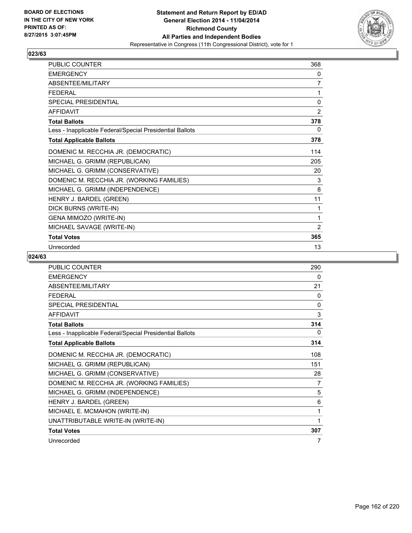

| PUBLIC COUNTER                                           | 368            |
|----------------------------------------------------------|----------------|
| <b>EMERGENCY</b>                                         | 0              |
| ABSENTEE/MILITARY                                        | $\overline{7}$ |
| <b>FEDERAL</b>                                           | 1              |
| <b>SPECIAL PRESIDENTIAL</b>                              | 0              |
| <b>AFFIDAVIT</b>                                         | 2              |
| <b>Total Ballots</b>                                     | 378            |
| Less - Inapplicable Federal/Special Presidential Ballots | 0              |
| <b>Total Applicable Ballots</b>                          | 378            |
| DOMENIC M. RECCHIA JR. (DEMOCRATIC)                      | 114            |
| MICHAEL G. GRIMM (REPUBLICAN)                            | 205            |
| MICHAEL G. GRIMM (CONSERVATIVE)                          | 20             |
| DOMENIC M. RECCHIA JR. (WORKING FAMILIES)                | 3              |
| MICHAEL G. GRIMM (INDEPENDENCE)                          | 8              |
| HENRY J. BARDEL (GREEN)                                  | 11             |
| DICK BURNS (WRITE-IN)                                    | 1              |
| GENA MIMOZO (WRITE-IN)                                   | 1              |
| MICHAEL SAVAGE (WRITE-IN)                                | 2              |
| <b>Total Votes</b>                                       | 365            |
| Unrecorded                                               | 13             |

| <b>PUBLIC COUNTER</b>                                    | 290          |
|----------------------------------------------------------|--------------|
| <b>EMERGENCY</b>                                         | 0            |
| ABSENTEE/MILITARY                                        | 21           |
| <b>FEDERAL</b>                                           | 0            |
| <b>SPECIAL PRESIDENTIAL</b>                              | $\mathbf{0}$ |
| <b>AFFIDAVIT</b>                                         | 3            |
| <b>Total Ballots</b>                                     | 314          |
| Less - Inapplicable Federal/Special Presidential Ballots | 0            |
| <b>Total Applicable Ballots</b>                          | 314          |
| DOMENIC M. RECCHIA JR. (DEMOCRATIC)                      | 108          |
| MICHAEL G. GRIMM (REPUBLICAN)                            | 151          |
| MICHAEL G. GRIMM (CONSERVATIVE)                          | 28           |
| DOMENIC M. RECCHIA JR. (WORKING FAMILIES)                | 7            |
| MICHAEL G. GRIMM (INDEPENDENCE)                          | 5            |
| HENRY J. BARDEL (GREEN)                                  | 6            |
| MICHAEL E. MCMAHON (WRITE-IN)                            | 1            |
| UNATTRIBUTABLE WRITE-IN (WRITE-IN)                       | 1            |
| <b>Total Votes</b>                                       | 307          |
| Unrecorded                                               | 7            |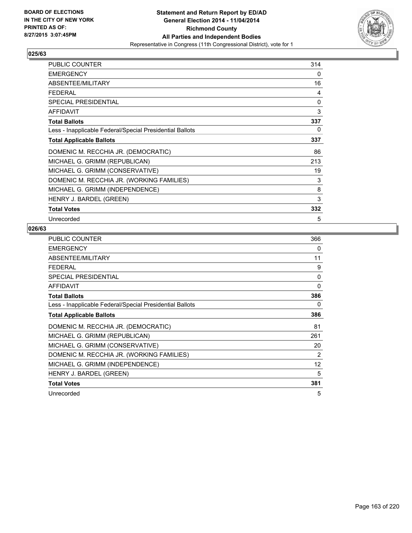

| <b>PUBLIC COUNTER</b>                                    | 314      |
|----------------------------------------------------------|----------|
| <b>EMERGENCY</b>                                         | 0        |
| ABSENTEE/MILITARY                                        | 16       |
| <b>FEDERAL</b>                                           | 4        |
| <b>SPECIAL PRESIDENTIAL</b>                              | $\Omega$ |
| <b>AFFIDAVIT</b>                                         | 3        |
| <b>Total Ballots</b>                                     | 337      |
| Less - Inapplicable Federal/Special Presidential Ballots | 0        |
| <b>Total Applicable Ballots</b>                          | 337      |
| DOMENIC M. RECCHIA JR. (DEMOCRATIC)                      | 86       |
| MICHAEL G. GRIMM (REPUBLICAN)                            | 213      |
| MICHAEL G. GRIMM (CONSERVATIVE)                          | 19       |
| DOMENIC M. RECCHIA JR. (WORKING FAMILIES)                | 3        |
| MICHAEL G. GRIMM (INDEPENDENCE)                          | 8        |
| HENRY J. BARDEL (GREEN)                                  | 3        |
| <b>Total Votes</b>                                       | 332      |
| Unrecorded                                               | 5        |

| <b>PUBLIC COUNTER</b>                                    | 366            |
|----------------------------------------------------------|----------------|
| <b>EMERGENCY</b>                                         | 0              |
| ABSENTEE/MILITARY                                        | 11             |
| <b>FEDERAL</b>                                           | 9              |
| <b>SPECIAL PRESIDENTIAL</b>                              | $\mathbf{0}$   |
| AFFIDAVIT                                                | 0              |
| <b>Total Ballots</b>                                     | 386            |
| Less - Inapplicable Federal/Special Presidential Ballots | 0              |
| <b>Total Applicable Ballots</b>                          | 386            |
| DOMENIC M. RECCHIA JR. (DEMOCRATIC)                      | 81             |
| MICHAEL G. GRIMM (REPUBLICAN)                            | 261            |
| MICHAEL G. GRIMM (CONSERVATIVE)                          | 20             |
| DOMENIC M. RECCHIA JR. (WORKING FAMILIES)                | $\overline{2}$ |
| MICHAEL G. GRIMM (INDEPENDENCE)                          | 12             |
| HENRY J. BARDEL (GREEN)                                  | 5              |
| <b>Total Votes</b>                                       | 381            |
| Unrecorded                                               | 5              |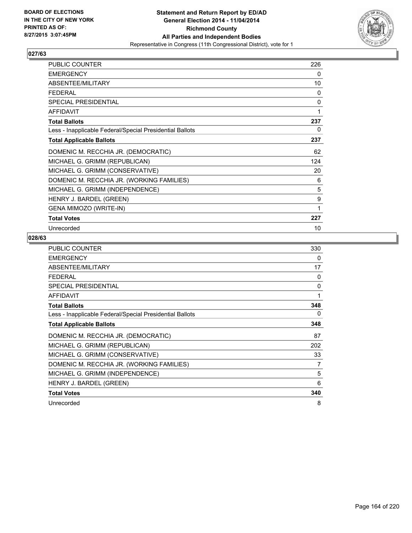

| <b>PUBLIC COUNTER</b>                                    | 226          |
|----------------------------------------------------------|--------------|
| <b>EMERGENCY</b>                                         | 0            |
| ABSENTEE/MILITARY                                        | 10           |
| FFDFRAI                                                  | 0            |
| SPECIAL PRESIDENTIAL                                     | $\mathbf{0}$ |
| <b>AFFIDAVIT</b>                                         | 1            |
| <b>Total Ballots</b>                                     | 237          |
| Less - Inapplicable Federal/Special Presidential Ballots | 0            |
| <b>Total Applicable Ballots</b>                          | 237          |
| DOMENIC M. RECCHIA JR. (DEMOCRATIC)                      | 62           |
| MICHAEL G. GRIMM (REPUBLICAN)                            | 124          |
| MICHAEL G. GRIMM (CONSERVATIVE)                          | 20           |
| DOMENIC M. RECCHIA JR. (WORKING FAMILIES)                | 6            |
| MICHAEL G. GRIMM (INDEPENDENCE)                          | 5            |
| HENRY J. BARDEL (GREEN)                                  | 9            |
| <b>GENA MIMOZO (WRITE-IN)</b>                            | 1            |
| <b>Total Votes</b>                                       | 227          |
| Unrecorded                                               | 10           |

| <b>PUBLIC COUNTER</b>                                    | 330 |
|----------------------------------------------------------|-----|
| <b>EMERGENCY</b>                                         | 0   |
| ABSENTEE/MILITARY                                        | 17  |
| <b>FEDERAL</b>                                           | 0   |
| <b>SPECIAL PRESIDENTIAL</b>                              | 0   |
| <b>AFFIDAVIT</b>                                         | 1   |
| <b>Total Ballots</b>                                     | 348 |
| Less - Inapplicable Federal/Special Presidential Ballots | 0   |
| <b>Total Applicable Ballots</b>                          | 348 |
| DOMENIC M. RECCHIA JR. (DEMOCRATIC)                      | 87  |
| MICHAEL G. GRIMM (REPUBLICAN)                            | 202 |
| MICHAEL G. GRIMM (CONSERVATIVE)                          | 33  |
| DOMENIC M. RECCHIA JR. (WORKING FAMILIES)                | 7   |
| MICHAEL G. GRIMM (INDEPENDENCE)                          | 5   |
| HENRY J. BARDEL (GREEN)                                  | 6   |
| <b>Total Votes</b>                                       | 340 |
| Unrecorded                                               | 8   |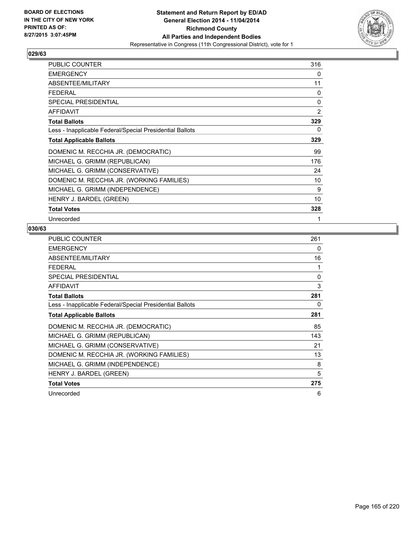

| <b>PUBLIC COUNTER</b>                                    | 316            |
|----------------------------------------------------------|----------------|
| <b>EMERGENCY</b>                                         | 0              |
| ABSENTEE/MILITARY                                        | 11             |
| <b>FEDERAL</b>                                           | 0              |
| <b>SPECIAL PRESIDENTIAL</b>                              | 0              |
| AFFIDAVIT                                                | $\overline{2}$ |
| <b>Total Ballots</b>                                     | 329            |
| Less - Inapplicable Federal/Special Presidential Ballots | 0              |
| <b>Total Applicable Ballots</b>                          | 329            |
| DOMENIC M. RECCHIA JR. (DEMOCRATIC)                      | 99             |
| MICHAEL G. GRIMM (REPUBLICAN)                            | 176            |
| MICHAEL G. GRIMM (CONSERVATIVE)                          | 24             |
| DOMENIC M. RECCHIA JR. (WORKING FAMILIES)                | 10             |
| MICHAEL G. GRIMM (INDEPENDENCE)                          | 9              |
| HENRY J. BARDEL (GREEN)                                  | 10             |
| <b>Total Votes</b>                                       | 328            |
| Unrecorded                                               | 1              |

| PUBLIC COUNTER                                           | 261 |
|----------------------------------------------------------|-----|
| <b>EMERGENCY</b>                                         | 0   |
| ABSENTEE/MILITARY                                        | 16  |
| FEDERAL                                                  |     |
| SPECIAL PRESIDENTIAL                                     | 0   |
| <b>AFFIDAVIT</b>                                         | 3   |
| <b>Total Ballots</b>                                     | 281 |
| Less - Inapplicable Federal/Special Presidential Ballots | 0   |
| <b>Total Applicable Ballots</b>                          | 281 |
| DOMENIC M. RECCHIA JR. (DEMOCRATIC)                      | 85  |
| MICHAEL G. GRIMM (REPUBLICAN)                            | 143 |
| MICHAEL G. GRIMM (CONSERVATIVE)                          | 21  |
| DOMENIC M. RECCHIA JR. (WORKING FAMILIES)                | 13  |
| MICHAEL G. GRIMM (INDEPENDENCE)                          | 8   |
| HENRY J. BARDEL (GREEN)                                  | 5   |
| <b>Total Votes</b>                                       | 275 |
| Unrecorded                                               | 6   |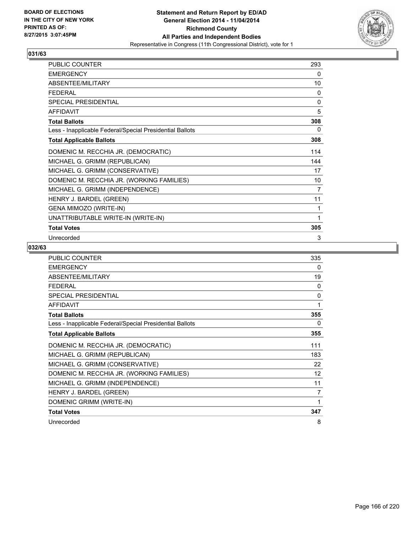

| PUBLIC COUNTER                                           | 293 |
|----------------------------------------------------------|-----|
| <b>EMERGENCY</b>                                         | 0   |
| ABSENTEE/MILITARY                                        | 10  |
| <b>FEDERAL</b>                                           | 0   |
| SPECIAL PRESIDENTIAL                                     | 0   |
| <b>AFFIDAVIT</b>                                         | 5   |
| <b>Total Ballots</b>                                     | 308 |
| Less - Inapplicable Federal/Special Presidential Ballots | 0   |
| <b>Total Applicable Ballots</b>                          | 308 |
| DOMENIC M. RECCHIA JR. (DEMOCRATIC)                      | 114 |
| MICHAEL G. GRIMM (REPUBLICAN)                            | 144 |
| MICHAEL G. GRIMM (CONSERVATIVE)                          | 17  |
| DOMENIC M. RECCHIA JR. (WORKING FAMILIES)                | 10  |
| MICHAEL G. GRIMM (INDEPENDENCE)                          | 7   |
| HENRY J. BARDEL (GREEN)                                  | 11  |
| GENA MIMOZO (WRITE-IN)                                   | 1   |
| UNATTRIBUTABLE WRITE-IN (WRITE-IN)                       | 1   |
| <b>Total Votes</b>                                       | 305 |
| Unrecorded                                               | 3   |

| <b>PUBLIC COUNTER</b>                                    | 335 |
|----------------------------------------------------------|-----|
| <b>EMERGENCY</b>                                         | 0   |
| ABSENTEE/MILITARY                                        | 19  |
| <b>FFDFRAL</b>                                           | 0   |
| <b>SPECIAL PRESIDENTIAL</b>                              | 0   |
| <b>AFFIDAVIT</b>                                         | 1   |
| <b>Total Ballots</b>                                     | 355 |
| Less - Inapplicable Federal/Special Presidential Ballots | 0   |
| <b>Total Applicable Ballots</b>                          | 355 |
| DOMENIC M. RECCHIA JR. (DEMOCRATIC)                      | 111 |
| MICHAEL G. GRIMM (REPUBLICAN)                            | 183 |
| MICHAEL G. GRIMM (CONSERVATIVE)                          | 22  |
| DOMENIC M. RECCHIA JR. (WORKING FAMILIES)                | 12  |
| MICHAEL G. GRIMM (INDEPENDENCE)                          | 11  |
| HENRY J. BARDEL (GREEN)                                  | 7   |
| DOMENIC GRIMM (WRITE-IN)                                 | 1   |
| <b>Total Votes</b>                                       | 347 |
| Unrecorded                                               | 8   |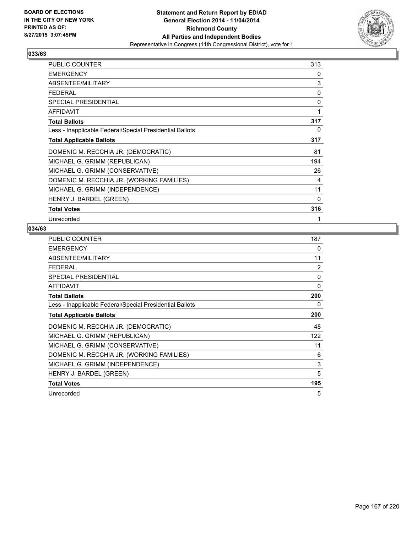

| PUBLIC COUNTER                                           | 313 |
|----------------------------------------------------------|-----|
| <b>EMERGENCY</b>                                         | 0   |
| ABSENTEE/MILITARY                                        | 3   |
| <b>FEDERAL</b>                                           | 0   |
| SPECIAL PRESIDENTIAL                                     | 0   |
| <b>AFFIDAVIT</b>                                         | 1   |
| <b>Total Ballots</b>                                     | 317 |
| Less - Inapplicable Federal/Special Presidential Ballots | 0   |
| <b>Total Applicable Ballots</b>                          | 317 |
| DOMENIC M. RECCHIA JR. (DEMOCRATIC)                      | 81  |
| MICHAEL G. GRIMM (REPUBLICAN)                            | 194 |
| MICHAEL G. GRIMM (CONSERVATIVE)                          | 26  |
| DOMENIC M. RECCHIA JR. (WORKING FAMILIES)                | 4   |
| MICHAEL G. GRIMM (INDEPENDENCE)                          | 11  |
| HENRY J. BARDEL (GREEN)                                  | 0   |
| <b>Total Votes</b>                                       | 316 |
| Unrecorded                                               | 1   |

| <b>PUBLIC COUNTER</b>                                    | 187            |
|----------------------------------------------------------|----------------|
| <b>EMERGENCY</b>                                         | 0              |
| ABSENTEE/MILITARY                                        | 11             |
| FEDERAL                                                  | $\overline{2}$ |
| <b>SPECIAL PRESIDENTIAL</b>                              | 0              |
| <b>AFFIDAVIT</b>                                         | $\Omega$       |
| <b>Total Ballots</b>                                     | 200            |
| Less - Inapplicable Federal/Special Presidential Ballots | 0              |
| <b>Total Applicable Ballots</b>                          | 200            |
| DOMENIC M. RECCHIA JR. (DEMOCRATIC)                      | 48             |
| MICHAEL G. GRIMM (REPUBLICAN)                            | 122            |
| MICHAEL G. GRIMM (CONSERVATIVE)                          | 11             |
| DOMENIC M. RECCHIA JR. (WORKING FAMILIES)                | 6              |
| MICHAEL G. GRIMM (INDEPENDENCE)                          | 3              |
| HENRY J. BARDEL (GREEN)                                  | 5              |
| <b>Total Votes</b>                                       | 195            |
| Unrecorded                                               | 5              |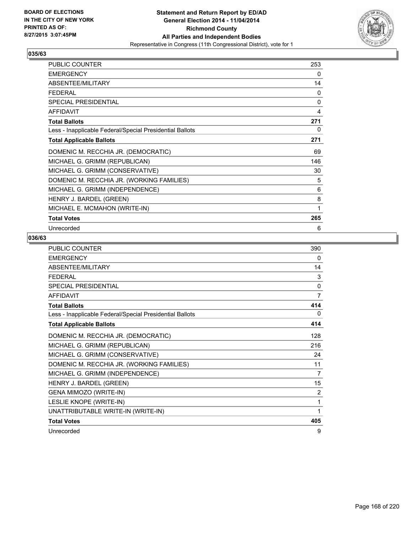

| <b>PUBLIC COUNTER</b>                                    | 253          |
|----------------------------------------------------------|--------------|
| <b>EMERGENCY</b>                                         | 0            |
| ABSENTEE/MILITARY                                        | 14           |
| FFDFRAI                                                  | 0            |
| SPECIAL PRESIDENTIAL                                     | $\mathbf{0}$ |
| <b>AFFIDAVIT</b>                                         | 4            |
| <b>Total Ballots</b>                                     | 271          |
| Less - Inapplicable Federal/Special Presidential Ballots | 0            |
| <b>Total Applicable Ballots</b>                          | 271          |
| DOMENIC M. RECCHIA JR. (DEMOCRATIC)                      | 69           |
| MICHAEL G. GRIMM (REPUBLICAN)                            | 146          |
| MICHAEL G. GRIMM (CONSERVATIVE)                          | 30           |
| DOMENIC M. RECCHIA JR. (WORKING FAMILIES)                | 5            |
| MICHAEL G. GRIMM (INDEPENDENCE)                          | 6            |
| HENRY J. BARDEL (GREEN)                                  | 8            |
| MICHAEL E. MCMAHON (WRITE-IN)                            | 1            |
| <b>Total Votes</b>                                       | 265          |
| Unrecorded                                               | 6            |

| <b>PUBLIC COUNTER</b>                                    | 390      |
|----------------------------------------------------------|----------|
| <b>EMERGENCY</b>                                         | 0        |
| ABSENTEE/MILITARY                                        | 14       |
| <b>FEDERAL</b>                                           | 3        |
| SPECIAL PRESIDENTIAL                                     | $\Omega$ |
| <b>AFFIDAVIT</b>                                         | 7        |
| <b>Total Ballots</b>                                     | 414      |
| Less - Inapplicable Federal/Special Presidential Ballots | 0        |
| <b>Total Applicable Ballots</b>                          | 414      |
| DOMENIC M. RECCHIA JR. (DEMOCRATIC)                      | 128      |
| MICHAEL G. GRIMM (REPUBLICAN)                            | 216      |
| MICHAEL G. GRIMM (CONSERVATIVE)                          | 24       |
| DOMENIC M. RECCHIA JR. (WORKING FAMILIES)                | 11       |
| MICHAEL G. GRIMM (INDEPENDENCE)                          | 7        |
| HENRY J. BARDEL (GREEN)                                  | 15       |
| GENA MIMOZO (WRITE-IN)                                   | 2        |
| LESLIE KNOPE (WRITE-IN)                                  | 1        |
| UNATTRIBUTABLE WRITE-IN (WRITE-IN)                       | 1        |
| <b>Total Votes</b>                                       | 405      |
| Unrecorded                                               | 9        |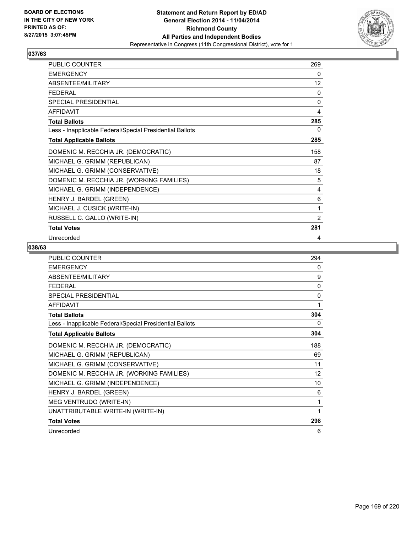

| <b>PUBLIC COUNTER</b>                                    | 269 |
|----------------------------------------------------------|-----|
| <b>EMERGENCY</b>                                         | 0   |
| ABSENTEE/MILITARY                                        | 12  |
| <b>FEDERAL</b>                                           | 0   |
| <b>SPECIAL PRESIDENTIAL</b>                              | 0   |
| <b>AFFIDAVIT</b>                                         | 4   |
| <b>Total Ballots</b>                                     | 285 |
| Less - Inapplicable Federal/Special Presidential Ballots | 0   |
| <b>Total Applicable Ballots</b>                          | 285 |
| DOMENIC M. RECCHIA JR. (DEMOCRATIC)                      | 158 |
| MICHAEL G. GRIMM (REPUBLICAN)                            | 87  |
| MICHAEL G. GRIMM (CONSERVATIVE)                          | 18  |
| DOMENIC M. RECCHIA JR. (WORKING FAMILIES)                | 5   |
| MICHAEL G. GRIMM (INDEPENDENCE)                          | 4   |
| HENRY J. BARDEL (GREEN)                                  | 6   |
| MICHAEL J. CUSICK (WRITE-IN)                             | 1   |
| RUSSELL C. GALLO (WRITE-IN)                              | 2   |
| <b>Total Votes</b>                                       | 281 |
| Unrecorded                                               | 4   |

| <b>PUBLIC COUNTER</b>                                    | 294          |
|----------------------------------------------------------|--------------|
| <b>EMERGENCY</b>                                         | $\mathbf{0}$ |
| ABSENTEE/MILITARY                                        | 9            |
| <b>FEDERAL</b>                                           | $\mathbf{0}$ |
| <b>SPECIAL PRESIDENTIAL</b>                              | $\mathbf{0}$ |
| <b>AFFIDAVIT</b>                                         | 1            |
| <b>Total Ballots</b>                                     | 304          |
| Less - Inapplicable Federal/Special Presidential Ballots | 0            |
| <b>Total Applicable Ballots</b>                          | 304          |
| DOMENIC M. RECCHIA JR. (DEMOCRATIC)                      | 188          |
| MICHAEL G. GRIMM (REPUBLICAN)                            | 69           |
| MICHAEL G. GRIMM (CONSERVATIVE)                          | 11           |
| DOMENIC M. RECCHIA JR. (WORKING FAMILIES)                | 12           |
| MICHAEL G. GRIMM (INDEPENDENCE)                          | 10           |
| HENRY J. BARDEL (GREEN)                                  | 6            |
| MEG VENTRUDO (WRITE-IN)                                  | 1            |
| UNATTRIBUTABLE WRITE-IN (WRITE-IN)                       | 1            |
| <b>Total Votes</b>                                       | 298          |
| Unrecorded                                               | 6            |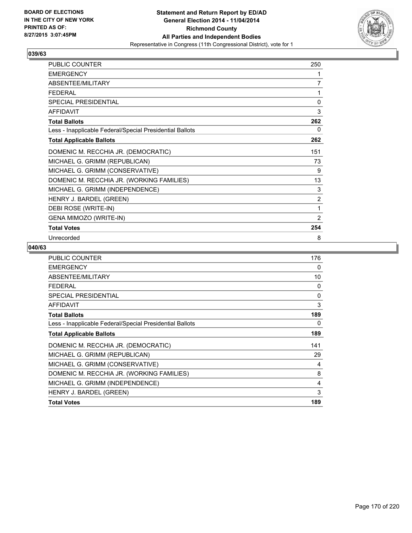

| PUBLIC COUNTER                                           | 250            |
|----------------------------------------------------------|----------------|
| <b>EMERGENCY</b>                                         | 1              |
| ABSENTEE/MILITARY                                        | 7              |
| <b>FEDERAL</b>                                           | 1              |
| SPECIAL PRESIDENTIAL                                     | 0              |
| <b>AFFIDAVIT</b>                                         | 3              |
| <b>Total Ballots</b>                                     | 262            |
| Less - Inapplicable Federal/Special Presidential Ballots | 0              |
| <b>Total Applicable Ballots</b>                          | 262            |
| DOMENIC M. RECCHIA JR. (DEMOCRATIC)                      | 151            |
| MICHAEL G. GRIMM (REPUBLICAN)                            | 73             |
| MICHAEL G. GRIMM (CONSERVATIVE)                          | 9              |
| DOMENIC M. RECCHIA JR. (WORKING FAMILIES)                | 13             |
| MICHAEL G. GRIMM (INDEPENDENCE)                          | 3              |
| HENRY J. BARDEL (GREEN)                                  | $\overline{2}$ |
| DEBI ROSE (WRITE-IN)                                     | 1              |
| <b>GENA MIMOZO (WRITE-IN)</b>                            | 2              |
| <b>Total Votes</b>                                       | 254            |
| Unrecorded                                               | 8              |

| 176      |
|----------|
| 0        |
| 10       |
| $\Omega$ |
| 0        |
| 3        |
| 189      |
| 0        |
| 189      |
| 141      |
| 29       |
| 4        |
| 8        |
| 4        |
| 3        |
| 189      |
|          |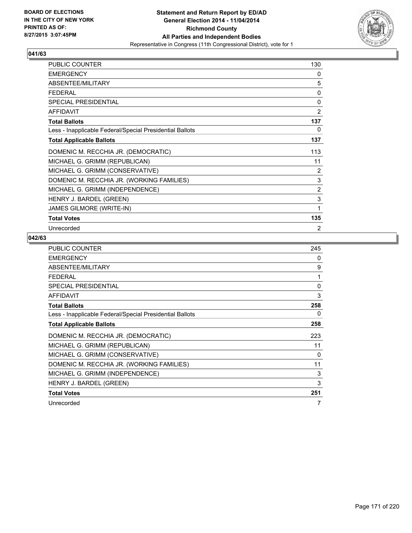

| <b>PUBLIC COUNTER</b>                                    | 130 |
|----------------------------------------------------------|-----|
| <b>EMERGENCY</b>                                         | 0   |
| ABSENTEE/MILITARY                                        | 5   |
| <b>FEDERAL</b>                                           | 0   |
| <b>SPECIAL PRESIDENTIAL</b>                              | 0   |
| <b>AFFIDAVIT</b>                                         | 2   |
| <b>Total Ballots</b>                                     | 137 |
| Less - Inapplicable Federal/Special Presidential Ballots | 0   |
| <b>Total Applicable Ballots</b>                          | 137 |
| DOMENIC M. RECCHIA JR. (DEMOCRATIC)                      | 113 |
| MICHAEL G. GRIMM (REPUBLICAN)                            | 11  |
| MICHAEL G. GRIMM (CONSERVATIVE)                          | 2   |
| DOMENIC M. RECCHIA JR. (WORKING FAMILIES)                | 3   |
| MICHAEL G. GRIMM (INDEPENDENCE)                          | 2   |
| HENRY J. BARDEL (GREEN)                                  | 3   |
| <b>JAMES GILMORE (WRITE-IN)</b>                          | 1   |
| <b>Total Votes</b>                                       | 135 |
| Unrecorded                                               | 2   |

| <b>PUBLIC COUNTER</b>                                    | 245 |
|----------------------------------------------------------|-----|
| <b>EMERGENCY</b>                                         | 0   |
| ABSENTEE/MILITARY                                        | 9   |
| <b>FEDERAL</b>                                           | 1   |
| <b>SPECIAL PRESIDENTIAL</b>                              | 0   |
| <b>AFFIDAVIT</b>                                         | 3   |
| <b>Total Ballots</b>                                     | 258 |
| Less - Inapplicable Federal/Special Presidential Ballots | 0   |
| <b>Total Applicable Ballots</b>                          | 258 |
| DOMENIC M. RECCHIA JR. (DEMOCRATIC)                      | 223 |
| MICHAEL G. GRIMM (REPUBLICAN)                            | 11  |
| MICHAEL G. GRIMM (CONSERVATIVE)                          | 0   |
| DOMENIC M. RECCHIA JR. (WORKING FAMILIES)                | 11  |
| MICHAEL G. GRIMM (INDEPENDENCE)                          | 3   |
| HENRY J. BARDEL (GREEN)                                  | 3   |
| <b>Total Votes</b>                                       | 251 |
| Unrecorded                                               | 7   |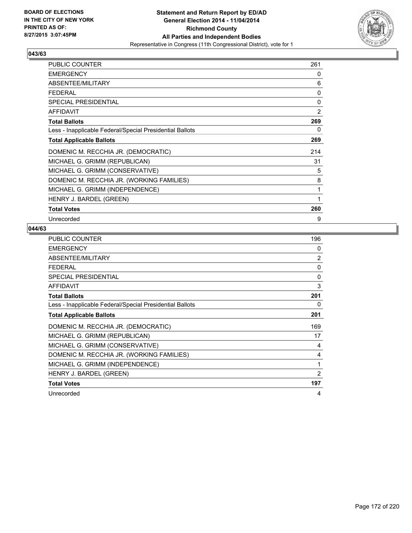

| PUBLIC COUNTER                                           | 261            |
|----------------------------------------------------------|----------------|
| <b>EMERGENCY</b>                                         | 0              |
| ABSENTEE/MILITARY                                        | 6              |
| <b>FEDERAL</b>                                           | 0              |
| <b>SPECIAL PRESIDENTIAL</b>                              | 0              |
| <b>AFFIDAVIT</b>                                         | $\overline{2}$ |
| <b>Total Ballots</b>                                     | 269            |
| Less - Inapplicable Federal/Special Presidential Ballots | 0              |
| <b>Total Applicable Ballots</b>                          | 269            |
| DOMENIC M. RECCHIA JR. (DEMOCRATIC)                      | 214            |
| MICHAEL G. GRIMM (REPUBLICAN)                            | 31             |
| MICHAEL G. GRIMM (CONSERVATIVE)                          | 5              |
| DOMENIC M. RECCHIA JR. (WORKING FAMILIES)                | 8              |
| MICHAEL G. GRIMM (INDEPENDENCE)                          | 1              |
| HENRY J. BARDEL (GREEN)                                  |                |
| <b>Total Votes</b>                                       | 260            |
| Unrecorded                                               | 9              |

| <b>PUBLIC COUNTER</b>                                    | 196            |
|----------------------------------------------------------|----------------|
| <b>EMERGENCY</b>                                         | 0              |
| ABSENTEE/MILITARY                                        | $\overline{2}$ |
| FEDERAL                                                  | $\mathbf{0}$   |
| <b>SPECIAL PRESIDENTIAL</b>                              | 0              |
| <b>AFFIDAVIT</b>                                         | 3              |
| <b>Total Ballots</b>                                     | 201            |
| Less - Inapplicable Federal/Special Presidential Ballots | 0              |
| <b>Total Applicable Ballots</b>                          | 201            |
| DOMENIC M. RECCHIA JR. (DEMOCRATIC)                      | 169            |
| MICHAEL G. GRIMM (REPUBLICAN)                            | 17             |
| MICHAEL G. GRIMM (CONSERVATIVE)                          | 4              |
| DOMENIC M. RECCHIA JR. (WORKING FAMILIES)                | 4              |
| MICHAEL G. GRIMM (INDEPENDENCE)                          | 1              |
| HENRY J. BARDEL (GREEN)                                  | $\overline{2}$ |
| <b>Total Votes</b>                                       | 197            |
| Unrecorded                                               | 4              |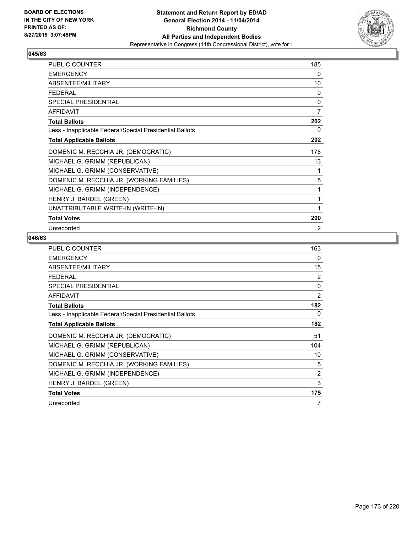

| PUBLIC COUNTER                                           | 185 |
|----------------------------------------------------------|-----|
| <b>EMERGENCY</b>                                         | 0   |
| ABSENTEE/MILITARY                                        | 10  |
| <b>FEDERAL</b>                                           | 0   |
| <b>SPECIAL PRESIDENTIAL</b>                              | 0   |
| <b>AFFIDAVIT</b>                                         | 7   |
| <b>Total Ballots</b>                                     | 202 |
| Less - Inapplicable Federal/Special Presidential Ballots | 0   |
| <b>Total Applicable Ballots</b>                          | 202 |
| DOMENIC M. RECCHIA JR. (DEMOCRATIC)                      | 178 |
| MICHAEL G. GRIMM (REPUBLICAN)                            | 13  |
| MICHAEL G. GRIMM (CONSERVATIVE)                          | 1   |
| DOMENIC M. RECCHIA JR. (WORKING FAMILIES)                | 5   |
| MICHAEL G. GRIMM (INDEPENDENCE)                          | 1   |
| HENRY J. BARDEL (GREEN)                                  | 1   |
| UNATTRIBUTABLE WRITE-IN (WRITE-IN)                       |     |
| <b>Total Votes</b>                                       | 200 |
| Unrecorded                                               | 2   |

| <b>PUBLIC COUNTER</b>                                    | 163            |
|----------------------------------------------------------|----------------|
| <b>EMERGENCY</b>                                         | 0              |
| ABSENTEE/MILITARY                                        | 15             |
| <b>FEDERAL</b>                                           | 2              |
| <b>SPECIAL PRESIDENTIAL</b>                              | 0              |
| <b>AFFIDAVIT</b>                                         | $\overline{2}$ |
| <b>Total Ballots</b>                                     | 182            |
| Less - Inapplicable Federal/Special Presidential Ballots | 0              |
| <b>Total Applicable Ballots</b>                          | 182            |
| DOMENIC M. RECCHIA JR. (DEMOCRATIC)                      | 51             |
| MICHAEL G. GRIMM (REPUBLICAN)                            | 104            |
| MICHAEL G. GRIMM (CONSERVATIVE)                          | 10             |
| DOMENIC M. RECCHIA JR. (WORKING FAMILIES)                | 5              |
| MICHAEL G. GRIMM (INDEPENDENCE)                          | 2              |
| HENRY J. BARDEL (GREEN)                                  | 3              |
| <b>Total Votes</b>                                       | 175            |
| Unrecorded                                               | 7              |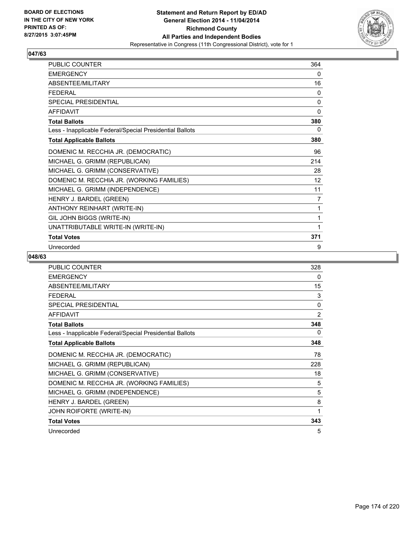

| <b>PUBLIC COUNTER</b>                                    | 364            |
|----------------------------------------------------------|----------------|
| <b>EMERGENCY</b>                                         | 0              |
| ABSENTEE/MILITARY                                        | 16             |
| <b>FEDERAL</b>                                           | $\mathbf{0}$   |
| SPECIAL PRESIDENTIAL                                     | 0              |
| <b>AFFIDAVIT</b>                                         | $\mathbf{0}$   |
| <b>Total Ballots</b>                                     | 380            |
| Less - Inapplicable Federal/Special Presidential Ballots | 0              |
| <b>Total Applicable Ballots</b>                          | 380            |
| DOMENIC M. RECCHIA JR. (DEMOCRATIC)                      | 96             |
| MICHAEL G. GRIMM (REPUBLICAN)                            | 214            |
| MICHAEL G. GRIMM (CONSERVATIVE)                          | 28             |
| DOMENIC M. RECCHIA JR. (WORKING FAMILIES)                | 12             |
| MICHAEL G. GRIMM (INDEPENDENCE)                          | 11             |
| HENRY J. BARDEL (GREEN)                                  | $\overline{7}$ |
| ANTHONY REINHART (WRITE-IN)                              | 1              |
| GIL JOHN BIGGS (WRITE-IN)                                | 1              |
| UNATTRIBUTABLE WRITE-IN (WRITE-IN)                       | 1              |
| <b>Total Votes</b>                                       | 371            |
| Unrecorded                                               | 9              |

| <b>PUBLIC COUNTER</b>                                    | 328 |
|----------------------------------------------------------|-----|
| <b>EMERGENCY</b>                                         | 0   |
| ABSENTEE/MILITARY                                        | 15  |
| <b>FEDERAL</b>                                           | 3   |
| <b>SPECIAL PRESIDENTIAL</b>                              | 0   |
| <b>AFFIDAVIT</b>                                         | 2   |
| <b>Total Ballots</b>                                     | 348 |
| Less - Inapplicable Federal/Special Presidential Ballots | 0   |
| <b>Total Applicable Ballots</b>                          | 348 |
| DOMENIC M. RECCHIA JR. (DEMOCRATIC)                      | 78  |
| MICHAEL G. GRIMM (REPUBLICAN)                            | 228 |
| MICHAEL G. GRIMM (CONSERVATIVE)                          | 18  |
| DOMENIC M. RECCHIA JR. (WORKING FAMILIES)                | 5   |
| MICHAEL G. GRIMM (INDEPENDENCE)                          | 5   |
| HENRY J. BARDEL (GREEN)                                  | 8   |
| JOHN ROIFORTE (WRITE-IN)                                 | 1   |
| <b>Total Votes</b>                                       | 343 |
| Unrecorded                                               | 5   |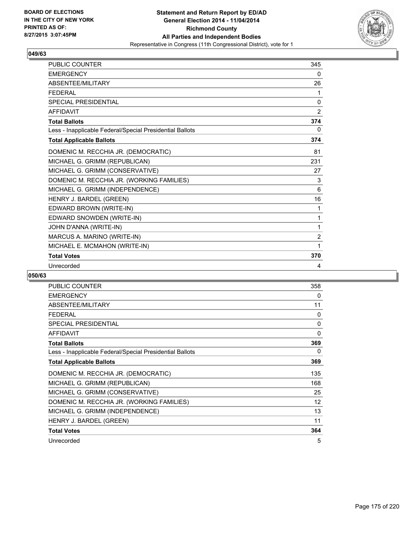

| <b>PUBLIC COUNTER</b>                                    | 345            |
|----------------------------------------------------------|----------------|
| <b>EMERGENCY</b>                                         | 0              |
| <b>ABSENTFF/MILITARY</b>                                 | 26             |
| <b>FEDERAL</b>                                           | 1              |
| <b>SPECIAL PRESIDENTIAL</b>                              | $\mathbf{0}$   |
| <b>AFFIDAVIT</b>                                         | 2              |
| <b>Total Ballots</b>                                     | 374            |
| Less - Inapplicable Federal/Special Presidential Ballots | 0              |
| <b>Total Applicable Ballots</b>                          | 374            |
| DOMENIC M. RECCHIA JR. (DEMOCRATIC)                      | 81             |
| MICHAEL G. GRIMM (REPUBLICAN)                            | 231            |
| MICHAEL G. GRIMM (CONSERVATIVE)                          | 27             |
| DOMENIC M. RECCHIA JR. (WORKING FAMILIES)                | 3              |
| MICHAEL G. GRIMM (INDEPENDENCE)                          | 6              |
| HENRY J. BARDEL (GREEN)                                  | 16             |
| EDWARD BROWN (WRITE-IN)                                  | 1              |
| EDWARD SNOWDEN (WRITE-IN)                                | 1              |
| JOHN D'ANNA (WRITE-IN)                                   | 1              |
| MARCUS A. MARINO (WRITE-IN)                              | $\overline{2}$ |
| MICHAEL E. MCMAHON (WRITE-IN)                            | 1              |
| <b>Total Votes</b>                                       | 370            |
| Unrecorded                                               | 4              |

| <b>PUBLIC COUNTER</b>                                    | 358 |
|----------------------------------------------------------|-----|
| <b>EMERGENCY</b>                                         | 0   |
| ABSENTEE/MILITARY                                        | 11  |
| <b>FEDERAL</b>                                           | 0   |
| <b>SPECIAL PRESIDENTIAL</b>                              | 0   |
| <b>AFFIDAVIT</b>                                         | 0   |
| <b>Total Ballots</b>                                     | 369 |
| Less - Inapplicable Federal/Special Presidential Ballots | 0   |
| <b>Total Applicable Ballots</b>                          | 369 |
| DOMENIC M. RECCHIA JR. (DEMOCRATIC)                      | 135 |
| MICHAEL G. GRIMM (REPUBLICAN)                            | 168 |
| MICHAEL G. GRIMM (CONSERVATIVE)                          | 25  |
| DOMENIC M. RECCHIA JR. (WORKING FAMILIES)                | 12  |
| MICHAEL G. GRIMM (INDEPENDENCE)                          | 13  |
| HENRY J. BARDEL (GREEN)                                  | 11  |
| <b>Total Votes</b>                                       | 364 |
| Unrecorded                                               | 5   |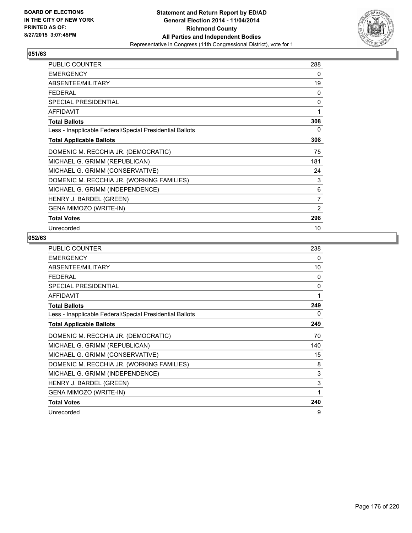

| <b>PUBLIC COUNTER</b>                                    | 288          |
|----------------------------------------------------------|--------------|
| <b>EMERGENCY</b>                                         | 0            |
| ABSENTEE/MILITARY                                        | 19           |
| FFDFRAI                                                  | 0            |
| SPECIAL PRESIDENTIAL                                     | $\mathbf{0}$ |
| <b>AFFIDAVIT</b>                                         | 1            |
| <b>Total Ballots</b>                                     | 308          |
| Less - Inapplicable Federal/Special Presidential Ballots | 0            |
| <b>Total Applicable Ballots</b>                          | 308          |
| DOMENIC M. RECCHIA JR. (DEMOCRATIC)                      | 75           |
| MICHAEL G. GRIMM (REPUBLICAN)                            | 181          |
| MICHAEL G. GRIMM (CONSERVATIVE)                          | 24           |
| DOMENIC M. RECCHIA JR. (WORKING FAMILIES)                | 3            |
| MICHAEL G. GRIMM (INDEPENDENCE)                          | 6            |
| HENRY J. BARDEL (GREEN)                                  | 7            |
| <b>GENA MIMOZO (WRITE-IN)</b>                            | 2            |
| <b>Total Votes</b>                                       | 298          |
| Unrecorded                                               | 10           |

| <b>PUBLIC COUNTER</b>                                    | 238          |
|----------------------------------------------------------|--------------|
| <b>EMERGENCY</b>                                         | 0            |
| ABSENTEE/MILITARY                                        | 10           |
| <b>FEDERAL</b>                                           | $\Omega$     |
| SPECIAL PRESIDENTIAL                                     | $\mathbf{0}$ |
| <b>AFFIDAVIT</b>                                         | 1            |
| <b>Total Ballots</b>                                     | 249          |
| Less - Inapplicable Federal/Special Presidential Ballots | 0            |
| <b>Total Applicable Ballots</b>                          | 249          |
| DOMENIC M. RECCHIA JR. (DEMOCRATIC)                      | 70           |
| MICHAEL G. GRIMM (REPUBLICAN)                            | 140          |
| MICHAEL G. GRIMM (CONSERVATIVE)                          | 15           |
| DOMENIC M. RECCHIA JR. (WORKING FAMILIES)                | 8            |
| MICHAEL G. GRIMM (INDEPENDENCE)                          | 3            |
| HENRY J. BARDEL (GREEN)                                  | 3            |
| GENA MIMOZO (WRITE-IN)                                   | 1            |
| <b>Total Votes</b>                                       | 240          |
| Unrecorded                                               | 9            |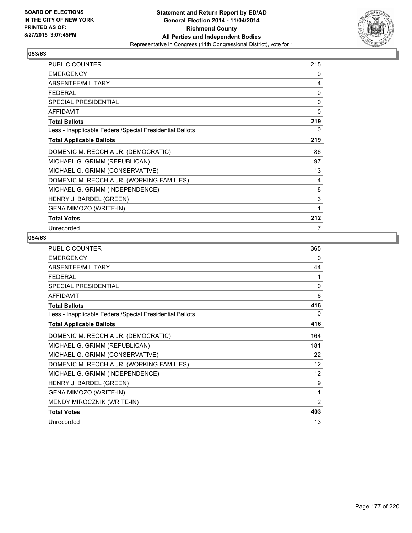

| <b>PUBLIC COUNTER</b>                                    | 215 |
|----------------------------------------------------------|-----|
| <b>EMERGENCY</b>                                         | 0   |
| ABSENTEE/MILITARY                                        | 4   |
| FFDFRAI                                                  | 0   |
| <b>SPECIAL PRESIDENTIAL</b>                              | 0   |
| <b>AFFIDAVIT</b>                                         | 0   |
| <b>Total Ballots</b>                                     | 219 |
| Less - Inapplicable Federal/Special Presidential Ballots | 0   |
| <b>Total Applicable Ballots</b>                          | 219 |
| DOMENIC M. RECCHIA JR. (DEMOCRATIC)                      | 86  |
| MICHAEL G. GRIMM (REPUBLICAN)                            | 97  |
| MICHAEL G. GRIMM (CONSERVATIVE)                          | 13  |
| DOMENIC M. RECCHIA JR. (WORKING FAMILIES)                | 4   |
| MICHAEL G. GRIMM (INDEPENDENCE)                          | 8   |
| HENRY J. BARDEL (GREEN)                                  | 3   |
| GENA MIMOZO (WRITE-IN)                                   | 1   |
| <b>Total Votes</b>                                       | 212 |
| Unrecorded                                               | 7   |

| PUBLIC COUNTER                                           | 365            |
|----------------------------------------------------------|----------------|
| <b>EMERGENCY</b>                                         | 0              |
| ABSENTEE/MILITARY                                        | 44             |
| <b>FEDERAL</b>                                           | 1              |
| SPECIAL PRESIDENTIAL                                     | $\mathbf{0}$   |
| <b>AFFIDAVIT</b>                                         | 6              |
| <b>Total Ballots</b>                                     | 416            |
| Less - Inapplicable Federal/Special Presidential Ballots | 0              |
| <b>Total Applicable Ballots</b>                          | 416            |
| DOMENIC M. RECCHIA JR. (DEMOCRATIC)                      | 164            |
| MICHAEL G. GRIMM (REPUBLICAN)                            | 181            |
| MICHAEL G. GRIMM (CONSERVATIVE)                          | 22             |
| DOMENIC M. RECCHIA JR. (WORKING FAMILIES)                | 12             |
| MICHAEL G. GRIMM (INDEPENDENCE)                          | 12             |
| HENRY J. BARDEL (GREEN)                                  | 9              |
| GENA MIMOZO (WRITE-IN)                                   | 1              |
| MENDY MIROCZNIK (WRITE-IN)                               | $\overline{2}$ |
| <b>Total Votes</b>                                       | 403            |
| Unrecorded                                               | 13             |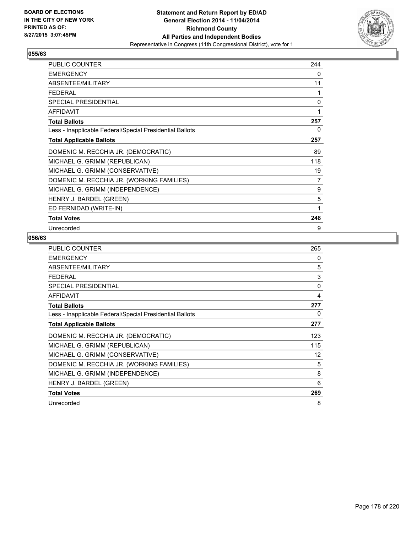

| <b>PUBLIC COUNTER</b>                                    | 244 |
|----------------------------------------------------------|-----|
| <b>EMERGENCY</b>                                         | 0   |
| ABSENTEE/MILITARY                                        | 11  |
| <b>FEDERAL</b>                                           | 1   |
| SPECIAL PRESIDENTIAL                                     | 0   |
| <b>AFFIDAVIT</b>                                         | 1   |
| <b>Total Ballots</b>                                     | 257 |
| Less - Inapplicable Federal/Special Presidential Ballots | 0   |
| <b>Total Applicable Ballots</b>                          | 257 |
| DOMENIC M. RECCHIA JR. (DEMOCRATIC)                      | 89  |
| MICHAEL G. GRIMM (REPUBLICAN)                            | 118 |
| MICHAEL G. GRIMM (CONSERVATIVE)                          | 19  |
| DOMENIC M. RECCHIA JR. (WORKING FAMILIES)                | 7   |
| MICHAEL G. GRIMM (INDEPENDENCE)                          | 9   |
| HENRY J. BARDEL (GREEN)                                  | 5   |
| ED FERNIDAD (WRITE-IN)                                   | 1   |
| <b>Total Votes</b>                                       | 248 |
| Unrecorded                                               | 9   |

| <b>PUBLIC COUNTER</b>                                    | 265 |
|----------------------------------------------------------|-----|
| <b>EMERGENCY</b>                                         | 0   |
| ABSENTEE/MILITARY                                        | 5   |
| <b>FEDERAL</b>                                           | 3   |
| <b>SPECIAL PRESIDENTIAL</b>                              | 0   |
| <b>AFFIDAVIT</b>                                         | 4   |
| <b>Total Ballots</b>                                     | 277 |
| Less - Inapplicable Federal/Special Presidential Ballots | 0   |
| <b>Total Applicable Ballots</b>                          | 277 |
| DOMENIC M. RECCHIA JR. (DEMOCRATIC)                      | 123 |
| MICHAEL G. GRIMM (REPUBLICAN)                            | 115 |
| MICHAEL G. GRIMM (CONSERVATIVE)                          | 12  |
| DOMENIC M. RECCHIA JR. (WORKING FAMILIES)                | 5   |
| MICHAEL G. GRIMM (INDEPENDENCE)                          | 8   |
| HENRY J. BARDEL (GREEN)                                  | 6   |
| <b>Total Votes</b>                                       | 269 |
| Unrecorded                                               | 8   |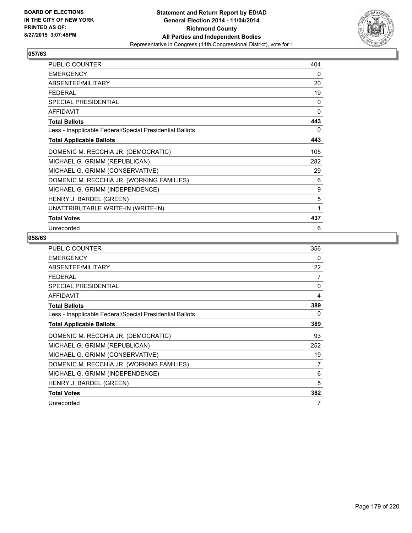

| <b>PUBLIC COUNTER</b>                                    | 404 |
|----------------------------------------------------------|-----|
| <b>EMERGENCY</b>                                         | 0   |
| ABSENTEE/MILITARY                                        | 20  |
| FFDFRAI                                                  | 19  |
| <b>SPECIAL PRESIDENTIAL</b>                              | 0   |
| <b>AFFIDAVIT</b>                                         | 0   |
| <b>Total Ballots</b>                                     | 443 |
| Less - Inapplicable Federal/Special Presidential Ballots | 0   |
| <b>Total Applicable Ballots</b>                          | 443 |
| DOMENIC M. RECCHIA JR. (DEMOCRATIC)                      | 105 |
| MICHAEL G. GRIMM (REPUBLICAN)                            | 282 |
| MICHAEL G. GRIMM (CONSERVATIVE)                          | 29  |
| DOMENIC M. RECCHIA JR. (WORKING FAMILIES)                | 6   |
| MICHAEL G. GRIMM (INDEPENDENCE)                          | 9   |
| HENRY J. BARDEL (GREEN)                                  | 5   |
| UNATTRIBUTABLE WRITE-IN (WRITE-IN)                       | 1   |
| <b>Total Votes</b>                                       | 437 |
| Unrecorded                                               | 6   |

| <b>PUBLIC COUNTER</b>                                    | 356            |
|----------------------------------------------------------|----------------|
| <b>EMERGENCY</b>                                         | 0              |
| ABSENTEE/MILITARY                                        | 22             |
| <b>FEDERAL</b>                                           | $\overline{7}$ |
| <b>SPECIAL PRESIDENTIAL</b>                              | 0              |
| <b>AFFIDAVIT</b>                                         | 4              |
| <b>Total Ballots</b>                                     | 389            |
| Less - Inapplicable Federal/Special Presidential Ballots | 0              |
| <b>Total Applicable Ballots</b>                          | 389            |
| DOMENIC M. RECCHIA JR. (DEMOCRATIC)                      | 93             |
| MICHAEL G. GRIMM (REPUBLICAN)                            | 252            |
| MICHAEL G. GRIMM (CONSERVATIVE)                          | 19             |
| DOMENIC M. RECCHIA JR. (WORKING FAMILIES)                | 7              |
| MICHAEL G. GRIMM (INDEPENDENCE)                          | 6              |
| HENRY J. BARDEL (GREEN)                                  | 5              |
| <b>Total Votes</b>                                       | 382            |
| Unrecorded                                               | 7              |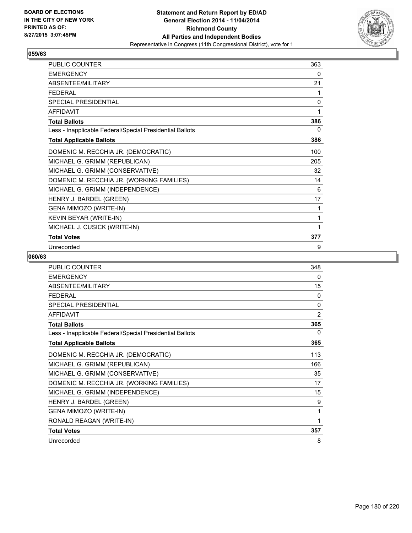

| <b>PUBLIC COUNTER</b>                                    | 363 |
|----------------------------------------------------------|-----|
| <b>EMERGENCY</b>                                         | 0   |
| ABSENTEE/MILITARY                                        | 21  |
| <b>FEDERAL</b>                                           | 1   |
| <b>SPECIAL PRESIDENTIAL</b>                              | 0   |
| <b>AFFIDAVIT</b>                                         | 1   |
| <b>Total Ballots</b>                                     | 386 |
| Less - Inapplicable Federal/Special Presidential Ballots | 0   |
| <b>Total Applicable Ballots</b>                          | 386 |
| DOMENIC M. RECCHIA JR. (DEMOCRATIC)                      | 100 |
| MICHAEL G. GRIMM (REPUBLICAN)                            | 205 |
| MICHAEL G. GRIMM (CONSERVATIVE)                          | 32  |
| DOMENIC M. RECCHIA JR. (WORKING FAMILIES)                | 14  |
| MICHAEL G. GRIMM (INDEPENDENCE)                          | 6   |
| HENRY J. BARDEL (GREEN)                                  | 17  |
| GENA MIMOZO (WRITE-IN)                                   | 1   |
| KEVIN BEYAR (WRITE-IN)                                   | 1   |
| MICHAEL J. CUSICK (WRITE-IN)                             | 1   |
| <b>Total Votes</b>                                       | 377 |
| Unrecorded                                               | 9   |

| <b>PUBLIC COUNTER</b>                                    | 348            |
|----------------------------------------------------------|----------------|
| <b>EMERGENCY</b>                                         | 0              |
| ABSENTEE/MILITARY                                        | 15             |
| <b>FFDFRAL</b>                                           | $\Omega$       |
| <b>SPECIAL PRESIDENTIAL</b>                              | $\mathbf{0}$   |
| <b>AFFIDAVIT</b>                                         | $\overline{2}$ |
| <b>Total Ballots</b>                                     | 365            |
| Less - Inapplicable Federal/Special Presidential Ballots | 0              |
| <b>Total Applicable Ballots</b>                          | 365            |
| DOMENIC M. RECCHIA JR. (DEMOCRATIC)                      | 113            |
| MICHAEL G. GRIMM (REPUBLICAN)                            | 166            |
| MICHAEL G. GRIMM (CONSERVATIVE)                          | 35             |
| DOMENIC M. RECCHIA JR. (WORKING FAMILIES)                | 17             |
| MICHAEL G. GRIMM (INDEPENDENCE)                          | 15             |
| HENRY J. BARDEL (GREEN)                                  | 9              |
| GENA MIMOZO (WRITE-IN)                                   | 1              |
| RONALD REAGAN (WRITE-IN)                                 | 1              |
| <b>Total Votes</b>                                       | 357            |
| Unrecorded                                               | 8              |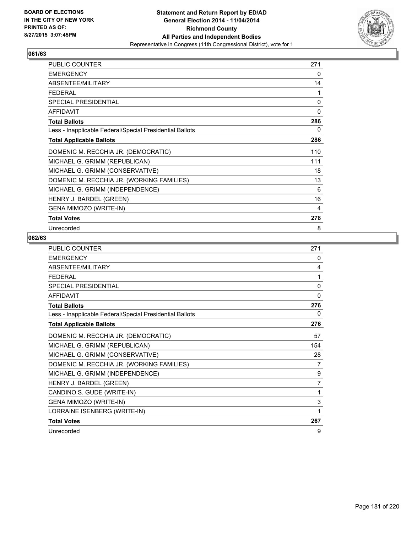

| <b>PUBLIC COUNTER</b>                                    | 271 |
|----------------------------------------------------------|-----|
| <b>EMERGENCY</b>                                         | 0   |
| ABSENTEE/MILITARY                                        | 14  |
| <b>FEDERAL</b>                                           | 1   |
| <b>SPECIAL PRESIDENTIAL</b>                              | 0   |
| <b>AFFIDAVIT</b>                                         | 0   |
| <b>Total Ballots</b>                                     | 286 |
| Less - Inapplicable Federal/Special Presidential Ballots | 0   |
| <b>Total Applicable Ballots</b>                          | 286 |
| DOMENIC M. RECCHIA JR. (DEMOCRATIC)                      | 110 |
| MICHAEL G. GRIMM (REPUBLICAN)                            | 111 |
| MICHAEL G. GRIMM (CONSERVATIVE)                          | 18  |
| DOMENIC M. RECCHIA JR. (WORKING FAMILIES)                | 13  |
| MICHAEL G. GRIMM (INDEPENDENCE)                          | 6   |
| HENRY J. BARDEL (GREEN)                                  | 16  |
| <b>GENA MIMOZO (WRITE-IN)</b>                            | 4   |
| <b>Total Votes</b>                                       | 278 |
| Unrecorded                                               | 8   |

| PUBLIC COUNTER                                           | 271            |
|----------------------------------------------------------|----------------|
| <b>FMFRGFNCY</b>                                         | 0              |
| ABSENTEE/MILITARY                                        | 4              |
| <b>FFDFRAL</b>                                           | 1              |
| SPECIAL PRESIDENTIAL                                     | $\mathbf{0}$   |
| <b>AFFIDAVIT</b>                                         | $\mathbf{0}$   |
| <b>Total Ballots</b>                                     | 276            |
| Less - Inapplicable Federal/Special Presidential Ballots | 0              |
| <b>Total Applicable Ballots</b>                          | 276            |
| DOMENIC M. RECCHIA JR. (DEMOCRATIC)                      | 57             |
| MICHAEL G. GRIMM (REPUBLICAN)                            | 154            |
| MICHAEL G. GRIMM (CONSERVATIVE)                          | 28             |
| DOMENIC M. RECCHIA JR. (WORKING FAMILIES)                | 7              |
| MICHAEL G. GRIMM (INDEPENDENCE)                          | 9              |
| HENRY J. BARDEL (GREEN)                                  | $\overline{7}$ |
| CANDINO S. GUDE (WRITE-IN)                               | 1              |
| GENA MIMOZO (WRITE-IN)                                   | 3              |
| LORRAINE ISENBERG (WRITE-IN)                             | 1              |
| <b>Total Votes</b>                                       | 267            |
| Unrecorded                                               | 9              |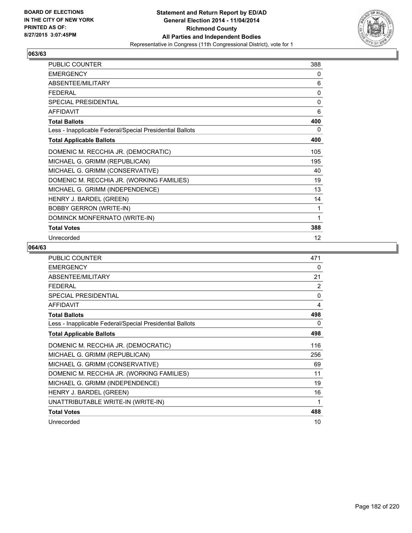

| <b>PUBLIC COUNTER</b>                                    | 388 |
|----------------------------------------------------------|-----|
| <b>EMERGENCY</b>                                         | 0   |
| ABSENTEE/MILITARY                                        | 6   |
| <b>FEDERAL</b>                                           | 0   |
| <b>SPECIAL PRESIDENTIAL</b>                              | 0   |
| <b>AFFIDAVIT</b>                                         | 6   |
| <b>Total Ballots</b>                                     | 400 |
| Less - Inapplicable Federal/Special Presidential Ballots | 0   |
| <b>Total Applicable Ballots</b>                          | 400 |
| DOMENIC M. RECCHIA JR. (DEMOCRATIC)                      | 105 |
| MICHAEL G. GRIMM (REPUBLICAN)                            | 195 |
| MICHAEL G. GRIMM (CONSERVATIVE)                          | 40  |
| DOMENIC M. RECCHIA JR. (WORKING FAMILIES)                | 19  |
| MICHAEL G. GRIMM (INDEPENDENCE)                          | 13  |
| HENRY J. BARDEL (GREEN)                                  | 14  |
| <b>BOBBY GERRON (WRITE-IN)</b>                           | 1   |
| DOMINCK MONFERNATO (WRITE-IN)                            | 1   |
| <b>Total Votes</b>                                       | 388 |
| Unrecorded                                               | 12  |

| <b>PUBLIC COUNTER</b>                                    | 471 |
|----------------------------------------------------------|-----|
| <b>EMERGENCY</b>                                         | 0   |
| ABSENTEE/MILITARY                                        | 21  |
| <b>FEDERAL</b>                                           | 2   |
| <b>SPECIAL PRESIDENTIAL</b>                              | 0   |
| <b>AFFIDAVIT</b>                                         | 4   |
| <b>Total Ballots</b>                                     | 498 |
| Less - Inapplicable Federal/Special Presidential Ballots | 0   |
| <b>Total Applicable Ballots</b>                          | 498 |
| DOMENIC M. RECCHIA JR. (DEMOCRATIC)                      | 116 |
| MICHAEL G. GRIMM (REPUBLICAN)                            | 256 |
| MICHAEL G. GRIMM (CONSERVATIVE)                          | 69  |
| DOMENIC M. RECCHIA JR. (WORKING FAMILIES)                | 11  |
| MICHAEL G. GRIMM (INDEPENDENCE)                          | 19  |
| HENRY J. BARDEL (GREEN)                                  | 16  |
| UNATTRIBUTABLE WRITE-IN (WRITE-IN)                       | 1   |
| <b>Total Votes</b>                                       | 488 |
| Unrecorded                                               | 10  |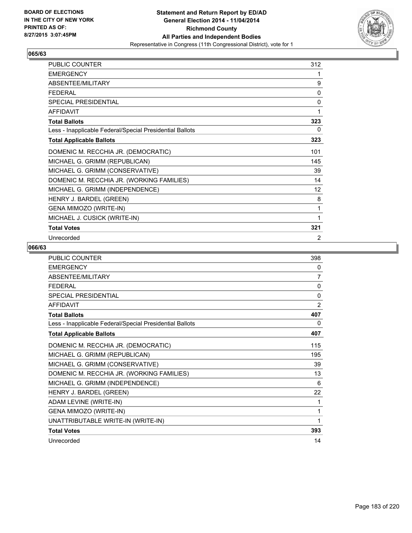

| PUBLIC COUNTER                                           | 312 |
|----------------------------------------------------------|-----|
| <b>EMERGENCY</b>                                         | 1   |
| ABSENTEE/MILITARY                                        | 9   |
| <b>FEDERAL</b>                                           | 0   |
| SPECIAL PRESIDENTIAL                                     | 0   |
| <b>AFFIDAVIT</b>                                         | 1   |
| <b>Total Ballots</b>                                     | 323 |
| Less - Inapplicable Federal/Special Presidential Ballots | 0   |
| <b>Total Applicable Ballots</b>                          | 323 |
| DOMENIC M. RECCHIA JR. (DEMOCRATIC)                      | 101 |
| MICHAEL G. GRIMM (REPUBLICAN)                            | 145 |
| MICHAEL G. GRIMM (CONSERVATIVE)                          | 39  |
| DOMENIC M. RECCHIA JR. (WORKING FAMILIES)                | 14  |
| MICHAEL G. GRIMM (INDEPENDENCE)                          | 12  |
| HENRY J. BARDEL (GREEN)                                  | 8   |
| GENA MIMOZO (WRITE-IN)                                   | 1   |
| MICHAEL J. CUSICK (WRITE-IN)                             | 1   |
| <b>Total Votes</b>                                       | 321 |
| Unrecorded                                               | 2   |

| <b>PUBLIC COUNTER</b>                                    | 398          |
|----------------------------------------------------------|--------------|
| <b>EMERGENCY</b>                                         | 0            |
| ABSENTEE/MILITARY                                        | 7            |
| <b>FFDFRAL</b>                                           | $\mathbf{0}$ |
| <b>SPECIAL PRESIDENTIAL</b>                              | $\Omega$     |
| <b>AFFIDAVIT</b>                                         | 2            |
| <b>Total Ballots</b>                                     | 407          |
| Less - Inapplicable Federal/Special Presidential Ballots | 0            |
| <b>Total Applicable Ballots</b>                          | 407          |
| DOMENIC M. RECCHIA JR. (DEMOCRATIC)                      | 115          |
| MICHAEL G. GRIMM (REPUBLICAN)                            | 195          |
| MICHAEL G. GRIMM (CONSERVATIVE)                          | 39           |
| DOMENIC M. RECCHIA JR. (WORKING FAMILIES)                | 13           |
| MICHAEL G. GRIMM (INDEPENDENCE)                          | 6            |
| HENRY J. BARDEL (GREEN)                                  | 22           |
| ADAM LEVINE (WRITE-IN)                                   | 1            |
| GENA MIMOZO (WRITE-IN)                                   | 1            |
| UNATTRIBUTABLE WRITE-IN (WRITE-IN)                       | 1            |
| <b>Total Votes</b>                                       | 393          |
| Unrecorded                                               | 14           |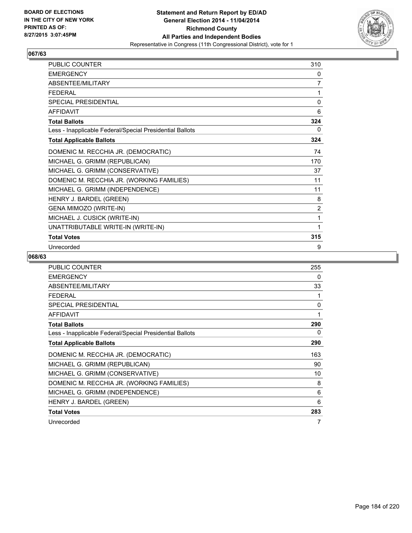

| <b>PUBLIC COUNTER</b>                                    | 310 |
|----------------------------------------------------------|-----|
| <b>EMERGENCY</b>                                         | 0   |
| ABSENTEE/MILITARY                                        | 7   |
| <b>FEDERAL</b>                                           | 1   |
| <b>SPECIAL PRESIDENTIAL</b>                              | 0   |
| <b>AFFIDAVIT</b>                                         | 6   |
| <b>Total Ballots</b>                                     | 324 |
| Less - Inapplicable Federal/Special Presidential Ballots | 0   |
| <b>Total Applicable Ballots</b>                          | 324 |
| DOMENIC M. RECCHIA JR. (DEMOCRATIC)                      | 74  |
| MICHAEL G. GRIMM (REPUBLICAN)                            | 170 |
| MICHAEL G. GRIMM (CONSERVATIVE)                          | 37  |
| DOMENIC M. RECCHIA JR. (WORKING FAMILIES)                | 11  |
| MICHAEL G. GRIMM (INDEPENDENCE)                          | 11  |
| HENRY J. BARDEL (GREEN)                                  | 8   |
| GENA MIMOZO (WRITE-IN)                                   | 2   |
| MICHAEL J. CUSICK (WRITE-IN)                             | 1   |
| UNATTRIBUTABLE WRITE-IN (WRITE-IN)                       | 1   |
| <b>Total Votes</b>                                       | 315 |
| Unrecorded                                               | 9   |

| PUBLIC COUNTER                                           | 255 |
|----------------------------------------------------------|-----|
| <b>EMERGENCY</b>                                         | 0   |
| ABSENTEE/MILITARY                                        | 33  |
| <b>FEDERAL</b>                                           |     |
| <b>SPECIAL PRESIDENTIAL</b>                              | 0   |
| AFFIDAVIT                                                | 1   |
| <b>Total Ballots</b>                                     | 290 |
| Less - Inapplicable Federal/Special Presidential Ballots | 0   |
| <b>Total Applicable Ballots</b>                          | 290 |
| DOMENIC M. RECCHIA JR. (DEMOCRATIC)                      | 163 |
| MICHAEL G. GRIMM (REPUBLICAN)                            | 90  |
| MICHAEL G. GRIMM (CONSERVATIVE)                          | 10  |
| DOMENIC M. RECCHIA JR. (WORKING FAMILIES)                | 8   |
| MICHAEL G. GRIMM (INDEPENDENCE)                          | 6   |
| HENRY J. BARDEL (GREEN)                                  | 6   |
| <b>Total Votes</b>                                       | 283 |
| Unrecorded                                               | 7   |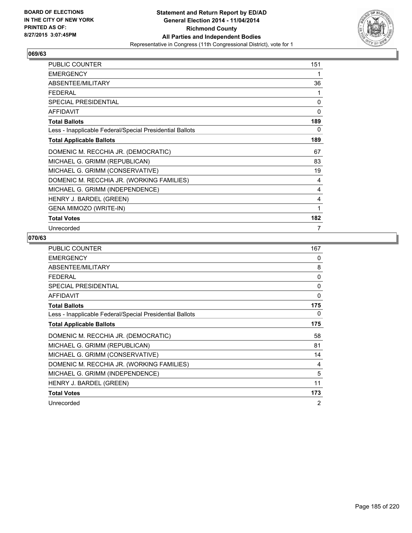

| <b>PUBLIC COUNTER</b>                                    | 151 |
|----------------------------------------------------------|-----|
| <b>EMERGENCY</b>                                         | 1   |
| ABSENTEE/MILITARY                                        | 36  |
| <b>FEDERAL</b>                                           | 1   |
| SPECIAL PRESIDENTIAL                                     | 0   |
| <b>AFFIDAVIT</b>                                         | 0   |
| <b>Total Ballots</b>                                     | 189 |
| Less - Inapplicable Federal/Special Presidential Ballots | 0   |
| <b>Total Applicable Ballots</b>                          | 189 |
| DOMENIC M. RECCHIA JR. (DEMOCRATIC)                      | 67  |
| MICHAEL G. GRIMM (REPUBLICAN)                            | 83  |
| MICHAEL G. GRIMM (CONSERVATIVE)                          | 19  |
| DOMENIC M. RECCHIA JR. (WORKING FAMILIES)                | 4   |
| MICHAEL G. GRIMM (INDEPENDENCE)                          | 4   |
| HENRY J. BARDEL (GREEN)                                  | 4   |
| <b>GENA MIMOZO (WRITE-IN)</b>                            | 1   |
| <b>Total Votes</b>                                       | 182 |
| Unrecorded                                               | 7   |

| <b>PUBLIC COUNTER</b>                                    | 167      |
|----------------------------------------------------------|----------|
| <b>EMERGENCY</b>                                         | 0        |
| ABSENTEE/MILITARY                                        | 8        |
| <b>FEDERAL</b>                                           | $\Omega$ |
| <b>SPECIAL PRESIDENTIAL</b>                              | 0        |
| <b>AFFIDAVIT</b>                                         | 0        |
| <b>Total Ballots</b>                                     | 175      |
| Less - Inapplicable Federal/Special Presidential Ballots | 0        |
| <b>Total Applicable Ballots</b>                          | 175      |
| DOMENIC M. RECCHIA JR. (DEMOCRATIC)                      | 58       |
| MICHAEL G. GRIMM (REPUBLICAN)                            | 81       |
| MICHAEL G. GRIMM (CONSERVATIVE)                          | 14       |
| DOMENIC M. RECCHIA JR. (WORKING FAMILIES)                | 4        |
| MICHAEL G. GRIMM (INDEPENDENCE)                          | 5        |
| HENRY J. BARDEL (GREEN)                                  | 11       |
| <b>Total Votes</b>                                       | 173      |
| Unrecorded                                               | 2        |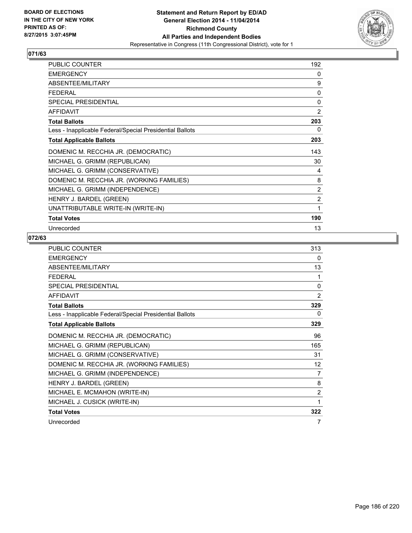

| <b>PUBLIC COUNTER</b>                                    | 192      |
|----------------------------------------------------------|----------|
| <b>EMERGENCY</b>                                         | 0        |
| ABSENTEE/MILITARY                                        | 9        |
| <b>FEDERAL</b>                                           | $\Omega$ |
| SPECIAL PRESIDENTIAL                                     | 0        |
| <b>AFFIDAVIT</b>                                         | 2        |
| <b>Total Ballots</b>                                     | 203      |
| Less - Inapplicable Federal/Special Presidential Ballots | 0        |
| <b>Total Applicable Ballots</b>                          | 203      |
| DOMENIC M. RECCHIA JR. (DEMOCRATIC)                      | 143      |
| MICHAEL G. GRIMM (REPUBLICAN)                            | 30       |
| MICHAEL G. GRIMM (CONSERVATIVE)                          | 4        |
| DOMENIC M. RECCHIA JR. (WORKING FAMILIES)                | 8        |
| MICHAEL G. GRIMM (INDEPENDENCE)                          | 2        |
| HENRY J. BARDEL (GREEN)                                  | 2        |
| UNATTRIBUTABLE WRITE-IN (WRITE-IN)                       | 1        |
| <b>Total Votes</b>                                       | 190      |
| Unrecorded                                               | 13       |

| PUBLIC COUNTER                                           | 313          |
|----------------------------------------------------------|--------------|
| <b>EMERGENCY</b>                                         | 0            |
| ABSENTEE/MILITARY                                        | 13           |
| <b>FFDFRAI</b>                                           | 1            |
| <b>SPECIAL PRESIDENTIAL</b>                              | $\mathbf{0}$ |
| <b>AFFIDAVIT</b>                                         | 2            |
| <b>Total Ballots</b>                                     | 329          |
| Less - Inapplicable Federal/Special Presidential Ballots | 0            |
| <b>Total Applicable Ballots</b>                          | 329          |
| DOMENIC M. RECCHIA JR. (DEMOCRATIC)                      | 96           |
| MICHAEL G. GRIMM (REPUBLICAN)                            | 165          |
| MICHAEL G. GRIMM (CONSERVATIVE)                          | 31           |
| DOMENIC M. RECCHIA JR. (WORKING FAMILIES)                | 12           |
| MICHAEL G. GRIMM (INDEPENDENCE)                          | 7            |
| HENRY J. BARDEL (GREEN)                                  | 8            |
| MICHAEL E. MCMAHON (WRITE-IN)                            | 2            |
| MICHAEL J. CUSICK (WRITE-IN)                             | 1            |
| <b>Total Votes</b>                                       | 322          |
| Unrecorded                                               | 7            |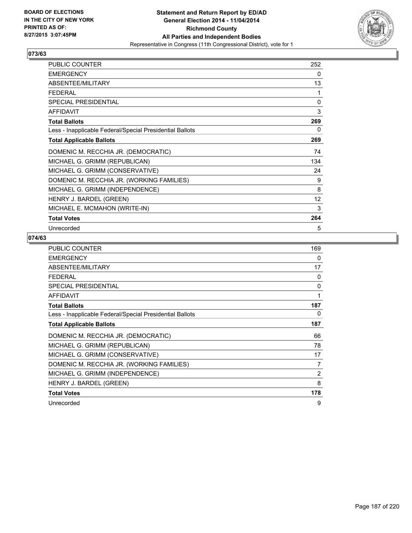

| <b>PUBLIC COUNTER</b>                                    | 252 |
|----------------------------------------------------------|-----|
| <b>EMERGENCY</b>                                         | 0   |
| ABSENTEE/MILITARY                                        | 13  |
| FFDFRAI                                                  | 1   |
| <b>SPECIAL PRESIDENTIAL</b>                              | 0   |
| <b>AFFIDAVIT</b>                                         | 3   |
| <b>Total Ballots</b>                                     | 269 |
| Less - Inapplicable Federal/Special Presidential Ballots | 0   |
| <b>Total Applicable Ballots</b>                          | 269 |
| DOMENIC M. RECCHIA JR. (DEMOCRATIC)                      | 74  |
| MICHAEL G. GRIMM (REPUBLICAN)                            | 134 |
| MICHAEL G. GRIMM (CONSERVATIVE)                          | 24  |
| DOMENIC M. RECCHIA JR. (WORKING FAMILIES)                | 9   |
| MICHAEL G. GRIMM (INDEPENDENCE)                          | 8   |
| HENRY J. BARDEL (GREEN)                                  | 12  |
| MICHAEL E. MCMAHON (WRITE-IN)                            | 3   |
| <b>Total Votes</b>                                       | 264 |
| Unrecorded                                               | 5   |

| <b>PUBLIC COUNTER</b>                                    | 169            |
|----------------------------------------------------------|----------------|
| <b>EMERGENCY</b>                                         | 0              |
| ABSENTEE/MILITARY                                        | 17             |
| <b>FEDERAL</b>                                           | 0              |
| <b>SPECIAL PRESIDENTIAL</b>                              | 0              |
| <b>AFFIDAVIT</b>                                         | 1              |
| <b>Total Ballots</b>                                     | 187            |
| Less - Inapplicable Federal/Special Presidential Ballots | 0              |
| <b>Total Applicable Ballots</b>                          | 187            |
| DOMENIC M. RECCHIA JR. (DEMOCRATIC)                      | 66             |
| MICHAEL G. GRIMM (REPUBLICAN)                            | 78             |
| MICHAEL G. GRIMM (CONSERVATIVE)                          | 17             |
| DOMENIC M. RECCHIA JR. (WORKING FAMILIES)                | 7              |
| MICHAEL G. GRIMM (INDEPENDENCE)                          | $\overline{2}$ |
| HENRY J. BARDEL (GREEN)                                  | 8              |
| <b>Total Votes</b>                                       | 178            |
| Unrecorded                                               | 9              |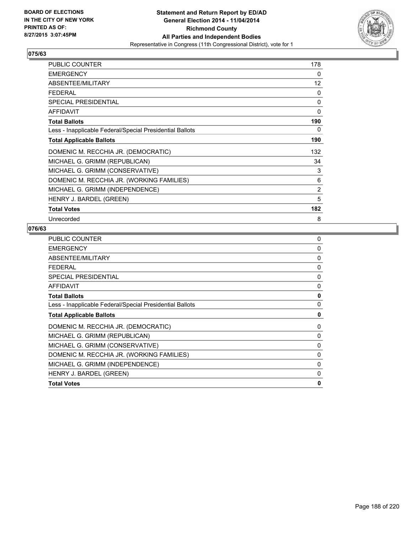

| <b>PUBLIC COUNTER</b>                                    | 178            |
|----------------------------------------------------------|----------------|
| <b>EMERGENCY</b>                                         | 0              |
| ABSENTEE/MILITARY                                        | 12             |
| <b>FEDERAL</b>                                           | 0              |
| <b>SPECIAL PRESIDENTIAL</b>                              | 0              |
| <b>AFFIDAVIT</b>                                         | 0              |
| <b>Total Ballots</b>                                     | 190            |
| Less - Inapplicable Federal/Special Presidential Ballots | 0              |
| <b>Total Applicable Ballots</b>                          | 190            |
| DOMENIC M. RECCHIA JR. (DEMOCRATIC)                      | 132            |
| MICHAEL G. GRIMM (REPUBLICAN)                            | 34             |
| MICHAEL G. GRIMM (CONSERVATIVE)                          | 3              |
| DOMENIC M. RECCHIA JR. (WORKING FAMILIES)                | 6              |
| MICHAEL G. GRIMM (INDEPENDENCE)                          | $\overline{2}$ |
| HENRY J. BARDEL (GREEN)                                  | 5              |
| <b>Total Votes</b>                                       | 182            |
| Unrecorded                                               | 8              |

| PUBLIC COUNTER                                           | 0            |
|----------------------------------------------------------|--------------|
| <b>EMERGENCY</b>                                         | 0            |
| ABSENTEE/MILITARY                                        | 0            |
| <b>FEDERAL</b>                                           | 0            |
| <b>SPECIAL PRESIDENTIAL</b>                              | 0            |
| <b>AFFIDAVIT</b>                                         | 0            |
| <b>Total Ballots</b>                                     | 0            |
| Less - Inapplicable Federal/Special Presidential Ballots | 0            |
| <b>Total Applicable Ballots</b>                          | 0            |
| DOMENIC M. RECCHIA JR. (DEMOCRATIC)                      | 0            |
| MICHAEL G. GRIMM (REPUBLICAN)                            | 0            |
| MICHAEL G. GRIMM (CONSERVATIVE)                          | 0            |
| DOMENIC M. RECCHIA JR. (WORKING FAMILIES)                | $\mathbf{0}$ |
| MICHAEL G. GRIMM (INDEPENDENCE)                          | 0            |
| HENRY J. BARDEL (GREEN)                                  | 0            |
| <b>Total Votes</b>                                       | 0            |
|                                                          |              |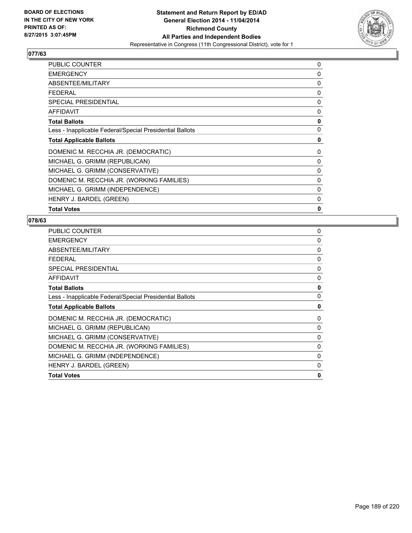

| <b>PUBLIC COUNTER</b>                                    | 0 |
|----------------------------------------------------------|---|
| <b>EMERGENCY</b>                                         | 0 |
| ABSENTEE/MILITARY                                        | 0 |
| <b>FEDERAL</b>                                           | 0 |
| <b>SPECIAL PRESIDENTIAL</b>                              | 0 |
| AFFIDAVIT                                                | 0 |
| <b>Total Ballots</b>                                     | 0 |
| Less - Inapplicable Federal/Special Presidential Ballots | 0 |
| <b>Total Applicable Ballots</b>                          | 0 |
| DOMENIC M. RECCHIA JR. (DEMOCRATIC)                      | 0 |
| MICHAEL G. GRIMM (REPUBLICAN)                            | 0 |
| MICHAEL G. GRIMM (CONSERVATIVE)                          | 0 |
| DOMENIC M. RECCHIA JR. (WORKING FAMILIES)                | 0 |
| MICHAEL G. GRIMM (INDEPENDENCE)                          | 0 |
| HENRY J. BARDEL (GREEN)                                  | 0 |
| <b>Total Votes</b>                                       | 0 |

| <b>PUBLIC COUNTER</b>                                    | 0            |
|----------------------------------------------------------|--------------|
| <b>EMERGENCY</b>                                         | 0            |
| ABSENTEE/MILITARY                                        | 0            |
| <b>FEDERAL</b>                                           | 0            |
| <b>SPECIAL PRESIDENTIAL</b>                              | $\mathbf{0}$ |
| <b>AFFIDAVIT</b>                                         | 0            |
| <b>Total Ballots</b>                                     | 0            |
| Less - Inapplicable Federal/Special Presidential Ballots | 0            |
| <b>Total Applicable Ballots</b>                          | 0            |
| DOMENIC M. RECCHIA JR. (DEMOCRATIC)                      | 0            |
| MICHAEL G. GRIMM (REPUBLICAN)                            | 0            |
| MICHAEL G. GRIMM (CONSERVATIVE)                          | 0            |
| DOMENIC M. RECCHIA JR. (WORKING FAMILIES)                | $\mathbf{0}$ |
| MICHAEL G. GRIMM (INDEPENDENCE)                          | 0            |
| HENRY J. BARDEL (GREEN)                                  | 0            |
| <b>Total Votes</b>                                       | $\mathbf{0}$ |
|                                                          |              |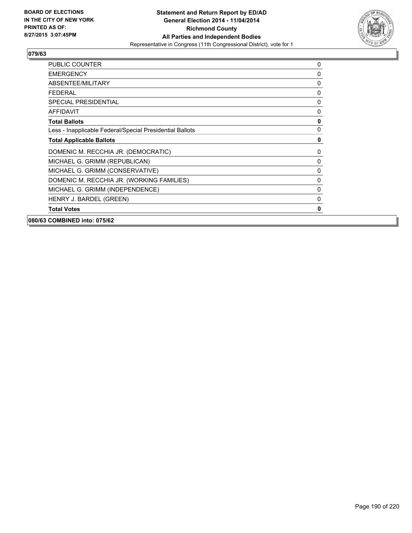

| <b>PUBLIC COUNTER</b>                                    | 0            |
|----------------------------------------------------------|--------------|
| <b>EMERGENCY</b>                                         | $\Omega$     |
| ABSENTEE/MILITARY                                        | 0            |
| <b>FEDERAL</b>                                           | $\mathbf{0}$ |
| <b>SPECIAL PRESIDENTIAL</b>                              | $\mathbf{0}$ |
| <b>AFFIDAVIT</b>                                         | 0            |
| <b>Total Ballots</b>                                     | $\pmb{0}$    |
| Less - Inapplicable Federal/Special Presidential Ballots | $\mathbf 0$  |
| <b>Total Applicable Ballots</b>                          | $\mathbf 0$  |
| DOMENIC M. RECCHIA JR. (DEMOCRATIC)                      | 0            |
| MICHAEL G. GRIMM (REPUBLICAN)                            | $\mathbf 0$  |
| MICHAEL G. GRIMM (CONSERVATIVE)                          | $\mathbf 0$  |
| DOMENIC M. RECCHIA JR. (WORKING FAMILIES)                | $\mathbf{0}$ |
| MICHAEL G. GRIMM (INDEPENDENCE)                          | 0            |
| HENRY J. BARDEL (GREEN)                                  | 0            |
| <b>Total Votes</b>                                       | 0            |
| 080/63 COMBINED into: 075/62                             |              |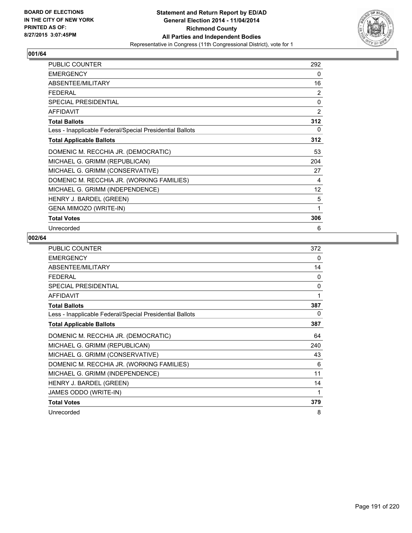

| <b>PUBLIC COUNTER</b>                                    | 292 |
|----------------------------------------------------------|-----|
| <b>EMERGENCY</b>                                         | 0   |
| ABSENTEE/MILITARY                                        | 16  |
| FFDFRAI                                                  | 2   |
| <b>SPECIAL PRESIDENTIAL</b>                              | 0   |
| <b>AFFIDAVIT</b>                                         | 2   |
| <b>Total Ballots</b>                                     | 312 |
| Less - Inapplicable Federal/Special Presidential Ballots | 0   |
| <b>Total Applicable Ballots</b>                          | 312 |
| DOMENIC M. RECCHIA JR. (DEMOCRATIC)                      | 53  |
| MICHAEL G. GRIMM (REPUBLICAN)                            | 204 |
| MICHAEL G. GRIMM (CONSERVATIVE)                          | 27  |
| DOMENIC M. RECCHIA JR. (WORKING FAMILIES)                | 4   |
| MICHAEL G. GRIMM (INDEPENDENCE)                          | 12  |
| HENRY J. BARDEL (GREEN)                                  | 5   |
| <b>GENA MIMOZO (WRITE-IN)</b>                            | 1   |
| <b>Total Votes</b>                                       | 306 |
| Unrecorded                                               | 6   |

| <b>PUBLIC COUNTER</b>                                    | 372      |
|----------------------------------------------------------|----------|
| <b>EMERGENCY</b>                                         | 0        |
| ABSENTEE/MILITARY                                        | 14       |
| <b>FEDERAL</b>                                           | $\Omega$ |
| <b>SPECIAL PRESIDENTIAL</b>                              | 0        |
| <b>AFFIDAVIT</b>                                         | 1        |
| <b>Total Ballots</b>                                     | 387      |
| Less - Inapplicable Federal/Special Presidential Ballots | $\Omega$ |
| <b>Total Applicable Ballots</b>                          | 387      |
| DOMENIC M. RECCHIA JR. (DEMOCRATIC)                      | 64       |
| MICHAEL G. GRIMM (REPUBLICAN)                            | 240      |
| MICHAEL G. GRIMM (CONSERVATIVE)                          | 43       |
| DOMENIC M. RECCHIA JR. (WORKING FAMILIES)                | 6        |
| MICHAEL G. GRIMM (INDEPENDENCE)                          | 11       |
| HENRY J. BARDEL (GREEN)                                  | 14       |
| JAMES ODDO (WRITE-IN)                                    | 1        |
| <b>Total Votes</b>                                       | 379      |
| Unrecorded                                               | 8        |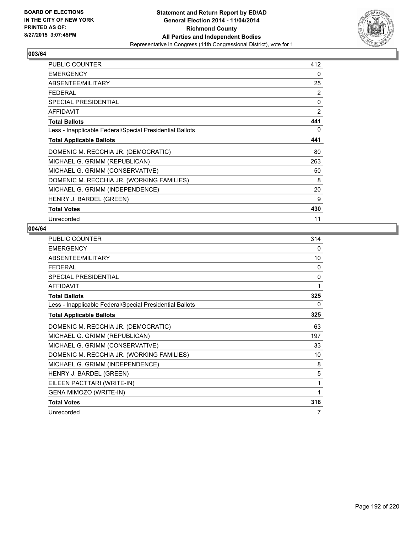

| <b>PUBLIC COUNTER</b>                                    | 412            |
|----------------------------------------------------------|----------------|
| <b>EMERGENCY</b>                                         | 0              |
| ABSENTEE/MILITARY                                        | 25             |
| <b>FEDERAL</b>                                           | 2              |
| <b>SPECIAL PRESIDENTIAL</b>                              | 0              |
| <b>AFFIDAVIT</b>                                         | $\overline{2}$ |
| <b>Total Ballots</b>                                     | 441            |
| Less - Inapplicable Federal/Special Presidential Ballots | 0              |
| <b>Total Applicable Ballots</b>                          | 441            |
| DOMENIC M. RECCHIA JR. (DEMOCRATIC)                      | 80             |
| MICHAEL G. GRIMM (REPUBLICAN)                            | 263            |
| MICHAEL G. GRIMM (CONSERVATIVE)                          | 50             |
| DOMENIC M. RECCHIA JR. (WORKING FAMILIES)                | 8              |
| MICHAEL G. GRIMM (INDEPENDENCE)                          | 20             |
| HENRY J. BARDEL (GREEN)                                  | 9              |
| <b>Total Votes</b>                                       | 430            |
| Unrecorded                                               | 11             |

| <b>PUBLIC COUNTER</b>                                    | 314          |
|----------------------------------------------------------|--------------|
| <b>EMERGENCY</b>                                         | 0            |
| ABSENTEE/MILITARY                                        | 10           |
| <b>FEDERAL</b>                                           | 0            |
| <b>SPECIAL PRESIDENTIAL</b>                              | $\mathbf{0}$ |
| <b>AFFIDAVIT</b>                                         | 1            |
| <b>Total Ballots</b>                                     | 325          |
| Less - Inapplicable Federal/Special Presidential Ballots | 0            |
| <b>Total Applicable Ballots</b>                          | 325          |
| DOMENIC M. RECCHIA JR. (DEMOCRATIC)                      | 63           |
| MICHAEL G. GRIMM (REPUBLICAN)                            | 197          |
| MICHAEL G. GRIMM (CONSERVATIVE)                          | 33           |
| DOMENIC M. RECCHIA JR. (WORKING FAMILIES)                | 10           |
| MICHAEL G. GRIMM (INDEPENDENCE)                          | 8            |
| HENRY J. BARDEL (GREEN)                                  | 5            |
| EILEEN PACTTARI (WRITE-IN)                               | 1            |
| GENA MIMOZO (WRITE-IN)                                   | 1            |
| <b>Total Votes</b>                                       | 318          |
| Unrecorded                                               | 7            |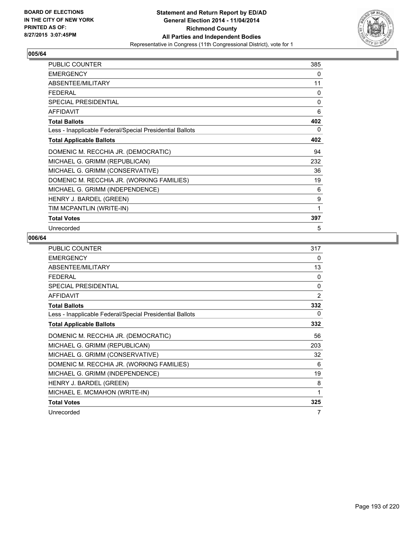

| <b>PUBLIC COUNTER</b>                                    | 385 |
|----------------------------------------------------------|-----|
| <b>EMERGENCY</b>                                         | 0   |
| ABSENTEE/MILITARY                                        | 11  |
| <b>FEDERAL</b>                                           | 0   |
| SPECIAL PRESIDENTIAL                                     | 0   |
| <b>AFFIDAVIT</b>                                         | 6   |
| <b>Total Ballots</b>                                     | 402 |
| Less - Inapplicable Federal/Special Presidential Ballots | 0   |
| <b>Total Applicable Ballots</b>                          | 402 |
| DOMENIC M. RECCHIA JR. (DEMOCRATIC)                      | 94  |
| MICHAEL G. GRIMM (REPUBLICAN)                            | 232 |
| MICHAEL G. GRIMM (CONSERVATIVE)                          | 36  |
| DOMENIC M. RECCHIA JR. (WORKING FAMILIES)                | 19  |
| MICHAEL G. GRIMM (INDEPENDENCE)                          | 6   |
| HENRY J. BARDEL (GREEN)                                  | 9   |
| TIM MCPANTLIN (WRITE-IN)                                 | 1   |
| <b>Total Votes</b>                                       | 397 |
| Unrecorded                                               | 5   |

| <b>PUBLIC COUNTER</b>                                    | 317            |
|----------------------------------------------------------|----------------|
| <b>EMERGENCY</b>                                         | 0              |
| ABSENTEE/MILITARY                                        | 13             |
| <b>FEDERAL</b>                                           | $\Omega$       |
| <b>SPECIAL PRESIDENTIAL</b>                              | $\mathbf{0}$   |
| <b>AFFIDAVIT</b>                                         | $\overline{2}$ |
| <b>Total Ballots</b>                                     | 332            |
| Less - Inapplicable Federal/Special Presidential Ballots | 0              |
| <b>Total Applicable Ballots</b>                          | 332            |
| DOMENIC M. RECCHIA JR. (DEMOCRATIC)                      | 56             |
| MICHAEL G. GRIMM (REPUBLICAN)                            | 203            |
| MICHAEL G. GRIMM (CONSERVATIVE)                          | 32             |
| DOMENIC M. RECCHIA JR. (WORKING FAMILIES)                | 6              |
| MICHAEL G. GRIMM (INDEPENDENCE)                          | 19             |
| HENRY J. BARDEL (GREEN)                                  | 8              |
| MICHAEL E. MCMAHON (WRITE-IN)                            | 1              |
| <b>Total Votes</b>                                       | 325            |
| Unrecorded                                               | 7              |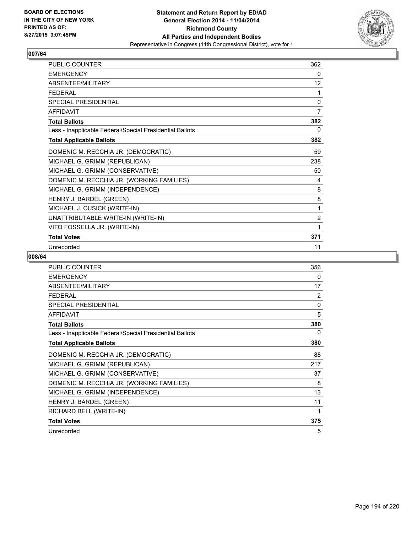

| PUBLIC COUNTER                                           | 362            |
|----------------------------------------------------------|----------------|
| <b>EMERGENCY</b>                                         | 0              |
| ABSENTEE/MILITARY                                        | 12             |
| <b>FEDERAL</b>                                           | 1              |
| <b>SPECIAL PRESIDENTIAL</b>                              | 0              |
| <b>AFFIDAVIT</b>                                         | 7              |
| <b>Total Ballots</b>                                     | 382            |
| Less - Inapplicable Federal/Special Presidential Ballots | 0              |
| <b>Total Applicable Ballots</b>                          | 382            |
| DOMENIC M. RECCHIA JR. (DEMOCRATIC)                      | 59             |
| MICHAEL G. GRIMM (REPUBLICAN)                            | 238            |
| MICHAEL G. GRIMM (CONSERVATIVE)                          | 50             |
| DOMENIC M. RECCHIA JR. (WORKING FAMILIES)                | 4              |
| MICHAEL G. GRIMM (INDEPENDENCE)                          | 8              |
| HENRY J. BARDEL (GREEN)                                  | 8              |
| MICHAEL J. CUSICK (WRITE-IN)                             | 1              |
| UNATTRIBUTABLE WRITE-IN (WRITE-IN)                       | $\overline{2}$ |
| VITO FOSSELLA JR. (WRITE-IN)                             | 1              |
| <b>Total Votes</b>                                       | 371            |
| Unrecorded                                               | 11             |

| PUBLIC COUNTER                                           | 356 |
|----------------------------------------------------------|-----|
| <b>EMERGENCY</b>                                         | 0   |
| ABSENTEE/MILITARY                                        | 17  |
| <b>FEDERAL</b>                                           | 2   |
| SPECIAL PRESIDENTIAL                                     | 0   |
| AFFIDAVIT                                                | 5   |
| <b>Total Ballots</b>                                     | 380 |
| Less - Inapplicable Federal/Special Presidential Ballots | 0   |
| <b>Total Applicable Ballots</b>                          | 380 |
| DOMENIC M. RECCHIA JR. (DEMOCRATIC)                      | 88  |
| MICHAEL G. GRIMM (REPUBLICAN)                            | 217 |
| MICHAEL G. GRIMM (CONSERVATIVE)                          | 37  |
| DOMENIC M. RECCHIA JR. (WORKING FAMILIES)                | 8   |
| MICHAEL G. GRIMM (INDEPENDENCE)                          | 13  |
| HENRY J. BARDEL (GREEN)                                  | 11  |
| RICHARD BELL (WRITE-IN)                                  | 1   |
| <b>Total Votes</b>                                       | 375 |
| Unrecorded                                               | 5   |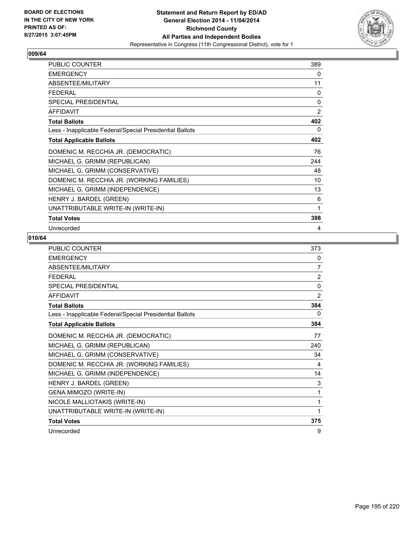

| <b>PUBLIC COUNTER</b>                                    | 389          |
|----------------------------------------------------------|--------------|
| <b>EMERGENCY</b>                                         | 0            |
| ABSENTEE/MILITARY                                        | 11           |
| <b>FEDERAL</b>                                           | 0            |
| <b>SPECIAL PRESIDENTIAL</b>                              | $\mathbf{0}$ |
| AFFIDAVIT                                                | 2            |
| <b>Total Ballots</b>                                     | 402          |
| Less - Inapplicable Federal/Special Presidential Ballots | 0            |
| <b>Total Applicable Ballots</b>                          | 402          |
| DOMENIC M. RECCHIA JR. (DEMOCRATIC)                      | 76           |
| MICHAEL G. GRIMM (REPUBLICAN)                            | 244          |
| MICHAEL G. GRIMM (CONSERVATIVE)                          | 48           |
| DOMENIC M. RECCHIA JR. (WORKING FAMILIES)                | 10           |
| MICHAEL G. GRIMM (INDEPENDENCE)                          | 13           |
| HENRY J. BARDEL (GREEN)                                  | 6            |
| UNATTRIBUTABLE WRITE-IN (WRITE-IN)                       | 1            |
| <b>Total Votes</b>                                       | 398          |
| Unrecorded                                               | 4            |

| <b>PUBLIC COUNTER</b>                                    | 373      |
|----------------------------------------------------------|----------|
| <b>EMERGENCY</b>                                         | 0        |
| ABSENTEE/MILITARY                                        | 7        |
| <b>FEDERAL</b>                                           | 2        |
| SPECIAL PRESIDENTIAL                                     | $\Omega$ |
| <b>AFFIDAVIT</b>                                         | 2        |
| <b>Total Ballots</b>                                     | 384      |
| Less - Inapplicable Federal/Special Presidential Ballots | 0        |
| <b>Total Applicable Ballots</b>                          | 384      |
| DOMENIC M. RECCHIA JR. (DEMOCRATIC)                      | 77       |
| MICHAEL G. GRIMM (REPUBLICAN)                            | 240      |
| MICHAEL G. GRIMM (CONSERVATIVE)                          | 34       |
| DOMENIC M. RECCHIA JR. (WORKING FAMILIES)                | 4        |
| MICHAEL G. GRIMM (INDEPENDENCE)                          | 14       |
| HENRY J. BARDEL (GREEN)                                  | 3        |
| GENA MIMOZO (WRITE-IN)                                   | 1        |
| NICOLE MALLIOTAKIS (WRITE-IN)                            | 1        |
| UNATTRIBUTABLE WRITE-IN (WRITE-IN)                       | 1        |
| <b>Total Votes</b>                                       | 375      |
| Unrecorded                                               | 9        |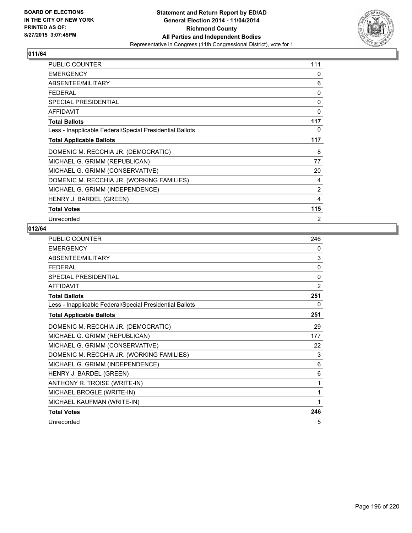

| PUBLIC COUNTER                                           | 111            |
|----------------------------------------------------------|----------------|
| <b>EMERGENCY</b>                                         | 0              |
| ABSENTEE/MILITARY                                        | 6              |
| <b>FEDERAL</b>                                           | 0              |
| SPECIAL PRESIDENTIAL                                     | 0              |
| <b>AFFIDAVIT</b>                                         | 0              |
| <b>Total Ballots</b>                                     | 117            |
| Less - Inapplicable Federal/Special Presidential Ballots | 0              |
| <b>Total Applicable Ballots</b>                          | 117            |
| DOMENIC M. RECCHIA JR. (DEMOCRATIC)                      | 8              |
| MICHAEL G. GRIMM (REPUBLICAN)                            | 77             |
| MICHAEL G. GRIMM (CONSERVATIVE)                          | 20             |
| DOMENIC M. RECCHIA JR. (WORKING FAMILIES)                | 4              |
| MICHAEL G. GRIMM (INDEPENDENCE)                          | $\overline{2}$ |
| HENRY J. BARDEL (GREEN)                                  | 4              |
| <b>Total Votes</b>                                       | 115            |
| Unrecorded                                               | 2              |

| PUBLIC COUNTER                                           | 246 |
|----------------------------------------------------------|-----|
| <b>EMERGENCY</b>                                         | 0   |
| ABSENTEE/MILITARY                                        | 3   |
| <b>FEDERAL</b>                                           | 0   |
| <b>SPECIAL PRESIDENTIAL</b>                              | 0   |
| <b>AFFIDAVIT</b>                                         | 2   |
| <b>Total Ballots</b>                                     | 251 |
| Less - Inapplicable Federal/Special Presidential Ballots | 0   |
| <b>Total Applicable Ballots</b>                          | 251 |
| DOMENIC M. RECCHIA JR. (DEMOCRATIC)                      | 29  |
| MICHAEL G. GRIMM (REPUBLICAN)                            | 177 |
| MICHAEL G. GRIMM (CONSERVATIVE)                          | 22  |
| DOMENIC M. RECCHIA JR. (WORKING FAMILIES)                | 3   |
| MICHAEL G. GRIMM (INDEPENDENCE)                          | 6   |
| HENRY J. BARDEL (GREEN)                                  | 6   |
| ANTHONY R. TROISE (WRITE-IN)                             | 1   |
| MICHAEL BROGLE (WRITE-IN)                                | 1   |
| MICHAEL KAUFMAN (WRITE-IN)                               | 1   |
| <b>Total Votes</b>                                       | 246 |
| Unrecorded                                               | 5   |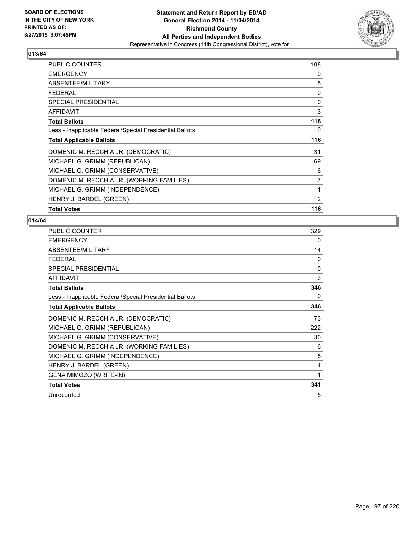

| <b>PUBLIC COUNTER</b>                                    | 108            |
|----------------------------------------------------------|----------------|
| <b>EMERGENCY</b>                                         | 0              |
| ABSENTEE/MILITARY                                        | 5              |
| <b>FEDERAL</b>                                           | 0              |
| <b>SPECIAL PRESIDENTIAL</b>                              | 0              |
| <b>AFFIDAVIT</b>                                         | 3              |
| <b>Total Ballots</b>                                     | 116            |
| Less - Inapplicable Federal/Special Presidential Ballots | 0              |
| <b>Total Applicable Ballots</b>                          | 116            |
| DOMENIC M. RECCHIA JR. (DEMOCRATIC)                      | 31             |
| MICHAEL G. GRIMM (REPUBLICAN)                            | 69             |
| MICHAEL G. GRIMM (CONSERVATIVE)                          | 6              |
| DOMENIC M. RECCHIA JR. (WORKING FAMILIES)                | $\overline{7}$ |
| MICHAEL G. GRIMM (INDEPENDENCE)                          | 1              |
| HENRY J. BARDEL (GREEN)                                  | $\overline{2}$ |
| <b>Total Votes</b>                                       | 116            |

| PUBLIC COUNTER                                           | 329          |
|----------------------------------------------------------|--------------|
| <b>EMERGENCY</b>                                         | 0            |
| ABSENTEE/MILITARY                                        | 14           |
| <b>FEDERAL</b>                                           | $\mathbf{0}$ |
| <b>SPECIAL PRESIDENTIAL</b>                              | $\Omega$     |
| <b>AFFIDAVIT</b>                                         | 3            |
| <b>Total Ballots</b>                                     | 346          |
| Less - Inapplicable Federal/Special Presidential Ballots | 0            |
| <b>Total Applicable Ballots</b>                          | 346          |
| DOMENIC M. RECCHIA JR. (DEMOCRATIC)                      | 73           |
| MICHAEL G. GRIMM (REPUBLICAN)                            | 222          |
| MICHAEL G. GRIMM (CONSERVATIVE)                          | 30           |
| DOMENIC M. RECCHIA JR. (WORKING FAMILIES)                | 6            |
| MICHAEL G. GRIMM (INDEPENDENCE)                          | 5            |
| HENRY J. BARDEL (GREEN)                                  | 4            |
| GENA MIMOZO (WRITE-IN)                                   | 1            |
| <b>Total Votes</b>                                       | 341          |
| Unrecorded                                               | 5            |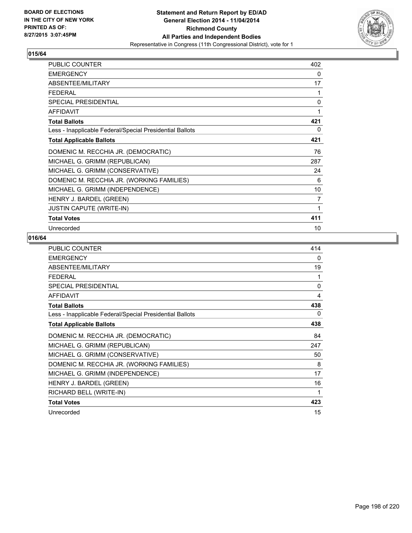

| <b>PUBLIC COUNTER</b>                                    | 402 |
|----------------------------------------------------------|-----|
| <b>EMERGENCY</b>                                         | 0   |
| ABSENTEE/MILITARY                                        | 17  |
| FFDFRAI                                                  | 1   |
| SPECIAL PRESIDENTIAL                                     | 0   |
| <b>AFFIDAVIT</b>                                         | 1   |
| <b>Total Ballots</b>                                     | 421 |
| Less - Inapplicable Federal/Special Presidential Ballots | 0   |
| <b>Total Applicable Ballots</b>                          | 421 |
| DOMENIC M. RECCHIA JR. (DEMOCRATIC)                      | 76  |
| MICHAEL G. GRIMM (REPUBLICAN)                            | 287 |
| MICHAEL G. GRIMM (CONSERVATIVE)                          | 24  |
| DOMENIC M. RECCHIA JR. (WORKING FAMILIES)                | 6   |
| MICHAEL G. GRIMM (INDEPENDENCE)                          | 10  |
| HENRY J. BARDEL (GREEN)                                  | 7   |
| <b>JUSTIN CAPUTE (WRITE-IN)</b>                          | 1   |
| <b>Total Votes</b>                                       | 411 |
| Unrecorded                                               | 10  |

| PUBLIC COUNTER                                           | 414          |
|----------------------------------------------------------|--------------|
| <b>EMERGENCY</b>                                         | 0            |
| ABSENTEE/MILITARY                                        | 19           |
| <b>FEDERAL</b>                                           | 1            |
| SPECIAL PRESIDENTIAL                                     | $\mathbf{0}$ |
| <b>AFFIDAVIT</b>                                         | 4            |
| <b>Total Ballots</b>                                     | 438          |
| Less - Inapplicable Federal/Special Presidential Ballots | 0            |
| <b>Total Applicable Ballots</b>                          | 438          |
| DOMENIC M. RECCHIA JR. (DEMOCRATIC)                      | 84           |
| MICHAEL G. GRIMM (REPUBLICAN)                            | 247          |
| MICHAEL G. GRIMM (CONSERVATIVE)                          | 50           |
| DOMENIC M. RECCHIA JR. (WORKING FAMILIES)                | 8            |
| MICHAEL G. GRIMM (INDEPENDENCE)                          | 17           |
| HENRY J. BARDEL (GREEN)                                  | 16           |
| RICHARD BELL (WRITE-IN)                                  | 1            |
| <b>Total Votes</b>                                       | 423          |
| Unrecorded                                               | 15           |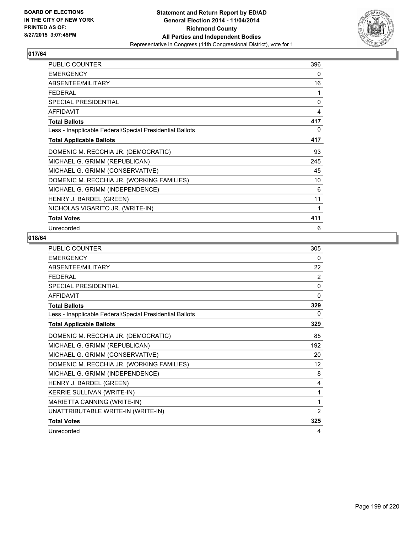

| <b>PUBLIC COUNTER</b>                                    | 396          |
|----------------------------------------------------------|--------------|
| <b>EMERGENCY</b>                                         | 0            |
| ABSENTEE/MILITARY                                        | 16           |
| <b>FEDERAL</b>                                           | 1            |
| SPECIAL PRESIDENTIAL                                     | $\mathbf{0}$ |
| <b>AFFIDAVIT</b>                                         | 4            |
| <b>Total Ballots</b>                                     | 417          |
| Less - Inapplicable Federal/Special Presidential Ballots | 0            |
| <b>Total Applicable Ballots</b>                          | 417          |
| DOMENIC M. RECCHIA JR. (DEMOCRATIC)                      | 93           |
| MICHAEL G. GRIMM (REPUBLICAN)                            | 245          |
| MICHAEL G. GRIMM (CONSERVATIVE)                          | 45           |
| DOMENIC M. RECCHIA JR. (WORKING FAMILIES)                | 10           |
| MICHAEL G. GRIMM (INDEPENDENCE)                          | 6            |
| HENRY J. BARDEL (GREEN)                                  | 11           |
| NICHOLAS VIGARITO JR. (WRITE-IN)                         | 1            |
| <b>Total Votes</b>                                       | 411          |
| Unrecorded                                               | 6            |

| <b>PUBLIC COUNTER</b>                                    | 305          |
|----------------------------------------------------------|--------------|
| <b>EMERGENCY</b>                                         | 0            |
| ABSENTEE/MILITARY                                        | 22           |
| <b>FEDERAL</b>                                           | 2            |
| SPECIAL PRESIDENTIAL                                     | $\Omega$     |
| <b>AFFIDAVIT</b>                                         | $\mathbf{0}$ |
| <b>Total Ballots</b>                                     | 329          |
| Less - Inapplicable Federal/Special Presidential Ballots | 0            |
| <b>Total Applicable Ballots</b>                          | 329          |
| DOMENIC M. RECCHIA JR. (DEMOCRATIC)                      | 85           |
| MICHAEL G. GRIMM (REPUBLICAN)                            | 192          |
| MICHAEL G. GRIMM (CONSERVATIVE)                          | 20           |
| DOMENIC M. RECCHIA JR. (WORKING FAMILIES)                | 12           |
| MICHAEL G. GRIMM (INDEPENDENCE)                          | 8            |
| HENRY J. BARDEL (GREEN)                                  | 4            |
| KERRIE SULLIVAN (WRITE-IN)                               | 1            |
| MARIETTA CANNING (WRITE-IN)                              | 1            |
| UNATTRIBUTABLE WRITE-IN (WRITE-IN)                       | 2            |
| <b>Total Votes</b>                                       | 325          |
| Unrecorded                                               | 4            |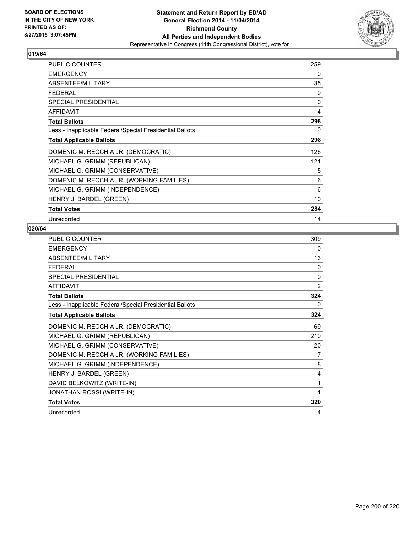

| <b>PUBLIC COUNTER</b>                                    | 259         |
|----------------------------------------------------------|-------------|
| <b>EMERGENCY</b>                                         | 0           |
| ABSENTEE/MILITARY                                        | 35          |
| <b>FEDERAL</b>                                           | 0           |
| <b>SPECIAL PRESIDENTIAL</b>                              | $\mathbf 0$ |
| <b>AFFIDAVIT</b>                                         | 4           |
| <b>Total Ballots</b>                                     | 298         |
| Less - Inapplicable Federal/Special Presidential Ballots | 0           |
| <b>Total Applicable Ballots</b>                          | 298         |
| DOMENIC M. RECCHIA JR. (DEMOCRATIC)                      | 126         |
| MICHAEL G. GRIMM (REPUBLICAN)                            | 121         |
| MICHAEL G. GRIMM (CONSERVATIVE)                          | 15          |
| DOMENIC M. RECCHIA JR. (WORKING FAMILIES)                | 6           |
| MICHAEL G. GRIMM (INDEPENDENCE)                          | 6           |
| HENRY J. BARDEL (GREEN)                                  | 10          |
| <b>Total Votes</b>                                       | 284         |
| Unrecorded                                               | 14          |

| <b>PUBLIC COUNTER</b>                                    | 309 |
|----------------------------------------------------------|-----|
| <b>EMERGENCY</b>                                         | 0   |
| ABSENTEE/MILITARY                                        | 13  |
| <b>FEDERAL</b>                                           | 0   |
| <b>SPECIAL PRESIDENTIAL</b>                              | 0   |
| <b>AFFIDAVIT</b>                                         | 2   |
| <b>Total Ballots</b>                                     | 324 |
| Less - Inapplicable Federal/Special Presidential Ballots | 0   |
| <b>Total Applicable Ballots</b>                          | 324 |
| DOMENIC M. RECCHIA JR. (DEMOCRATIC)                      | 69  |
| MICHAEL G. GRIMM (REPUBLICAN)                            | 210 |
| MICHAEL G. GRIMM (CONSERVATIVE)                          | 20  |
| DOMENIC M. RECCHIA JR. (WORKING FAMILIES)                | 7   |
| MICHAEL G. GRIMM (INDEPENDENCE)                          | 8   |
| HENRY J. BARDEL (GREEN)                                  | 4   |
| DAVID BELKOWITZ (WRITE-IN)                               | 1   |
| JONATHAN ROSSI (WRITE-IN)                                | 1   |
| <b>Total Votes</b>                                       | 320 |
| Unrecorded                                               | 4   |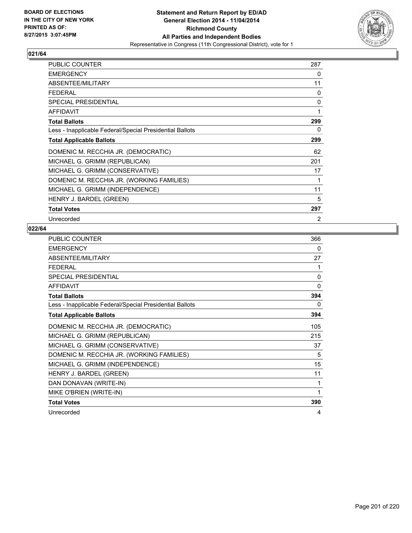

| <b>PUBLIC COUNTER</b>                                    | 287            |
|----------------------------------------------------------|----------------|
| <b>EMERGENCY</b>                                         | 0              |
| ABSENTEE/MILITARY                                        | 11             |
| <b>FEDERAL</b>                                           | 0              |
| <b>SPECIAL PRESIDENTIAL</b>                              | 0              |
| <b>AFFIDAVIT</b>                                         | 1              |
| <b>Total Ballots</b>                                     | 299            |
| Less - Inapplicable Federal/Special Presidential Ballots | 0              |
| <b>Total Applicable Ballots</b>                          | 299            |
| DOMENIC M. RECCHIA JR. (DEMOCRATIC)                      | 62             |
| MICHAEL G. GRIMM (REPUBLICAN)                            | 201            |
| MICHAEL G. GRIMM (CONSERVATIVE)                          | 17             |
| DOMENIC M. RECCHIA JR. (WORKING FAMILIES)                | 1              |
| MICHAEL G. GRIMM (INDEPENDENCE)                          | 11             |
| HENRY J. BARDEL (GREEN)                                  | 5              |
| <b>Total Votes</b>                                       | 297            |
| Unrecorded                                               | $\overline{2}$ |

| PUBLIC COUNTER                                           | 366          |
|----------------------------------------------------------|--------------|
| <b>EMERGENCY</b>                                         | 0            |
| ABSENTEE/MILITARY                                        | 27           |
| <b>FEDERAL</b>                                           | 1            |
| <b>SPECIAL PRESIDENTIAL</b>                              | $\mathbf{0}$ |
| <b>AFFIDAVIT</b>                                         | $\mathbf{0}$ |
| <b>Total Ballots</b>                                     | 394          |
| Less - Inapplicable Federal/Special Presidential Ballots | 0            |
| <b>Total Applicable Ballots</b>                          | 394          |
| DOMENIC M. RECCHIA JR. (DEMOCRATIC)                      | 105          |
| MICHAEL G. GRIMM (REPUBLICAN)                            | 215          |
| MICHAEL G. GRIMM (CONSERVATIVE)                          | 37           |
| DOMENIC M. RECCHIA JR. (WORKING FAMILIES)                | 5            |
| MICHAEL G. GRIMM (INDEPENDENCE)                          | 15           |
| HENRY J. BARDEL (GREEN)                                  | 11           |
| DAN DONAVAN (WRITE-IN)                                   | 1            |
| MIKE O'BRIEN (WRITE-IN)                                  | 1            |
| <b>Total Votes</b>                                       | 390          |
| Unrecorded                                               | 4            |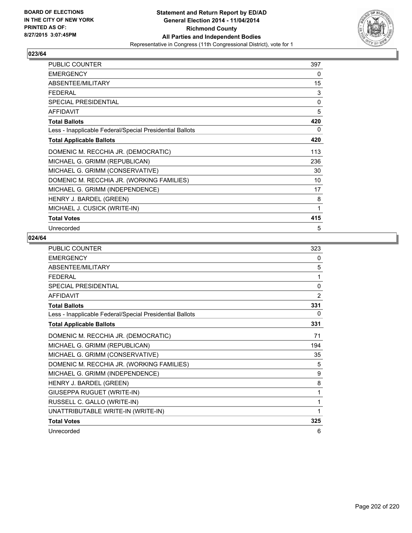

| <b>PUBLIC COUNTER</b>                                    | 397          |
|----------------------------------------------------------|--------------|
| <b>EMERGENCY</b>                                         | 0            |
| ABSENTEE/MILITARY                                        | 15           |
| FFDFRAI                                                  | 3            |
| <b>SPECIAL PRESIDENTIAL</b>                              | $\mathbf{0}$ |
| <b>AFFIDAVIT</b>                                         | 5            |
| <b>Total Ballots</b>                                     | 420          |
| Less - Inapplicable Federal/Special Presidential Ballots | 0            |
| <b>Total Applicable Ballots</b>                          | 420          |
| DOMENIC M. RECCHIA JR. (DEMOCRATIC)                      | 113          |
| MICHAEL G. GRIMM (REPUBLICAN)                            | 236          |
| MICHAEL G. GRIMM (CONSERVATIVE)                          | 30           |
| DOMENIC M. RECCHIA JR. (WORKING FAMILIES)                | 10           |
| MICHAEL G. GRIMM (INDEPENDENCE)                          | 17           |
| HENRY J. BARDEL (GREEN)                                  | 8            |
| MICHAEL J. CUSICK (WRITE-IN)                             | 1            |
| <b>Total Votes</b>                                       | 415          |
| Unrecorded                                               | 5            |

| PUBLIC COUNTER                                           | 323      |
|----------------------------------------------------------|----------|
| <b>EMERGENCY</b>                                         | 0        |
| ABSENTEE/MILITARY                                        | 5        |
| <b>FEDERAL</b>                                           | 1        |
| <b>SPECIAL PRESIDENTIAL</b>                              | $\Omega$ |
| <b>AFFIDAVIT</b>                                         | 2        |
| <b>Total Ballots</b>                                     | 331      |
| Less - Inapplicable Federal/Special Presidential Ballots | 0        |
| <b>Total Applicable Ballots</b>                          | 331      |
| DOMENIC M. RECCHIA JR. (DEMOCRATIC)                      | 71       |
| MICHAEL G. GRIMM (REPUBLICAN)                            | 194      |
| MICHAEL G. GRIMM (CONSERVATIVE)                          | 35       |
| DOMENIC M. RECCHIA JR. (WORKING FAMILIES)                | 5        |
| MICHAEL G. GRIMM (INDEPENDENCE)                          | 9        |
| HENRY J. BARDEL (GREEN)                                  | 8        |
| GIUSEPPA RUGUET (WRITE-IN)                               | 1        |
| RUSSELL C. GALLO (WRITE-IN)                              | 1        |
| UNATTRIBUTABLE WRITE-IN (WRITE-IN)                       | 1        |
| <b>Total Votes</b>                                       | 325      |
| Unrecorded                                               | 6        |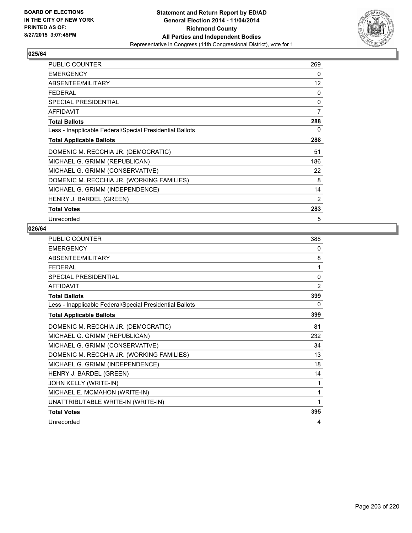

| <b>PUBLIC COUNTER</b>                                    | 269            |
|----------------------------------------------------------|----------------|
| <b>EMERGENCY</b>                                         | 0              |
| ABSENTEE/MILITARY                                        | 12             |
| <b>FEDERAL</b>                                           | 0              |
| <b>SPECIAL PRESIDENTIAL</b>                              | 0              |
| <b>AFFIDAVIT</b>                                         | $\overline{7}$ |
| <b>Total Ballots</b>                                     | 288            |
| Less - Inapplicable Federal/Special Presidential Ballots | 0              |
| <b>Total Applicable Ballots</b>                          | 288            |
| DOMENIC M. RECCHIA JR. (DEMOCRATIC)                      | 51             |
| MICHAEL G. GRIMM (REPUBLICAN)                            | 186            |
| MICHAEL G. GRIMM (CONSERVATIVE)                          | 22             |
| DOMENIC M. RECCHIA JR. (WORKING FAMILIES)                | 8              |
| MICHAEL G. GRIMM (INDEPENDENCE)                          | 14             |
| HENRY J. BARDEL (GREEN)                                  | 2              |
| <b>Total Votes</b>                                       | 283            |
| Unrecorded                                               | 5              |

| PUBLIC COUNTER                                           | 388            |
|----------------------------------------------------------|----------------|
| <b>EMERGENCY</b>                                         | 0              |
| ABSENTEE/MILITARY                                        | 8              |
| <b>FFDFRAI</b>                                           | 1              |
| SPECIAL PRESIDENTIAL                                     | $\Omega$       |
| <b>AFFIDAVIT</b>                                         | $\overline{2}$ |
| <b>Total Ballots</b>                                     | 399            |
| Less - Inapplicable Federal/Special Presidential Ballots | 0              |
| <b>Total Applicable Ballots</b>                          | 399            |
| DOMENIC M. RECCHIA JR. (DEMOCRATIC)                      | 81             |
| MICHAEL G. GRIMM (REPUBLICAN)                            | 232            |
| MICHAEL G. GRIMM (CONSERVATIVE)                          | 34             |
| DOMENIC M. RECCHIA JR. (WORKING FAMILIES)                | 13             |
| MICHAEL G. GRIMM (INDEPENDENCE)                          | 18             |
| HENRY J. BARDEL (GREEN)                                  | 14             |
| JOHN KELLY (WRITE-IN)                                    | 1              |
| MICHAEL E. MCMAHON (WRITE-IN)                            | 1              |
| UNATTRIBUTABLE WRITE-IN (WRITE-IN)                       | 1              |
| <b>Total Votes</b>                                       | 395            |
| Unrecorded                                               | 4              |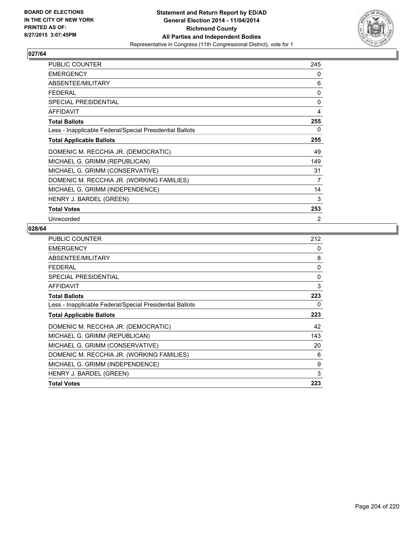

| <b>PUBLIC COUNTER</b>                                    | 245 |
|----------------------------------------------------------|-----|
| <b>EMERGENCY</b>                                         | 0   |
| ABSENTEE/MILITARY                                        | 6   |
| <b>FEDERAL</b>                                           | 0   |
| <b>SPECIAL PRESIDENTIAL</b>                              | 0   |
| <b>AFFIDAVIT</b>                                         | 4   |
| <b>Total Ballots</b>                                     | 255 |
| Less - Inapplicable Federal/Special Presidential Ballots | 0   |
| <b>Total Applicable Ballots</b>                          | 255 |
| DOMENIC M. RECCHIA JR. (DEMOCRATIC)                      | 49  |
| MICHAEL G. GRIMM (REPUBLICAN)                            | 149 |
| MICHAEL G. GRIMM (CONSERVATIVE)                          | 31  |
| DOMENIC M. RECCHIA JR. (WORKING FAMILIES)                | 7   |
| MICHAEL G. GRIMM (INDEPENDENCE)                          | 14  |
| HENRY J. BARDEL (GREEN)                                  | 3   |
| <b>Total Votes</b>                                       | 253 |
| Unrecorded                                               | 2   |

| <b>PUBLIC COUNTER</b>                                    | 212         |
|----------------------------------------------------------|-------------|
| <b>EMERGENCY</b>                                         | 0           |
| ABSENTEE/MILITARY                                        | 8           |
| <b>FEDERAL</b>                                           | 0           |
| <b>SPECIAL PRESIDENTIAL</b>                              | $\mathbf 0$ |
| <b>AFFIDAVIT</b>                                         | 3           |
| <b>Total Ballots</b>                                     | 223         |
| Less - Inapplicable Federal/Special Presidential Ballots | 0           |
| <b>Total Applicable Ballots</b>                          | 223         |
| DOMENIC M. RECCHIA JR. (DEMOCRATIC)                      | 42          |
| MICHAEL G. GRIMM (REPUBLICAN)                            | 143         |
| MICHAEL G. GRIMM (CONSERVATIVE)                          | 20          |
| DOMENIC M. RECCHIA JR. (WORKING FAMILIES)                | 6           |
| MICHAEL G. GRIMM (INDEPENDENCE)                          | 9           |
| HENRY J. BARDEL (GREEN)                                  | 3           |
| <b>Total Votes</b>                                       | 223         |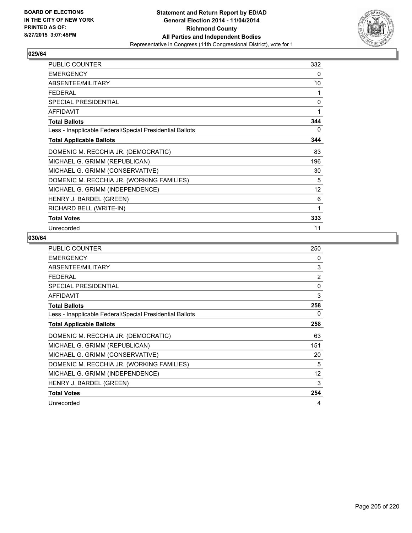

| <b>PUBLIC COUNTER</b>                                    | 332          |
|----------------------------------------------------------|--------------|
| <b>EMERGENCY</b>                                         | 0            |
| ABSENTEE/MILITARY                                        | 10           |
| FFDFRAI                                                  | 1            |
| <b>SPECIAL PRESIDENTIAL</b>                              | $\mathbf{0}$ |
| <b>AFFIDAVIT</b>                                         | 1            |
| <b>Total Ballots</b>                                     | 344          |
| Less - Inapplicable Federal/Special Presidential Ballots | 0            |
| <b>Total Applicable Ballots</b>                          | 344          |
| DOMENIC M. RECCHIA JR. (DEMOCRATIC)                      | 83           |
| MICHAEL G. GRIMM (REPUBLICAN)                            | 196          |
| MICHAEL G. GRIMM (CONSERVATIVE)                          | 30           |
| DOMENIC M. RECCHIA JR. (WORKING FAMILIES)                | 5            |
| MICHAEL G. GRIMM (INDEPENDENCE)                          | 12           |
| HENRY J. BARDEL (GREEN)                                  | 6            |
| RICHARD BELL (WRITE-IN)                                  | 1            |
| <b>Total Votes</b>                                       | 333          |
| Unrecorded                                               | 11           |

| <b>PUBLIC COUNTER</b>                                    | 250 |
|----------------------------------------------------------|-----|
| <b>EMERGENCY</b>                                         | 0   |
| ABSENTEE/MILITARY                                        | 3   |
| <b>FEDERAL</b>                                           | 2   |
| SPECIAL PRESIDENTIAL                                     | 0   |
| <b>AFFIDAVIT</b>                                         | 3   |
| <b>Total Ballots</b>                                     | 258 |
| Less - Inapplicable Federal/Special Presidential Ballots | 0   |
| <b>Total Applicable Ballots</b>                          | 258 |
| DOMENIC M. RECCHIA JR. (DEMOCRATIC)                      | 63  |
| MICHAEL G. GRIMM (REPUBLICAN)                            | 151 |
| MICHAEL G. GRIMM (CONSERVATIVE)                          | 20  |
| DOMENIC M. RECCHIA JR. (WORKING FAMILIES)                | 5   |
| MICHAEL G. GRIMM (INDEPENDENCE)                          | 12  |
| HENRY J. BARDEL (GREEN)                                  | 3   |
| <b>Total Votes</b>                                       | 254 |
| Unrecorded                                               | 4   |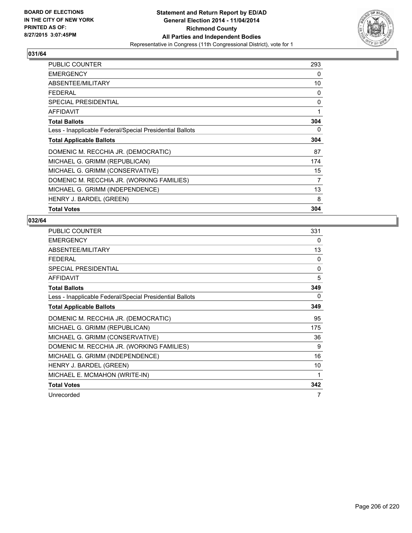

| <b>PUBLIC COUNTER</b>                                    | 293            |
|----------------------------------------------------------|----------------|
| <b>EMERGENCY</b>                                         | 0              |
| ABSENTEE/MILITARY                                        | 10             |
| <b>FEDERAL</b>                                           | 0              |
| <b>SPECIAL PRESIDENTIAL</b>                              | 0              |
| AFFIDAVIT                                                | 1              |
| <b>Total Ballots</b>                                     | 304            |
| Less - Inapplicable Federal/Special Presidential Ballots | 0              |
| <b>Total Applicable Ballots</b>                          | 304            |
| DOMENIC M. RECCHIA JR. (DEMOCRATIC)                      | 87             |
| MICHAEL G. GRIMM (REPUBLICAN)                            | 174            |
| MICHAEL G. GRIMM (CONSERVATIVE)                          | 15             |
| DOMENIC M. RECCHIA JR. (WORKING FAMILIES)                | $\overline{7}$ |
| MICHAEL G. GRIMM (INDEPENDENCE)                          | 13             |
| HENRY J. BARDEL (GREEN)                                  | 8              |
| <b>Total Votes</b>                                       | 304            |

| PUBLIC COUNTER                                           | 331      |
|----------------------------------------------------------|----------|
| <b>EMERGENCY</b>                                         | 0        |
| ABSENTEE/MILITARY                                        | 13       |
| <b>FEDERAL</b>                                           | $\Omega$ |
| <b>SPECIAL PRESIDENTIAL</b>                              | $\Omega$ |
| <b>AFFIDAVIT</b>                                         | 5        |
| <b>Total Ballots</b>                                     | 349      |
| Less - Inapplicable Federal/Special Presidential Ballots | 0        |
| <b>Total Applicable Ballots</b>                          | 349      |
| DOMENIC M. RECCHIA JR. (DEMOCRATIC)                      | 95       |
| MICHAEL G. GRIMM (REPUBLICAN)                            | 175      |
| MICHAEL G. GRIMM (CONSERVATIVE)                          | 36       |
| DOMENIC M. RECCHIA JR. (WORKING FAMILIES)                | 9        |
| MICHAEL G. GRIMM (INDEPENDENCE)                          | 16       |
| HENRY J. BARDEL (GREEN)                                  | 10       |
| MICHAEL E. MCMAHON (WRITE-IN)                            | 1        |
| <b>Total Votes</b>                                       | 342      |
| Unrecorded                                               | 7        |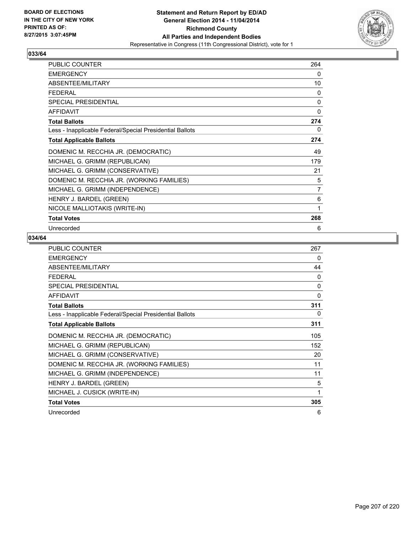

| <b>PUBLIC COUNTER</b>                                    | 264 |
|----------------------------------------------------------|-----|
| <b>EMERGENCY</b>                                         | 0   |
| ABSENTEE/MILITARY                                        | 10  |
| FFDFRAI                                                  | 0   |
| SPECIAL PRESIDENTIAL                                     | 0   |
| <b>AFFIDAVIT</b>                                         | 0   |
| <b>Total Ballots</b>                                     | 274 |
| Less - Inapplicable Federal/Special Presidential Ballots | 0   |
| <b>Total Applicable Ballots</b>                          | 274 |
| DOMENIC M. RECCHIA JR. (DEMOCRATIC)                      | 49  |
| MICHAEL G. GRIMM (REPUBLICAN)                            | 179 |
| MICHAEL G. GRIMM (CONSERVATIVE)                          | 21  |
| DOMENIC M. RECCHIA JR. (WORKING FAMILIES)                | 5   |
| MICHAEL G. GRIMM (INDEPENDENCE)                          | 7   |
| HENRY J. BARDEL (GREEN)                                  | 6   |
| NICOLE MALLIOTAKIS (WRITE-IN)                            | 1   |
| <b>Total Votes</b>                                       | 268 |
| Unrecorded                                               | 6   |

| <b>PUBLIC COUNTER</b>                                    | 267      |
|----------------------------------------------------------|----------|
| <b>EMERGENCY</b>                                         | 0        |
| ABSENTEE/MILITARY                                        | 44       |
| <b>FEDERAL</b>                                           | $\Omega$ |
| <b>SPECIAL PRESIDENTIAL</b>                              | $\Omega$ |
| <b>AFFIDAVIT</b>                                         | 0        |
| <b>Total Ballots</b>                                     | 311      |
| Less - Inapplicable Federal/Special Presidential Ballots | $\Omega$ |
| <b>Total Applicable Ballots</b>                          | 311      |
| DOMENIC M. RECCHIA JR. (DEMOCRATIC)                      | 105      |
| MICHAEL G. GRIMM (REPUBLICAN)                            | 152      |
| MICHAEL G. GRIMM (CONSERVATIVE)                          | 20       |
| DOMENIC M. RECCHIA JR. (WORKING FAMILIES)                | 11       |
| MICHAEL G. GRIMM (INDEPENDENCE)                          | 11       |
| HENRY J. BARDEL (GREEN)                                  | 5        |
| MICHAEL J. CUSICK (WRITE-IN)                             | 1        |
| <b>Total Votes</b>                                       | 305      |
| Unrecorded                                               | 6        |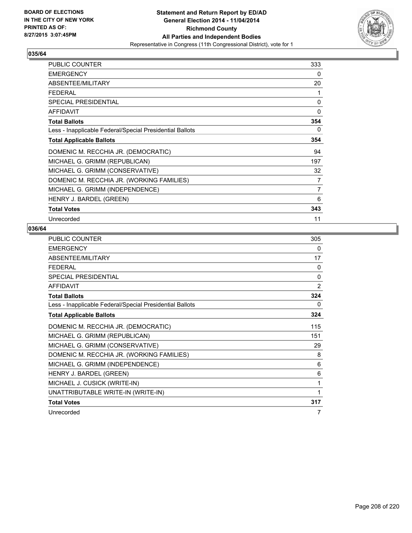

| PUBLIC COUNTER                                           | 333            |
|----------------------------------------------------------|----------------|
| <b>EMERGENCY</b>                                         | 0              |
| ABSENTEE/MILITARY                                        | 20             |
| <b>FEDERAL</b>                                           | 1              |
| <b>SPECIAL PRESIDENTIAL</b>                              | 0              |
| <b>AFFIDAVIT</b>                                         | 0              |
| <b>Total Ballots</b>                                     | 354            |
| Less - Inapplicable Federal/Special Presidential Ballots | 0              |
| <b>Total Applicable Ballots</b>                          | 354            |
| DOMENIC M. RECCHIA JR. (DEMOCRATIC)                      | 94             |
| MICHAEL G. GRIMM (REPUBLICAN)                            | 197            |
| MICHAEL G. GRIMM (CONSERVATIVE)                          | 32             |
| DOMENIC M. RECCHIA JR. (WORKING FAMILIES)                | 7              |
| MICHAEL G. GRIMM (INDEPENDENCE)                          | $\overline{7}$ |
| HENRY J. BARDEL (GREEN)                                  | 6              |
| <b>Total Votes</b>                                       | 343            |
| Unrecorded                                               | 11             |

| <b>PUBLIC COUNTER</b>                                    | 305      |
|----------------------------------------------------------|----------|
| <b>EMERGENCY</b>                                         | 0        |
| ABSENTEE/MILITARY                                        | 17       |
| <b>FFDFRAI</b>                                           | $\Omega$ |
| <b>SPECIAL PRESIDENTIAL</b>                              | 0        |
| <b>AFFIDAVIT</b>                                         | 2        |
| <b>Total Ballots</b>                                     | 324      |
| Less - Inapplicable Federal/Special Presidential Ballots | 0        |
| <b>Total Applicable Ballots</b>                          | 324      |
| DOMENIC M. RECCHIA JR. (DEMOCRATIC)                      | 115      |
| MICHAEL G. GRIMM (REPUBLICAN)                            | 151      |
| MICHAEL G. GRIMM (CONSERVATIVE)                          | 29       |
| DOMENIC M. RECCHIA JR. (WORKING FAMILIES)                | 8        |
| MICHAEL G. GRIMM (INDEPENDENCE)                          | 6        |
| HENRY J. BARDEL (GREEN)                                  | 6        |
| MICHAEL J. CUSICK (WRITE-IN)                             | 1        |
| UNATTRIBUTABLE WRITE-IN (WRITE-IN)                       | 1        |
| <b>Total Votes</b>                                       | 317      |
| Unrecorded                                               | 7        |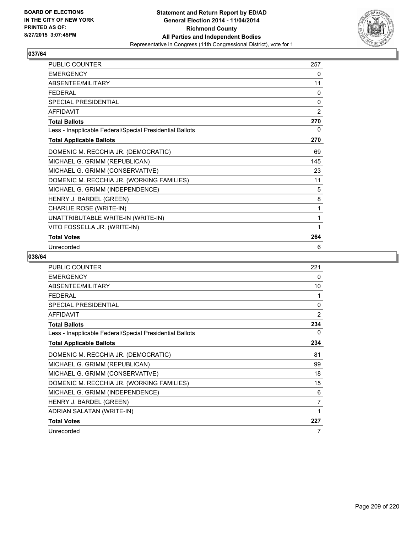

| PUBLIC COUNTER                                           | 257 |
|----------------------------------------------------------|-----|
| <b>EMERGENCY</b>                                         | 0   |
| ABSENTEE/MILITARY                                        | 11  |
| <b>FEDERAL</b>                                           | 0   |
| <b>SPECIAL PRESIDENTIAL</b>                              | 0   |
| <b>AFFIDAVIT</b>                                         | 2   |
| <b>Total Ballots</b>                                     | 270 |
| Less - Inapplicable Federal/Special Presidential Ballots | 0   |
| <b>Total Applicable Ballots</b>                          | 270 |
| DOMENIC M. RECCHIA JR. (DEMOCRATIC)                      | 69  |
| MICHAEL G. GRIMM (REPUBLICAN)                            | 145 |
| MICHAEL G. GRIMM (CONSERVATIVE)                          | 23  |
| DOMENIC M. RECCHIA JR. (WORKING FAMILIES)                | 11  |
| MICHAEL G. GRIMM (INDEPENDENCE)                          | 5   |
| HENRY J. BARDEL (GREEN)                                  | 8   |
| CHARLIE ROSE (WRITE-IN)                                  | 1   |
| UNATTRIBUTABLE WRITE-IN (WRITE-IN)                       | 1   |
| VITO FOSSELLA JR. (WRITE-IN)                             | 1   |
| <b>Total Votes</b>                                       | 264 |
| Unrecorded                                               | 6   |

| PUBLIC COUNTER                                           | 221 |
|----------------------------------------------------------|-----|
| <b>EMERGENCY</b>                                         | 0   |
| ABSENTEE/MILITARY                                        | 10  |
| <b>FEDERAL</b>                                           | 1   |
| SPECIAL PRESIDENTIAL                                     | 0   |
| <b>AFFIDAVIT</b>                                         | 2   |
| <b>Total Ballots</b>                                     | 234 |
| Less - Inapplicable Federal/Special Presidential Ballots | 0   |
| <b>Total Applicable Ballots</b>                          | 234 |
| DOMENIC M. RECCHIA JR. (DEMOCRATIC)                      | 81  |
| MICHAEL G. GRIMM (REPUBLICAN)                            | 99  |
| MICHAEL G. GRIMM (CONSERVATIVE)                          | 18  |
| DOMENIC M. RECCHIA JR. (WORKING FAMILIES)                | 15  |
| MICHAEL G. GRIMM (INDEPENDENCE)                          | 6   |
| HENRY J. BARDEL (GREEN)                                  | 7   |
| ADRIAN SALATAN (WRITE-IN)                                | 1   |
| <b>Total Votes</b>                                       | 227 |
| Unrecorded                                               | 7   |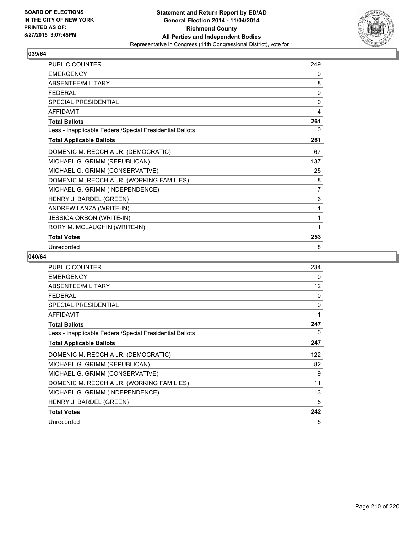

| PUBLIC COUNTER                                           | 249            |
|----------------------------------------------------------|----------------|
| <b>EMERGENCY</b>                                         | 0              |
| ABSENTEE/MILITARY                                        | 8              |
| <b>FEDERAL</b>                                           | 0              |
| <b>SPECIAL PRESIDENTIAL</b>                              | 0              |
| <b>AFFIDAVIT</b>                                         | 4              |
| <b>Total Ballots</b>                                     | 261            |
| Less - Inapplicable Federal/Special Presidential Ballots | 0              |
| <b>Total Applicable Ballots</b>                          | 261            |
| DOMENIC M. RECCHIA JR. (DEMOCRATIC)                      | 67             |
| MICHAEL G. GRIMM (REPUBLICAN)                            | 137            |
| MICHAEL G. GRIMM (CONSERVATIVE)                          | 25             |
| DOMENIC M. RECCHIA JR. (WORKING FAMILIES)                | 8              |
| MICHAEL G. GRIMM (INDEPENDENCE)                          | $\overline{7}$ |
| HENRY J. BARDEL (GREEN)                                  | 6              |
| ANDREW LANZA (WRITE-IN)                                  | 1              |
| <b>JESSICA ORBON (WRITE-IN)</b>                          | 1              |
| RORY M. MCLAUGHIN (WRITE-IN)                             | 1              |
| <b>Total Votes</b>                                       | 253            |
| Unrecorded                                               | 8              |

| <b>PUBLIC COUNTER</b>                                    | 234 |
|----------------------------------------------------------|-----|
| <b>EMERGENCY</b>                                         | 0   |
| ABSENTEE/MILITARY                                        | 12  |
| <b>FEDERAL</b>                                           | 0   |
| SPECIAL PRESIDENTIAL                                     | 0   |
| <b>AFFIDAVIT</b>                                         | 1   |
| <b>Total Ballots</b>                                     | 247 |
| Less - Inapplicable Federal/Special Presidential Ballots | 0   |
| <b>Total Applicable Ballots</b>                          | 247 |
| DOMENIC M. RECCHIA JR. (DEMOCRATIC)                      | 122 |
| MICHAEL G. GRIMM (REPUBLICAN)                            | 82  |
| MICHAEL G. GRIMM (CONSERVATIVE)                          | 9   |
| DOMENIC M. RECCHIA JR. (WORKING FAMILIES)                | 11  |
| MICHAEL G. GRIMM (INDEPENDENCE)                          | 13  |
| HENRY J. BARDEL (GREEN)                                  | 5   |
| <b>Total Votes</b>                                       | 242 |
| Unrecorded                                               | 5   |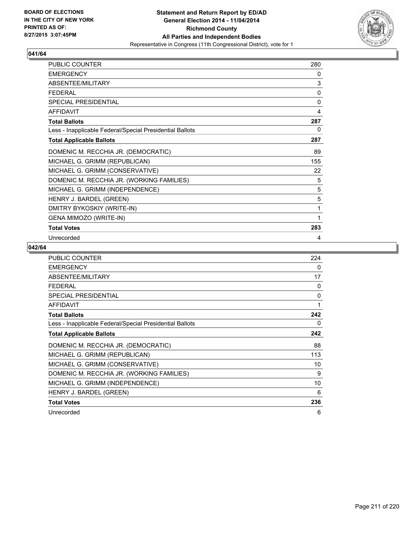

| <b>PUBLIC COUNTER</b>                                    | 280 |
|----------------------------------------------------------|-----|
| <b>EMERGENCY</b>                                         | 0   |
| ABSENTEE/MILITARY                                        | 3   |
| <b>FEDERAL</b>                                           | 0   |
| SPECIAL PRESIDENTIAL                                     | 0   |
| <b>AFFIDAVIT</b>                                         | 4   |
| <b>Total Ballots</b>                                     | 287 |
| Less - Inapplicable Federal/Special Presidential Ballots | 0   |
| <b>Total Applicable Ballots</b>                          | 287 |
| DOMENIC M. RECCHIA JR. (DEMOCRATIC)                      | 89  |
| MICHAEL G. GRIMM (REPUBLICAN)                            | 155 |
| MICHAEL G. GRIMM (CONSERVATIVE)                          | 22  |
| DOMENIC M. RECCHIA JR. (WORKING FAMILIES)                | 5   |
| MICHAEL G. GRIMM (INDEPENDENCE)                          | 5   |
| HENRY J. BARDEL (GREEN)                                  | 5   |
| DMITRY BYKOSKIY (WRITE-IN)                               | 1   |
| GENA MIMOZO (WRITE-IN)                                   | 1   |
| <b>Total Votes</b>                                       | 283 |
| Unrecorded                                               | 4   |

| PUBLIC COUNTER                                           | 224 |
|----------------------------------------------------------|-----|
| <b>EMERGENCY</b>                                         | 0   |
| ABSENTEE/MILITARY                                        | 17  |
| <b>FEDERAL</b>                                           | 0   |
| <b>SPECIAL PRESIDENTIAL</b>                              | 0   |
| <b>AFFIDAVIT</b>                                         | 1   |
| <b>Total Ballots</b>                                     | 242 |
| Less - Inapplicable Federal/Special Presidential Ballots | 0   |
| <b>Total Applicable Ballots</b>                          | 242 |
| DOMENIC M. RECCHIA JR. (DEMOCRATIC)                      | 88  |
| MICHAEL G. GRIMM (REPUBLICAN)                            | 113 |
| MICHAEL G. GRIMM (CONSERVATIVE)                          | 10  |
| DOMENIC M. RECCHIA JR. (WORKING FAMILIES)                | 9   |
| MICHAEL G. GRIMM (INDEPENDENCE)                          | 10  |
| HENRY J. BARDEL (GREEN)                                  | 6   |
| <b>Total Votes</b>                                       | 236 |
| Unrecorded                                               | 6   |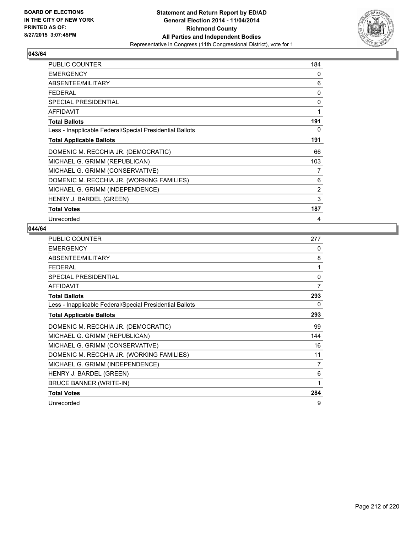

| <b>PUBLIC COUNTER</b>                                    | 184            |
|----------------------------------------------------------|----------------|
| <b>EMERGENCY</b>                                         | 0              |
| ABSENTEE/MILITARY                                        | 6              |
| <b>FEDERAL</b>                                           | 0              |
| <b>SPECIAL PRESIDENTIAL</b>                              | 0              |
| <b>AFFIDAVIT</b>                                         | 1              |
| <b>Total Ballots</b>                                     | 191            |
| Less - Inapplicable Federal/Special Presidential Ballots | 0              |
| <b>Total Applicable Ballots</b>                          | 191            |
| DOMENIC M. RECCHIA JR. (DEMOCRATIC)                      | 66             |
| MICHAEL G. GRIMM (REPUBLICAN)                            | 103            |
| MICHAEL G. GRIMM (CONSERVATIVE)                          | 7              |
| DOMENIC M. RECCHIA JR. (WORKING FAMILIES)                | 6              |
| MICHAEL G. GRIMM (INDEPENDENCE)                          | $\overline{2}$ |
| HENRY J. BARDEL (GREEN)                                  | 3              |
| <b>Total Votes</b>                                       | 187            |
| Unrecorded                                               | 4              |

| <b>PUBLIC COUNTER</b>                                    | 277 |
|----------------------------------------------------------|-----|
| <b>EMERGENCY</b>                                         | 0   |
| ABSENTEE/MILITARY                                        | 8   |
| <b>FEDERAL</b>                                           | 1   |
| <b>SPECIAL PRESIDENTIAL</b>                              | 0   |
| <b>AFFIDAVIT</b>                                         | 7   |
| <b>Total Ballots</b>                                     | 293 |
| Less - Inapplicable Federal/Special Presidential Ballots | 0   |
| <b>Total Applicable Ballots</b>                          | 293 |
| DOMENIC M. RECCHIA JR. (DEMOCRATIC)                      | 99  |
| MICHAEL G. GRIMM (REPUBLICAN)                            | 144 |
| MICHAEL G. GRIMM (CONSERVATIVE)                          | 16  |
| DOMENIC M. RECCHIA JR. (WORKING FAMILIES)                | 11  |
| MICHAEL G. GRIMM (INDEPENDENCE)                          | 7   |
| HENRY J. BARDEL (GREEN)                                  | 6   |
| <b>BRUCE BANNER (WRITE-IN)</b>                           | 1   |
| <b>Total Votes</b>                                       | 284 |
| Unrecorded                                               | 9   |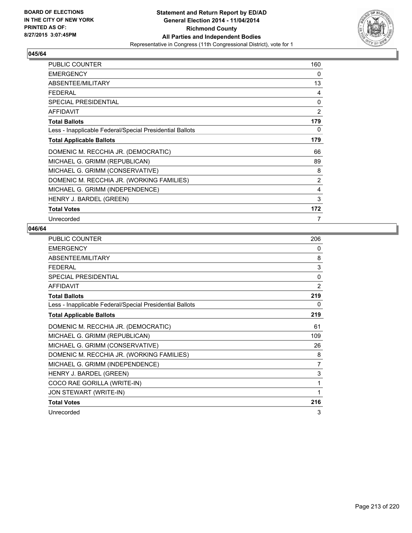

| <b>PUBLIC COUNTER</b>                                    | 160 |
|----------------------------------------------------------|-----|
| <b>EMERGENCY</b>                                         | 0   |
| ABSENTEE/MILITARY                                        | 13  |
| <b>FEDERAL</b>                                           | 4   |
| <b>SPECIAL PRESIDENTIAL</b>                              | 0   |
| <b>AFFIDAVIT</b>                                         | 2   |
| <b>Total Ballots</b>                                     | 179 |
| Less - Inapplicable Federal/Special Presidential Ballots | 0   |
| <b>Total Applicable Ballots</b>                          | 179 |
| DOMENIC M. RECCHIA JR. (DEMOCRATIC)                      | 66  |
| MICHAEL G. GRIMM (REPUBLICAN)                            | 89  |
| MICHAEL G. GRIMM (CONSERVATIVE)                          | 8   |
| DOMENIC M. RECCHIA JR. (WORKING FAMILIES)                | 2   |
| MICHAEL G. GRIMM (INDEPENDENCE)                          | 4   |
| HENRY J. BARDEL (GREEN)                                  | 3   |
| <b>Total Votes</b>                                       | 172 |
| Unrecorded                                               | 7   |

| <b>PUBLIC COUNTER</b>                                    | 206            |
|----------------------------------------------------------|----------------|
| <b>EMERGENCY</b>                                         | 0              |
| ABSENTEE/MILITARY                                        | 8              |
| <b>FEDERAL</b>                                           | 3              |
| <b>SPECIAL PRESIDENTIAL</b>                              | $\Omega$       |
| <b>AFFIDAVIT</b>                                         | 2              |
| <b>Total Ballots</b>                                     | 219            |
| Less - Inapplicable Federal/Special Presidential Ballots | 0              |
| <b>Total Applicable Ballots</b>                          | 219            |
| DOMENIC M. RECCHIA JR. (DEMOCRATIC)                      | 61             |
| MICHAEL G. GRIMM (REPUBLICAN)                            | 109            |
| MICHAEL G. GRIMM (CONSERVATIVE)                          | 26             |
| DOMENIC M. RECCHIA JR. (WORKING FAMILIES)                | 8              |
| MICHAEL G. GRIMM (INDEPENDENCE)                          | $\overline{7}$ |
| HENRY J. BARDEL (GREEN)                                  | 3              |
| COCO RAE GORILLA (WRITE-IN)                              | 1              |
| JON STEWART (WRITE-IN)                                   | 1              |
| <b>Total Votes</b>                                       | 216            |
| Unrecorded                                               | 3              |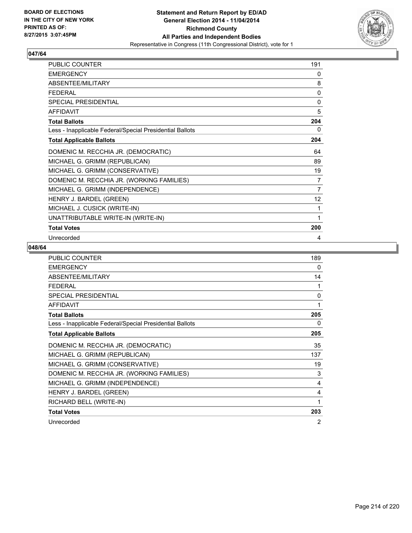

| PUBLIC COUNTER                                           | 191             |
|----------------------------------------------------------|-----------------|
| <b>EMERGENCY</b>                                         | 0               |
| ABSENTEE/MILITARY                                        | 8               |
| <b>FEDERAL</b>                                           | 0               |
| SPECIAL PRESIDENTIAL                                     | 0               |
| <b>AFFIDAVIT</b>                                         | 5               |
| <b>Total Ballots</b>                                     | 204             |
| Less - Inapplicable Federal/Special Presidential Ballots | 0               |
| <b>Total Applicable Ballots</b>                          | 204             |
| DOMENIC M. RECCHIA JR. (DEMOCRATIC)                      | 64              |
| MICHAEL G. GRIMM (REPUBLICAN)                            | 89              |
| MICHAEL G. GRIMM (CONSERVATIVE)                          | 19              |
| DOMENIC M. RECCHIA JR. (WORKING FAMILIES)                | 7               |
| MICHAEL G. GRIMM (INDEPENDENCE)                          | $\overline{7}$  |
| HENRY J. BARDEL (GREEN)                                  | 12 <sup>°</sup> |
| MICHAEL J. CUSICK (WRITE-IN)                             | 1               |
| UNATTRIBUTABLE WRITE-IN (WRITE-IN)                       | 1               |
| <b>Total Votes</b>                                       | 200             |
| Unrecorded                                               | 4               |

| <b>PUBLIC COUNTER</b>                                    | 189 |
|----------------------------------------------------------|-----|
| <b>EMERGENCY</b>                                         | 0   |
| ABSENTEE/MILITARY                                        | 14  |
| <b>FEDERAL</b>                                           | 1   |
| SPECIAL PRESIDENTIAL                                     | 0   |
| <b>AFFIDAVIT</b>                                         | 1   |
| <b>Total Ballots</b>                                     | 205 |
| Less - Inapplicable Federal/Special Presidential Ballots | 0   |
| <b>Total Applicable Ballots</b>                          | 205 |
| DOMENIC M. RECCHIA JR. (DEMOCRATIC)                      | 35  |
| MICHAEL G. GRIMM (REPUBLICAN)                            | 137 |
| MICHAEL G. GRIMM (CONSERVATIVE)                          | 19  |
| DOMENIC M. RECCHIA JR. (WORKING FAMILIES)                | 3   |
| MICHAEL G. GRIMM (INDEPENDENCE)                          | 4   |
| HENRY J. BARDEL (GREEN)                                  | 4   |
| RICHARD BELL (WRITE-IN)                                  | 1   |
| <b>Total Votes</b>                                       | 203 |
| Unrecorded                                               | 2   |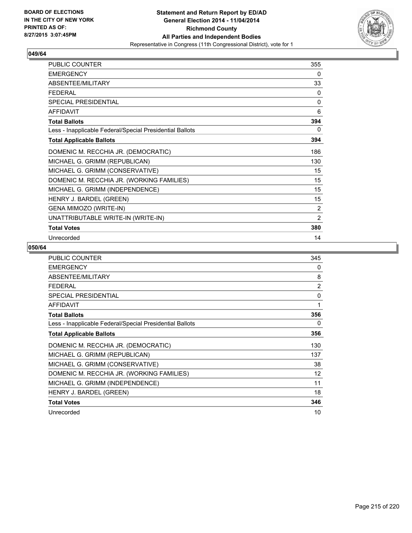

| PUBLIC COUNTER                                           | 355            |
|----------------------------------------------------------|----------------|
| <b>EMERGENCY</b>                                         | 0              |
| ABSENTEE/MILITARY                                        | 33             |
| <b>FEDERAL</b>                                           | 0              |
| SPECIAL PRESIDENTIAL                                     | 0              |
| <b>AFFIDAVIT</b>                                         | 6              |
| <b>Total Ballots</b>                                     | 394            |
| Less - Inapplicable Federal/Special Presidential Ballots | 0              |
| <b>Total Applicable Ballots</b>                          | 394            |
| DOMENIC M. RECCHIA JR. (DEMOCRATIC)                      | 186            |
| MICHAEL G. GRIMM (REPUBLICAN)                            | 130            |
| MICHAEL G. GRIMM (CONSERVATIVE)                          | 15             |
| DOMENIC M. RECCHIA JR. (WORKING FAMILIES)                | 15             |
| MICHAEL G. GRIMM (INDEPENDENCE)                          | 15             |
| HENRY J. BARDEL (GREEN)                                  | 15             |
| GENA MIMOZO (WRITE-IN)                                   | 2              |
| UNATTRIBUTABLE WRITE-IN (WRITE-IN)                       | $\overline{2}$ |
| <b>Total Votes</b>                                       | 380            |
| Unrecorded                                               | 14             |

| <b>PUBLIC COUNTER</b>                                    | 345            |
|----------------------------------------------------------|----------------|
| <b>EMERGENCY</b>                                         | 0              |
| ABSENTEE/MILITARY                                        | 8              |
| <b>FEDERAL</b>                                           | $\overline{2}$ |
| <b>SPECIAL PRESIDENTIAL</b>                              | 0              |
| <b>AFFIDAVIT</b>                                         | 1              |
| <b>Total Ballots</b>                                     | 356            |
| Less - Inapplicable Federal/Special Presidential Ballots | 0              |
| <b>Total Applicable Ballots</b>                          | 356            |
| DOMENIC M. RECCHIA JR. (DEMOCRATIC)                      | 130            |
| MICHAEL G. GRIMM (REPUBLICAN)                            | 137            |
| MICHAEL G. GRIMM (CONSERVATIVE)                          | 38             |
| DOMENIC M. RECCHIA JR. (WORKING FAMILIES)                | 12             |
| MICHAEL G. GRIMM (INDEPENDENCE)                          | 11             |
| HENRY J. BARDEL (GREEN)                                  | 18             |
| <b>Total Votes</b>                                       | 346            |
| Unrecorded                                               | 10             |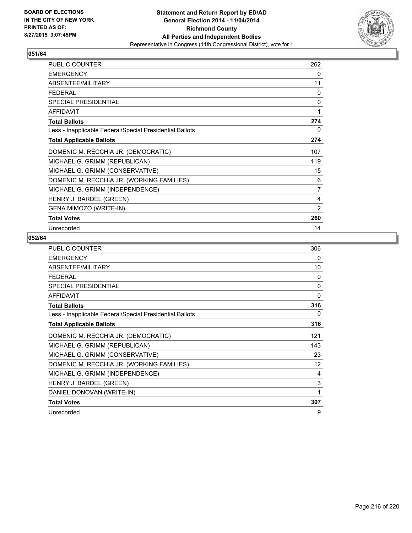

| <b>PUBLIC COUNTER</b>                                    | 262 |
|----------------------------------------------------------|-----|
| <b>EMERGENCY</b>                                         | 0   |
| ABSENTEE/MILITARY                                        | 11  |
| <b>FEDERAL</b>                                           | 0   |
| SPECIAL PRESIDENTIAL                                     | 0   |
| <b>AFFIDAVIT</b>                                         | 1   |
| <b>Total Ballots</b>                                     | 274 |
| Less - Inapplicable Federal/Special Presidential Ballots | 0   |
| <b>Total Applicable Ballots</b>                          | 274 |
| DOMENIC M. RECCHIA JR. (DEMOCRATIC)                      | 107 |
| MICHAEL G. GRIMM (REPUBLICAN)                            | 119 |
| MICHAEL G. GRIMM (CONSERVATIVE)                          | 15  |
| DOMENIC M. RECCHIA JR. (WORKING FAMILIES)                | 6   |
| MICHAEL G. GRIMM (INDEPENDENCE)                          | 7   |
| HENRY J. BARDEL (GREEN)                                  | 4   |
| <b>GENA MIMOZO (WRITE-IN)</b>                            | 2   |
| <b>Total Votes</b>                                       | 260 |
| Unrecorded                                               | 14  |

| <b>PUBLIC COUNTER</b>                                    | 306          |
|----------------------------------------------------------|--------------|
| <b>EMERGENCY</b>                                         | 0            |
| ABSENTEE/MILITARY                                        | 10           |
| <b>FEDERAL</b>                                           | $\mathbf{0}$ |
| SPECIAL PRESIDENTIAL                                     | $\mathbf{0}$ |
| <b>AFFIDAVIT</b>                                         | 0            |
| <b>Total Ballots</b>                                     | 316          |
| Less - Inapplicable Federal/Special Presidential Ballots | 0            |
| <b>Total Applicable Ballots</b>                          | 316          |
| DOMENIC M. RECCHIA JR. (DEMOCRATIC)                      | 121          |
| MICHAEL G. GRIMM (REPUBLICAN)                            | 143          |
| MICHAEL G. GRIMM (CONSERVATIVE)                          | 23           |
| DOMENIC M. RECCHIA JR. (WORKING FAMILIES)                | 12           |
| MICHAEL G. GRIMM (INDEPENDENCE)                          | 4            |
| HENRY J. BARDEL (GREEN)                                  | 3            |
| DANIEL DONOVAN (WRITE-IN)                                | 1            |
| <b>Total Votes</b>                                       | 307          |
| Unrecorded                                               | 9            |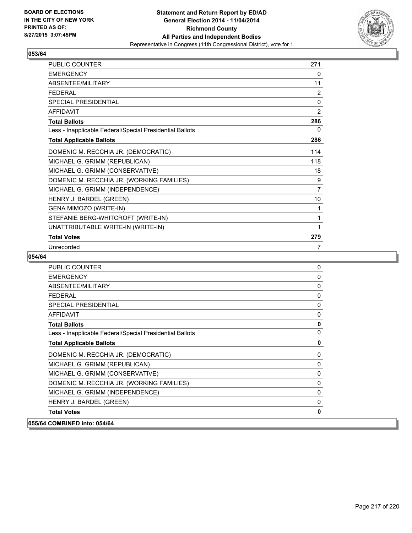

# **053/64**

| PUBLIC COUNTER                                           | 271            |
|----------------------------------------------------------|----------------|
| <b>EMERGENCY</b>                                         | 0              |
| ABSENTEE/MILITARY                                        | 11             |
| <b>FEDERAL</b>                                           | $\overline{2}$ |
| <b>SPECIAL PRESIDENTIAL</b>                              | 0              |
| <b>AFFIDAVIT</b>                                         | $\overline{2}$ |
| <b>Total Ballots</b>                                     | 286            |
| Less - Inapplicable Federal/Special Presidential Ballots | 0              |
| <b>Total Applicable Ballots</b>                          | 286            |
| DOMENIC M. RECCHIA JR. (DEMOCRATIC)                      | 114            |
| MICHAEL G. GRIMM (REPUBLICAN)                            | 118            |
| MICHAEL G. GRIMM (CONSERVATIVE)                          | 18             |
| DOMENIC M. RECCHIA JR. (WORKING FAMILIES)                | 9              |
| MICHAEL G. GRIMM (INDEPENDENCE)                          | $\overline{7}$ |
| HENRY J. BARDEL (GREEN)                                  | 10             |
| GENA MIMOZO (WRITE-IN)                                   | 1              |
| STEFANIE BERG-WHITCROFT (WRITE-IN)                       | 1              |
| UNATTRIBUTABLE WRITE-IN (WRITE-IN)                       | 1              |
| <b>Total Votes</b>                                       | 279            |
| Unrecorded                                               | 7              |

### **054/64**

| <b>PUBLIC COUNTER</b>                                    | 0            |
|----------------------------------------------------------|--------------|
| <b>EMERGENCY</b>                                         | $\mathbf{0}$ |
| ABSENTEE/MILITARY                                        | $\mathbf{0}$ |
| <b>FEDERAL</b>                                           | 0            |
| <b>SPECIAL PRESIDENTIAL</b>                              | 0            |
| <b>AFFIDAVIT</b>                                         | $\mathbf{0}$ |
| <b>Total Ballots</b>                                     | $\mathbf{0}$ |
| Less - Inapplicable Federal/Special Presidential Ballots | $\mathbf{0}$ |
| <b>Total Applicable Ballots</b>                          | 0            |
| DOMENIC M. RECCHIA JR. (DEMOCRATIC)                      | 0            |
| MICHAEL G. GRIMM (REPUBLICAN)                            | $\mathbf{0}$ |
| MICHAEL G. GRIMM (CONSERVATIVE)                          | $\mathbf{0}$ |
| DOMENIC M. RECCHIA JR. (WORKING FAMILIES)                | $\mathbf{0}$ |
| MICHAEL G. GRIMM (INDEPENDENCE)                          | 0            |
| HENRY J. BARDEL (GREEN)                                  | 0            |
| <b>Total Votes</b>                                       | $\mathbf{0}$ |
| 055/64 COMBINED into: 054/64                             |              |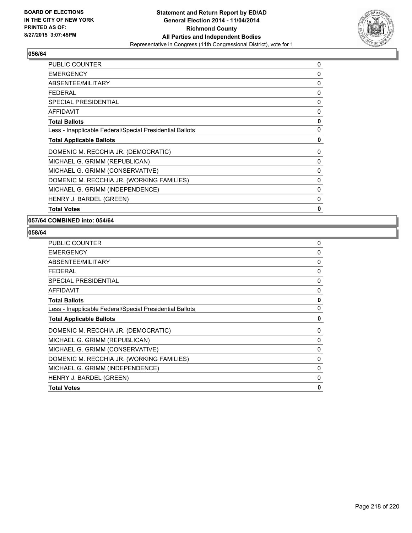

# **056/64**

| <b>PUBLIC COUNTER</b>                                    | 0 |
|----------------------------------------------------------|---|
| <b>EMERGENCY</b>                                         | 0 |
| ABSENTEE/MILITARY                                        | 0 |
| <b>FEDERAL</b>                                           | 0 |
| <b>SPECIAL PRESIDENTIAL</b>                              | 0 |
| <b>AFFIDAVIT</b>                                         | 0 |
| <b>Total Ballots</b>                                     | 0 |
| Less - Inapplicable Federal/Special Presidential Ballots | 0 |
| <b>Total Applicable Ballots</b>                          | 0 |
| DOMENIC M. RECCHIA JR. (DEMOCRATIC)                      | 0 |
| MICHAEL G. GRIMM (REPUBLICAN)                            | 0 |
| MICHAEL G. GRIMM (CONSERVATIVE)                          | 0 |
| DOMENIC M. RECCHIA JR. (WORKING FAMILIES)                | 0 |
| MICHAEL G. GRIMM (INDEPENDENCE)                          | 0 |
| HENRY J. BARDEL (GREEN)                                  | 0 |
| <b>Total Votes</b>                                       | 0 |

## **057/64 COMBINED into: 054/64**

**058/64** 

| <b>PUBLIC COUNTER</b>                                    | 0        |
|----------------------------------------------------------|----------|
| <b>EMERGENCY</b>                                         | $\Omega$ |
| ABSENTEE/MILITARY                                        | 0        |
| <b>FEDERAL</b>                                           | $\Omega$ |
| <b>SPECIAL PRESIDENTIAL</b>                              | 0        |
| <b>AFFIDAVIT</b>                                         | 0        |
| <b>Total Ballots</b>                                     | 0        |
| Less - Inapplicable Federal/Special Presidential Ballots | 0        |
| <b>Total Applicable Ballots</b>                          | 0        |
| DOMENIC M. RECCHIA JR. (DEMOCRATIC)                      | 0        |
| MICHAEL G. GRIMM (REPUBLICAN)                            | 0        |
| MICHAEL G. GRIMM (CONSERVATIVE)                          | 0        |
| DOMENIC M. RECCHIA JR. (WORKING FAMILIES)                | 0        |
| MICHAEL G. GRIMM (INDEPENDENCE)                          | 0        |
| HENRY J. BARDEL (GREEN)                                  | 0        |
| <b>Total Votes</b>                                       | 0        |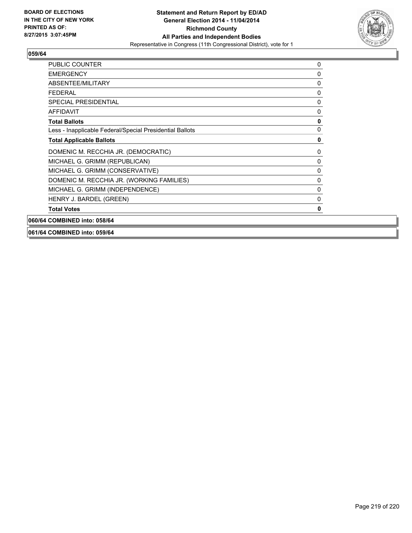

## **059/64**

| <b>PUBLIC COUNTER</b>                                    | 0 |
|----------------------------------------------------------|---|
| <b>EMERGENCY</b>                                         | 0 |
| ABSENTEE/MILITARY                                        | 0 |
| <b>FEDERAL</b>                                           | 0 |
| <b>SPECIAL PRESIDENTIAL</b>                              | 0 |
| <b>AFFIDAVIT</b>                                         | 0 |
| <b>Total Ballots</b>                                     | 0 |
| Less - Inapplicable Federal/Special Presidential Ballots | 0 |
| <b>Total Applicable Ballots</b>                          | 0 |
| DOMENIC M. RECCHIA JR. (DEMOCRATIC)                      | 0 |
| MICHAEL G. GRIMM (REPUBLICAN)                            | 0 |
| MICHAEL G. GRIMM (CONSERVATIVE)                          | 0 |
| DOMENIC M. RECCHIA JR. (WORKING FAMILIES)                | 0 |
| MICHAEL G. GRIMM (INDEPENDENCE)                          | 0 |
| HENRY J. BARDEL (GREEN)                                  | 0 |
| <b>Total Votes</b>                                       | 0 |
| 060/64 COMBINED into: 058/64                             |   |

### **061/64 COMBINED into: 059/64**